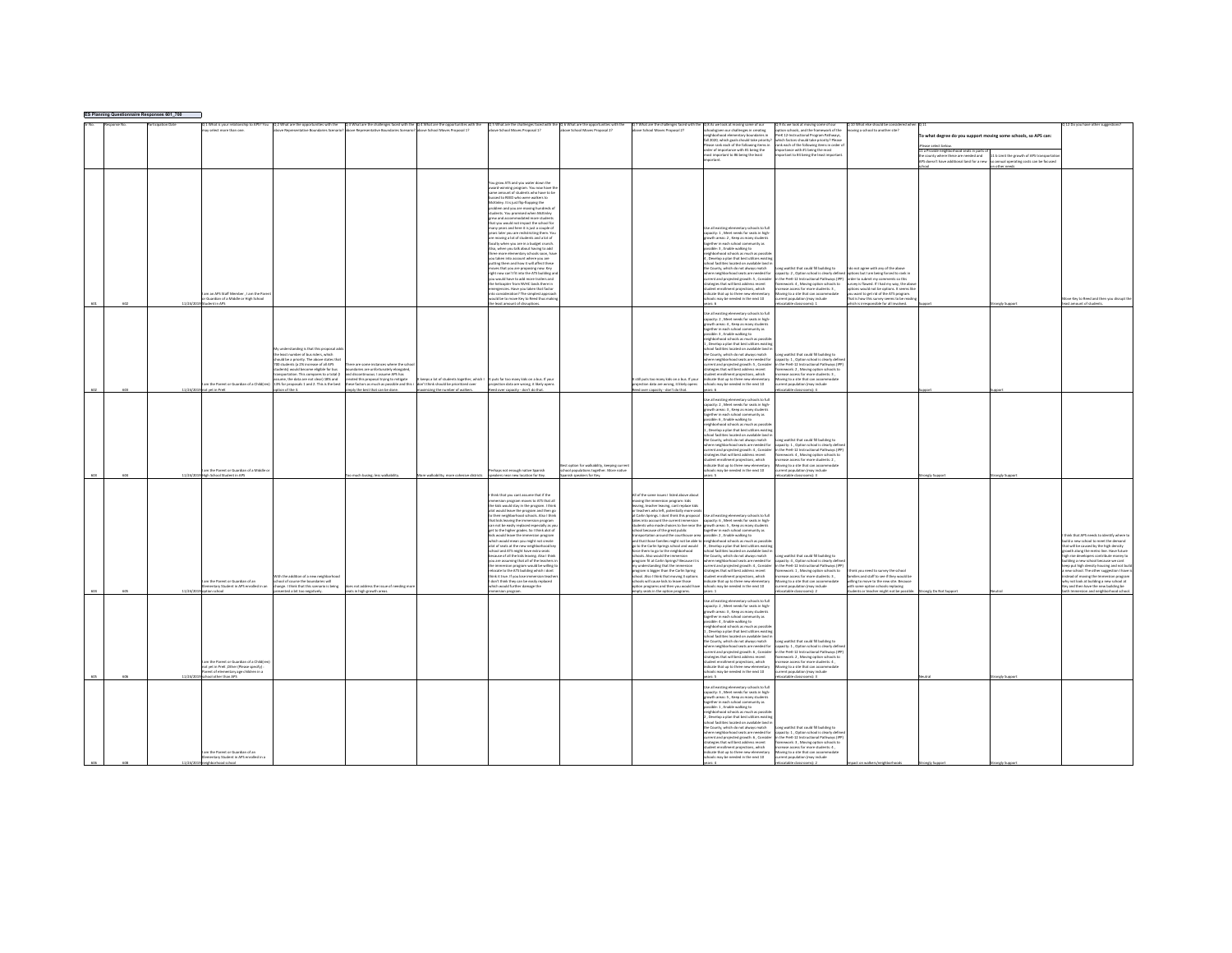| <b>ES Planning Question</b> | iaire Responses 601_700 |                                                                                   |                                                                                    |                                                                            |                                           |                                                                                                                       |                                                                                    |                                                                                                                                                                                        |                                                                                                                               |                                                                                                                                                                           |                                                                               |                                                                                      |                                       |                                                                                     |
|-----------------------------|-------------------------|-----------------------------------------------------------------------------------|------------------------------------------------------------------------------------|----------------------------------------------------------------------------|-------------------------------------------|-----------------------------------------------------------------------------------------------------------------------|------------------------------------------------------------------------------------|----------------------------------------------------------------------------------------------------------------------------------------------------------------------------------------|-------------------------------------------------------------------------------------------------------------------------------|---------------------------------------------------------------------------------------------------------------------------------------------------------------------------|-------------------------------------------------------------------------------|--------------------------------------------------------------------------------------|---------------------------------------|-------------------------------------------------------------------------------------|
|                             |                         |                                                                                   |                                                                                    |                                                                            |                                           |                                                                                                                       |                                                                                    |                                                                                                                                                                                        |                                                                                                                               | Q 9 As we look at moving some of our<br>option schools, and the framework of the                                                                                          | Q 10 What else should be considered whe                                       |                                                                                      |                                       | 12 Do you have other suggestions?                                                   |
|                             |                         |                                                                                   |                                                                                    |                                                                            |                                           |                                                                                                                       |                                                                                    |                                                                                                                                                                                        |                                                                                                                               | rek 12-Instructional Program Pathways,                                                                                                                                    | ing a school to another site?                                                 | o what degree do you support moving some schools, so APS can:                        |                                       |                                                                                     |
|                             |                         |                                                                                   |                                                                                    |                                                                            |                                           |                                                                                                                       |                                                                                    |                                                                                                                                                                                        | fall 2020, which eoals should take priority                                                                                   | which factors should take priority? Please                                                                                                                                |                                                                               |                                                                                      |                                       |                                                                                     |
|                             |                         |                                                                                   |                                                                                    |                                                                            |                                           |                                                                                                                       |                                                                                    |                                                                                                                                                                                        | ase rank each of the following items in                                                                                       | ink each of the following items in order                                                                                                                                  |                                                                               | Please select below.                                                                 |                                       |                                                                                     |
|                             |                         |                                                                                   |                                                                                    |                                                                            |                                           |                                                                                                                       |                                                                                    |                                                                                                                                                                                        | order of importance with #1 being the<br>nost important to #6 being the least                                                 | ortance with #1 being the most<br>ortant to #4 being the least important                                                                                                  |                                                                               | 11 a Provide neighborhood seats in parts of<br>the county where these are needed and | 1 b Limit the growth of APS transport |                                                                                     |
|                             |                         |                                                                                   |                                                                                    |                                                                            |                                           |                                                                                                                       |                                                                                    |                                                                                                                                                                                        |                                                                                                                               |                                                                                                                                                                           |                                                                               | PS doesn't have additional land for a new                                            | annual operating costs can be focused |                                                                                     |
|                             |                         |                                                                                   |                                                                                    |                                                                            |                                           |                                                                                                                       |                                                                                    |                                                                                                                                                                                        |                                                                                                                               |                                                                                                                                                                           |                                                                               |                                                                                      | a other needs                         |                                                                                     |
|                             |                         |                                                                                   |                                                                                    |                                                                            |                                           |                                                                                                                       |                                                                                    |                                                                                                                                                                                        |                                                                                                                               |                                                                                                                                                                           |                                                                               |                                                                                      |                                       |                                                                                     |
|                             |                         |                                                                                   |                                                                                    |                                                                            |                                           | fou erow ATS and you water down the                                                                                   |                                                                                    |                                                                                                                                                                                        |                                                                                                                               |                                                                                                                                                                           |                                                                               |                                                                                      |                                       |                                                                                     |
|                             |                         |                                                                                   |                                                                                    |                                                                            |                                           | ward-winning program. You now have the<br>iame amount of students who have to be                                      |                                                                                    |                                                                                                                                                                                        |                                                                                                                               |                                                                                                                                                                           |                                                                               |                                                                                      |                                       |                                                                                     |
|                             |                         |                                                                                   |                                                                                    |                                                                            |                                           |                                                                                                                       |                                                                                    |                                                                                                                                                                                        |                                                                                                                               |                                                                                                                                                                           |                                                                               |                                                                                      |                                       |                                                                                     |
|                             |                         |                                                                                   |                                                                                    |                                                                            |                                           | ased to REED who were wallors to                                                                                      |                                                                                    |                                                                                                                                                                                        |                                                                                                                               |                                                                                                                                                                           |                                                                               |                                                                                      |                                       |                                                                                     |
|                             |                         |                                                                                   |                                                                                    |                                                                            |                                           | McKinley, it is just flip-flooping the                                                                                |                                                                                    |                                                                                                                                                                                        |                                                                                                                               |                                                                                                                                                                           |                                                                               |                                                                                      |                                       |                                                                                     |
|                             |                         |                                                                                   |                                                                                    |                                                                            |                                           |                                                                                                                       |                                                                                    |                                                                                                                                                                                        |                                                                                                                               |                                                                                                                                                                           |                                                                               |                                                                                      |                                       |                                                                                     |
|                             |                         |                                                                                   |                                                                                    |                                                                            |                                           | problem and you are moving hundreds of<br>students. You promised when McKinley<br>grew and accommodated more students |                                                                                    |                                                                                                                                                                                        |                                                                                                                               |                                                                                                                                                                           |                                                                               |                                                                                      |                                       |                                                                                     |
|                             |                         |                                                                                   |                                                                                    |                                                                            |                                           | .<br>hat you would not impact the school for                                                                          |                                                                                    |                                                                                                                                                                                        |                                                                                                                               |                                                                                                                                                                           |                                                                               |                                                                                      |                                       |                                                                                     |
|                             |                         |                                                                                   |                                                                                    |                                                                            |                                           | many years and here it is just a couple of<br>years later you are redistricting them. Yo                              |                                                                                    |                                                                                                                                                                                        | .<br>Use all existing elementary schools to full<br>capacity: 1 , Meet needs for seats in high-                               |                                                                                                                                                                           |                                                                               |                                                                                      |                                       |                                                                                     |
|                             |                         |                                                                                   |                                                                                    |                                                                            |                                           | re moving a lot of students and a lot of                                                                              |                                                                                    |                                                                                                                                                                                        | with areas: 2 . Keep as many student                                                                                          |                                                                                                                                                                           |                                                                               |                                                                                      |                                       |                                                                                     |
|                             |                         |                                                                                   |                                                                                    |                                                                            |                                           | .<br>faculty when you are in a budget crunch.<br>Also, when you talk about having to add                              |                                                                                    |                                                                                                                                                                                        | gether in each school community as                                                                                            |                                                                                                                                                                           |                                                                               |                                                                                      |                                       |                                                                                     |
|                             |                         |                                                                                   |                                                                                    |                                                                            |                                           | three more elementary schools soon, har                                                                               |                                                                                    |                                                                                                                                                                                        | sible: 3, Enable walking to<br>eighborhood schools as much as possil                                                          |                                                                                                                                                                           |                                                                               |                                                                                      |                                       |                                                                                     |
|                             |                         |                                                                                   |                                                                                    |                                                                            |                                           | ou taken into account where you are<br>sutting them and how it will affect these                                      |                                                                                    |                                                                                                                                                                                        | Develop a plan that best utilizes exit                                                                                        |                                                                                                                                                                           |                                                                               |                                                                                      |                                       |                                                                                     |
|                             |                         |                                                                                   |                                                                                    |                                                                            |                                           |                                                                                                                       |                                                                                    |                                                                                                                                                                                        | ool facilities located on available land i                                                                                    |                                                                                                                                                                           |                                                                               |                                                                                      |                                       |                                                                                     |
|                             |                         |                                                                                   |                                                                                    |                                                                            |                                           | oves that you are proposing now. Key<br>right now can't fit into the ATS building and                                 |                                                                                    |                                                                                                                                                                                        | he County, which do not always match                                                                                          | one waitlist that could fill building to                                                                                                                                  | do not agree with any of the above                                            |                                                                                      |                                       |                                                                                     |
|                             |                         |                                                                                   |                                                                                    |                                                                            |                                           | you would have to add more trailers and                                                                               |                                                                                    |                                                                                                                                                                                        | where neighborhood seats are needed for<br>current and projected growth: 5 , Consider                                         | capacity: 2, Option school is clearly defined options but I am being forced to rank in<br>in the PreK-12 Instructional Pathways (IPP) order to submit my comments so this |                                                                               |                                                                                      |                                       |                                                                                     |
|                             |                         |                                                                                   |                                                                                    |                                                                            |                                           | the helicooter from NVHC lands there in                                                                               |                                                                                    |                                                                                                                                                                                        | trategies that will best address recent                                                                                       | ramework: 4 . Moving option schools to                                                                                                                                    | survey is flawed. If I had my way, the abov                                   |                                                                                      |                                       |                                                                                     |
|                             |                         | n an APS Staff Member , I am the Pare                                             |                                                                                    |                                                                            |                                           | regencies. Have you taken that factor<br>consideration? The simplest approach                                         |                                                                                    |                                                                                                                                                                                        | ent nenjartines which<br><b>Ecate that up to three new elementary</b>                                                         | ease access for more students: 3<br>oving to a site that can accommodate                                                                                                  | ans would not he ordinas. It seems lik<br>want to get rid of the ATS program. |                                                                                      |                                       |                                                                                     |
|                             |                         | Guardian of a Middle or High School                                               |                                                                                    |                                                                            |                                           | yould be to move Key to Reed thus makin                                                                               |                                                                                    |                                                                                                                                                                                        | ools may be needed in the next 10                                                                                             | studies wamb notsuluogi en en                                                                                                                                             | hat is how this survey seems to be reading                                    |                                                                                      |                                       | fove Key to Reed and then you disrupt th                                            |
| $\cdots$                    | 11/34/30                | 20A rd truck                                                                      |                                                                                    |                                                                            |                                           | a least amount of discursions                                                                                         |                                                                                    |                                                                                                                                                                                        | $\cdots$                                                                                                                      | atable classrooms): 1                                                                                                                                                     | ch is irresponsible for all involved.                                         |                                                                                      | ongly Suppor                          | at amount of student                                                                |
|                             |                         |                                                                                   |                                                                                    |                                                                            |                                           |                                                                                                                       |                                                                                    |                                                                                                                                                                                        |                                                                                                                               |                                                                                                                                                                           |                                                                               |                                                                                      |                                       |                                                                                     |
|                             |                         |                                                                                   |                                                                                    |                                                                            |                                           |                                                                                                                       |                                                                                    |                                                                                                                                                                                        | .<br>Jse all existing elementary schools to full<br>Japacity: 2 , Meet needs for seats in high-                               |                                                                                                                                                                           |                                                                               |                                                                                      |                                       |                                                                                     |
|                             |                         |                                                                                   |                                                                                    |                                                                            |                                           |                                                                                                                       |                                                                                    |                                                                                                                                                                                        | with areas: 4, Keep as many students                                                                                          |                                                                                                                                                                           |                                                                               |                                                                                      |                                       |                                                                                     |
|                             |                         |                                                                                   |                                                                                    |                                                                            |                                           |                                                                                                                       |                                                                                    |                                                                                                                                                                                        | parther in each school community as<br>sible: 3 . Enable walking to                                                           |                                                                                                                                                                           |                                                                               |                                                                                      |                                       |                                                                                     |
|                             |                         |                                                                                   |                                                                                    |                                                                            |                                           |                                                                                                                       |                                                                                    |                                                                                                                                                                                        |                                                                                                                               |                                                                                                                                                                           |                                                                               |                                                                                      |                                       |                                                                                     |
|                             |                         |                                                                                   |                                                                                    |                                                                            |                                           |                                                                                                                       |                                                                                    |                                                                                                                                                                                        | eighborhood schools as much as possibl<br>, , Develop a plan that best utilizes existir                                       |                                                                                                                                                                           |                                                                               |                                                                                      |                                       |                                                                                     |
|                             |                         |                                                                                   | v understanding is that this proposal as                                           |                                                                            |                                           |                                                                                                                       |                                                                                    |                                                                                                                                                                                        | hool facilities located on available land i                                                                                   |                                                                                                                                                                           |                                                                               |                                                                                      |                                       |                                                                                     |
|                             |                         |                                                                                   | he least number of bus riders, which<br>hould be a priority. The above states that |                                                                            |                                           |                                                                                                                       |                                                                                    |                                                                                                                                                                                        | County, which do not always match<br>here neighborhood seats are needed for                                                   | ong waitlist that could fill building to<br>capacity: 1, Option school is clearly defi                                                                                    |                                                                               |                                                                                      |                                       |                                                                                     |
|                             |                         |                                                                                   | 00 students (a 2% increase of all APS                                              | re are some instances where the scho                                       |                                           |                                                                                                                       |                                                                                    |                                                                                                                                                                                        |                                                                                                                               | crent and projected erowth: S. Consider in the PreK-12 Instructional Pathways (IP                                                                                         |                                                                               |                                                                                      |                                       |                                                                                     |
|                             |                         |                                                                                   | ints) would become eligible for bus                                                | undaries are unfortunately elongated,<br>d discontinuous. I assume APS has |                                           |                                                                                                                       |                                                                                    |                                                                                                                                                                                        | ategies that will best address recent                                                                                         | ework: 2, Moving option schools to                                                                                                                                        |                                                                               |                                                                                      |                                       |                                                                                     |
|                             |                         |                                                                                   | nsportation. This compares to a total (<br>sume, the data are not clear) 18% and   | eated this proposal trying to mitigate                                     | keeps a lot of students together, which I | It outs far too many kids on a bus. If your                                                                           |                                                                                    | still outs too many kids on a bus. If your                                                                                                                                             | ment projections, which<br>ndicate that up to three new elementary                                                            | rease access for more students: 3,<br>foving to a site that can accommodate                                                                                               |                                                                               |                                                                                      |                                       |                                                                                     |
|                             |                         | m the Parent or Guardian of a Child(ren)                                          |                                                                                    | e factors as much as possible and this                                     | on't think should be prioritized over     | projection data are wrong, it likely opens                                                                            |                                                                                    | jection data are wrong, it likely opens                                                                                                                                                | is may be needed in the next 10                                                                                               | ent population (may include                                                                                                                                               |                                                                               |                                                                                      |                                       |                                                                                     |
| 603                         |                         | st yet in PreK                                                                    | 13% for proposals 1 and 2. This is the best option of the 3.                       | ly the best that can be done.                                              | nizing the number of walkers.             | red over capacity - don't do that.                                                                                    |                                                                                    | over capacity - don't do that.                                                                                                                                                         |                                                                                                                               | table class<br>soms): 4                                                                                                                                                   |                                                                               |                                                                                      |                                       |                                                                                     |
|                             |                         |                                                                                   |                                                                                    |                                                                            |                                           |                                                                                                                       |                                                                                    |                                                                                                                                                                                        |                                                                                                                               |                                                                                                                                                                           |                                                                               |                                                                                      |                                       |                                                                                     |
|                             |                         |                                                                                   |                                                                                    |                                                                            |                                           |                                                                                                                       |                                                                                    |                                                                                                                                                                                        | .<br>Use all existing elementary schools to full<br>capacity: 2 , Meet needs for seats in high-                               |                                                                                                                                                                           |                                                                               |                                                                                      |                                       |                                                                                     |
|                             |                         |                                                                                   |                                                                                    |                                                                            |                                           |                                                                                                                       |                                                                                    |                                                                                                                                                                                        | rowth areas: 3 . Keep as many students                                                                                        |                                                                                                                                                                           |                                                                               |                                                                                      |                                       |                                                                                     |
|                             |                         |                                                                                   |                                                                                    |                                                                            |                                           |                                                                                                                       |                                                                                    |                                                                                                                                                                                        | sether in each school cor<br>unity as                                                                                         |                                                                                                                                                                           |                                                                               |                                                                                      |                                       |                                                                                     |
|                             |                         |                                                                                   |                                                                                    |                                                                            |                                           |                                                                                                                       |                                                                                    |                                                                                                                                                                                        | sible: 6, Enable walking to<br>wighborhood schools as much as possi                                                           |                                                                                                                                                                           |                                                                               |                                                                                      |                                       |                                                                                     |
|                             |                         |                                                                                   |                                                                                    |                                                                            |                                           |                                                                                                                       |                                                                                    |                                                                                                                                                                                        | Develop a plan that best utilizes exist                                                                                       |                                                                                                                                                                           |                                                                               |                                                                                      |                                       |                                                                                     |
|                             |                         |                                                                                   |                                                                                    |                                                                            |                                           |                                                                                                                       |                                                                                    |                                                                                                                                                                                        | ool facilities located on available land i                                                                                    |                                                                                                                                                                           |                                                                               |                                                                                      |                                       |                                                                                     |
|                             |                         |                                                                                   |                                                                                    |                                                                            |                                           |                                                                                                                       |                                                                                    |                                                                                                                                                                                        | the County, which do not always match                                                                                         | one waitlist that could fill building to                                                                                                                                  |                                                                               |                                                                                      |                                       |                                                                                     |
|                             |                         |                                                                                   |                                                                                    |                                                                            |                                           |                                                                                                                       |                                                                                    |                                                                                                                                                                                        | ere neighborhood seats are needed for<br>rent and projected growth: 4, Consider                                               | pacity: 1. Option school is clearly defin<br>in the PreK-12 Instructional Pathways (IPI                                                                                   |                                                                               |                                                                                      |                                       |                                                                                     |
|                             |                         |                                                                                   |                                                                                    |                                                                            |                                           |                                                                                                                       |                                                                                    |                                                                                                                                                                                        | rategies that will best address recent                                                                                        | ramework: 4 . Moving option schools to                                                                                                                                    |                                                                               |                                                                                      |                                       |                                                                                     |
|                             |                         |                                                                                   |                                                                                    |                                                                            |                                           |                                                                                                                       |                                                                                    |                                                                                                                                                                                        | dent enrollment projections, which                                                                                            | ease access for more students: 2.                                                                                                                                         |                                                                               |                                                                                      |                                       |                                                                                     |
|                             |                         | m the Parent or Guardian of a Middle o                                            |                                                                                    |                                                                            |                                           | rhaps not enough native Spanish                                                                                       | t option for walkability, ke<br>ping cun<br>hool populations together. More native |                                                                                                                                                                                        | dicate that up to three new elementary<br>hools may be needed in the next 10                                                  | wing to a site that can accommodate<br>rent population (may include                                                                                                       |                                                                               |                                                                                      |                                       |                                                                                     |
| <b>FOA</b>                  | 11/24/20                | High School Student in APS                                                        |                                                                                    | o much busing; less walkability.                                           | fore walkability; more cohesive districts | speakers near new location for Key.                                                                                   | anish speakers for Key.                                                            |                                                                                                                                                                                        | ars: S                                                                                                                        | ocatable classrooms): 3                                                                                                                                                   |                                                                               | angly Support                                                                        | ongly Support                         |                                                                                     |
|                             |                         |                                                                                   |                                                                                    |                                                                            |                                           |                                                                                                                       |                                                                                    |                                                                                                                                                                                        |                                                                                                                               |                                                                                                                                                                           |                                                                               |                                                                                      |                                       |                                                                                     |
|                             |                         |                                                                                   |                                                                                    |                                                                            |                                           |                                                                                                                       |                                                                                    |                                                                                                                                                                                        |                                                                                                                               |                                                                                                                                                                           |                                                                               |                                                                                      |                                       |                                                                                     |
|                             |                         |                                                                                   |                                                                                    |                                                                            |                                           | .<br>think that you cant assume that if the<br>nmersion program moves to ATS that all                                 |                                                                                    | of the same issues I listed above about                                                                                                                                                |                                                                                                                               |                                                                                                                                                                           |                                                                               |                                                                                      |                                       |                                                                                     |
|                             |                         |                                                                                   |                                                                                    |                                                                            |                                           |                                                                                                                       |                                                                                    | oving the immersion program: kids                                                                                                                                                      |                                                                                                                               |                                                                                                                                                                           |                                                                               |                                                                                      |                                       |                                                                                     |
|                             |                         |                                                                                   |                                                                                    |                                                                            |                                           | the kids would stay in the program. I think                                                                           |                                                                                    | wing, teacher leaving, cant replace kids                                                                                                                                               |                                                                                                                               |                                                                                                                                                                           |                                                                               |                                                                                      |                                       |                                                                                     |
|                             |                         |                                                                                   |                                                                                    |                                                                            |                                           | and a state of the program and then go<br>to their neighborhood schools. Also I think                                 |                                                                                    | teachers who left, potentially more seats<br>Carlin Springs. I dont think this proposal                                                                                                | Jse all existing elementary schools to ful                                                                                    |                                                                                                                                                                           |                                                                               |                                                                                      |                                       |                                                                                     |
|                             |                         |                                                                                   |                                                                                    |                                                                            |                                           | that kids leaving the immersion program                                                                               |                                                                                    | kes into account the current immersion                                                                                                                                                 | capacity: 6 . Meet needs for seats in high                                                                                    |                                                                                                                                                                           |                                                                               |                                                                                      |                                       |                                                                                     |
|                             |                         |                                                                                   |                                                                                    |                                                                            |                                           | can not be easily replaced especially as yo<br>get to the higher grades. So I think alot of                           |                                                                                    | udents who made choices to live near the<br>hool because of the great public                                                                                                           | growth areas: S , Keep as many student<br>together in each school community as                                                |                                                                                                                                                                           |                                                                               |                                                                                      |                                       |                                                                                     |
|                             |                         |                                                                                   |                                                                                    |                                                                            |                                           | kids would leave the immersion program                                                                                |                                                                                    | ansportation around the courthouse area possible: 2 . Enable walking to                                                                                                                |                                                                                                                               |                                                                                                                                                                           |                                                                               |                                                                                      |                                       | think that APS needs to identify where to                                           |
|                             |                         |                                                                                   |                                                                                    |                                                                            |                                           | which would mean you might not create                                                                                 |                                                                                    | nd that those families might not be able to meighborhood schools as much as possibl<br>to to the Carlin Springs school and would $\qquad$ 3 , Develop a plan that best utilizes existi |                                                                                                                               |                                                                                                                                                                           |                                                                               |                                                                                      |                                       | uild a new school to meet the demand                                                |
|                             |                         |                                                                                   |                                                                                    |                                                                            |                                           | alot of seats at the new neighborhood key<br>chool and ATS might have extra seats                                     |                                                                                    | foothod faire wit of on other and                                                                                                                                                      | hool facilities located on available land is                                                                                  |                                                                                                                                                                           |                                                                               |                                                                                      |                                       | hat will be caused by the high density<br>rowth along the metro line. Have future   |
|                             |                         |                                                                                   |                                                                                    |                                                                            |                                           | because of all the kids leaving. Also I think                                                                         |                                                                                    | tools. Also would the immersion                                                                                                                                                        | he County, which do not always match                                                                                          | one waitlist that could fill building to                                                                                                                                  |                                                                               |                                                                                      |                                       | pers contribute money to<br>tigh rise dev                                           |
|                             |                         |                                                                                   |                                                                                    |                                                                            |                                           | su are assuming that all of the teachers is                                                                           |                                                                                    | ogram fit at Carlin Springs? Because it is                                                                                                                                             | ere neighborhood seats are needed for                                                                                         | apacity: 4, Option school is clearly def                                                                                                                                  |                                                                               |                                                                                      |                                       | ding a new school because we cant                                                   |
|                             |                         |                                                                                   |                                                                                    |                                                                            |                                           | the immersion program would be willing to<br>relocate to the ATS building which i dont                                |                                                                                    | w understanding that the immersion<br>peram is bigger than the Carlin Soring                                                                                                           | current and projected erowth: 4. Consider<br>ategies that will best address recent                                            | in the PreK-12 Instructional Pathways (IPF<br>mework: 1. Moving option schools to                                                                                         | loorba ed to yervice of been upy shirt                                        |                                                                                      |                                       | eep put high density housing and not but<br>new school. The other suggestion I have |
|                             |                         |                                                                                   | the addition of a new neighborho                                                   |                                                                            |                                           | ink it true. If you lose immersion tea                                                                                |                                                                                    | ool. Also I think that moving 3 options                                                                                                                                                | int enrollment projections, which                                                                                             | ase access for more students: 3,                                                                                                                                          | lies and staff to see if they would be                                        |                                                                                      |                                       | read of moving the Immersion program                                                |
|                             |                         | m the Parent or Guardian of an                                                    | Tiw entatouted off eraps ho loods                                                  |                                                                            |                                           | don't think they can be easily replaced                                                                               |                                                                                    | hools will cause kids to leave those                                                                                                                                                   | ndicate that up to three new elementary                                                                                       | ovine to a site that can accommodate                                                                                                                                      | willing to move to the new site. Because                                      |                                                                                      |                                       | why not look at building a new school at                                            |
|                             |                         | nentary Student in APS enrolled in an                                             | hange. I think that this scenario is being<br>.<br>Inted a bit too negati          | es not address the issue of needing mo                                     |                                           | which would further damage the                                                                                        |                                                                                    | tion programs and then you would have<br>y seats in the option programs                                                                                                                | ools may be needed in the next 10                                                                                             | ent population (may include                                                                                                                                               | ith some option schools replacing<br>its or teacher might not be po           |                                                                                      |                                       | Sey and then have the new building be                                               |
|                             |                         |                                                                                   |                                                                                    | in high growth an                                                          |                                           | rsion program                                                                                                         |                                                                                    |                                                                                                                                                                                        |                                                                                                                               |                                                                                                                                                                           |                                                                               |                                                                                      |                                       |                                                                                     |
|                             |                         |                                                                                   |                                                                                    |                                                                            |                                           |                                                                                                                       |                                                                                    |                                                                                                                                                                                        | Jse all existing elementary schools to full                                                                                   |                                                                                                                                                                           |                                                                               |                                                                                      |                                       |                                                                                     |
|                             |                         |                                                                                   |                                                                                    |                                                                            |                                           |                                                                                                                       |                                                                                    |                                                                                                                                                                                        | spacity: 2 , Meet needs for seats in high-<br>prowth areas: 3 , Keep as many students                                         |                                                                                                                                                                           |                                                                               |                                                                                      |                                       |                                                                                     |
|                             |                         |                                                                                   |                                                                                    |                                                                            |                                           |                                                                                                                       |                                                                                    |                                                                                                                                                                                        | prether in each school community as                                                                                           |                                                                                                                                                                           |                                                                               |                                                                                      |                                       |                                                                                     |
|                             |                         |                                                                                   |                                                                                    |                                                                            |                                           |                                                                                                                       |                                                                                    |                                                                                                                                                                                        | ible: 4, Enable walking to                                                                                                    |                                                                                                                                                                           |                                                                               |                                                                                      |                                       |                                                                                     |
|                             |                         |                                                                                   |                                                                                    |                                                                            |                                           |                                                                                                                       |                                                                                    |                                                                                                                                                                                        | eighborhood schools as much as poss                                                                                           |                                                                                                                                                                           |                                                                               |                                                                                      |                                       |                                                                                     |
|                             |                         |                                                                                   |                                                                                    |                                                                            |                                           |                                                                                                                       |                                                                                    |                                                                                                                                                                                        | . Develop a plan that best utilizes existin                                                                                   |                                                                                                                                                                           |                                                                               |                                                                                      |                                       |                                                                                     |
|                             |                         |                                                                                   |                                                                                    |                                                                            |                                           |                                                                                                                       |                                                                                    |                                                                                                                                                                                        | chool facilities located on available land<br>he County, which do not always match                                            | ong waitlist that could fill building to                                                                                                                                  |                                                                               |                                                                                      |                                       |                                                                                     |
|                             |                         |                                                                                   |                                                                                    |                                                                            |                                           |                                                                                                                       |                                                                                    |                                                                                                                                                                                        | there neighborhood seats are needed for<br>rrent and projected erowth: 6. Consider                                            | capacity: 1, Option school is clearly defin<br>in the PreK-12 Instructional Pathways (IP                                                                                  |                                                                               |                                                                                      |                                       |                                                                                     |
|                             |                         |                                                                                   |                                                                                    |                                                                            |                                           |                                                                                                                       |                                                                                    |                                                                                                                                                                                        | rategies that will best address recent                                                                                        | ework: 2, Moving option schools to                                                                                                                                        |                                                                               |                                                                                      |                                       |                                                                                     |
|                             |                         | m the Parent or Guardian of a Childfren                                           |                                                                                    |                                                                            |                                           |                                                                                                                       |                                                                                    |                                                                                                                                                                                        | tudent enrollment projections, which                                                                                          | crease access for more students: 4.                                                                                                                                       |                                                                               |                                                                                      |                                       |                                                                                     |
|                             |                         | ot yet in PreK ,Other (Please specify) :<br>arent of elementary age children in a |                                                                                    |                                                                            |                                           |                                                                                                                       |                                                                                    |                                                                                                                                                                                        | dicate that up to three new elementar                                                                                         | oving to a site that can accomm                                                                                                                                           |                                                                               |                                                                                      |                                       |                                                                                     |
|                             |                         | tool other than APS                                                               |                                                                                    |                                                                            |                                           |                                                                                                                       |                                                                                    |                                                                                                                                                                                        | is may be needed in the next 10<br>ave R                                                                                      | ent population (may include<br>catable classrooms): 3                                                                                                                     |                                                                               |                                                                                      | onely Support                         |                                                                                     |
|                             |                         |                                                                                   |                                                                                    |                                                                            |                                           |                                                                                                                       |                                                                                    |                                                                                                                                                                                        |                                                                                                                               |                                                                                                                                                                           |                                                                               |                                                                                      |                                       |                                                                                     |
|                             |                         |                                                                                   |                                                                                    |                                                                            |                                           |                                                                                                                       |                                                                                    |                                                                                                                                                                                        | ie all existing elementary schools to full<br>apacity: 3 . Meet needs for seats in high-                                      |                                                                                                                                                                           |                                                                               |                                                                                      |                                       |                                                                                     |
|                             |                         |                                                                                   |                                                                                    |                                                                            |                                           |                                                                                                                       |                                                                                    |                                                                                                                                                                                        | rowth areas: 5, Keep as many student                                                                                          |                                                                                                                                                                           |                                                                               |                                                                                      |                                       |                                                                                     |
|                             |                         |                                                                                   |                                                                                    |                                                                            |                                           |                                                                                                                       |                                                                                    |                                                                                                                                                                                        | gether in each school community as                                                                                            |                                                                                                                                                                           |                                                                               |                                                                                      |                                       |                                                                                     |
|                             |                         |                                                                                   |                                                                                    |                                                                            |                                           |                                                                                                                       |                                                                                    |                                                                                                                                                                                        | assible: 1, Enable walking to<br>eighborhood schools as much as possi                                                         |                                                                                                                                                                           |                                                                               |                                                                                      |                                       |                                                                                     |
|                             |                         |                                                                                   |                                                                                    |                                                                            |                                           |                                                                                                                       |                                                                                    |                                                                                                                                                                                        | Develop a plan that best utilizes                                                                                             |                                                                                                                                                                           |                                                                               |                                                                                      |                                       |                                                                                     |
|                             |                         |                                                                                   |                                                                                    |                                                                            |                                           |                                                                                                                       |                                                                                    |                                                                                                                                                                                        | ol facilities located on available land                                                                                       |                                                                                                                                                                           |                                                                               |                                                                                      |                                       |                                                                                     |
|                             |                         |                                                                                   |                                                                                    |                                                                            |                                           |                                                                                                                       |                                                                                    |                                                                                                                                                                                        | he County, which do not always match                                                                                          | one waitlist that could fill building to                                                                                                                                  |                                                                               |                                                                                      |                                       |                                                                                     |
|                             |                         |                                                                                   |                                                                                    |                                                                            |                                           |                                                                                                                       |                                                                                    |                                                                                                                                                                                        |                                                                                                                               |                                                                                                                                                                           |                                                                               |                                                                                      |                                       |                                                                                     |
|                             |                         |                                                                                   |                                                                                    |                                                                            |                                           |                                                                                                                       |                                                                                    |                                                                                                                                                                                        |                                                                                                                               |                                                                                                                                                                           |                                                                               |                                                                                      |                                       |                                                                                     |
|                             |                         |                                                                                   |                                                                                    |                                                                            |                                           |                                                                                                                       |                                                                                    |                                                                                                                                                                                        | here neighborhood seats are needed for<br>irrent and projected growth: 6 , Consider<br>rategies that will best address recent | cang winning contractors is clearly defined<br>in the PreK-12 Instructional Pathways (IPF<br>ramework: 3 . Moving option schools to                                       |                                                                               |                                                                                      |                                       |                                                                                     |
|                             |                         |                                                                                   |                                                                                    |                                                                            |                                           |                                                                                                                       |                                                                                    |                                                                                                                                                                                        |                                                                                                                               |                                                                                                                                                                           |                                                                               |                                                                                      |                                       |                                                                                     |
|                             |                         | n the Parent or Guardian of ar<br>mentary Student in APS enrolled in a            |                                                                                    |                                                                            |                                           |                                                                                                                       |                                                                                    |                                                                                                                                                                                        | .<br>udent enrollment projections, which<br>dicate that up to three new elementary<br>hools may be needed in the next 10      | ncrease access for more students: 4 ,<br>Moving to a site that can accommoda<br>sturrent population (may include                                                          |                                                                               |                                                                                      |                                       |                                                                                     |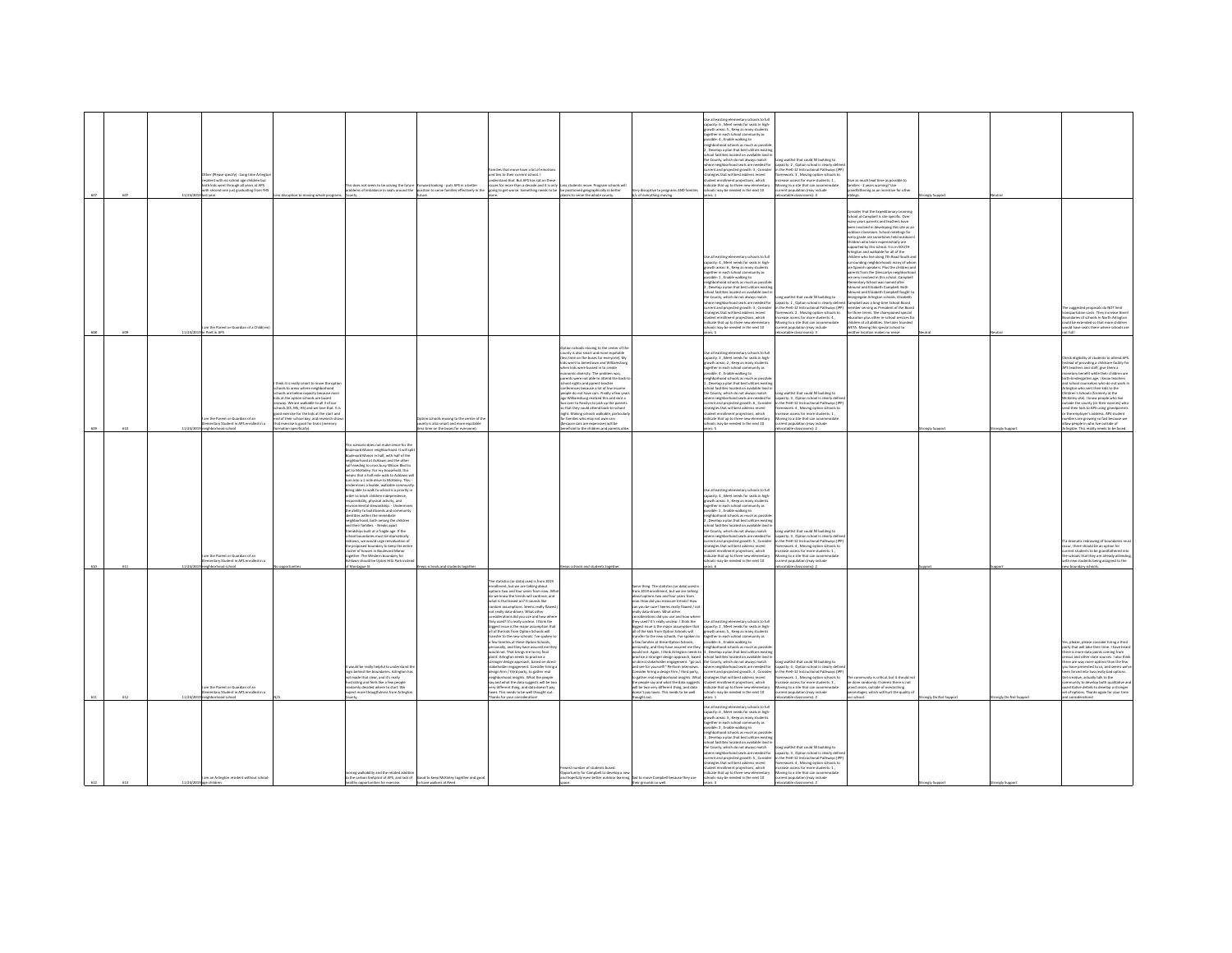| 607 | 11/34/2 | r (Please specify) : Long time Ar<br>dent with no school age chil<br>th kids went through all years at APS<br>th second one just graduating from Y<br>last year |                                                                                                                                                                                                                                                                                                                                                                                                                   | is does not seem to be solving the future<br>ems of imbalance in seats around the                                                                                                                                                                                                                                                                                                                                                                                                                                                                                                                                                                                                                                                                                                                                                                                                                                                                                                            | orward looking - puts APS in a better<br>tion to serve families effectively in th                             | miles that move have a lot of emotic<br>nd ties to their current school. I<br>inderstand that. But APS has sat on their<br>issues for more than a decade and it is only Less students move. Program schools v<br>going to get worse. Something needs to be the positioned geographically in better                                                                                                                                                                                                                                                                                                                                                                                                                                                                                                                                                                                                                                                                                                                                                      | is students move. Program schools will<br>places to serve the whole county.                                                                                                                                                                                                                                                                                                                                                                                                                                                                                                                                                                                                                                   | y disruptive to programs AND families<br>b/c of everything moving.                                                                                                                                                                                                                                                                                                                                                                                                                                                                                                                                                                                                                                                                                                                                                                                                                                                                                                                                                                | .<br>Use all existing elementary schools to full<br>capacity: 6 , Meet needs for seats in high-<br>rrowth areas: 5 . Keep as many students<br>ether in each school community as<br>ible: 4, Enable walking to<br>eighborhood schools as much as possibl<br>, Develop a plan that best utilizes existir<br>nel farilities lerated on available land i<br>con raciities iocated on available land<br>  County, which do not always match<br>ere neighborhood seats are needed fo<br>rrent and projected arowth: 3 . Consider<br>ent and projected growth: a ; come<br>tegies that will best address recent<br>dent enrollment projections, which<br><b>Scate that up to three new elementary</b><br>ools may be needed in the next 10<br>$r \in 1$ | ong waitlist that could fill building to<br>apacity: 2 , Option school is clearly defi<br>the PreK-12 Instructional Pathways (IP)<br>Nework: 3, Moving option schools to<br>ease access for more students: 1,<br>wing to a site that can accommodate<br>ent population (may include<br>catable classrooms): 4                                   | as much lead time as possible to<br>families - 2 years warning? Use<br>grandfathering as an incentive for other                                                                                                                                                                                                                                                                                                                                                                                                                                                                                                                                                                                                                                                                                                                                                                                                                                                                                                                                                                                                                |                    |                     |                                                                                                                                                                                                                                                                                                                                                                                                                                                                                                                                                                                                                                                                         |
|-----|---------|-----------------------------------------------------------------------------------------------------------------------------------------------------------------|-------------------------------------------------------------------------------------------------------------------------------------------------------------------------------------------------------------------------------------------------------------------------------------------------------------------------------------------------------------------------------------------------------------------|----------------------------------------------------------------------------------------------------------------------------------------------------------------------------------------------------------------------------------------------------------------------------------------------------------------------------------------------------------------------------------------------------------------------------------------------------------------------------------------------------------------------------------------------------------------------------------------------------------------------------------------------------------------------------------------------------------------------------------------------------------------------------------------------------------------------------------------------------------------------------------------------------------------------------------------------------------------------------------------------|---------------------------------------------------------------------------------------------------------------|---------------------------------------------------------------------------------------------------------------------------------------------------------------------------------------------------------------------------------------------------------------------------------------------------------------------------------------------------------------------------------------------------------------------------------------------------------------------------------------------------------------------------------------------------------------------------------------------------------------------------------------------------------------------------------------------------------------------------------------------------------------------------------------------------------------------------------------------------------------------------------------------------------------------------------------------------------------------------------------------------------------------------------------------------------|---------------------------------------------------------------------------------------------------------------------------------------------------------------------------------------------------------------------------------------------------------------------------------------------------------------------------------------------------------------------------------------------------------------------------------------------------------------------------------------------------------------------------------------------------------------------------------------------------------------------------------------------------------------------------------------------------------------|-----------------------------------------------------------------------------------------------------------------------------------------------------------------------------------------------------------------------------------------------------------------------------------------------------------------------------------------------------------------------------------------------------------------------------------------------------------------------------------------------------------------------------------------------------------------------------------------------------------------------------------------------------------------------------------------------------------------------------------------------------------------------------------------------------------------------------------------------------------------------------------------------------------------------------------------------------------------------------------------------------------------------------------|--------------------------------------------------------------------------------------------------------------------------------------------------------------------------------------------------------------------------------------------------------------------------------------------------------------------------------------------------------------------------------------------------------------------------------------------------------------------------------------------------------------------------------------------------------------------------------------------------------------------------------------------------------------------------------------------------------------------------------------------------|-------------------------------------------------------------------------------------------------------------------------------------------------------------------------------------------------------------------------------------------------------------------------------------------------------------------------------------------------|--------------------------------------------------------------------------------------------------------------------------------------------------------------------------------------------------------------------------------------------------------------------------------------------------------------------------------------------------------------------------------------------------------------------------------------------------------------------------------------------------------------------------------------------------------------------------------------------------------------------------------------------------------------------------------------------------------------------------------------------------------------------------------------------------------------------------------------------------------------------------------------------------------------------------------------------------------------------------------------------------------------------------------------------------------------------------------------------------------------------------------|--------------------|---------------------|-------------------------------------------------------------------------------------------------------------------------------------------------------------------------------------------------------------------------------------------------------------------------------------------------------------------------------------------------------------------------------------------------------------------------------------------------------------------------------------------------------------------------------------------------------------------------------------------------------------------------------------------------------------------------|
|     |         | m the Parent or Guardian of a Childir                                                                                                                           |                                                                                                                                                                                                                                                                                                                                                                                                                   |                                                                                                                                                                                                                                                                                                                                                                                                                                                                                                                                                                                                                                                                                                                                                                                                                                                                                                                                                                                              |                                                                                                               |                                                                                                                                                                                                                                                                                                                                                                                                                                                                                                                                                                                                                                                                                                                                                                                                                                                                                                                                                                                                                                                         |                                                                                                                                                                                                                                                                                                                                                                                                                                                                                                                                                                                                                                                                                                               |                                                                                                                                                                                                                                                                                                                                                                                                                                                                                                                                                                                                                                                                                                                                                                                                                                                                                                                                                                                                                                   | se all existing elementary schools to full<br>apacity: 4 . Meet needs for seats in high<br>wth areas: 6 , Keep as many stude<br>ether in each school community a<br>sible: 1, Enable walking to<br>ehborhood schools as much as possi<br>.<br>Develop a plan that best utili.<br>chool facilities located on available land<br>thool facilities located on available land<br>he County, which do not always match<br>here neighborhood seats are needed for<br>rrent and projected growth: 3, Conside<br>ategies that will best address recent<br>dent enrollment projections, which<br>dicate that up to three new elementary<br>'s may be needed in the next 10                                                                                | of gribliud III blues turl teiltiuv gro<br>sacity: 1. Option school is clearly define<br>the PreK-12 Instructional Pathways (IPP)<br>amework: 2 , Moving option schools to<br>ease access for more students: 4,<br>wing to a site that can accommodate<br>stion (may include<br>catable classrooms):                                            | <b>Consider that the Expeditionary Learning</b><br>School at Campbell is site specific. Over<br>many years parents and teachers have<br>n involved in developing this site as a<br>door classroom. School meetings for<br>every grade are sometimes held outdoor<br>Children who learn experientially are<br>ported by this school. It is in SQUTH<br>Arlington and walkable for all of the<br>children who live along 7th Road South ar<br>urrounding neighborhoods many of whor<br>are Spanish speakers. Plus the children as<br>parents from the Glencarlyn neighborhor<br>ire very involved in this school. Campbel<br>sentary School was named after<br>und and Flishath Cameball, Both<br>terrenu and Elizabeth Campbell, bour<br>Idmund and Elizabeth Campbell fought to<br>fesegregate Arlington schools. Elizabeth<br>Campbell was a lone-time School Board<br>member serving as President of the Boar<br>or three terms. She championed special<br>education plus other in-school services fo<br>children of all abilities. She later founded<br>WETA, Moving this special school to<br>other location makes no sens |                    |                     | suggested proposals do NOT limit<br>nsportation costs. They increase then<br>ndaries of schools in North Arlington<br>uld be extended so that more children<br>d have seats there where schools an                                                                                                                                                                                                                                                                                                                                                                                                                                                                      |
| 610 | 11/34/2 | m the Parent or Guardian of an<br>nentary Student in APS enrolled in a<br>loods bool                                                                            | hink it is really smart to move the optio<br>chools to areas where neighborhood<br>chools are below capacity because most<br>ids at the option schools are bused<br>www. We are walkable to all 3 of our<br>cols (ES, MS, HS) and we love that. It is<br>ad exercise for the kids at the start and<br>ind of their school day, and research sh<br>hat exercise is good for brain (memory<br>ration specifically). |                                                                                                                                                                                                                                                                                                                                                                                                                                                                                                                                                                                                                                                                                                                                                                                                                                                                                                                                                                                              | on schools moving to the center of th<br>unty is also smart and more equitable<br>time on the huses for every |                                                                                                                                                                                                                                                                                                                                                                                                                                                                                                                                                                                                                                                                                                                                                                                                                                                                                                                                                                                                                                                         | on schools moving to the center of the<br>.<br>unty is also smart and more equitable<br>iss time on the buses for everyone). My<br>Is went to Jamestown and Williamsbur<br>en kids were bussed in to create<br>omic diversity. The problem was,<br>rents were not able to attend the back-<br>hool nights and parent-teacher<br>nferences because a lot of low income<br>ople do not have cars. Finally a few year<br>o Williamsburg realized this and sent a<br>is over to Rossiyn to pick up the parent<br>o that they could attend back-to-school<br>ight. Making schools walkable, particula<br>families who may not own cars<br>cause cars are expensive) will be<br>reficial to the children and parent |                                                                                                                                                                                                                                                                                                                                                                                                                                                                                                                                                                                                                                                                                                                                                                                                                                                                                                                                                                                                                                   | .<br>Use all existing elementary schools to full<br>capacity: 3 , Meet needs for seats in high-<br>owth areas: 2 . Keep as many student<br>ether in each school community as<br>ible: 4, Enable walking to<br>eighborhood schools as much as possib<br>Develop a plan that best utilizes existi<br>ol facilities located on available land<br>County, which do not always match<br>ere neighborhood seats are needed for<br>rrent and projected erowth: 6. Consider<br>egies that will best address recent<br>ent enrolment projections, which<br>ficate that up to three new elementary<br>ools may be needed in the next 10<br>$\sim$                                                                                                          | org waitlist that could fill building to<br>acity: 3, Option school is clearly defi<br>the PreK-12 Instructional Pathways (IP)<br>Nework: 4, Moving option schools to<br>ease access for more students: 1,<br>oving to a site that can accommodat<br>rent population (may include<br>catable classrooms): 2                                     |                                                                                                                                                                                                                                                                                                                                                                                                                                                                                                                                                                                                                                                                                                                                                                                                                                                                                                                                                                                                                                                                                                                                |                    |                     | teck eligibility of students to attend APS<br>stead of providing a childcare facility for<br>S teachers and staff, eive them a<br>tary benefit while their children are<br>th-kindergarten age. I know teachers<br>nd school counselors who do not work i<br>lington who sent their kids to the<br>agoon wise sein, since seas to tree<br>dren's Schools (formerly at the<br>Gréey site). I know people who live<br>utside the county (or their nannies) who<br>nd their kids to APS using grandparents<br>the employer's address. APS student<br>umbers are growing so fast because we<br>allow people in who live outside of<br>ngton. This reality needs to be faced |
|     |         | m the Decent or Guardian of an<br>tary Student in APS en<br><b>Bookley</b>                                                                                      |                                                                                                                                                                                                                                                                                                                                                                                                                   | scenario does not make sense for th<br>levard Manor neighborhood. It will spli<br>levard Manor in half, with half of the<br>suevero wanor in nait, with nait of the<br>righborhood at Ashlawn and the other<br>ilf needing to cross busy Wilson Blvd to<br>eet to McKinley. For my household, this<br>ans that a half mile walk to Ashlawn wi<br>n into a 1 mile drive to McKinley. This<br>Undermines a livable, walkable communit<br>Being able to walk to school is a priority in<br>fer to teach children indep<br>ibility, physical activity, and<br>the ability to build bonds and community<br>ties within the immediate<br>hborhood, both among the children<br>id their families. - Breaks apart<br>iendships built at a fragile age. If the<br>chool boundaries must be dramatically<br>drawn, we would urge reevaluation of<br>e proposed boundary to keep the entir<br>uster of houses in Boulevard Manor<br>wher The Western houndary fre<br>wh should be Upton Hills Park inst |                                                                                                               |                                                                                                                                                                                                                                                                                                                                                                                                                                                                                                                                                                                                                                                                                                                                                                                                                                                                                                                                                                                                                                                         |                                                                                                                                                                                                                                                                                                                                                                                                                                                                                                                                                                                                                                                                                                               |                                                                                                                                                                                                                                                                                                                                                                                                                                                                                                                                                                                                                                                                                                                                                                                                                                                                                                                                                                                                                                   | se all existing elementary schools to full<br>pacity: 4 . Meet needs for seats in high<br>outh areas: 3 , Keep as many student<br>gether in each school community as<br>ssible: 1, Enable walking to<br>thherhood schools as much as not<br>Develop a plan that best utili.<br>col facilities located on available land in<br>the County, which do not always match<br>here neighborhood seats are needed for<br>rent and projected growth: S , Conside<br>stegies that will best address recent<br>dent enrollment projections, which<br><b>Scate that up to three new elementary</b><br>'s may be needed in the next 10                                                                                                                        | ong waitlist that could fill building to<br>sacity: 3 . Option school is clearly defin<br>apacity: a , septem economic in theory account<br>is the PreK-12 Instructional Pathways (IP)<br>farmework: 4 , Moving option schools to<br>rease access for more students: 1,<br>wine to a site that can accome<br>include                            |                                                                                                                                                                                                                                                                                                                                                                                                                                                                                                                                                                                                                                                                                                                                                                                                                                                                                                                                                                                                                                                                                                                                |                    |                     | a dramatic redrawing of boundarie<br>ccur, there should be an option for<br>rent students to be grandfathered int<br>schools that they are already attending<br>new students being assigned to the                                                                                                                                                                                                                                                                                                                                                                                                                                                                      |
|     |         | hbarhoad schoa<br>n the Parent or Guardian of an<br>nentary Student in APS enrolled in a<br>phbarhoad school                                                    |                                                                                                                                                                                                                                                                                                                                                                                                                   | Aontague St<br>ould be really helpful to understand th<br>ogic behind the boundaries. Arlington has<br>t made that clear, and it's really<br>ustrating and feels like a few people<br>indomly decided where to start. We<br>spect more thougtfulness from Arlingtor                                                                                                                                                                                                                                                                                                                                                                                                                                                                                                                                                                                                                                                                                                                          |                                                                                                               | he statistics for data) used is from 2019<br>nrollment, but we are talking about<br>tions two and four years from now. Wh<br>to we know the trends will continue, and<br>and it should have housed out of task<br>andom assumptions. Seems really flaws<br>not really data-driven. What other<br>nsiderations did you use and how where<br>hey used? It's really unclear. I think the<br>biggest issue is the major assumption that<br>all of the kids from Option Schools will<br>ansfer to the new schools. I've spoken to<br>a few families at these Option Schools,<br>personally, and they have assured me t<br>would not. That brings me to my final<br>point: Arlinaton needs to practice a<br>tronger design approach, based on direct<br>stakeholder engagement. Consider hiring a<br>design firm / third party, to gather real<br>ishborhood insishts. What the people<br>ay and what the data suggests will be tw<br>ery different thing, and data doesn't pay<br>axes. This needs to be well thought out.<br>Thanks for your consideration! | s schools and students togeth                                                                                                                                                                                                                                                                                                                                                                                                                                                                                                                                                                                                                                                                                 | <b>Same thing: The statistics (or data) used is</b><br>from 2019 enrollment, but we are talking<br>bout cotions two and four years from<br>now. How did you measure trends? How<br>can you be sure? Seems really flawed / no<br>really data-driven. What other<br>siderations did you use and how when<br>wy used? It's really unclear. I think the<br>siggest issue is the major assumption that<br>all of the kids from Option Schools will<br>ansfer to the new schools. I've spoken to<br>s<br>few families at these Option Schools,<br>personally, and they have assured me they<br>would not. Again, I think Arlington needs to<br>practice a stronger design approach, based<br>on direct stakeholder engagement. "go out<br>and see for yourself!" Perform interviews.<br>Consider hiring a design firm / third party,<br>to eather real neighborhood insights. What<br>the people say and what the data suggests<br>will be two very different thing, and data<br>doesn't pay taxes. This needs to be well<br>dught out. | ie all existing elementary schools to full<br>capacity: 2, Meet needs for seats in high-<br>growth areas: S., Keep as many student<br>seether in each school community as<br>ossible: 6 , Enable walking to<br>eighborhood schools as much as possi<br>3, Develop a plan that best utilizes existi<br>chool facilities located on available land i<br>he County, which do not always match<br>where neighborhood seats are needed for<br>current and projected growth: 4 , Consider<br>trategies that will best address recent<br>.<br>dent enrollment projections, which<br>dicate that up to three new elementa<br>ools may be needed in the next 10                                                                                           | catable classrooms):<br>a waitlist that could fill building to<br>.<br>Lapacity: 4 , Option school is clearly define<br>In the PreK-12 Instructional Pathways (IPP)<br>mework: 1 . Moving option schools to<br>ease access for more students: 3,<br>ring to a site that can accommodat<br>ent population (may include<br>catable classrooms): 2 | community is critical, but it should n<br>be done randomly. It seems there is not<br>grand vision, outside of overarching<br>rcentages, which will hurt the quality o                                                                                                                                                                                                                                                                                                                                                                                                                                                                                                                                                                                                                                                                                                                                                                                                                                                                                                                                                          | ingly Do Not Suppo | angly Do Not Suppor | w boundary schools<br>is, please, please consider hiring a third<br>irty that will take their time. I have hears<br>there is more data points coming from<br>nsus and other state sources. I also thin<br>re are way more options than the few<br>I have presented to us, and seems we'<br>n forced into two really bad options.<br>et creative, actually talk to the<br>munity to develop both qualitative as<br>ntitative details to develop a stronger<br>iet of options. Thanks again for your time<br>d considerations!                                                                                                                                            |
|     | 11/24   | m an Arlineton resident without school                                                                                                                          |                                                                                                                                                                                                                                                                                                                                                                                                                   | sing walkability and the related addition<br>o the carbon footprint of APS, and lack of Good to keep McKinley together and good                                                                                                                                                                                                                                                                                                                                                                                                                                                                                                                                                                                                                                                                                                                                                                                                                                                              | b have walkers at Reed                                                                                        |                                                                                                                                                                                                                                                                                                                                                                                                                                                                                                                                                                                                                                                                                                                                                                                                                                                                                                                                                                                                                                                         | west number of students bused.<br>Opportunity for Campbell to develop a new<br>and hopefully even better outdoor learning. Sad to move Campbell because they use<br>space.                                                                                                                                                                                                                                                                                                                                                                                                                                                                                                                                    |                                                                                                                                                                                                                                                                                                                                                                                                                                                                                                                                                                                                                                                                                                                                                                                                                                                                                                                                                                                                                                   | all existing elementary schools to full<br>apacity: 6 . Meet needs for seats in high-<br>buth areas: 3 . Keep as many student<br>ether in each school community as<br>ssible: 2 , Enable walking to<br>eighborhood schools as much as possib<br>. Develop a plan that best utilizes exist<br>and faceble<br><b>Incided on available land</b><br>County, which do not always match<br>here neighborhood seats are needed for<br>rrent and projected erowth: 5 . Consider<br>tegies that will best address recent<br>dent enrollment projections, which<br>indicate that up to three new elementary<br>schools may be needed in the next 10                                                                                                        | ng waitlist that could fill building to<br>apacity: 3, Option school is clearly defi<br>in the PreK-12 Instructional Pathways (IP)<br>sework: 4, Moving option schools to<br>ease access for more students: 1,<br>loving to a site that can accommodate<br>rrent population (may include                                                        |                                                                                                                                                                                                                                                                                                                                                                                                                                                                                                                                                                                                                                                                                                                                                                                                                                                                                                                                                                                                                                                                                                                                |                    |                     |                                                                                                                                                                                                                                                                                                                                                                                                                                                                                                                                                                                                                                                                         |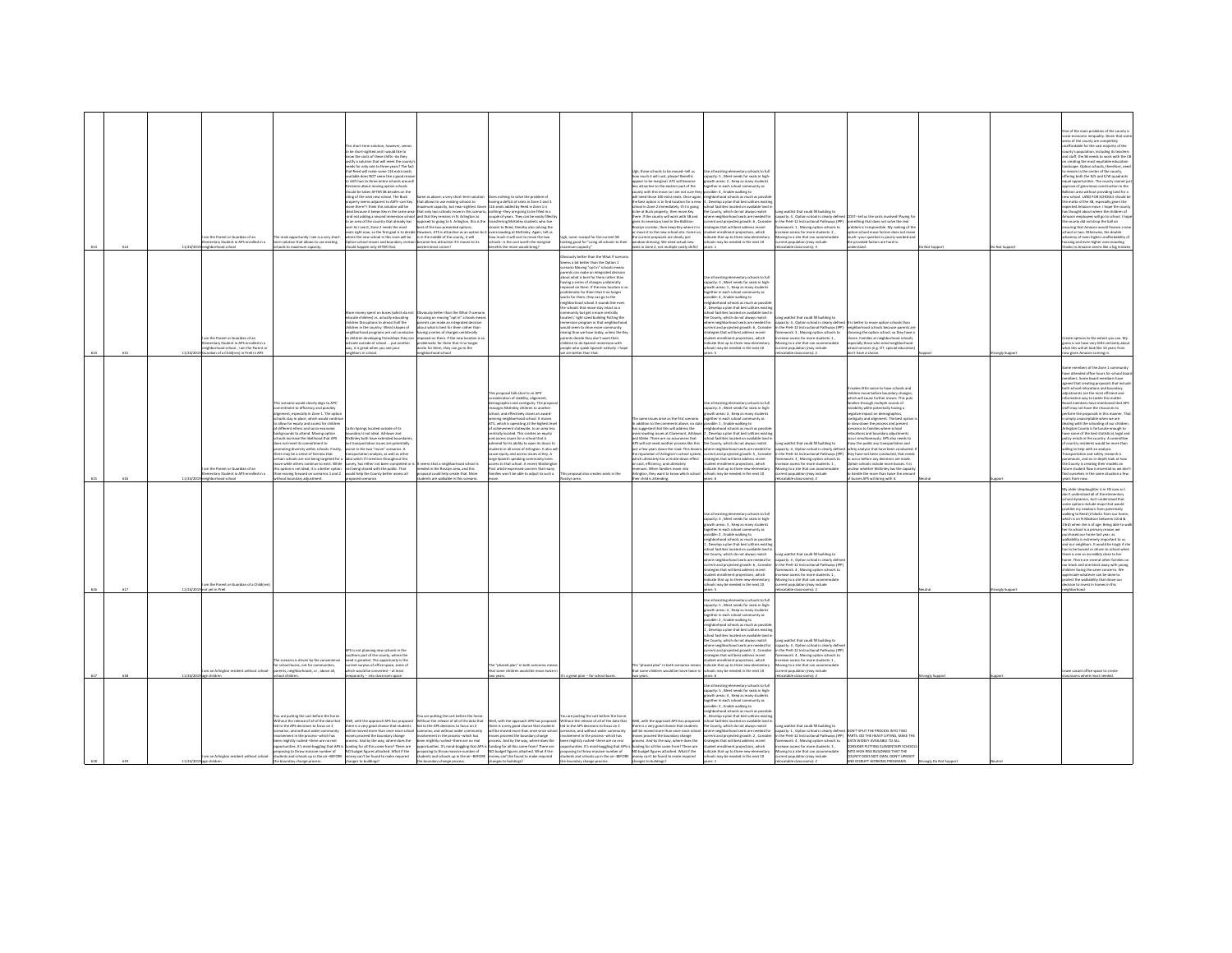| 65.6 |         | n the Parent or Guardian of an<br>mentary Student in APS enrolled in a<br>ood school                                                              | main opportunity I see is a very short<br>erm solution that allows to use existing                                                                                                                                                                                                                                                                                                                                                                                                                                                                                                                                                 | is short-term solution, however, seems<br>be short-sighted and I would like to<br>w the costs of these shifts-do they<br>stify a solution that will meet the cour<br>seeds for only one to three years? The fac<br>that Reed will make some 116 extra seats<br>realiable does NOT seem like a rood rease<br>to shift two to three entire schools around<br>Decisions about moving option schools<br>thould be taken AFTER 58 decides on the<br>ting of the next new school. The Buck<br>operty seems adjacent to ASFS-can Key<br>nove there? I think this solution will be<br>.<br>deal because it loreps Key in the same are<br>and not adding a second immersion schos<br>an area of the country that already has<br>East sea if Jone? nearly flee most<br>right now, so the first goal is to deci<br>where the new school in this zone will be.<br>Option school moves and boundary revisi-<br>d happen only AFTER that. | at allows to use existing schools to<br>simum capacity, but near-sighted. Given 116 seats added by Reed in Zone 1 is<br>posed to going to S. Arlington, this is the<br>st of the two presented options.<br>swever, ATS is attractive as an option bc it<br>is in the middle of the county, it will<br>ecome less attractive if it moves to its      | rething to solve the nonbiem of<br>having a deficit of seats in Zone 2 and 3.<br>sat only two schools move in this scenario, inothing-they are going to be filled in a<br>nd that Key remains in N. Arlington as couple of years. They can be easily filled<br>ansferring McKinley students who live<br>closest to Bearl Theraby also solving the<br>wding at McKinley. Again, tell r<br>how much it will cost to move the two<br>schools-is the cost worth the manrinal<br>efits the move would bring?                                                                                                                                                                                                                                   | none-except for the current SB<br>king good for "using all schools to the                                                                                                                                                                                                                                                                                                                                                                                                                                                                                                                                                                                                                                                                                                                                | Jgh, three schools to be moved--tell us<br>tow much it will cost, please! Benefits<br>spear to be marginal. ATS will become<br>ss attractive to the eastern part of the<br>ounty with this move so I am not sure the<br>will need those 100 extra seats. Once again<br>the best option is to find location for a new<br>chool in Zone 2 immediately. If it is going<br>to be at Buck property, then move Key<br>here. If the county will work with 58 and<br>ves its necessary land in the Ballston-<br>ilyn corridor, then keep Key where it is<br>towe it to the new school site. Come of<br>current proposals are clearly just<br>dow-dressing. We need actual new<br>its in Zone 2, not multiple costly sh | e all existing elementary schools to full<br>pacity: S. Meet needs for seats in high-<br>wth areas: 2 , Keep as many student<br>sther in each school community as<br>sible: 4 . Enable walking to<br>international schools as much as possi<br>Develop a plan that best utilizes exis<br>chool facilities located on available land i<br>e County, which do not always match<br>here neighborhood seats are needed fo<br>rent and projected growth: 6, Consider<br>feeled that will heat address recent<br>ent enrollment projections, which<br>indicate that up to three new elementary<br>O2 tools may be needed in the next 10                                       | ng waitlist that could fill building to<br>pacity: 4 , Option school is clearly define<br>n the PreK-12 Instructional Pathways (IPP)<br>tework: 1 . Moving option schools to<br>iss for more students: 2,<br>oving to a site that can accommodate<br>sent population (may include                                                                  | d COST-tell us the costs involved! Paying fi<br>something that does not solve the real<br>problem is irrasponsible. My ranking of the<br>ion school move factors does<br>nuch-your question is poorly-worded a<br>the provided factors are hard to                                                                                                                                                                                                                                                                                                                                                                                                                                                                                                            |              |              | ne of the main problems of the county<br>conomic inequality. Given that sor<br>reas of the county are completely<br>affordable for the vast majority of the<br>ty's population, including its teacher<br>nd staff, the 58 needs to work with the CB<br>reating the most equitable education<br>.<br>Iscape. Option schools, therefore, nee<br>emain in the center of the county,<br>Hering both the N/S and E/W quadrants<br>al opportunities. The county cannot ju<br>rove of ginormous construction in the<br>Iston area without providing land for a<br>w school. LAND FOR SCHOOLS should be<br>I motto of the SB, especially given the<br>pected Amazon move. I hope the count<br>.<br>Is thought about where the children of<br>mazon employees will go to school. I ho<br>he county did not drop the ball on<br>ring that Amazon would finance a ne<br>ol or two. Otherwise, the double<br>hammy of even higher unaffordability o<br>susing and even higher overcrowding<br>to Amazon seems like a big mis |
|------|---------|---------------------------------------------------------------------------------------------------------------------------------------------------|------------------------------------------------------------------------------------------------------------------------------------------------------------------------------------------------------------------------------------------------------------------------------------------------------------------------------------------------------------------------------------------------------------------------------------------------------------------------------------------------------------------------------------------------------------------------------------------------------------------------------------|-----------------------------------------------------------------------------------------------------------------------------------------------------------------------------------------------------------------------------------------------------------------------------------------------------------------------------------------------------------------------------------------------------------------------------------------------------------------------------------------------------------------------------------------------------------------------------------------------------------------------------------------------------------------------------------------------------------------------------------------------------------------------------------------------------------------------------------------------------------------------------------------------------------------------------|-----------------------------------------------------------------------------------------------------------------------------------------------------------------------------------------------------------------------------------------------------------------------------------------------------------------------------------------------------|-------------------------------------------------------------------------------------------------------------------------------------------------------------------------------------------------------------------------------------------------------------------------------------------------------------------------------------------------------------------------------------------------------------------------------------------------------------------------------------------------------------------------------------------------------------------------------------------------------------------------------------------------------------------------------------------------------------------------------------------|----------------------------------------------------------------------------------------------------------------------------------------------------------------------------------------------------------------------------------------------------------------------------------------------------------------------------------------------------------------------------------------------------------------------------------------------------------------------------------------------------------------------------------------------------------------------------------------------------------------------------------------------------------------------------------------------------------------------------------------------------------------------------------------------------------|----------------------------------------------------------------------------------------------------------------------------------------------------------------------------------------------------------------------------------------------------------------------------------------------------------------------------------------------------------------------------------------------------------------------------------------------------------------------------------------------------------------------------------------------------------------------------------------------------------------------------------------------------------------------------------------------------------------|-------------------------------------------------------------------------------------------------------------------------------------------------------------------------------------------------------------------------------------------------------------------------------------------------------------------------------------------------------------------------------------------------------------------------------------------------------------------------------------------------------------------------------------------------------------------------------------------------------------------------------------------------------------------------|----------------------------------------------------------------------------------------------------------------------------------------------------------------------------------------------------------------------------------------------------------------------------------------------------------------------------------------------------|---------------------------------------------------------------------------------------------------------------------------------------------------------------------------------------------------------------------------------------------------------------------------------------------------------------------------------------------------------------------------------------------------------------------------------------------------------------------------------------------------------------------------------------------------------------------------------------------------------------------------------------------------------------------------------------------------------------------------------------------------------------|--------------|--------------|------------------------------------------------------------------------------------------------------------------------------------------------------------------------------------------------------------------------------------------------------------------------------------------------------------------------------------------------------------------------------------------------------------------------------------------------------------------------------------------------------------------------------------------------------------------------------------------------------------------------------------------------------------------------------------------------------------------------------------------------------------------------------------------------------------------------------------------------------------------------------------------------------------------------------------------------------------------------------------------------------------------|
|      |         | m the Parent or Guardian of an<br>entary Student in APS enrolled in a<br>hood school, I am the Parent or<br>erdian of a Childfren) in PreK in APS |                                                                                                                                                                                                                                                                                                                                                                                                                                                                                                                                                                                                                                    | re money spent on buses (which do no<br>scate children) vs. actually educating<br>children Disruptions to almost half the<br>dren in the country. Weird shapes of<br>righborhood programs are not conduciv<br>children developing friendships they can<br>vate outside of school  put another<br>wy, it is great when you see your<br>tors in school.                                                                                                                                                                                                                                                                                                                                                                                                                                                                                                                                                                       | reich hatter than the What if scenar<br>scusing on moving "opt in" schools me<br>ts can make an integrated decision<br>of what is hast for tham rather than<br>aving a series of changes unilaterally<br>sed on them. If the new location is a<br>blematic for them that it no longer<br>is for them, they can go to the<br>istitution to check     |                                                                                                                                                                                                                                                                                                                                                                                                                                                                                                                                                                                                                                                                                                                                           | ously better than the What If scenar<br>erns a bit better than the Option 1<br>enario Moving "opt in" schools means<br>ents can make an integrated decision<br>out what is best for them rather than<br>aving a series of changes unilaterally<br>posed on them. If the new location is s<br>dematic for them that it no loneer<br>rks for them, they can go to the<br>righborhood school It sounds like ever<br>e schools that move stay intact as a<br>runity but get a more centrally<br>ated / right sized building Putting the<br>nersion program in that neighborhoor<br>uld seam to drive more of<br>ixing than we have today, unless the Key<br>rents decide they don't want their<br>dificen to do Snanish immercing with<br>sple who speak Spanish natively. I hope<br>e are better than that. |                                                                                                                                                                                                                                                                                                                                                                                                                                                                                                                                                                                                                                                                                                                | se all existing elementary schools to full<br>apacity: 3 , Meet needs for seats in high-<br>poeth areas: 1 , Keep as many students<br>other in each school community as<br>ible: 4, Enable walking to<br>righborhood schools as much as possi<br>Develop a nian that hest utilizes exist<br>located on available land<br>he County, which do not always match<br>ere neighborhood seats are needed for<br>rent and projected growth: 6, Conside<br>ategies that will best address recent<br>dent enrollment projections, which<br><b>Scate that un to three new eleme</b><br>tis may be needed in the next 10                                                           | or gribliad III blaco terit teltiew gro<br>acity: 4 . Option school is clearly defined It is better to move cotion schools than<br>the DreK-12 Instructional Dathways (IDD)<br>rework: 3, Moving option schools to<br>rease access for more students: 1.<br>vine to a site that can accome<br>nt population (may include<br>catable classrooms): 2 | hborhood schools because parents a<br>osing the option school, so they have a<br>choice. Families at neighborhood schools<br>ecially those who need neighborhood<br>ol services (e.g. OT, special educatio<br>n't have a choice.                                                                                                                                                                                                                                                                                                                                                                                                                                                                                                                              |              | nely Suppo   | rate options to the extent you can. My<br>is is we have very little certainty abc<br>t this will all look like 10 years from<br>w given Amazon coming in                                                                                                                                                                                                                                                                                                                                                                                                                                                                                                                                                                                                                                                                                                                                                                                                                                                         |
|      |         | m the Parent or Guardian of an<br>entary Student in APS enrolled in a                                                                             | s scenario would closely alien to APS'<br>rmitment to efficiency and possibly<br>prment, especially in Zone 1. The optic<br>ools stay in place, which would conti-<br>allow for equity and access for children<br>different ethnic and socio-economic<br>clarounds to attend. Moving option<br>cols increase the likelihood that APS<br>not meet its commitment to<br>motine diversity within schools. Finally<br>re may be a sense of fairness that<br>ain schools are not being targeted for<br>ove while others continue to exist. While<br>is option is not ideal, it is a better option<br>oving forward on scenarios 1 and 2 | in Springs located outside of its<br>undary is not ideal. Ashlawn and<br>ckinky both have extended boundarie<br>ransportation issues are potential<br>orse in the two "move" scenarios. A<br>portation analysis, as well as other<br>ta which I'll mention throughout this<br>survey, has either not been completed or<br>not being shared with the public. That<br>uld help the County better assess all                                                                                                                                                                                                                                                                                                                                                                                                                                                                                                                   | ns that a neighborhood school is<br>eded in the Rosslyn area, and this<br>sal could help create that. More                                                                                                                                                                                                                                          | is proposal falls short in in APS'<br>ideration of stability, alignment<br>lemographics and contiguity. The prop<br>eassigns McKinley children to another<br>chool, and effectively closes an award-<br>winning neighborhood school. It moves<br>ATS, which is operating at the highest leve<br>f achievement statewide, to an area less<br>centrally located. This creates an equity<br>and access issues for a school that is<br>ired for its ability to open its doors t<br>udents in all areas of Arlineton. It also wil<br>use equity and access issues at Key. A<br>rge Spanish speaking community lose<br>ass to that school. A recent Washingto<br>ost article expressed concern that man<br>es won't be able to adjust to such a | s proposal also creates seats in the                                                                                                                                                                                                                                                                                                                                                                                                                                                                                                                                                                                                                                                                                                                                                                     | The same issues arise as the first scenario.<br>addition to the comments above, no da<br>has suggested that this will address the<br>ercrowding issues at Claremont, Ashlaw<br>ind Glebe. There are no assurances that<br>PS will not need another process like this<br>ust a few years down the road. This lessen<br>regulation of Arlineton's school syste<br>ich ultimately has a trickle-down effect<br>n cost, efficiency, and ultimately<br>nues. When families move into<br>agton, they want to know which so                                                                                                                                                                                           | se all existing elementary schools to full<br>or the convergences of the match of the packy: 4 , Meet needs for seats in high<br>bowth areas: 3 , Keep as many students<br>rether in each school community as<br>ible: 1 . Enable walking to<br>eighborhood schools as much as possi<br>. Develop a plan that best utilizes existin<br>hool facilities located on available land i<br>County, which do not always match<br>here neighborhood seats are needed for<br>rent and projected erowth: S. Consider<br>tegies that will best address recent<br>dent enrollment projections, which<br>dicate that up to three new elementary<br>ols may be needed in the next 10 | ng waitlist that could fill building to<br>pacity: 4. Option school is clearly defin<br>the PreK-12 Instructional Pathways (IPP)<br>ework: 3, Moving option schools to<br>rease access for more students: 1,<br>wing to a site that can accome<br>.<br>It population (may include                                                                  | nakes little sense to have schools and<br>children move before boundary changes,<br>which will cause further moves. This puts<br>amilies through multiple rounds of<br>instability while potentially having a<br>negative impact on demographics,<br>onticuity and alienment. The best ootio<br>to slow down the process and preser<br>sarios to families where school<br>relocations and boundary adjustments<br>cur simultaneously. APS also needs to<br>how the public any transportation and<br>safety analysis that have been conducted.<br>they have not been conducted, that needs<br>occur before any decisions are made.<br>Option schools include more busses. It is<br>nclear whether McKinley has the capaci<br>andle the more than twice the amo |              |              | e members of the Zone 1 community<br>ave attended office hours for school boy<br>th school relocations and boundary<br>ents are the most efficient and<br>mative way to tackle this matter<br>pard members have mentioned that AP5<br>aff may not have the resources to<br>erform the proposals in this manner. TI<br>simply unacceptable when we are<br>raling with the schooling of our children<br>fington County is fortunate enough to<br>ave some of the best statistical, legal and<br>icy minds in the country. A come<br>try residents would be more than<br>villing to help with an analysis.<br>opertation and safety research is<br>ount, and an in-depth look at how<br>the County is creating their models on<br>ture student flow is essential so we don<br>ourselves in the same situation a few                                                                                                                                                                                                 |
|      | 11/24   | hood school<br>m the Parent or Guardian of a Child(re<br>t vet in PreK                                                                            | out boundary adjustment                                                                                                                                                                                                                                                                                                                                                                                                                                                                                                                                                                                                            |                                                                                                                                                                                                                                                                                                                                                                                                                                                                                                                                                                                                                                                                                                                                                                                                                                                                                                                             | ts are walkable in this se                                                                                                                                                                                                                                                                                                                          |                                                                                                                                                                                                                                                                                                                                                                                                                                                                                                                                                                                                                                                                                                                                           | shn area                                                                                                                                                                                                                                                                                                                                                                                                                                                                                                                                                                                                                                                                                                                                                                                                 | child is attend                                                                                                                                                                                                                                                                                                                                                                                                                                                                                                                                                                                                                                                                                                | te all existing elementary schools to full<br>spacity: 4 , Meet needs for seats in high-<br>rowth areas: 3 , Keep as many students<br>ogether in each school community as<br>.<br>ssible: 2 , Enable walking to<br>ighborhood schools as much as possib<br>Develop a plan that best utilizes existin<br>pol facilities located on available land i<br>County, which do not always match<br>where neighborhood seats are needed for<br>urrent and projected erowth: 6. Conside<br>legies that will best address recent<br>udent enrollment projections, which<br>dicate that up to three new elementary<br>tis may be needed in the next 10                              | stable classs<br>ooms): 2<br>g waitlist that could fill building to<br>apacity: 3, Option school is clearly defin<br>the PreK-12 Instructional Pathways (IPP)<br>ework: 4, Moving option schools to<br>hase access for more students: 1,<br>wing to a site that can accommodat<br>nt population (may include<br>catable classrooms): 2             | usses APS will bring with it.                                                                                                                                                                                                                                                                                                                                                                                                                                                                                                                                                                                                                                                                                                                                 |              | anely Suppor | dder stepdaughter is in HS now so I<br>It understand all of the elementary<br>chool dynamics, but I understand that<br>alking to Reed (2 blocks from our home<br>ich is on N Madison between 22nd &<br>3rd) when she is of age. Being able to wa<br>her to school is a primary reason we<br>rchased our home last year, as<br>(kability is extremely important to us<br>ind our neighbors. It would be tragic if sh<br>as to be bussed or driven to school when<br>re is one so incredibly close to her<br>ome. There are several other families or<br>our block and one block away with young<br>dren facing the same concerns. We<br>reciate whatever can be done to<br>tect the walkability that drove ou<br>sion to invest in homes in this<br>istiborhood.                                                                                                                                                                                                                                                  |
| 618  | 11/24/2 | m an Arlington resident without school                                                                                                            | e scenario is driven by the convenient<br>school buses, not for communities<br>ents, neighborhoods, or , above all<br>children                                                                                                                                                                                                                                                                                                                                                                                                                                                                                                     | is not planning new schools in the<br>thern part of the county, where the<br>eed is ereatest. The opportunity is the<br>rent surplus of office space, some of<br>th would be converted -- at least<br>ararily -- into classroom space                                                                                                                                                                                                                                                                                                                                                                                                                                                                                                                                                                                                                                                                                       |                                                                                                                                                                                                                                                                                                                                                     | o "whased class" in both scenarios me-<br>hat some children would be move twice<br>o wears.                                                                                                                                                                                                                                                                                                                                                                                                                                                                                                                                                                                                                                               | a great plan -- for school buses                                                                                                                                                                                                                                                                                                                                                                                                                                                                                                                                                                                                                                                                                                                                                                         | The "phased plan" in both scenarios means<br>that some children would be move twice in<br>years.                                                                                                                                                                                                                                                                                                                                                                                                                                                                                                                                                                                                               | to all existing elementary schools to full<br>spacity: S , Meet needs for seats in high-<br>rowth areas: 4 , Keep as many students<br>rether in each school community as<br>sible: 2, Enable walking to<br>eighborhood schools as much as possib<br>Develop a nian that hest utilizes exist<br>located on available land<br>the County, which do not always match<br>ere neighborhood seats are needed for<br>rent and projected growth: 3, Conside<br>ategies that will best address recent<br>dent enrollment projections, which<br>dicate that up to three new el-<br>ols may be needed in the next 10<br>ears: 6                                                    | one waitlist that could fill building to<br>pacity: 3 . Option school is clearly defin<br>the PreK-12 Instructional Pathways (IP)<br>ework: 4, Moving option schools to<br>rease access for more students: 1.<br>ving to a site that can accom<br>nt population (may include<br>stable classrooms): 2                                              |                                                                                                                                                                                                                                                                                                                                                                                                                                                                                                                                                                                                                                                                                                                                                               | ngly Support |              | se vacant office space to create<br>coms where most needed.                                                                                                                                                                                                                                                                                                                                                                                                                                                                                                                                                                                                                                                                                                                                                                                                                                                                                                                                                      |
|      |         |                                                                                                                                                   | u are putting the cart before the hors<br>hout the release of all of the data that<br>ed to the APS decisions to focus on 2<br>narios, and without wider commun<br>olvement in the process--which has<br>en mishtily rushed-there are no real<br>rities. It's mind-boggling that APS is<br>oposing to throw massive number of<br>m an Arlineton resident without school- students and schools up in the air-BEFORE                                                                                                                                                                                                                 | ell, with the approach APS has propose<br>there is a very good chance that students<br>ill be moved more than once since sche<br>tows proceed the boundary change<br>cess. And by the way, where does the<br>unding for all this come from? There are<br>NO budget figures attached. What if the<br>money can't be found to make required<br>changes to buildings?                                                                                                                                                                                                                                                                                                                                                                                                                                                                                                                                                          | are putting the cart before the horse<br>out the release of all of the data that<br>led to the APS decisions to focus on 2<br>arios, and without wider communi<br>vernent in the process--which has<br>n mightily rushed-there are no real<br>tunities. It's mind-boggling that APS is<br>osing to throw massive number of<br>undary change process | Vell, with the approach APS has propose<br>there is a very good chance that students<br>vil be moved more than once since scho<br>oves proceed the boundary change<br>rocess. And by the way, where does the<br>nding for all this come from? There are<br>NO budget figures attached. What if the<br>adents and schools up in the air--BEFORE money can't be found to make required<br>changes to buildings?                                                                                                                                                                                                                                                                                                                             | su are putting the cart before the horse.<br>Ithout the release of all of the data that<br>led to the APS decisions to focus on 2<br>narios, and without wider communi<br>Avement in the process-which has<br>in mightily rushed-there are no real<br>rtunities. It's mind-boggling that APS is fi<br>osing to throw massive number of<br>tudents and schools up in the air--BEFORE money can't be found to make required<br>undary change or                                                                                                                                                                                                                                                                                                                                                            | ell, with the approach APS has propose<br>there is a very good chance that students<br>will be moved more than once since schoo<br>vis proceed the boundary change<br>cess. And by the way, where does the<br>inding for all this come from? There are<br>NO budget figures attached. What if the<br>changes to buildings?                                                                                                                                                                                                                                                                                                                                                                                     | .<br>Use all existing elementary schools to full<br>capacity: 5 , Meet needs for seats in high-<br>rowth areas: 4, Keep as many students<br>gether in each school community as<br>ssible: 3 , Enable walking to<br>ishborhood schools as much as possi<br>:<br>Nevelop a plan that best utilizes existir<br>ool facilities located on available land i<br>he County, which do not always match<br>ere neighborhood seats are needed for<br>rent and projected growth: 2 , Consider<br>tesies that will best address recent<br>dent enrollment projections, which<br><b>Scate that up to three new elementary</b><br>ocls may be needed in the next 10                   | one waitlist that could fill buildine to<br>pacity: 1, Option school is clearly defined<br>the PreK-12 Instructional Pathways (IPP)<br>amework: 4 . Moving option schools to<br>hase access for more students: 3 .<br>ving to a site that can accommodate<br>sbuloni vami noisilugog tnen<br>$m + 2$                                               | DON'T SINT THE BROCESS INTO TWO<br>PARTS: DO THE HEAVY LIFTING, MAKE TH<br>DATA WIDELY AVAILABLE TO ALL.<br>CONSIDER PUTTING ELEMENTARY SCHOOL<br>O HIGH RISE BUILDINGS THAT THE<br>COUNTY DOES NOT OWN, DON'T UPROOT<br>D DISRUPT WORKING PROGR                                                                                                                                                                                                                                                                                                                                                                                                                                                                                                              |              |              |                                                                                                                                                                                                                                                                                                                                                                                                                                                                                                                                                                                                                                                                                                                                                                                                                                                                                                                                                                                                                  |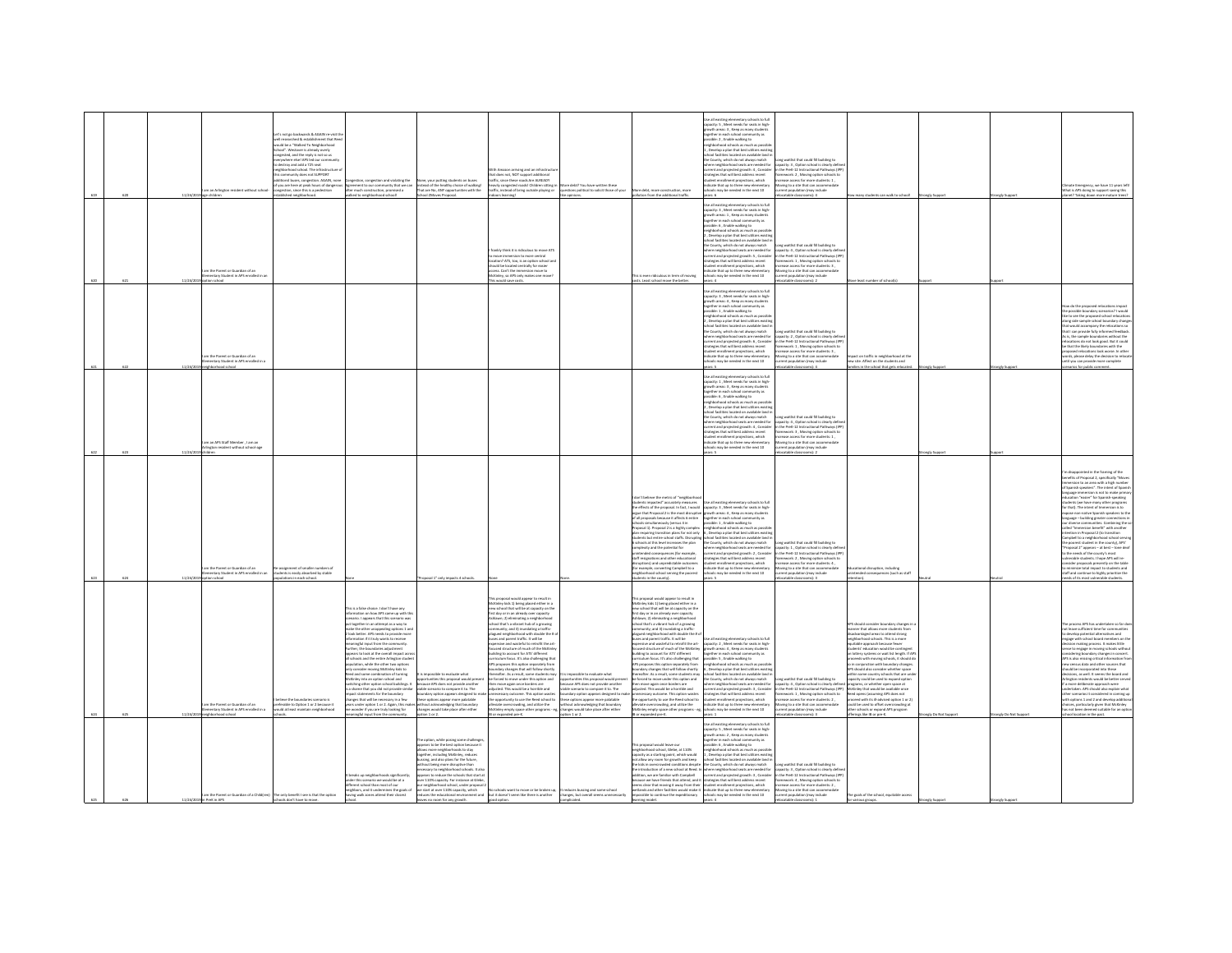|     | 620 | 11/24/    | n an Arlington resident without school<br>m the Parent or Guardian of an<br>ventary Student in APS enrolled in | 's not go backwards & AGAIN re-visit t<br>Il researched & establishment that Ree<br>ould be a "Walked To Neishborhood<br>hoof". Westover is already overly<br>gested, and the reply is not so us<br>pwhere else! APS led our co<br>lestroy and add a 725 seat<br>ishborhood school. The infrastructure<br>TROODLER and cards utilizers<br>ris community does not survunt<br>idditionsl buses, congestion. AGAIN, none<br>if you are here at peak hours of dangerous<br>congestion, since this is a pedestrian<br>blished neighborhood. | regestion and violating the<br>Congestion, congestion and violating the<br>Agreement to our community that we can<br>after much construction, promised a<br>I loorlaa boorhodrigien of bealisw                                                                                                                                                                                                                                                                                                                                                                                                                                                                                                                                                                                                                                                                                                                                                      | None, your putting students on buses<br>Instead of the healthy choice of walking!<br>That are No, ANY opportunities with the<br>chool ZMoves Proposal.                                                                                                                                                                                                                                                                                                                                         | th Amazon arriving and an infrastru-<br>that does not, NOT support additional<br>traffic, since these roads Are ALREADY<br>heavily congested roads! Children sitting in<br>traffic, instead of bring outside playing or<br>Ignimal atool<br>ankly think it is ridiculous to move ATS<br>sion to more central<br>a lendro neitro na si net 2TA Conitary<br>d be located centrally for easie<br>access. Can't the immersion move to<br>McKinley, so APS only makes one move                                                                                                                                                                                                                                                                                                                                                                                                                                                                                                                                                                                                                                   | ore debt? You have written these<br>vestions political to solicit those of your<br>like opinions.                                                                                                                                                                                                                | re debt, more construction, more<br>slution from the additional traffic.<br>is is even ridiculous in term of moving                                                                                                                                                                                                                                                                                                                                                                                                                                                                                                                                                                                                                                                                                                                                                                                                                                                                                                                    | the all existing plamantary schools to full<br>ne as existing elementary schools to full<br>apacity: S , Meet needs for seats in high<br>powth areas: S , Keep as many students<br>runity as<br>ssible: 2, Enable walking to<br>eighborhood schools as much as possibl<br>. Develop a plan that best utilize<br>, beverage a pair one. best usings waring<br>thool facilities located on available land in<br>there neighborhood seats are needed for<br>urrent and projected erowth: 4. Consider<br>community to the state of the state of the state of the state of the state of the state of the state of the state of the state of the state of the state of the state of the state of the state of the state of the state of t<br>ars: 6<br>Jse all existing elementary schools to full<br>apacity: 3 , Meet needs for seats in high<br>rowth areas: 1 , Keep as many students<br>together in each school con<br>inity as<br>ssible: 6 . Enable walking to<br>nd schnols as much as ne<br>righborhood schools as much<br>, Develop a plan that best utili<br>hool facilities located on available land i<br>the County, which do not always match<br>where neighborhood seats are needed for<br><b>Contract and projected growth: S., Consider<br/>Itrategies that will best address recent<br/>Trafect send word projections</b> recent<br>trategues trust will best address recent<br>tudent enrollment projections, which<br>idicate that up to three new elementary<br>thools may be needed in the next 10 | of gribited IBI baco fail tailor gn<br>apacity: 3, Option school is clearly def<br>the PreK-12 Instructional Pathways (IP)<br>nework: 2 . Moving option schools to<br>ving to a site that can accor<br>ent population (may include<br>atable classrooms): 4<br>ong waitlist that could fill building to<br>apacity: 4, Option school is clearly defin<br>in the PreK-12 Instructional Pathways (IP)<br>search 1 Mexica ordina schools to<br>ease access for more students: 3<br>oving to a site that can accommodat<br>ent population (may include | ents can walk to school!                                                                                                                                                                                                                                                                                                                                                                                                                                                                                                                                                                                                                                                                                          | analy Suppor       |                      | :limate Emergency, we have 11 years lef<br>What is APS doing to support saving this<br>net? Taking down more mature trees                                                                                                                                                                                                                                                                                                                                                                                                                                                                                                                                                                                                                                                                                                                                                                                      |
|-----|-----|-----------|----------------------------------------------------------------------------------------------------------------|----------------------------------------------------------------------------------------------------------------------------------------------------------------------------------------------------------------------------------------------------------------------------------------------------------------------------------------------------------------------------------------------------------------------------------------------------------------------------------------------------------------------------------------|-----------------------------------------------------------------------------------------------------------------------------------------------------------------------------------------------------------------------------------------------------------------------------------------------------------------------------------------------------------------------------------------------------------------------------------------------------------------------------------------------------------------------------------------------------------------------------------------------------------------------------------------------------------------------------------------------------------------------------------------------------------------------------------------------------------------------------------------------------------------------------------------------------------------------------------------------------|------------------------------------------------------------------------------------------------------------------------------------------------------------------------------------------------------------------------------------------------------------------------------------------------------------------------------------------------------------------------------------------------------------------------------------------------------------------------------------------------|-------------------------------------------------------------------------------------------------------------------------------------------------------------------------------------------------------------------------------------------------------------------------------------------------------------------------------------------------------------------------------------------------------------------------------------------------------------------------------------------------------------------------------------------------------------------------------------------------------------------------------------------------------------------------------------------------------------------------------------------------------------------------------------------------------------------------------------------------------------------------------------------------------------------------------------------------------------------------------------------------------------------------------------------------------------------------------------------------------------|------------------------------------------------------------------------------------------------------------------------------------------------------------------------------------------------------------------------------------------------------------------------------------------------------------------|----------------------------------------------------------------------------------------------------------------------------------------------------------------------------------------------------------------------------------------------------------------------------------------------------------------------------------------------------------------------------------------------------------------------------------------------------------------------------------------------------------------------------------------------------------------------------------------------------------------------------------------------------------------------------------------------------------------------------------------------------------------------------------------------------------------------------------------------------------------------------------------------------------------------------------------------------------------------------------------------------------------------------------------|---------------------------------------------------------------------------------------------------------------------------------------------------------------------------------------------------------------------------------------------------------------------------------------------------------------------------------------------------------------------------------------------------------------------------------------------------------------------------------------------------------------------------------------------------------------------------------------------------------------------------------------------------------------------------------------------------------------------------------------------------------------------------------------------------------------------------------------------------------------------------------------------------------------------------------------------------------------------------------------------------------------------------------------------------------------------------------------------------------------------------------------------------------------------------------------------------------------------------------------------------------------------------------------------------------------------------------------------------------------------------------------------------------------------------------------------------------------------------------------------------------------------|----------------------------------------------------------------------------------------------------------------------------------------------------------------------------------------------------------------------------------------------------------------------------------------------------------------------------------------------------------------------------------------------------------------------------------------------------------------------------------------------------------------------------------------------------|-------------------------------------------------------------------------------------------------------------------------------------------------------------------------------------------------------------------------------------------------------------------------------------------------------------------------------------------------------------------------------------------------------------------------------------------------------------------------------------------------------------------------------------------------------------------------------------------------------------------------------------------------------------------------------------------------------------------|--------------------|----------------------|----------------------------------------------------------------------------------------------------------------------------------------------------------------------------------------------------------------------------------------------------------------------------------------------------------------------------------------------------------------------------------------------------------------------------------------------------------------------------------------------------------------------------------------------------------------------------------------------------------------------------------------------------------------------------------------------------------------------------------------------------------------------------------------------------------------------------------------------------------------------------------------------------------------|
|     |     | 11/24/201 | ion school<br>n the Parent or Guardian of an<br>entary Student in APS enrolled in a<br>loorload school         |                                                                                                                                                                                                                                                                                                                                                                                                                                                                                                                                        |                                                                                                                                                                                                                                                                                                                                                                                                                                                                                                                                                                                                                                                                                                                                                                                                                                                                                                                                                     |                                                                                                                                                                                                                                                                                                                                                                                                                                                                                                | This would save costs                                                                                                                                                                                                                                                                                                                                                                                                                                                                                                                                                                                                                                                                                                                                                                                                                                                                                                                                                                                                                                                                                       |                                                                                                                                                                                                                                                                                                                  | ats. Least school move the better.                                                                                                                                                                                                                                                                                                                                                                                                                                                                                                                                                                                                                                                                                                                                                                                                                                                                                                                                                                                                     | awe 4<br>Jse all existing elementary schools to full<br>spacity: 3, Meet needs for seats in high-<br>growth areas: 4 , Keep as many students<br>together in each school community as<br>.<br>Issible: 1 , Enable walking to<br>Ishborhood schools as much as possibl<br>Develop a plan that best utilizes exis<br>hool facilities located on available land i<br>the County, which do not always match<br>here neighborhood seats are needed for<br>one implicatious was are invoced to:<br>trategies that will best address recent<br>tudent enrollment projections, which<br>ndicate that up to three new elementary<br>ools may be needed in the next 10<br>ars: S                                                                                                                                                                                                                                                                                                                                                                                                                                                                                                                                                                                                                                                                                                                                                                                                                                               | catable classrooms): 2<br>ong waitlist that could fill building to<br>capacity: 2 . Option school is clearly defin<br>in the PreK-12 Instructional Pathways (IP)<br>Iramework: 1 , Moving option schools to<br>rease access for more students: 3,<br>foving to a site that can accommodate<br>stude vamb notsiluzoo tney<br>catable classrooms): 4                                                                                                                                                                                                 | ve least number of school's<br>pact on traffic in neighborhood at the<br>new site. Affect on the students and<br>milies in the school that gets relocated.                                                                                                                                                                                                                                                                                                                                                                                                                                                                                                                                                        | angly Suppor       | rongly Suppor        | ow do the proposed relocations impact<br>e possible boundary scenarios? I would<br>is to see the proposed school relocat<br>long side sample school boundary change<br>hat would accompany the relocations so<br>hat I can provide fully informed feedback<br>As is, the sample boundaries without the<br>elecutions do not look good. But it could<br>be that the likely boundaries with the<br>roposed relocations look worse. In other<br>vords, please delay the decision to reloca<br>intil you can provide more complete<br>enarios for public comment.                                                                                                                                                                                                                                                                                                                                                  |
|     |     |           | n an APS Staff Member , I am an<br>gton resident without school-age                                            |                                                                                                                                                                                                                                                                                                                                                                                                                                                                                                                                        |                                                                                                                                                                                                                                                                                                                                                                                                                                                                                                                                                                                                                                                                                                                                                                                                                                                                                                                                                     |                                                                                                                                                                                                                                                                                                                                                                                                                                                                                                |                                                                                                                                                                                                                                                                                                                                                                                                                                                                                                                                                                                                                                                                                                                                                                                                                                                                                                                                                                                                                                                                                                             |                                                                                                                                                                                                                                                                                                                  |                                                                                                                                                                                                                                                                                                                                                                                                                                                                                                                                                                                                                                                                                                                                                                                                                                                                                                                                                                                                                                        | se all existing elementary schools to full<br>capacity: 1 , Meet needs for seats in high-<br>growth areas: 3 , Keep as many students<br>seether in each school comm<br>sunity as<br>sible: 6 , Enable walking to<br>ighborhood schools as much as possib<br>righborhood schools as much as possible<br>, Develop a plan that best utilizes existin<br>thool facilities located on available land i<br>he County, which do not always match<br>we county, which do not annoys match<br>there neighborhood seats are needed for<br>trategies that will best address recent<br>tudent enrollment projections, which<br>dicate that up to three new elementary<br>tols may be needed in the next 10                                                                                                                                                                                                                                                                                                                                                                                                                                                                                                                                                                                                                                                                                                                                                                                                                     | ong waitlist that could fill building to<br>anglesty: 4 , Option school is clearly define<br>the PreK-12 Instructional Pathways (IPF<br>ramework: 3 , Moving option schools to<br>rease access for more students: 1,<br>oving to a site that can accommodate<br>rent population (may include                                                                                                                                                                                                                                                       |                                                                                                                                                                                                                                                                                                                                                                                                                                                                                                                                                                                                                                                                                                                   |                    |                      |                                                                                                                                                                                                                                                                                                                                                                                                                                                                                                                                                                                                                                                                                                                                                                                                                                                                                                                |
|     |     |           | n the Parent or Guardian of an<br>nentary Student in APS enrolled in an<br>loorlar n                           | ssignment of smaller nur<br>tudents is easily absorbed by stable<br>ulations in each school                                                                                                                                                                                                                                                                                                                                                                                                                                            |                                                                                                                                                                                                                                                                                                                                                                                                                                                                                                                                                                                                                                                                                                                                                                                                                                                                                                                                                     | osal 1" only impacts 4 schoo                                                                                                                                                                                                                                                                                                                                                                                                                                                                   |                                                                                                                                                                                                                                                                                                                                                                                                                                                                                                                                                                                                                                                                                                                                                                                                                                                                                                                                                                                                                                                                                                             |                                                                                                                                                                                                                                                                                                                  | on't believe the metric of "neighbor<br>dents impacted" accurately<br>something the proposal. In fact, I would capacity: 3 , Meet needs for seats in high-<br>In effects of the proposal 2 is the most disruptive growth areas: 4 , Keep as many students<br>If all proposals because it affects 6 entire<br>hoots simultaneously (versus 4 in<br>coosal 1). Proposal 2 is a highly complex<br>poses a). Proposes a is a significant<br>in requiring transition plans for not only<br>idents but entire school staffs. Disrupting<br>chools at this level increases the plan<br>mplexity and the potential for<br>nces (for example)<br>tended conseq<br>aff resignations and other educational<br>ruptions) and unpredictable outcome<br>rexample, converting Campbell to a<br>eighborhood school serving the poorest<br>lents in the county).                                                                                                                                                                                        | se all existing elementary schools to ful<br>sossible: 1 . Enable walking to<br>neighborhood schools as much as possibl<br>, Develop a plan that best utilizes exi-<br>ichool facilities located on available land<br>the County, which do not always match<br>here neighborhood seats are needed for<br>arrent and projected growth: 2, Conside<br>contempts that will best address recent<br>student enrollment projections, which<br>indicate that up to three new elementa<br>schools may be needed in the next 10<br>are R                                                                                                                                                                                                                                                                                                                                                                                                                                                                                                                                                                                                                                                                                                                                                                                                                                                                                                                                                                                     | ng waitlist that could fill building to<br>capacity: 1, Option school is clearly defin<br>the PreK-12 Instructional Pathways (IP)<br>ewrel: 2 Mexing ordina schools to<br>:<br>rease access for more students: 4 ,<br>oving to a site that can accommodal<br>sent population (may include<br>catable classrooms): 3                                                                                                                                                                                                                                | onal disruption, including<br>ended consequences (such as staff                                                                                                                                                                                                                                                                                                                                                                                                                                                                                                                                                                                                                                                   |                    |                      | m disappointed in the framing of the<br>in usupposition in the maning or the<br>reefits of Proposal 2, specifically "Moves<br>remersion to an area with a high number<br>! Spanish speakers". The intent of Spanisl<br>anguage immersion is not to make prima<br>cation "easier" for Spanish-speaking<br>dents (we have many other program<br>for that). The intent of Immersion is to<br>expose non-native Spanish speakers to the<br>language – building greater connections in<br>ur diverse communities. Combining the so<br>illed "Immersion benefit" with another<br>ention in Proposal 2 (to transition<br>roposal 2" appears - at best - tone deal<br>the needs of the county's most<br>proble students 1 hone APS will re-<br>nsider proposals presently on the table<br>minimize total impact to students and<br>taff and continue to highly prioritize the<br>eeds of its most vulnerable students. |
| 624 |     | 11/24/201 | n the Parent or Guardian of an<br>entary Student in APS enrolled in<br>Indian boodstate                        | eve the boundaries scenario i<br>ferable to Option 1 or 2 because it<br>ald at least maintain neighborhood                                                                                                                                                                                                                                                                                                                                                                                                                             | .<br>Is a false choice 1 don't have any<br>sation on how APS came up with th<br>ario. I appears that this scenario was<br>put together in an attempt as a way to<br>take the other unappealing options 1 and<br>look better. APS needs to provide more<br>rmation if it truly wants to receive<br>singful input from the comme<br>ther, the boundaries adjustment<br>ears to look at the overall impact acr<br>I schools and the entire Arlineton studes<br>ation, while the other two option<br>puweon, wnie tre otrer two options<br>ly consider moving McKinley kids to<br>ed and some combination of turning<br>McKinley into an option school and<br>itching other option school buildings. It<br>a shame that you did not provide similar<br>act states<br>ents for the boundary<br>nges that will be necessary in a few<br>i under option 1 or 2. Again, this ma<br>vonder if you are truly looking for<br>ningful input from the community. | impossible to evaluate what<br>opportunities this proposal would presen<br>because APS does not provide another<br>.<br>viable scenario to compare it to. The<br>boundary option appears designed to n<br>e options appear more palatable<br>without acknowledging that boundary<br>changes would take place after either<br>ation 1 or 2.                                                                                                                                                     | proposal would appear to result in<br>McKinley kids 1) being placed either in a<br>new school that will be at capacity on the<br>first day or in an already over capacity<br>Ashlawn; 2) eliminating a neighborhood<br>school that's a vibrant hub of a growing<br>munity; and 3) inundating a traffic<br>plagued neighborhood with double the #<br>buses and parent traffic. It will be<br>sees and perent cantuin to mir be<br>opensive and wasteful to retrofit the articles<br>ocused structure of much of the McKinles<br>suilding to account for ATS' different<br>culum focus. It's also challenging the<br>APS proposes this option separately fro<br>APS proposes this option separately from<br>boundary changes that will follow shortly<br>thereafter. As a result, some students may<br>be forced to move under this option and<br>then move again once borders are<br>adjusted. This would be a horrible and<br>issary outcome. This option waste<br>opportunity to use the Reed school to<br>ate overcrowding, and utilize the<br>Griey empty space other programs -<br>B or expanded pre-K. | sible to evaluate what<br>portunities this proposal would pres<br>cause APS does not provide another<br>ible scenario to compare it to. The<br>undary option appears designed to<br>e options appear more palatable<br>hout acknowledging that boundary<br>nges would take place after either<br>$\sin 1$ or $2$ | his proposal would appear to result in<br>McKinley kids 1) being placed either in a<br>ew school that will be at capacity on th<br>st day or in an already over ca<br>shlawn; 2) eliminating a neighborhooi<br>chool that's a vibrant hub of a growing<br>mmunity; and 3) inundating a traffic<br>ligued neighborhood with double the # c<br>uses and parent traffic. It will be<br>pensive and wasteful to retrofit the art-<br>cused structure of much of the McKinley<br>uilding to account for ATS' different<br>riculum focus. It's also challenging that<br>S proposes this option separately from<br>sproposes was opener repeaterly main<br>andary changes that will follow shortly<br>reafter. As a result, some students may<br>forced to move under this option and<br>n move again once borders are<br>sted. This would be a horrible and<br>essary outcome. This option waste<br>pportunity to use the Reed school t<br>iate overcrowding, and utilize the<br>inley empty space other programs - ej<br>or expanded pre-K. | se all existing elementary schools to full<br>capacity: 2 , Meet needs for seats in high<br>growth areas: 4 , Keep as many students<br>together in each school community as<br>ossible: 5 . Enable walking to<br>ighborhood schools as much as poss<br>, Develop a plan that best utilizes exi<br>hool facilities located on available land i<br>the County, which do not always match<br>where neighborhood seats are needed for<br>urrent and projected growth: 3 , Consider<br>trategies that will best address recent<br>weights use will best automas receive<br>dicate that up to three new elementary<br>hools may be needed in the next 10<br>mars: 1                                                                                                                                                                                                                                                                                                                                                                                                                                                                                                                                                                                                                                                                                                                                                                                                                                                       | ong waitlist that could fill building to<br>spacity: 4, Option school is clearly defined programs, or whether open space at<br>in the PreK-12 Instructional Pathways (IPP)<br>nework: 1 . Moving option schools to<br>ease access for more students: 2,<br>ving to a site that can accommodate<br>int population (may include<br>atable classrooms): 3                                                                                                                                                                                             | anner that allows more students from<br>disadvantaged areas to attend strong<br>neighborhood schools. This is a more<br>table approach because fewer<br>itudents' education would be contingent<br>on lottery systems or wait list length. If AP!<br>roceeds with moving schools, it should do<br>.<br>Io in conjunction with boundary change<br>APS should also consider whether space<br>in some country schools that are un<br>capacity could be used to expand option<br>McKinley that would be available once<br>teed opens (assuming APS does not<br>eed with its ill-advised option 1 or 2)<br>could be used to offset overcrowding at<br>other schools or expand APS program<br>Merines like IB or pre-K. | angly Do Not Suppo | rongly Do Not Suppor | process APS has undertaken so far do<br>t leave sufficient time for communities<br>develop potential alternatives and<br>ingage with school board members on th<br>ecision making process. It makes little<br>inse to engage in moving schools without<br><br>dering boundary changes in concert.<br>APS is also missing critical information fro<br>census data and other sources that<br>would he is<br>sions, as well. It seems the board and<br>Arlington residents would be better serve<br>a more deliberate approach were<br>dertaken. APS should also explain what<br>ther scenarios it considered in comine u<br>th options 1 and 2 and develop ads<br>choices, particularly given that McKinley<br>has not been deemed suitable for an optis<br>teel location in the past.                                                                                                                           |
|     |     |           | <b>PreK in APS</b>                                                                                             | m the Parent or Guardian of a Child(ren) The only benefit I see is that the option<br>is don't have to mov                                                                                                                                                                                                                                                                                                                                                                                                                             | > we would be at a<br>fer this scenario we would be a<br>jerent school than most of our<br>neighbors, and it undermines the goals of<br>aving walk zones attend their closest                                                                                                                                                                                                                                                                                                                                                                                                                                                                                                                                                                                                                                                                                                                                                                       | he option, while posing some challenger<br>ears to be the best option because it<br>lows more neighborhoods to stay<br>opether, including McKinky, reduces<br>ussing, and also plans for the future,<br>of being more disruptive that<br>ssary to neighborhood schools. It als<br>ppears to reduce the schools that start at<br>syer 110% capacity. For instance at Glebe,<br>sur neighborhood school, under proposal 2<br>we start at over 110% capacity, which<br>as no room for any growth. | ve start at over 110% capacity, which and book to be book want to move or be broken up, It reduces bussing and some school<br>educes the educational environment and but it doesn't seem like there is another changes, but overa<br>good option. The contract of the contract of the contract of the contract of the contract of the contract of the contract of the contract of the contract of the contract of the contract of the contract of the contract of t                                                                                                                                                                                                                                                                                                                                                                                                                                                                                                                                                                                                                                         | changes, but overall seems unnecessarily<br>cated.                                                                                                                                                                                                                                                               | tis proposal would leave our<br>eighborhood school, Glebe, at 110%<br>apacity as a starting point, which would<br>t allow any room for growth and keep<br>le kids in overcrowded conditions despite<br>um universion our armier with Campbell<br>addition, we are familiar with Campbell<br>because we have friends that attend, and it strategies that will best addess recent<br>seems clear that moving it areay from their (strategies<br>possible to continue the expeditionary<br>ing model.                                                                                                                                                                                                                                                                                                                                                                                                                                                                                                                                     | ar all existing elementary schools to full<br>spacity: 5, Meet needs for seats in high-<br>growth areas: 2 , Keep as many students<br>together in each school community as<br>ssible: 6 . Enable walking to<br>exploration of the state of the state of the state of the state of the state of the state of the state of the state of the state of the state of the state of the state of the state of the state of the state of the state of<br>ool facilities located on available land i<br>he County, which do not always match<br>e introduction of a new school at Reed. In where neighborhood seats are needed for<br>schools may be needed in the next 10                                                                                                                                                                                                                                                                                                                                                                                                                                                                                                                                                                                                                                                                                                                                                                                                                                                   | ng waitlist that could fill building to<br>apacity: 3 . Option school is clearly defin<br>in the PreK-12 Instructional Pathways (IPF<br>framework: 4 , Moving option schools to<br>rease access for more students: 2,<br>Moving to a site that can accommodate<br>rrent population (may include                                                                                                                                                                                                                                                    | The goals of the school, equitable access                                                                                                                                                                                                                                                                                                                                                                                                                                                                                                                                                                                                                                                                         |                    |                      |                                                                                                                                                                                                                                                                                                                                                                                                                                                                                                                                                                                                                                                                                                                                                                                                                                                                                                                |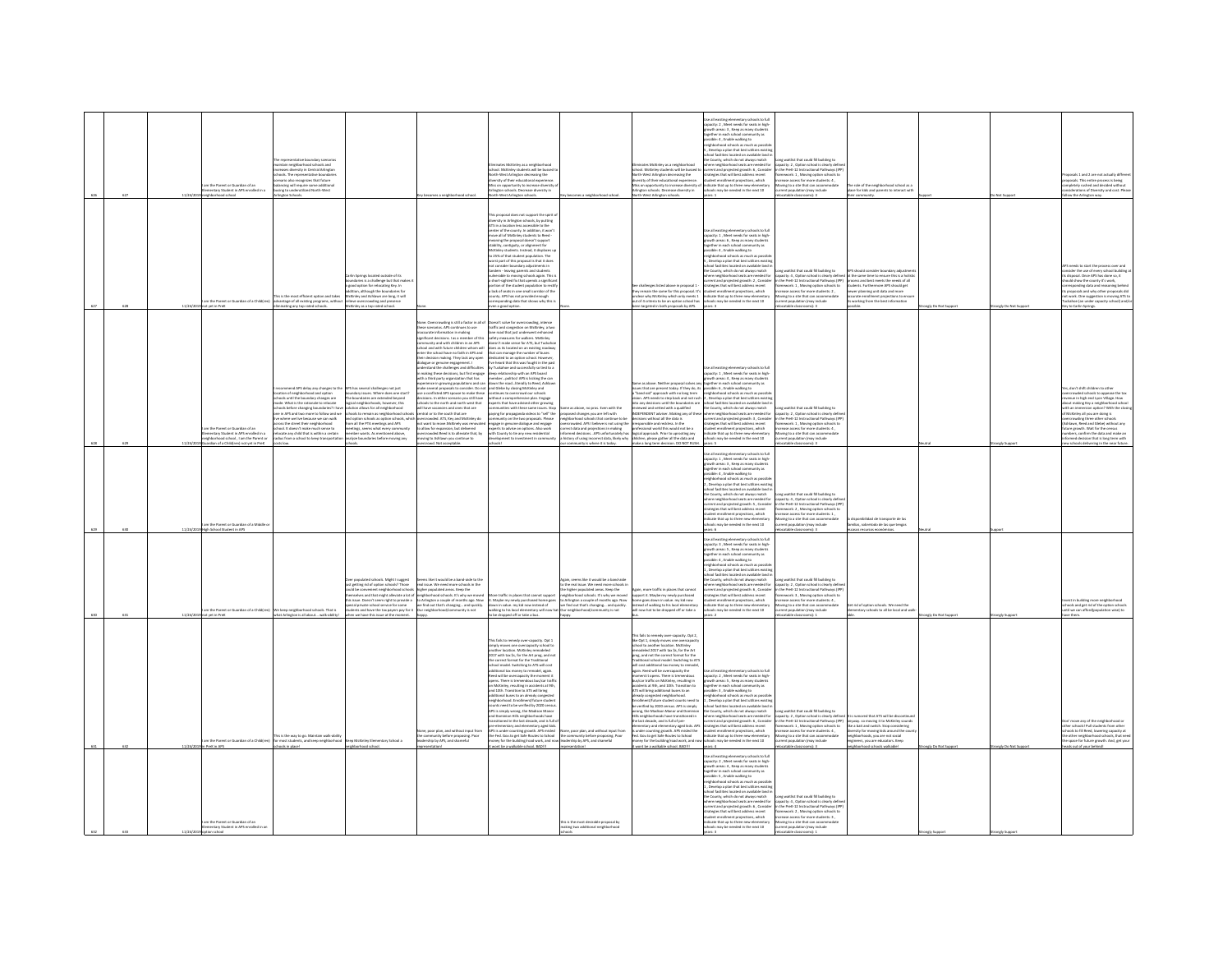|  |         | m the Parent or Guardian of an<br>entary Student in APS enrolled in a<br>ood school                                        | he representative boundary scenarios<br>aintain neighborhood schools and<br>creases diversity in Central Arlington<br>hools. The representative boundaries<br>smario also recognizes that future<br><b>Ilancing will require some additional</b><br>Ising to underutilized North-West<br>on Schools                                                                                                                                |                                                                                                                                                                                                                                                                                                                                                                                                                             |                                                                                                                                                                                                                                                                                                                                                                                                                                                                                                                                                                                                                                                                                                                                                                                                                                                                                                                                                                                                                                                                                                                            | ites McKinley as a neighbor<br>school. McKinley students will be bussed<br>North-West Arlinaton decreasing the<br>ersity of their educational expe<br>.<br>Itiss on opportunity to increase diversity<br>rlington schools. Decrease diversity in<br>rth-West Arlington schools                                                                                                                                                                                                                                                                                                                                                                                                                                                                                                                                                                                                                                                                                                                                 |                                                                                                                                                                                                                                                                                                                                       | ates McKinley as a neighborhood<br>chool. McKinley students will be bussed to<br>lorth-West Arlington decreasing the<br>liversity of their educational experience.<br>liss on opportunity to increase diversity o<br>lington schools. Decrease diversity in<br>arth-West Arlington schools.                                                                                                                                                                                                                                                                                                                                                                                                                                                                                                                                                                                                                                                                                                                     | Jse all existing elementary schools to full<br>pacity: 2 . Meet needs for seats in high<br>swth areas: 3, Keep as many student<br>toxether in each school co<br>nunity as<br>sposible: 4 , Enable walking to<br>sessible: 4 , Enable walking to<br>seighborhood schools as much as possible<br>5 , Develop a plan that best utilizes exist<br>ichool facilities located on available land<br>he County, which do not always match<br>ere neighborhood seats are needed for<br>current and projected growth: 6, Conside<br>strategies that will best address recent<br>student enrollment projections, which<br>include that up to three new elementary<br>Indicate that up to three new elementary<br>schools may be needed in the next 10<br>are 1 | ong waitlist that could fill building to<br>acity: 2, Option school is clearly def<br>in the PreK-12 Instructional Pathways (IP<br>amework: 1 . Moving option schools to<br>rease access for more students: 4<br>oving to a site that can accomm<br>rrent population (may include<br>dation (may include<br>$F$ dam                             | e role of the neighborhood school as a<br>ace for kids and parents to interact with                                                                                                                                              |                     |                      | osals 1 and 2 are not actually differe<br>quals. This entire process is being<br>soletely rushed and decided without<br>iderations of Diversity and cost. Plea<br>w the Arlington wa                                                                                                                                                                                                                                                                          |
|--|---------|----------------------------------------------------------------------------------------------------------------------------|------------------------------------------------------------------------------------------------------------------------------------------------------------------------------------------------------------------------------------------------------------------------------------------------------------------------------------------------------------------------------------------------------------------------------------|-----------------------------------------------------------------------------------------------------------------------------------------------------------------------------------------------------------------------------------------------------------------------------------------------------------------------------------------------------------------------------------------------------------------------------|----------------------------------------------------------------------------------------------------------------------------------------------------------------------------------------------------------------------------------------------------------------------------------------------------------------------------------------------------------------------------------------------------------------------------------------------------------------------------------------------------------------------------------------------------------------------------------------------------------------------------------------------------------------------------------------------------------------------------------------------------------------------------------------------------------------------------------------------------------------------------------------------------------------------------------------------------------------------------------------------------------------------------------------------------------------------------------------------------------------------------|----------------------------------------------------------------------------------------------------------------------------------------------------------------------------------------------------------------------------------------------------------------------------------------------------------------------------------------------------------------------------------------------------------------------------------------------------------------------------------------------------------------------------------------------------------------------------------------------------------------------------------------------------------------------------------------------------------------------------------------------------------------------------------------------------------------------------------------------------------------------------------------------------------------------------------------------------------------------------------------------------------------|---------------------------------------------------------------------------------------------------------------------------------------------------------------------------------------------------------------------------------------------------------------------------------------------------------------------------------------|-----------------------------------------------------------------------------------------------------------------------------------------------------------------------------------------------------------------------------------------------------------------------------------------------------------------------------------------------------------------------------------------------------------------------------------------------------------------------------------------------------------------------------------------------------------------------------------------------------------------------------------------------------------------------------------------------------------------------------------------------------------------------------------------------------------------------------------------------------------------------------------------------------------------------------------------------------------------------------------------------------------------|-----------------------------------------------------------------------------------------------------------------------------------------------------------------------------------------------------------------------------------------------------------------------------------------------------------------------------------------------------------------------------------------------------------------------------------------------------------------------------------------------------------------------------------------------------------------------------------------------------------------------------------------------------------------------------------------------------------------------------------------------------|-------------------------------------------------------------------------------------------------------------------------------------------------------------------------------------------------------------------------------------------------------------------------------------------------------------------------------------------------|----------------------------------------------------------------------------------------------------------------------------------------------------------------------------------------------------------------------------------|---------------------|----------------------|---------------------------------------------------------------------------------------------------------------------------------------------------------------------------------------------------------------------------------------------------------------------------------------------------------------------------------------------------------------------------------------------------------------------------------------------------------------|
|  | 11/34/3 | n the Parent or Guardian of a Childfre                                                                                     | is is the most efficient option and take<br>vantage of all existing programs, with<br>minating any top rated schools.                                                                                                                                                                                                                                                                                                              | n Springs located outside of its<br>undaries is a challenge but that makes<br>eood cotion for relocating Key, In<br>ition, although the boundaries for<br>tcKinley and Ashlawn are long, it will<br>we overcrowding and ore                                                                                                                                                                                                 |                                                                                                                                                                                                                                                                                                                                                                                                                                                                                                                                                                                                                                                                                                                                                                                                                                                                                                                                                                                                                                                                                                                            | his proposal does not support the spirit o<br>iversity in Arlington schools, by putting<br>ATS in a location less accessible to the<br>center of the county. In addition, it won't<br>move all of McKinley students to Reed<br>aning the proposal doesn't support<br>stability, contiguity, or alignment for<br>McKinley students. Instead. it disolac<br>McGiréley students. Instead, it displaces up<br>to 25% of this student population. The<br>worst part of this proposal is that it does<br>not consider boundary adjustments in<br>tandem - leaving parents and students<br>vulnerable to movin<br>a short-sighted fix that upends a significar<br>ortion of the student population to rectif<br>I lack of seats in one small corridor of the<br>sunty. APS has not provided enough                                                                                                                                                                                                                    |                                                                                                                                                                                                                                                                                                                                       | e challeness listed above in proposal 1 -<br>wy remain the same for this proposal. It's<br>clear why McKinley which only meets 1<br>ut of 4 miteria to he an ontion school has<br>Pot with                                                                                                                                                                                                                                                                                                                                                                                                                                                                                                                                                                                                                                                                                                                                                                                                                      | se all existing elementary schools to full<br>capacity: 1 . Meet needs for seats in high<br>wth areas: 6 . Keep as many studen<br>growth areas: 6 , Keep as many students<br>together in each school community as<br>possible: 4 , Enable walking to<br>neighborhood schools as much as possibl<br>5 , Develop a plan that best utilizes existi<br>school facilities located on<br>the County, which do not always match<br>where neighborhood seats are needed for<br>urrent and projected growth: 2, Conside<br>strategies that will best address recent<br>udent enrollment projections, which<br>ndicate that up to three new elementary<br>Of tools may be needed in the next 10                                                               | ong waitlist that could fill building to<br>capacity: 4 , Option school is clearly define<br>in the PreK-12 Instructional Pathways (IPP)<br>ramework: 1 , Moving option schools to<br>ncrease access for more students: 2 ,<br>loving to a site that can accomm<br>lation (may include                                                          | he same time to ensure this is a ho<br>ocess and best meets the needs of all<br>dents. Furthermore APS should get<br>ver planning unit data and more<br>urate enrollment projections to enr<br>vorking from the best information | angly Do Not Sup    |                      | onsider the use of every school building a<br>is disposal. Once APS has done so, it<br>hould show the county it's work,<br>rresponding data and reasoning behind<br>ts proposals and why other proposals die<br>ot work. One suggestion is moving ATS to<br>uckahoe (an under capacity school) and/i<br>Carlin Spring                                                                                                                                         |
|  |         | m the Parent or Guardian of an<br>entery Student in APS enrolled in a<br>od school . I am the Parent or<br>not vet in Pref | d APS delay any chan<br>cation of neighborhood and option<br>hook until the boundary changes are<br>ade. What is the rationale to relocate<br>hools before changing boundaries? I hav<br>se in APS and two more to follow and we<br>e where we live because we can walk<br>oss the street their neighborhood<br>hool. It doesn't make much sense to<br>ocate any child that is within a certain<br>dius from a school to keep tran | Shas several challenges not just<br>undary issues. Where does one start?<br>a boundaries are extended beyond<br>cal neighborhoods, however, this<br>tion allows for all neighborhood<br>ools to remain as neighborhood sch<br>and option schools as option schools, whis<br>from all the PTA meetings and APS<br>etings, seems what every community<br>nber wants. As mentioned above,<br>lyze boundaries before moving any | wding is still a factor in all o<br>e scenarios. APS co<br>macrossimation in making<br>sprificant decisions. I as a member of this<br>community and with children in an APS<br>chool and with future children whom will<br>chool and with future children whom will<br>nter the school have no faith in APS and<br>their decision making. They lack any open<br>Sixter or genuine engagement. I Vw heard that this was fought in the past indicated the challenges and difficulties by Tuckahoe and successfully so tied to a<br>understand the challenges and difficulties by Tuckahoe and succe<br>matery these decisions, but that engage despe prelationship with an APS band<br>of the absolute of the control of the control of the control of the control of the<br>state of the control of the control of the control. There is<br>have vacancies and ones that are<br>tral or to the south that are<br>owded. ATS, Key and McKinley do<br>tot want to move.McKinely was renovate<br>allow for expansion, but delivered<br>rowded.Reed is to alleviate that, by<br>ing to Ashlawn you continue to<br>vd. Not acces | o't sobre for nuerrouviller intens<br>Doesn't solve for overcrowding, intense<br>traffic and congestion on McKinley, a two<br>lane road that just underwent enhanced<br>lane road that just underwent enhanced<br>safety measures for walkers. McKinley<br>does as its located on a<br>that can manage the number of buses<br>dedicated to an option school. However,<br>sunities with these same issues. Stop<br>paying for propaganda videos to "sell" the<br>sunity on the two proposals. Please<br>engage in genuine dialogue and engage<br>reperts to advise on options. Also work<br>with County to tie any new residential<br>development to investment in commu                                                                                                                                                                                                                                                                                                                                        | me as above, no pros. Even with the<br>oposed changes you are left with<br>ighborhood schools that continue to be<br>crowded. APS I believe is not using the<br>rect data and projections in making<br>marl derivines APS unfortunately ha<br>story of using incorrect data, likely why<br>ity is where it is today                   | ne as above. Neither proposal solver<br>structure as above. Neutral proposal solves any<br>stress that are present today. If they do, its<br>"band-aid" approach with no long term<br>tision. APS needs to step back and not rush<br>to any decisions until the boundaries are<br>beitiaup a ritiw better bns bewe<br><b>CPENDENT</b> adviser. Making any of the<br>cisions without all the data is<br>sponsible and reckless. In the<br>rofessional world this would not be a<br>gical approach. Prior to uprooting any<br>vidren, please gather all the data and<br>ake a long term decision. DO NOT RU                                                                                                                                                                                                                                                                                                                                                                                                       | se all existing elementary schools to ful<br>pacity: 1 . Meet needs for seats in high<br>wth areas: 4 , Keep as many studen<br>ether in each school community as<br>ssible: 6 , Enable walking to<br>season: u , crease wannig to<br>seighborhood schools as much as possi<br>t , Develop a plan that best utilizes exis<br>ool facilities located on available land<br>the County, which do not always match<br>here neighborhood seats are needed for<br>current and projected growth: 3, Consider in the PreK-12 Instructional Pathways (IPF<br>strategies that will best address recent framework: 1, Moving option schools to<br>udent enrollment projections, which<br>dirate that un to three new eleme<br>I may be needed in the next 10    | ong waitlist that could fill building to<br>acity: 2, Option school is clearly def<br>wase access for more students: 4 .<br>ovine to a site that can accomm<br>include                                                                                                                                                                          |                                                                                                                                                                                                                                  |                     |                      | <b>Analy shift children to other</b><br>ercrowded schools to appease the ta:<br>renue in high end Lyon Village. How<br>it making Key a neighborhood scho<br>ith an immersion option? With the clos<br>McKinley all you are doing is<br>crowding three other schools<br>Hawn, Reed and Glebe) without any<br>sture growth. Wait for the census<br>condition the data and make an<br>ned decision that is long term with<br>schools delivering in the near futu |
|  |         | n the Parent or Guardian of a Middle                                                                                       |                                                                                                                                                                                                                                                                                                                                                                                                                                    |                                                                                                                                                                                                                                                                                                                                                                                                                             |                                                                                                                                                                                                                                                                                                                                                                                                                                                                                                                                                                                                                                                                                                                                                                                                                                                                                                                                                                                                                                                                                                                            |                                                                                                                                                                                                                                                                                                                                                                                                                                                                                                                                                                                                                                                                                                                                                                                                                                                                                                                                                                                                                |                                                                                                                                                                                                                                                                                                                                       |                                                                                                                                                                                                                                                                                                                                                                                                                                                                                                                                                                                                                                                                                                                                                                                                                                                                                                                                                                                                                 | .<br>Use all existing elementary schools to full<br>capacity: 1 , Meet needs for seats in high-<br>growth areas: 3 , Keep as many students<br>together in each school community as<br>possible: 4, Enable walking to<br>neighborhood schools as much as possib<br>. Develop a plan that best utilizes existi<br>ool facilities located on available land<br>he County, which do not always match<br>hned seats are needed for<br>ere neighborhood seats are needed for<br>rent and projected growth: 5 , Consider<br>ategies that will best address recent<br>dent enrollment projections, which<br>dicate that up to three new elementary<br>hools may be needed in the next 10                                                                    | a waitlist that could fill building to<br>ang winnius unit count in business<br>spacity: 4 , Option school is clearly defi<br>the PreK-12 Instructional Pathways (I<br>amework: 2 , Moving option schools to<br>use access for more students: 1,<br>loving to a site that can accommodate<br>tion (may include                                  | isponibilidad de transporte de las<br>ilias, sobretodo de las que tengas<br>s recursos econ                                                                                                                                      |                     |                      |                                                                                                                                                                                                                                                                                                                                                                                                                                                               |
|  |         | th School Student in APS<br>m the Darant or Guardian of a Childfree                                                        | keen neighborhood schools. That is<br>at Arlington is all about walk                                                                                                                                                                                                                                                                                                                                                               | ted schools. Might I suggest<br>just getting rid of option schools? Those<br>suid be convenient neighborhood schools<br>temselves and that might alleviate a lot of<br>is issue. Doesn't seem right to provide a<br>recial private school service for some<br>ints and have the tax payers pay for it<br>we have this issue at the                                                                                          | s like it would be a band-aide to the<br>real issue. We need more schools in the<br>higher populated areas. Keep the<br>neighborhood schools. It's why we moved<br>to Arlington a couple of months ago. Now<br>we find out that's changing and quickly.<br>ty is not                                                                                                                                                                                                                                                                                                                                                                                                                                                                                                                                                                                                                                                                                                                                                                                                                                                       | re traffic in places that cannot support<br>.<br>It. Maybe my newly purchased home goes<br>down in value. my kid now instead of<br>ralking to his local ele<br>tary will now h<br>.<br>Iropped off or take a b                                                                                                                                                                                                                                                                                                                                                                                                                                                                                                                                                                                                                                                                                                                                                                                                 | jain, seems like it would be a band-aide<br>o the real issue. We need more schools is<br>the higher populated areas. Keep the<br>neighborhood schools. It's why we moved<br>agence modes in a wey we move<br>a Arlington a couple of months ago. Now<br>we find out that's changing and quickly.<br>Fur neighborhood/community is not | gain, more traffic in places that cannot<br>oport it. Maybe my newly purchased<br>one goes down in value. my kid now<br>nstead of walking to his local element<br>I now hat to be dropped off or take a                                                                                                                                                                                                                                                                                                                                                                                                                                                                                                                                                                                                                                                                                                                                                                                                         | Jse all existing elementary schools to full<br>.<br>bacity: 3 , Meet needs for seats in high<br>swth areas: 5 , Keep as many students<br>growth areas: 5 , Keep as many students<br>together in each school community as<br>possible: 4 , Enable walking to<br>meighborhood schools as much as possibl<br>1 , Develop a plan that best utilizes exists<br>1 , Develop a plan that best<br>school facilities located on available land i<br>the County, which do not always match<br>here neighborhood seats are needed for<br>errent and projected growth: 6 , Consider<br>rategies that will best address recent<br>dent enrollment projections, which<br>licate that up to three new elementar<br>is may be needed in the next 10                 | atable classrooms): 3<br>ong waitlist that could fill building to<br>apacity: 2, Option school is clearly defin<br>in the PreK-12 Instructional Pathways (IP)<br>tework: 3 . Moving option schools to<br>ease access for more students: 4.<br>wing to a site that can accor<br>n (may include                                                   | t rid of option schools. We need the<br>schools to all be local and wall                                                                                                                                                         |                     |                      | st in building more neighbort<br>tools and ast rid of the option school<br>til we can afford(population wise) to                                                                                                                                                                                                                                                                                                                                              |
|  | 11/24/  | n the Parent or Guardian of a Child(ren<br>reK in APS                                                                      | is is the way to go. Maintain walk-abil<br>most students, and keep neighborhoo<br>ols in place!                                                                                                                                                                                                                                                                                                                                    | o McKinky Elementary School a<br>hbarhood school.                                                                                                                                                                                                                                                                                                                                                                           | e, poor plan, and without input fro<br>community before proposing. Poor<br>jership by APS, and shameful<br>constation!                                                                                                                                                                                                                                                                                                                                                                                                                                                                                                                                                                                                                                                                                                                                                                                                                                                                                                                                                                                                     | This fails to remedy over-capacity. Opt 1<br>simply moves one overcapacity school to<br>another location. McKinley remodeled<br>2017 with tax Ss. for the Art prog. and no<br>Para mercuris so, nor me ver prog, amo mo<br>the correct format for the Traditional<br>school model. Switching to ATS will cost<br>additional lase moreny to remodel, again.<br>Reed will be covercapacity the moment it<br>opens. There is t<br>on McKinley, resulting in accidents at 9th,<br>and 10th. Transition to ATS will bring<br>additional buses to an already congested<br>neighborhood. Enrollment/future student<br>counts need to be verified by 2020 census<br>counts is simply wrong, the Madison Manor<br>and Dominion Hills neighborhoods have<br>transitioned in the last decade, and is full o<br>-<br>elementary and elementary aged kids.<br>is under counting growth. APS misled<br>Fed. Gov.to get Safe Routes to School<br>ney for the building/road work, and now<br>ront be a walkable school. BADIII | e, poor plan, and without input from<br>community before proposing. Poor<br>dership by APS, and shameful<br>exceptions                                                                                                                                                                                                                | is fails to remedy over-capacity. Opt 2,<br>ike Opt 1, simply moves one overcapacity<br>chool to another location. McKinley<br>modeled 2017 with tax Ss. for the Art<br>roz, and not the correct format for the<br>al school model. Switching to AT<br>ananonan<br>ili cest arb<br>ratmonul scribot model, and the model with container and provide a spin. Reed will be overcapacity the morent it appens. There is tremended<br>morent it appens. There is tremended as the morent in the model of the model<br>is ac<br>Iready congested neighborhood.<br>rollment/future student counts need to<br>e verified by 2020 census. APS is simply<br>rong, the Madison Manor and Dominio<br>ills neighborhoods have transitioned in<br>se last decade, and is full of pre-<br>nascussum, and is use to pre-<br>imentary and elementary aged kids. APS<br>under counting growth. APS misled the<br>d. Gov.to get Safe Routes to School<br>wy for the building/road work, and n<br>ant be a walkable school. BADIII | e all existing elementary schools<br>pacity: 2 , Meet needs for seats in<br>puth areas: 5 , Keep as many stud<br>together in each school community as<br>possible: 3 , Enable walking to<br>neighborhood schools as much as possil<br>. Develop a plan that best utilizes existi<br>thool facilities located on available land<br>he County, which do not always match<br>the County, which do not always match<br>where neighborhood seats are needed for<br>unrent and projected growth: 6 , Consider<br>trategies that will best address recent<br>student enrollment projections, which<br>ndicate that up to three<br>rears: 4                                                                                                                 | ng waitlist that could fill building to<br>pacity: 2, Option school is clearly define<br>the PreK-12 Instructional Pathways (IPF<br>the Pres-az instructional Patriways (iP<br>mework: 1 , Moving option schools to<br>rease access for more students: 4 ,<br>oving to a site that can accommodate<br>int population (may include<br>$2$ : (amp | of that ATS will be disc<br>way. so moving it to McKin<br>a bait and switch. Stop con<br>iity for moving kids around the c<br>hborhoods, you are not socia<br>seers, you are educators. Keep<br>ood schools walkable!            | angly Do Not Suppor | ingly Do Not Support | move any of the neighborhood or<br>er schools! Pull students from other<br>sols to fill Reed, lowering capacity at<br>dher neighb<br>he space for future growth. And, get you<br>out of your behind!                                                                                                                                                                                                                                                          |
|  |         | m the Parent or Guardian of an<br>ary Student in APS e                                                                     |                                                                                                                                                                                                                                                                                                                                                                                                                                    |                                                                                                                                                                                                                                                                                                                                                                                                                             |                                                                                                                                                                                                                                                                                                                                                                                                                                                                                                                                                                                                                                                                                                                                                                                                                                                                                                                                                                                                                                                                                                                            |                                                                                                                                                                                                                                                                                                                                                                                                                                                                                                                                                                                                                                                                                                                                                                                                                                                                                                                                                                                                                | is is the most desirable proposal by<br>ing two additional neighborhood                                                                                                                                                                                                                                                               |                                                                                                                                                                                                                                                                                                                                                                                                                                                                                                                                                                                                                                                                                                                                                                                                                                                                                                                                                                                                                 | Jse all existing elementary schools to full<br>spacity: 2, Meet needs for seats in high<br>with areas: 4 . Keep as many student<br>grouth areas: 4, Neep as many students<br>together in each school community as possible: 5 , Enable walking to<br>mightschool school is much as possible:<br>any photonol school is emach as possible:<br>$\pm$ , Develop a plan that bast<br>current and projected growth: 6, Conside<br>strategies that will best address recent<br>student enrollment projections, which<br>dicate that up to three new elementary<br>01 Type adt ni hahaan ad vam als                                                                                                                                                        | ong waitlist that could fill building to<br>acity: 4, Option school is clearly def<br>capacity: 4, uption school is clearly detine<br>in the PreK-12 Instructional Pathways (IPF<br>ramework: 2 . Moving option schools to<br>ease access for more students: 3<br>foving to a site that can accom-<br><b>Son Emay include</b>                   |                                                                                                                                                                                                                                  |                     |                      |                                                                                                                                                                                                                                                                                                                                                                                                                                                               |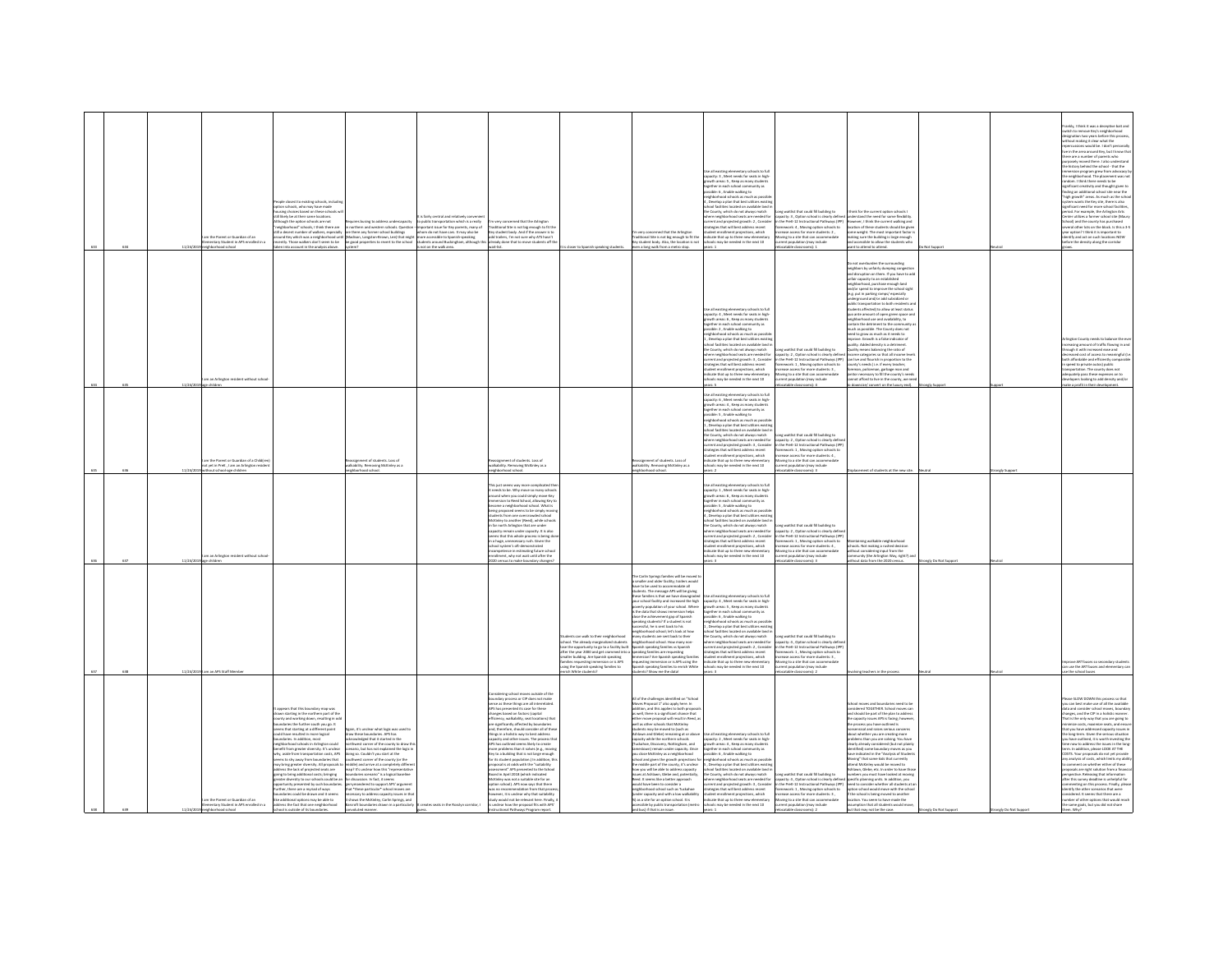| 634 |            | m the Parent or Guardian of an<br>tary Student in APS e<br>dertina.<br>phborhood school                      | ople closest to existing schools, includin<br>some schools, who may have made<br>using choices based on these schools<br>likely be at their same locations.<br>hough the option schools are not<br>ires busing to address undercapacity<br>righborhood" schools. I think there are<br>n northern and western schools. Question<br>I a decent number of walkers, especially<br>are there any former school buildings<br>und Key which was a neighborhood until (Madison, Langston-Brown, Lee) that migh<br>ently. Those walkers don't seem to be spood properties to revert to the school<br>en into account in the analysis above.                                                                                                                                                                                                                                                                                                                                                                                                                                                                                                                                                                                                                                                                                                                                                                                                                                                                                                                                                                  | fairly central and relatively o<br>wery concerned that the Arlington<br>public transportation which is a really<br>ortant issue for Key parents, many of<br>Traditional Site is not big enough to fit the<br>Key student body. And if the answer is to<br>om do not have cars. It may also be<br>add trailers. I'm not sure why ATS hasn'<br>ready done that to move stud<br>ints off t<br>wait-list.<br>not on the walk area.                                                                                                                                                                                                                                                                                                                                                                                                                                                                                                                                                                                                                                                         | is closer to Spanish speaking students                                                                                                                                                                                                                                                                                     | very concerned that the Arlinator<br>ditional Site is not big enough to fit the<br>student body. Also, the location is not<br>en a long walk from a metro stop.                                                                                                                                                                                                                                                                                                                                                                                                                                                                                                                                                                                                                                                                                                                                                                                             | te all existing elementary schools to full<br>capacity: 3, Meet needs for seats in high<br>growth areas: 5, Keep as many students<br>ogether in each school com<br>unity as<br>assible: 6, Enable walking to<br>eighborhood schools as much as possil<br>. Develop a plan that best utilizes existi<br>s located on available land i<br>e County, which do not always match<br>here neighborhood seats are needed for<br>urrent and projected growth: 2, Consider<br>atesies that will best address recent<br>udent enrollment projections, which<br>dicate that up to three new elements<br>hools may be needed in the next 10<br>years: 1                                                                                          | ong waitlist that could fill building to<br>apacity: 3 , Option school is clearly defin<br>in the PreK-12 Instructional Pathways (IPP)<br>amework: 4 . Moving option schools to<br>rease access for more students: 2<br>oving to a site that can accommodate<br>rent population (may include<br>locatable classrooms): 1                                          | think for the current option schools I<br>inderstand the need for some flexibility<br>wever, I think the current walking and<br>location of these students should be eiver<br>some weight. The most important factor<br>.<br>aking sure the building is large enough<br>nd accessible to allow the students who<br>nt to attend to attend.                                                                                                                                                                                                                                                                                                                                                                                                                                                                                                                                                                                                                                                                                                                                                         |                  |                | ankly, I think it was a deceptive bait and<br>witch to remove Key's neighborhood<br>signation two years before this proces<br>hout making it clear what the<br>ercussions would be. I don't pers<br>percussions would be. I don't personally<br>the in the area around Key, but I know that<br>ere are a number of parents who<br>osely moved there. I also understand<br>he history behind the school - that the<br>rsion program grew from advocacy I<br>e neighborhood. The placement was no<br>edom. I think there needs to be<br>prificant creativity and thought given to<br>nding an additional school site near the<br>high growth" areas. As much as the scho<br>system wants the Key site, there is also<br>silicant nearl for more school faciliti<br>germant need for more school facilities<br>seriod. For example, the Arlington Arts<br>Jenter utilizes a former school site (Mau<br>chool) and the county has purchased<br>everal other lots on the block. Is this a 3-5<br>ear ootion? I think it is important to<br>entify and act on such locations NOW<br>fore the density along the corrido |
|-----|------------|--------------------------------------------------------------------------------------------------------------|-----------------------------------------------------------------------------------------------------------------------------------------------------------------------------------------------------------------------------------------------------------------------------------------------------------------------------------------------------------------------------------------------------------------------------------------------------------------------------------------------------------------------------------------------------------------------------------------------------------------------------------------------------------------------------------------------------------------------------------------------------------------------------------------------------------------------------------------------------------------------------------------------------------------------------------------------------------------------------------------------------------------------------------------------------------------------------------------------------------------------------------------------------------------------------------------------------------------------------------------------------------------------------------------------------------------------------------------------------------------------------------------------------------------------------------------------------------------------------------------------------------------------------------------------------------------------------------------------------|----------------------------------------------------------------------------------------------------------------------------------------------------------------------------------------------------------------------------------------------------------------------------------------------------------------------------------------------------------------------------------------------------------------------------------------------------------------------------------------------------------------------------------------------------------------------------------------------------------------------------------------------------------------------------------------------------------------------------------------------------------------------------------------------------------------------------------------------------------------------------------------------------------------------------------------------------------------------------------------------------------------------------------------------------------------------------------------|----------------------------------------------------------------------------------------------------------------------------------------------------------------------------------------------------------------------------------------------------------------------------------------------------------------------------|-------------------------------------------------------------------------------------------------------------------------------------------------------------------------------------------------------------------------------------------------------------------------------------------------------------------------------------------------------------------------------------------------------------------------------------------------------------------------------------------------------------------------------------------------------------------------------------------------------------------------------------------------------------------------------------------------------------------------------------------------------------------------------------------------------------------------------------------------------------------------------------------------------------------------------------------------------------|--------------------------------------------------------------------------------------------------------------------------------------------------------------------------------------------------------------------------------------------------------------------------------------------------------------------------------------------------------------------------------------------------------------------------------------------------------------------------------------------------------------------------------------------------------------------------------------------------------------------------------------------------------------------------------------------------------------------------------------|-------------------------------------------------------------------------------------------------------------------------------------------------------------------------------------------------------------------------------------------------------------------------------------------------------------------------------------------------------------------|----------------------------------------------------------------------------------------------------------------------------------------------------------------------------------------------------------------------------------------------------------------------------------------------------------------------------------------------------------------------------------------------------------------------------------------------------------------------------------------------------------------------------------------------------------------------------------------------------------------------------------------------------------------------------------------------------------------------------------------------------------------------------------------------------------------------------------------------------------------------------------------------------------------------------------------------------------------------------------------------------------------------------------------------------------------------------------------------------|------------------|----------------|------------------------------------------------------------------------------------------------------------------------------------------------------------------------------------------------------------------------------------------------------------------------------------------------------------------------------------------------------------------------------------------------------------------------------------------------------------------------------------------------------------------------------------------------------------------------------------------------------------------------------------------------------------------------------------------------------------------------------------------------------------------------------------------------------------------------------------------------------------------------------------------------------------------------------------------------------------------------------------------------------------------------------------------------------------------------------------------------------------------|
|     |            | m an Arlineton resident without schoo                                                                        |                                                                                                                                                                                                                                                                                                                                                                                                                                                                                                                                                                                                                                                                                                                                                                                                                                                                                                                                                                                                                                                                                                                                                                                                                                                                                                                                                                                                                                                                                                                                                                                                     |                                                                                                                                                                                                                                                                                                                                                                                                                                                                                                                                                                                                                                                                                                                                                                                                                                                                                                                                                                                                                                                                                        |                                                                                                                                                                                                                                                                                                                            |                                                                                                                                                                                                                                                                                                                                                                                                                                                                                                                                                                                                                                                                                                                                                                                                                                                                                                                                                             | Jse all existing elementary schools to ful<br>apacity: 4, Meet needs for seats in high<br>owth areas: 6 , Keep as many student<br>gether in each school community as<br>ssible: 2 , Enable walking to<br>righborhood schools as much as pos<br>Develop a plan that best utilizes existi<br>ool facilities located on available land i<br>he County, which do not always match<br>we county, which do not annoys match<br>there neighborhood seats are needed for<br>trategies that will best address recent<br>tudent enrollment projections, which<br>ndicate that up to three new elementary<br>ools may be needed in the next 10                                                                                                  | na waitlist that could fill building to<br>carg winnin that coast in busining to<br>impacity: 2 , Option school is clearly define<br>in the PreK-12 Instructional Pathways (IPP)<br>framework: 1 , Moving option schools to<br>rease access for more students: 3,<br>oving to a site that can accommodate<br>ent population (may include<br>atable classrooms): 4 | not overburden the surrounding<br>neighbors by unfairly dumping congestion<br>and disruption on them. If you have to add<br>mfair capacity to an established<br>best darges assimum boodwatch<br>neighborhood, purchise enough land<br>and/or spent to improve the school sight<br>(e.g. put in parking ramps/ especially<br>underground and/or add subsidieed or<br>public transportation to both residents an<br>students affected) to allow<br>quo ante amount of open green space and<br>neighborhood use and availability, to<br>contain the detriment to the community a<br>much as possible. The County does not<br>need to grow as much as it needs to<br>rove. Growth is a false indicator of<br>sality. Added density is a detriment<br>ailty means balancing the ratio of<br>income categories so that all income leve<br>can live and flourish in proportion to the<br>county's needs ( i.e. if every teacher,<br>oreman, policeman, garbage man and<br>initor necessary to fill the county's need<br>not afford to live in the county, we ne<br>downsize/ convert on the luxury end). |                  |                | ington County needs to balance the e<br>sing amount of traffic flowing in and<br>rough it with increased ease and<br>sed cost of access to meaningful ()<br>oth affordable and efficiently comparab<br>speed to private autos) public<br>nsportation. The county does not<br>dequately pass these expenses on to<br>velopers looking to add density and/or<br>ke a profit in their development.                                                                                                                                                                                                                                                                                                                                                                                                                                                                                                                                                                                                                                                                                                                  |
|     |            | am the Parent or Guardian of a Child(re<br>tot yet in PreK , I am an Arlington reside<br>t school-age childr | assignment of students. Loss of<br>ikability. Nemoving McKinley as a<br>orhood scho                                                                                                                                                                                                                                                                                                                                                                                                                                                                                                                                                                                                                                                                                                                                                                                                                                                                                                                                                                                                                                                                                                                                                                                                                                                                                                                                                                                                                                                                                                                 | leassignment of students. Loss of<br>valkability. Removing McKinley as a<br>hood scho                                                                                                                                                                                                                                                                                                                                                                                                                                                                                                                                                                                                                                                                                                                                                                                                                                                                                                                                                                                                  |                                                                                                                                                                                                                                                                                                                            | rassignment of students. Loss of<br>alkability. Removing McKinley as a<br>borhood schoo                                                                                                                                                                                                                                                                                                                                                                                                                                                                                                                                                                                                                                                                                                                                                                                                                                                                     | Use all existing elementary schools to full<br>capacity: 6 , Meet needs for seats in high-<br>growth areas: 4 , Keep as many students<br>parther in each school community as<br>.<br>sible: 5 , Enable walking to<br>ishborhood schools as much as poss<br>ighborhood schools as much as poss<br>, Develop a plan that best utilizes exi<br>school facilities located on available land i<br>the County, which do not always match<br>where neighborhood seats are needed for<br>urrent and projected growth: 3 , Consider<br>trategies that will best address recent<br>acegoes true will best address recent<br>dent enrollment projections, which<br>licate that up to three new elementary<br>lools may be needed in the next 10 | ong waitlist that could fill building to<br>capacity: 2 . Option school is clearly defin<br>in the Dreft, 17 Instructional Dathways (ID)<br>ework: 1 . Moving option schools to<br>hase access for more students: 4<br>oving to a site that can accommodat<br>lation (may include<br>int popu<br>stable classrooms): 3                                            | t of students at the new sit                                                                                                                                                                                                                                                                                                                                                                                                                                                                                                                                                                                                                                                                                                                                                                                                                                                                                                                                                                                                                                                                       |                  | aly Sup        |                                                                                                                                                                                                                                                                                                                                                                                                                                                                                                                                                                                                                                                                                                                                                                                                                                                                                                                                                                                                                                                                                                                  |
| 637 |            | am an Arlington resident without scho                                                                        |                                                                                                                                                                                                                                                                                                                                                                                                                                                                                                                                                                                                                                                                                                                                                                                                                                                                                                                                                                                                                                                                                                                                                                                                                                                                                                                                                                                                                                                                                                                                                                                                     | This just seems way more complicated the<br>it needs to be. Why move so many schools<br>around when you could simply move Key<br>Immersion to Reed School, allowing Key to<br>become a neighborhood school. What is<br>seing proposed seems to be simply mov<br>tudents from one overcrowded school<br>tudents from one overcrowded school<br>dcKirley to another (Reed), while school<br>n far north Arlington that are under<br>apacity remain under capacity. It is also<br>ems that this whole process is being do<br>a hues, unnecessary rush. Given the<br>ol system's oft-demonstrated<br>petence in estimating future scho<br>Iment, why not wait until after the                                                                                                                                                                                                                                                                                                                                                                                                              |                                                                                                                                                                                                                                                                                                                            |                                                                                                                                                                                                                                                                                                                                                                                                                                                                                                                                                                                                                                                                                                                                                                                                                                                                                                                                                             | Use all existing elementary schools to full<br>capacity: 1 , Meet needs for seats in high-growth areas: 6 , Keep as many students<br>together in each school community as<br>assible: 5, Enable walking to<br>eighborhood schools as much as possil<br>espixementations and that best utilizes existing<br>chool facilities located on available land in<br>the County, which do not always match<br>there neighborhood seats are needed for<br>urrent and projected growth: 2, Consider<br>trategies that will best address recent<br>udent enrollment projections, which<br>dicate that up to three new elem<br>hools may be needed in the next 10<br>Ws: 3                                                                        | ong waitlist that could fill building to<br>apacity: 2 , Option school is clearly de<br>the PreK-12 Instructional Pathways (IPI<br>mework: 1. Moving option schools to<br>ease access for more students: 4<br>ving to a site that can accommodate<br>ent population (may include<br>catable classrooms): 3                                                        | aining walkable neighborhood<br>chools. Not making a rushed decision<br>book not making a russed deciser<br>fout considering input from the<br>fout data from the 2020 census.                                                                                                                                                                                                                                                                                                                                                                                                                                                                                                                                                                                                                                                                                                                                                                                                                                                                                                                     | ngly Do Not Supp |                |                                                                                                                                                                                                                                                                                                                                                                                                                                                                                                                                                                                                                                                                                                                                                                                                                                                                                                                                                                                                                                                                                                                  |
| 638 | 11/24/2019 | m an APS Staff Memb                                                                                          |                                                                                                                                                                                                                                                                                                                                                                                                                                                                                                                                                                                                                                                                                                                                                                                                                                                                                                                                                                                                                                                                                                                                                                                                                                                                                                                                                                                                                                                                                                                                                                                                     |                                                                                                                                                                                                                                                                                                                                                                                                                                                                                                                                                                                                                                                                                                                                                                                                                                                                                                                                                                                                                                                                                        | dents can walk to their neighborhood<br>school. The already marginalized students<br>lose the opportunity to go to a facility built<br>the the year 2000 and get crammed in<br>maller building. Are Spanish speaking<br>milles requesting immersion or is APS<br>using the Spanish speaking families to<br>Vhite students? | be Carlin Sorines families will be moved to<br>smaller and older facility, trailers would<br>are to be used to accommodate all<br>tudents. The message APS will be giving<br>hese families is that we have downgraded<br>our school facility and increased the high<br>verty population of your school. Where<br>the data that shows immersion helps<br>one were come and an internation neighborhood<br>cost the achievement gap of Spanish<br>eaking students? If a student is not<br>ccessful, he is sent back to his<br>ighborhood school; let's look at how<br>any students are sent back to their<br>any sousems are sent back to their<br>ighborhood school. How many non-<br>arish speaking families vs Spanish<br>eaking families are requesting<br>mersion? Are Spanish speaking families<br>questing immersion or is APS using the<br>questing i<br>ish speaking families to enrich White<br>Isab add am world Szin                              | Use all existing elementary schools to ful<br>capacity: 4, Meet needs for seats in high<br>growth areas: 5 . Keep as many students<br>together in each school con<br>vitu ac<br>sible: 6 . Enable walking to<br>ission: 6 , crucer waixing to<br>ighborhood schools as much as possibl<br>. Develop a plan that best utilizes existi<br>tol facilities located on available land<br>the County, which do not always match<br>ie Lourity, writen ao not anways matem<br>here neighborhood seats are needed for<br>prient and projected growth: 2 , Consider<br>rategies that will best address recent<br>udent enrollment projections, which<br>dicate that up to three new<br>ools may be needed in the next 10                      | ong waitlist that could fill building to<br>apacity: 4 , Option school is clearly define<br>1 the PreK-12 Instructional Pathways (IPF<br>ework: 1, Moving option schools<br>ase access for more students: 3,<br>ving to a site that can accor<br>rent population (may include<br>somal: 2                                                                         |                                                                                                                                                                                                                                                                                                                                                                                                                                                                                                                                                                                                                                                                                                                                                                                                                                                                                                                                                                                                                                                                                                    |                  |                | rove ART buses so secondary stud<br>n use the ART buses and elementary ca<br>the school buses                                                                                                                                                                                                                                                                                                                                                                                                                                                                                                                                                                                                                                                                                                                                                                                                                                                                                                                                                                                                                    |
|     | 11/24/2    | m the Parent or Guardian of an<br>entary Student in APS enrolled in a<br>hood school                         | ppears that this boundary map was<br>awn starting in the northern part of th<br>bunty and working down, resulting in od-<br>daries the further south you go. It<br>ms that starting at a different point<br>in 10's conclusor what linkin was coast a<br>draw these boundaries. APS has<br>acknowledged that it started in the<br>ould have resulted in more logical<br>oundaries. In addition, most<br>eighborhood schools in Arlington could<br>arthwest corner of the county to draw t<br>nefit from areater diversity. It's unclear<br>cenario, but has not explained the losic is<br>dy, aside from transportation costs. APS<br>one so. Couldn't you start at the<br>ms to shy away from boundaries that<br>uthwest corner of the county (or the<br>iddle) and arrive at a completely differ<br>erris to sny away morn boundaries that<br>ay bring greater diversity. All proposals t<br>idress the lack of projected seats are<br>map? It's unclear how this<br>ping to bring additional costs; bringing<br>reater diversity to our schools could be as<br>boundaries scenario" is a logical baseline<br>for discussion. In fact, it seems<br>ortunity presented by such boundaries<br>eervmandered to support APS' argument<br>ethan there are a muriari of ward<br>that *these narticular* school me<br>latios rough he drawn and it seares<br>lany to address canacity issues in th<br>e additional options may be able to<br>hows the McKinley, Carlin Springs, and<br>ddress the fact that one neighborhood<br>croft boundaries drawn in a particularly<br>thool is outside of its bour | idering school moves outside of the<br>Constanting science interest constant of the<br>Semse as these things are all interrelated<br>APS has presented its case for these<br>hanges based on factors (capital<br>incy, walkability, seat locations) that<br>are significantly affected by boundaries<br>and approximately annually consider all of these<br>things in a holistic way to best address<br>capacity and other issues. The process that<br>APS has outlined seems likely to create<br>more problems than it solves (e.g., moving<br>Key to a building that is not large enough<br>or its student population.) In addition, t<br>roposal is at odds with the "suitability<br>assessment" APS presented to the Schor<br>Board in April 2018 (which indicated<br>cKinley was not a suitable site for an<br>ion school). APS now says that there<br>dation from that or<br>our it is unrison why that suitability<br>udy would not be relevant here. Finally,<br>is seats in the Rosslyn corridor. I<br>unclear how the proposal fits with APS'<br>ional Pathways Program repo |                                                                                                                                                                                                                                                                                                                            | I of the challenges identified on "School<br>fows Proposal 1" also apply here. In<br>ddition, and this applies to both proposal<br>s well, there is a significant chance that<br>ither move proposal will result in Reed, as<br>vell as other schools that McKinley<br>strates the moved to (such as<br>thieves and Glebe) remaining at or above<br>pacity while the northern schools<br>sckahoe, Discovery, Nottingham, and<br>sestown) remain under capacity. Once<br>dose McKinley as a neighborhood<br>hool and given the growth projections for<br>e middle part of the county, it's unclear<br>ow you will be able to address capacity<br>is at Ashlawn, Glebe and, potentially,<br>ed. It seems like a better approach<br>suld have been to consider a<br>ishbookood school such as Turkahoa<br>r capacity and with a low walkability<br>as a site for an option school. It is<br>ssible by public transportation (metro<br>bus) if that is an issue | Use all existing elementary schools to full<br>capacity: 2 , Meet needs for seats in high-<br>growth areas: 4 , Keep as many students<br>together in each school community as<br>ssible: 6 . Enable walking to<br>idshortsmot schools as much as nossi<br>Develop a plan that best util<br>e County, which do not always match<br>here neighborhood seats are needed for<br>rent and projected erowth: 3 . Consider<br>tegies that will best address recent<br>int projections, which<br>dicate that up to three new eleme<br>chools may be needed in the next 10                                                                                                                                                                    | ng waitlist that could fill building to<br>pacity: 4, Option school is clearly defin<br>in the PreK-12 Instructional Pathways (IPP)<br>ework: 1 . Moving option schools to<br>the assessed for more<br>Churlands R<br>ving to a site that can accommodate<br>ent population (may include<br>pms): 2                                                               | ol moves and boundaries need to be<br>idered TOGETHER. School moves car<br>ind should be part of the plan to address<br>he capacity issues APS is facing: however<br>e process you have outlined is<br>nessensical and raises serious concerns<br>about whether you are creating more<br>roblems than you are solving. You have<br>clearly already considered (but not plain!<br>dentified) some boundary moves as you<br>ave indicated in the "Analysis of Studes<br>iving" that some kids that currently<br>end McKinley would be moved to<br>invn, Glebe, etc. In order to have th<br>bers you must have looked at moving<br>pecific planning units. In addition, you<br>eed to consider whether all students at a<br>proto to consider which it is accessed at a<br>price school is being moved to another<br>location. You seem to have made the<br>umption that all students would move                                                                                                                                                                                                      |                  | mely Do Not Su | iase SLOW DOWN this process so that<br>u can best make use of all the available<br>changes, and the CIP in a holistic manner<br>hat is the only way that you are soing to<br>mize costs, maximize seats, and ens<br>hat you have addressed capacity issues in<br>the long-term. Given the serious situation<br>ou have outlined, it is worth investing the<br>me now to address the issues in the long<br>rm. In addition, please LOOK AT THE<br>COSTS. Your proposals do not yet provid-<br>ourse. Their proposes do not yet provide<br>try analysis of costs, which limits my abil<br>to comment on whether either of these<br>reposals are right solution from a financ<br>erspective. Releasing that information<br>ther this survey deadline is unhelpful for<br>menting on this process. Finally, pleas<br>antify the other scenarios that were<br>locart It seems that there are a<br>ther of other options that would reach<br>the same goals, but you did not share                                                                                                                                     |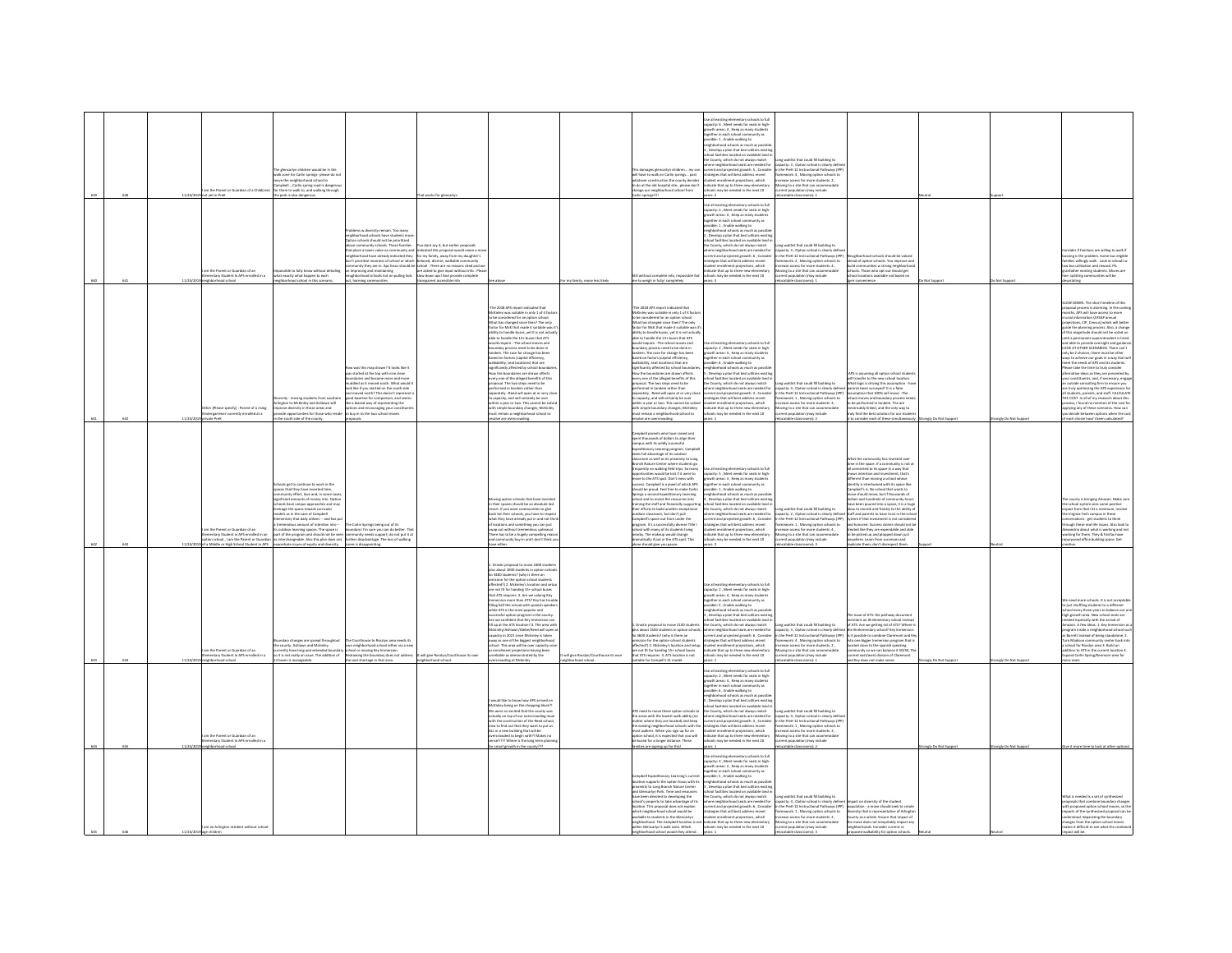|  | 11/24/2 | m the Parent or Guardian of a Child(rer<br>not yet in PreK                                                     | del ha in th<br>alk zone for Carlin springs- please do no<br>alk zone for Carlin springs- please do no<br>ove the neighborhood school to<br>mpbellCarlin spring road is dangerou<br>r them to walk to, and walking through<br>the park is also dangerous.                                                                                                                                                                                                                                                                                                                                                                                                          |                                                                                                                                                                                                                                                                                                                                                                                                                 | at works for eler                                                                                                                                                                                                                                                                                                             |                                                                                                                                                                                                                                                                                                                                                                                                                                                                                                                                                                                                                                                                                                                                                                                                                                                                                                                                                                                                        |                                                           | ll have to walk on Carlin springs past<br>hatever construction the county decides<br>to do at the old hospital siteplease don't<br>change our neighborhood school from<br>Illigeings rifse                                                                                                                                                                                                                                                                                                                                                                                                                                                                                                                                                                                                                                                                                                                                                                                                                                                                | Use all existing elementary schools to full<br>capacity: 6 , Meet needs for seats in high-<br>wth areas: 4 , Keep as many students<br>ether in each school community as<br>sible: 1, Enable walking to<br>ishborhood schools as much as possib<br>Develop a plan that best utilizes existin<br>ol facilities located on available land i<br>County, which do not always match<br>and costs are product for<br>there neighborhood seats are needed for<br>urrent and projected growth: 5, Consider<br>trategies that will best address recent<br>tradegies that will best address recent<br>tudent enrollment projections, which<br>incate that up to three<br>$\text{circ 2}$                                                                                                                         | vaitlist that could fill building to<br>ity: 3. Ontion school is clearly de-<br>apacity: a , option school is clearly definition<br>the PreK-12 Instructional Pathways (IP)<br>ramework: 4 , Moving option schools to<br>tcrease access for more students: 2 ,<br>oving to a site that can accom<br>ent population (may include<br>catable classrooms): 1       |                                                                                                                                                                                                                                                                                                                                                                                                                                                                                                                                                                                                                                                                                                                                                                                                                                                                          |                   |                    |                                                                                                                                                                                                                                                                                                                                                                                                                                                                                                                                                                                                                                                                                                                                                                                                                                                                                                                                                                                                                                                                                          |
|--|---------|----------------------------------------------------------------------------------------------------------------|--------------------------------------------------------------------------------------------------------------------------------------------------------------------------------------------------------------------------------------------------------------------------------------------------------------------------------------------------------------------------------------------------------------------------------------------------------------------------------------------------------------------------------------------------------------------------------------------------------------------------------------------------------------------|-----------------------------------------------------------------------------------------------------------------------------------------------------------------------------------------------------------------------------------------------------------------------------------------------------------------------------------------------------------------------------------------------------------------|-------------------------------------------------------------------------------------------------------------------------------------------------------------------------------------------------------------------------------------------------------------------------------------------------------------------------------|--------------------------------------------------------------------------------------------------------------------------------------------------------------------------------------------------------------------------------------------------------------------------------------------------------------------------------------------------------------------------------------------------------------------------------------------------------------------------------------------------------------------------------------------------------------------------------------------------------------------------------------------------------------------------------------------------------------------------------------------------------------------------------------------------------------------------------------------------------------------------------------------------------------------------------------------------------------------------------------------------------|-----------------------------------------------------------|-----------------------------------------------------------------------------------------------------------------------------------------------------------------------------------------------------------------------------------------------------------------------------------------------------------------------------------------------------------------------------------------------------------------------------------------------------------------------------------------------------------------------------------------------------------------------------------------------------------------------------------------------------------------------------------------------------------------------------------------------------------------------------------------------------------------------------------------------------------------------------------------------------------------------------------------------------------------------------------------------------------------------------------------------------------|-------------------------------------------------------------------------------------------------------------------------------------------------------------------------------------------------------------------------------------------------------------------------------------------------------------------------------------------------------------------------------------------------------------------------------------------------------------------------------------------------------------------------------------------------------------------------------------------------------------------------------------------------------------------------------------------------------------------------------------------------------------------------------------------------------|-----------------------------------------------------------------------------------------------------------------------------------------------------------------------------------------------------------------------------------------------------------------------------------------------------------------------------------------------------------------|--------------------------------------------------------------------------------------------------------------------------------------------------------------------------------------------------------------------------------------------------------------------------------------------------------------------------------------------------------------------------------------------------------------------------------------------------------------------------------------------------------------------------------------------------------------------------------------------------------------------------------------------------------------------------------------------------------------------------------------------------------------------------------------------------------------------------------------------------------------------------|-------------------|--------------------|------------------------------------------------------------------------------------------------------------------------------------------------------------------------------------------------------------------------------------------------------------------------------------------------------------------------------------------------------------------------------------------------------------------------------------------------------------------------------------------------------------------------------------------------------------------------------------------------------------------------------------------------------------------------------------------------------------------------------------------------------------------------------------------------------------------------------------------------------------------------------------------------------------------------------------------------------------------------------------------------------------------------------------------------------------------------------------------|
|  |         | the Darent or Guardian of an<br>ary Student in APS e<br>et in a                                                | .<br>Na to folk know without details<br>that exactly what happen to each                                                                                                                                                                                                                                                                                                                                                                                                                                                                                                                                                                                           | ablems w diversity remain. Too many<br>ighborhood schools have students mo<br>tion schools should not be prioritized<br>ove community schools. Those families<br>that place a lower value on community an<br>th borhood have already indicated they for my family, away from my daughter's<br>'t prioritize nearness of school or whic<br>mproving and maintaining<br>ghborhood schools not on pulling kids     | u dont say it, but earlier proposal<br>ndicated this proposal would mean a n<br>beloved, diverse, walkable con<br>unity they are in. Ags focus should be school . There are no reasons cited and y<br>chool : inere are no iveness some<br>are asked to give input without info . Plea<br>ilow down aps! And provide complete |                                                                                                                                                                                                                                                                                                                                                                                                                                                                                                                                                                                                                                                                                                                                                                                                                                                                                                                                                                                                        |                                                           | data info imm<br>ceibhle for<br>to weigh in fully/ co                                                                                                                                                                                                                                                                                                                                                                                                                                                                                                                                                                                                                                                                                                                                                                                                                                                                                                                                                                                                     | .<br>Se all existing elementary schools to full<br>apacity: S. Meet needs for seats in high<br>.<br>swth areas: 4 , Keep as many student<br>gether in each school community as<br>sible: 1 , Enable walking to<br>ghborhood schools as much as po<br>Develop a plan that best utilises en<br>ol facilities located on available land<br>the County, which do not always match<br>re neighborhood seats are needed for<br>rent and projected growth: 6, Consider<br>tegies that will best address recent<br>dent enrollment projections, which<br>cate that up to three new elementary<br>may be needed in the next 10                                                                                                                                                                                 | ing waitlist that could fill building to<br>acity: 3, Option school is clearly defi<br>in the PreK-12 Instructional Pathways (IPP)<br>ework: 2, Moving option schools to<br>ease access for more students: 4 .<br>vine to a site that can accommodate<br>tion (may include                                                                                      | od schools should be valued<br>ahead of option schools. You improve an<br>build communities w strone neighborho<br>chools. Those who got out si<br>سدانه<br>sool locations available not based o                                                                                                                                                                                                                                                                                                                                                                                                                                                                                                                                                                                                                                                                         |                   |                    | sider if familues are willing to walk it<br>sing is the problem. Some bus eligible<br>nlies wilingly walk. Look at schools w<br>w bus utilization and reward. Pls<br>lather existing students. Moves are<br>splitting communities will be                                                                                                                                                                                                                                                                                                                                                                                                                                                                                                                                                                                                                                                                                                                                                                                                                                                |
|  |         | r (Please specify) : Parent of a rising<br>irreartener currently enrolled at a                                 | rsity - moving students from southers<br><b>lington to McKinley and Ashlawn will</b><br>.<br>rove diversity in those areas and<br>dde nonortunities for those who resi<br>e south side of the county                                                                                                                                                                                                                                                                                                                                                                                                                                                               | was this map drawn? It looks like it<br>started at the top with nice clean<br>ndaries and became more and more<br>Idied as it moved south. What would i<br>ook like if you started on the south side<br>d moved north? This doesn't represent<br>od baseline for comparison, and seems<br>ike a biased way of representing the<br>.<br>ptions and encouraging your constitu<br>b buy in to the two school moves |                                                                                                                                                                                                                                                                                                                               | The 2018 APS report indicated that<br>McKinley was suitable in only 1 of 4 fact<br>to be considered for an option school.<br>What has changed since then? The only<br>factor for McK that made it suitable was i<br>ability to handle buses, yet it is not actually<br>able to handle the 13+ buses that ATS<br>rould require. - The school moves and<br>indary process need to be done in<br>andem. The case for change has be<br>ased on factors (capital efficiency.<br>save on ractors (capturementer),<br>significantly, seat locations) that are<br>significantly affected by school boundar<br>How the boundaries are drawn affects<br>every one of the alleged benefits of this<br>proposal. The two steps need to be<br>performed in tandem rather than<br>eparately. - Reed will open at or very clos<br>capacity, and will certainly be over<br>hin a year or two. This cannot be solve<br>h simple boundary changes; McKinley<br>st remain a neighborhood school to<br>lve are overcrowdin |                                                           | -The 2018 APS report indicated that<br>McKinley was suitable in only 1 of 4 facto<br>to be considered for an option school.<br>What has changed since then? The only<br>factor for McK that made it suitable was<br>ability to handle buses, yet it is not actual<br>ble to handle the 13+ buses that ATS<br>ould require. -The school moves and<br>indary process need to be done in<br>ndem. The case for change has been<br>sed on factors (capital efficiency.<br>ased on naccors (capital emisiency,<br>alkability, seat locations) that are<br>gnificantly affected by school bounda<br>ow the boundaries are drawn affects<br>ivery one of the alleged benefits of this<br>proposal. The two steps need to be<br>erformed in tandem rather than<br>parately. -Reed will open at or very clos-<br>capacity, and will certainly be over<br>thin a year or two. This cannot be solve<br>.<br>h simple boundary changes; McKinley<br>st remain a neighborhood school to                                                                                | ie all existing elementary schools to full<br>acity: 2 . Meet needs for seats in high<br>wth areas: 4, Keep as many stu<br>ether in each school community<br>ther in each school community as<br>able: 6 , Enable walking to<br>hborhood schools as much as poss<br>weelop a plan that best utilizes exis<br>ool facilities located on available land is<br>County, which do not always match<br>tere neighborhood seats are needed for<br>rrent and projected growth: 3 , Consider<br>ategies that will best address recent<br>dent enrollment projections, which<br>dent enrowmens propression, on<br>icate that up to three new elementa<br>sools may be needed in the next 10                                                                                                                     | ong waitlist that could fill building to<br>pacity: 4, Option school is clearly defined parents been surveyed? It is a false<br>the PreK-12 Instructional Pathways (IPP)<br>tework: 1 . Moving option schools to<br>ease access for more students: 3 .<br>ing to a site that can accome<br>ent population (may include                                          | ning all option school stud<br>APS is as<br>will transfer to the new school location.<br>What logic is driving this assumption - ha<br>assumption that 100% will move. -The<br>chool moves and boundary process nee<br>to be performed in tandem. The are<br>.<br>inextricably linked, and the only way to<br>truly find the best solution for our stude<br>onsider each of these simultane                                                                                                                                                                                                                                                                                                                                                                                                                                                                              |                   |                    | OW DOWN. The short timeline of this<br>osal process is alarming. In the comis<br>ths, APS will have access to more<br><br>ation (AFSAP annual<br>ctions, CIP, Census) which will bette<br>le the planning process. Also, a chang<br>this magnitude should not be voted on<br>til a permanent superintendent is hired<br>able to provide oversight and auidant<br>OOK AT OTHER SCENARIOS. There can't<br>DDK AT OTHER SCENARDOS. There can't<br>ly be 2 choices; there must be other<br>ays to achieve our goals in a way that will<br>eet the needs of APS and its students.<br>ease take the time to truly consider<br>ternative ideas as they are p<br>aur constituents, and, if necessary, engag<br>n outside consulting firm to ensure you<br>re truly optimizing the APS experience fo<br>students, parents, and staff, CALCULATE<br>HE COST. In all of my research about this<br>cess. I found no mention of the cost fo<br>owa, + --------<br>Jying any of these scenarios. How ca.<br>منظمة الملابسة المستحدة بالمستحدة بالمستحدة بالمستحدة<br>ch choice hasn't been calculated? |
|  |         | m the Parent or Guardian of an<br>entary Student in APS enrolled in an<br>n school , I am the Parent or Guardi | ols get to continue to work in the<br>ces that they have invested time,<br>nmunity effort, love and, in some case<br>grificant amounts of money into. Option<br>hools have unique approaches and may<br>verage the space toward curricula<br>odels as in the case of Campbell<br>.<br>Intary that daily utilizes -- and has p<br>nendous amount of intention into -<br>tremensous amount or internion into --<br>is outdoor learning spaces. The space is<br>art of the program and should not be seen<br>is interchangeable. Also this plan does not<br>a Middle or High School Student in APS exacerbate issues of equity and diversity. pones is disappointing. | e Carlin Springs being out of its<br>ine Cariin Springs being out or its<br>boundary! I'm sure you can do better. That<br>community needs support; do not put it at<br>further disadvantage. The loss of walking                                                                                                                                                                                                |                                                                                                                                                                                                                                                                                                                               | ving option schools that have invested<br>in their spaces should be an absolute last<br>esort. If you want communities to give<br>back tot their schools, you have to resp<br>what they have already put in and not the<br>of locations and something you can just<br>wap out without tremendous upheaval<br>re has to be a hugely compelling reaso<br>I community buy-in and I don't think yo<br>we either.                                                                                                                                                                                                                                                                                                                                                                                                                                                                                                                                                                                           |                                                           | Campbell parents who have raised and<br>spent thousands of dollars to align their<br>campus with its wildly successful<br>tionary Learning program. Campbe<br>akes full advantage of its outdoor<br>sroom as well as its proximity to Lore<br>ech Nature Center where students go<br>quently on walking field trips. So many<br>eparitry on waising new trips. So many<br>pertunities would be lost if it were to<br>sve to the ATS spot. Don't mess with<br>ccess. Campbell is a jewel of which APS<br>ould be proud. Feel free to make Carlin<br>Springs a second Expeditionary Learning<br>hool and to invest the resources into<br>.<br>Intervals the staff and financially supporting<br>their efforts to build another exceptional<br>door classroom, but don't pull<br>sutdoor classroom, but don't pull<br>Campbell's space out from under the<br>orogram. It's a successfully diverse Title I<br>ichool with many of its students living<br>teamatically if put in the ATS spot. This<br>dramatically if put in th<br>one should give you pause. | all existing plant<br>entary schools to full<br>an example entertary scribbs to turn<br>acity: S , Meet needs for seats in high-<br>wth areas: S , Keep as many students<br>sther in each school community as<br>sible: 1, Enable walking to<br>ghborhood schools as much as post<br>Develop a plan that best utilizes existi<br>ool facilities located on available land i<br>he County, which do not always match<br>ere neighborhood seats are needed for<br>rent and projected growth: 6, Conside<br>texies that will best address recent<br>regies triat will best address recent<br>dent enrollment projections, which<br>cate that up to three new elementary<br>ools may be needed in the next 10                                                                                             | ong waitlist that could fill building to<br>apachy: 2, Option school is chearly defined<br>in the PreK-12 Instructional Pathways (DP)<br>ramework: 1 , Moving option schools to<br>ncrease access for more students: 4 ,<br>Moving to a site that can accommodate<br>urrent population (m<br>catable classrooms): 3                                             | at the community has invested ove<br>time in the space. If a community is not a<br>all connected to its space in a way that<br>connected to its space in a way that<br>sous intention and investment, that's<br>ferent than moving a school whose<br>intity is intertwined with its space like<br>Campbell's is. No school that wants to<br>move should move, but if thousands of<br>follars and hundreds of community hou<br>have been poured into a space, it is a huas<br>blow to morale and frankly to the ability o<br>ecity: 2, Option school is clearly defined staff and parents to have trust in the scho<br>system if that investment is not considere<br>and honored. Success stories should not b<br>ted like they are expendable and a<br>o be picked up and plopped down just<br>inywhere. Learn from successes and<br>licate them; don't disrespect them. |                   |                    | e county is bringing Amazon. Make sun<br>he school system sees some positive<br>pact from that! At a minimum, involve<br>e Virainia Tech campus in these<br>versations - get students to think<br>sugh these real-life issues. Also look to<br>suge to see the transit is working and no<br>standria about what is working and no<br>surposed office building space. Get<br>tive.                                                                                                                                                                                                                                                                                                                                                                                                                                                                                                                                                                                                                                                                                                        |
|  |         | n the Parent or Guardian of an<br>entary Student in APS enrolled in a<br>started school                        | ary changes are spread throughout<br>he county. Ashlawn and Mckinley<br>urrently have long and extended bounda<br>o it is not really an issue. The addition of<br>uses is manageable                                                                                                                                                                                                                                                                                                                                                                                                                                                                               | use to Bosslen area needs it<br>n neighborhood school either via a neu<br>iool or moving Key Immersion.<br>rawing the boundary does not addres<br>he seat shortage in that area.                                                                                                                                                                                                                                | t will give Rosslyn/Courthouse its own<br>Josefu boorhodrigie                                                                                                                                                                                                                                                                 | . Drastic proposal to move 2400 students<br>lus about 1000 students in option school<br>.<br>So 3400 students? (why is there an<br>omission for the option school students<br>omission for the option school students<br>affected?) 2. Molinhy's location and set<br>are not fit for handing 15+ school buses<br>are not fit for handing 15+ school buses<br>that ATS requires. 3. Are we valoing Key<br>firmersion more th<br>while ATS is the most popular and<br>successful option program in the county<br>Are we confident that Key Immersion ca<br>Il up at the ATS location? 4. The area wit<br>and line hand? a daily meet daily and<br>narity in 2021 since Mckinlay is take<br>secry in 2021 since necessary is taxe<br>ay as one of the biggest neighborho<br>lool. This area will be over capacity<br>liable as demonstrated by the<br>crowding at Mckinley                                                                                                                                | will give Rosslyn/Courthouse its own<br>ghborhood school. | Drastic proposal to move 2100 students<br>.<br>slus about 1500 students in option school<br>lo 3600 students? (why is there an<br>sion for the option school students<br>Imission for two upon<br>iffected?) 2. Mckinley's location and setup<br>are not fit for handing 15+ school buses<br>that ATS requires. 3. ATS location is not<br>ATS requires. 3. ATS location is not<br>ATS requires. 3. ATS locatio<br>able for Campell's EL model.                                                                                                                                                                                                                                                                                                                                                                                                                                                                                                                                                                                                            | all existing eler<br>etary schools to full<br>er as existing elementary scribbs to ruli<br>pacity: 2 , Meet needs for seats in high-<br>owth areas: 4 , Keep as many students<br>together in each school community as<br>possible: 5 , Enable walking to<br>eighborhood schools as much as possib<br>Develop a plan that best utilizes existi<br>ool facilities located on available land i<br>he County, which do not always match<br>examply, which do not annoys match<br>ore neighborhood seats are needed for<br>rent and projected growth: 6 , Consider<br>tegies that will best address recent<br>ategies that will best address recent<br>dent enrolment projections, which<br>icate that up to three new elementa<br>nois max ha max in the limit<br>Is may be needed in the next 10<br>rs:1 | na waitlist that could fill building to<br>.<br>pacity: 3, Option school is clearly defines<br>the PreK-12 Instructional Pathways (IPP)<br>me view-12 instructional vatinways (iv)<br>mework: 4 , Moving option schools to<br>rease access for more students: 2 ,<br>wing to a site that can accommodate<br>nt population (may include<br>atable classrooms): 1 | The issue of ATS: the pathway document<br>ntions an IB elementary school instea<br>of ATS. Are we getting rid of ATS? Where<br>e IB elementary school? Key Immersion<br>it possible to combine Claremont and K<br>the IR alam<br>possible to combine Curemont and Ne<br>one bigger Immersion program that is<br>sted close to the spanish speaking<br>Imunity so we can balance it 50/50. The<br>nt east/west division of Claremont<br>and Key does not make sense.                                                                                                                                                                                                                                                                                                                                                                                                      | ngly Do Not Suppo | Ingly Do Not Suppe | le need more schools. It is not accepti<br>just shuffing students to a different<br>tool every three years to balance out o<br>high growth area. New school seats are<br>ded especially with the arrival of<br>azon. A few ideas: 1. Key Immersion a:<br>.<br>gram inside a neighborhood school su<br>Barrett instead of being standalone. 2.<br><b>Made</b><br>hool for Rosslyn area 3. Build an<br>Ition to ATS in the current location 4<br>and Carlin Spring/Kenmore area for<br>e seats                                                                                                                                                                                                                                                                                                                                                                                                                                                                                                                                                                                             |
|  | 11/24/  | m the Parent or Guardian of an<br>entery Student in APS enrolled in a<br>thborhood school                      |                                                                                                                                                                                                                                                                                                                                                                                                                                                                                                                                                                                                                                                                    |                                                                                                                                                                                                                                                                                                                                                                                                                 |                                                                                                                                                                                                                                                                                                                               | d like to know how APS arri<br>McKinley being on the chopping block?!<br>We were so excited that the county was<br>actually on top of our overcrowding issue<br>with the construction of the Reed school,<br>now to find out that they want to put us<br>ALL in a new building that will be<br>crowded to begin with?! Makes no<br>Sense11212 Where is the long term plan<br>for smart growth in the county???                                                                                                                                                                                                                                                                                                                                                                                                                                                                                                                                                                                         |                                                           | need to move these option schools to<br>the areas with the lowest walk-ability (no<br>atter where they are located) and keep<br>the existing neighborhood schools with th<br>ost walkers. When you sign up for an<br>ption school, it is expected that you will<br>e bused for a longer distance. These<br>enilles are signing up for this!                                                                                                                                                                                                                                                                                                                                                                                                                                                                                                                                                                                                                                                                                                               | te all existing elementary schools to full<br>lacity: 2, Meet needs for seats in high<br>buth areas: 4 . Keep as many student<br>wher in each school community as<br>ssible: 6 , Enable walking to<br>sumer or , states was much as possibli<br>phorhood schools as much as possibli<br>hool facilities located on available land<br>e County, which do not always match<br>e County, which do not always match<br>here neighborhood seats are needed for<br>rrent and projected growth: 3 , Consider<br>tegies that will best address recent<br>,<br>dent enrollment projections, which<br>dicate that up to three new elementar<br>.<br>Mary<br>of town add ni babaan ad vam alor                                                                                                                   | ing waitlist that could fill building to<br>apacity: 4 , Option school is clearly defin<br>n the PreK-12 Instructional Pathways (IPI<br>ramework: 1, Moving option schools to<br>ease access for more students: 3 .<br>wing to a site that can accor<br><b>Minn fenau include</b><br>able classe                                                                |                                                                                                                                                                                                                                                                                                                                                                                                                                                                                                                                                                                                                                                                                                                                                                                                                                                                          | gly Do Not Sup    | ngly Do Not Su     | we it more time to look at other                                                                                                                                                                                                                                                                                                                                                                                                                                                                                                                                                                                                                                                                                                                                                                                                                                                                                                                                                                                                                                                         |
|  | 11/24/  | m an Arlington resident without school                                                                         |                                                                                                                                                                                                                                                                                                                                                                                                                                                                                                                                                                                                                                                                    |                                                                                                                                                                                                                                                                                                                                                                                                                 |                                                                                                                                                                                                                                                                                                                               |                                                                                                                                                                                                                                                                                                                                                                                                                                                                                                                                                                                                                                                                                                                                                                                                                                                                                                                                                                                                        |                                                           | <b>Lampbell Expeditionary Learning's current</b><br>location supports the option focus with its<br>coimity to Long Branch Nature Center<br>ind Glencariyn Park. Time and resources<br>.<br>Ive been devoted to developing the<br>hool's property to take advantage of its<br>summar pugerus us and assuming us an<br>action. This proposal does not explain<br>which neighborhood school would be<br>weilable to students in the Glencarlyn<br>neighborhood. The Campbell location is not<br>within Glencarlyn's walk zone. Which schools may be needed in the next 10<br>neighborhood school would they attend. years: 1                                                                                                                                                                                                                                                                                                                                                                                                                                 | ise all existing elementary schools to full<br>apacity: 4 , Meet needs for seats in high-<br>wth areas: 2, Keep as many student<br>gether in each school community as<br>sible: 5, Enable walking to<br>ighborhood schools as much as possib<br>.<br>Develop a plan that best utilizes existi<br>ed families<br>s located on available land i<br>County, which do not always match<br>thood seats are needed for<br>move uniquous constant of consider<br>strategies that will best address recent<br>strategies that will best address recent<br>student enrollment projections, which<br>indicate that up to three new elementary                                                                                                                                                                   | waitlist that could fill huilding to<br>ity: 4 . Option school is clearly defin<br>spacey. 4, opener sensor is courty because<br>the PreK-12 Instructional Pathways (IPP)<br>tamework: 1, Moving option schools to<br>crease access for more students: 2,<br>wing to a site that can accommodate<br>rent population (may include<br>$mk$ :                      | act on diversity of the student<br>population - a move should seek to create<br>diversity that is representative of Arlington<br>County as a whole. Ensure that impact of<br>the move does not inequitably impact any<br>neighborhoods. Consider current vs<br>proposed walkability for option school:                                                                                                                                                                                                                                                                                                                                                                                                                                                                                                                                                                   |                   |                    | at is needed is a set of conthesized<br>ials that o<br>dary chang<br>proposed option school moves, so th<br>proposed option school moves, so this<br>acts of the synthesized proposal can be<br>erstood. Separating the boundary<br>anges from the option school moves<br>akes it difficult to see what the combine<br>spact will be.                                                                                                                                                                                                                                                                                                                                                                                                                                                                                                                                                                                                                                                                                                                                                    |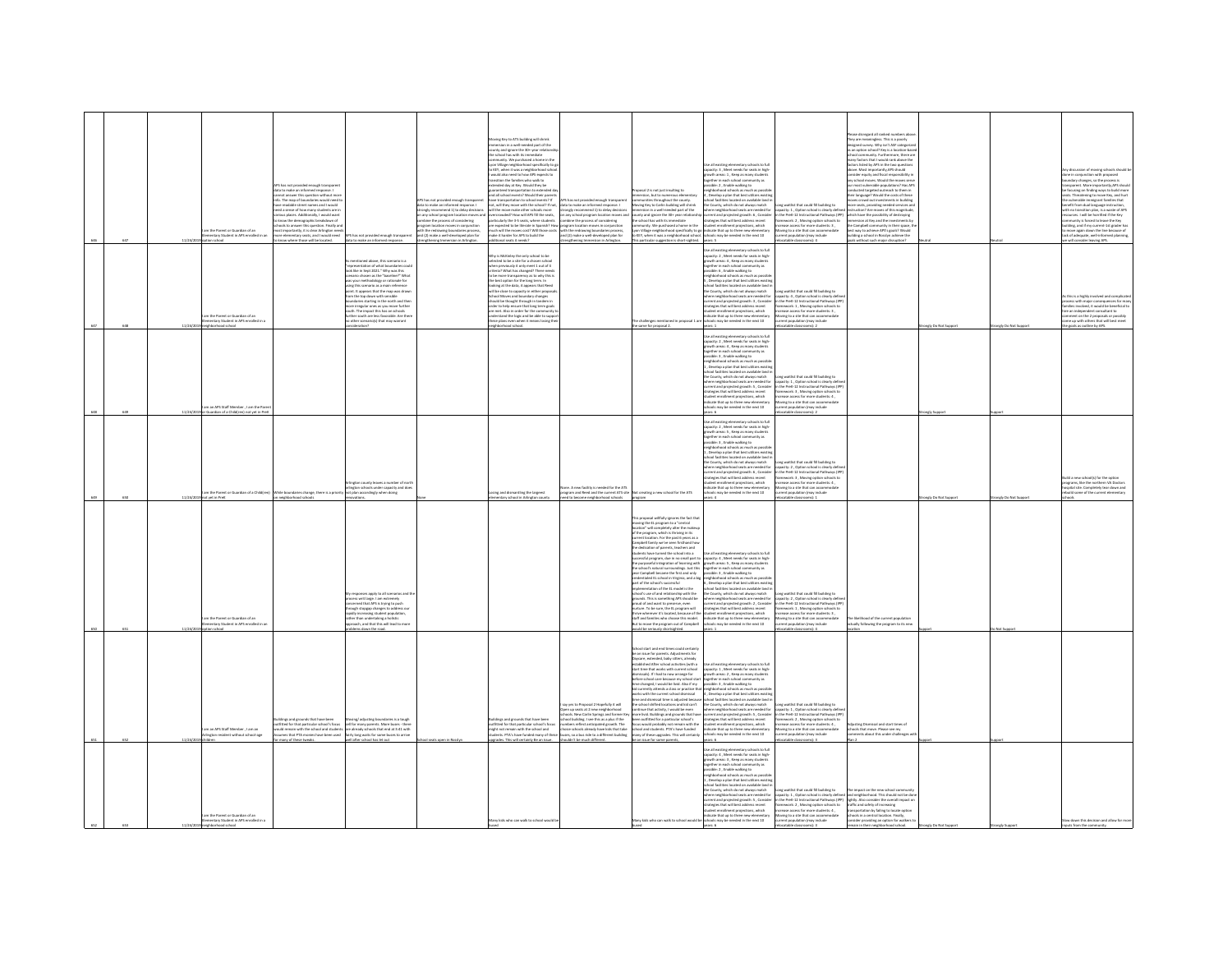|  |         | im the Parent or Guardian of an<br>entary Student in APS enrolled in an<br>loorfar nott  | VPS has not provided enough transparen<br>fata to make an informed response. I<br>not answer this question without more<br>in The man of houndaries would need t<br>e street names and I would<br>evel is sense of how many students are in<br>lead a sense of how many students are in<br>linos places. Additionally, I would want<br>hools to answer this question. Finally an<br>hools to answer this question. Finally an<br>ost importantly, it is clear Arlington nee<br>re elementary seats, and I would need<br>know where those will be located. | US has not provided enough transparent<br>data to make an informed response.                                                                                                                                                                                                                                                                                                                                                                                                                                                                                                       | .<br>45 has not provided enough trans<br>data to make an informed respons<br>strongly recommend 1) to delay decisions<br>on any school program location moves and<br>combine the process of considering<br>program location moves in conjunction<br>with the redrawing boundaries process,<br>and (2) make a well-developed plan for<br>strengthening Immersion in Arlington | wing Key to ATS building will shrink<br>rsion in a well-needed part of the<br>county and ignore the 30+ year relat<br>the school has with its immediate<br>the school rus with its immediate<br>community. We purchased a home in the<br>tyon Village neighborhood specifically to<br>to KEY, when it was a neighborhood scho<br>would also need to how APS expects to<br>ansition the families who walk to<br>extended day at Key. Would they be<br>aranteed transportation to exter<br>and all school events? Would their parent<br>Ti Colegea Incelno na natista<br>not, will they move with the school? If not<br>will the move make other schools more<br>overcrowded? How will APS fill the seats, on<br>particularly the 3-5 seats, where students con<br>are expected to be literate in Spanish? How pro<br>much will the moves cost? Will those costs with the redrawing boundaries process, make it harder for APS to build the and (2) make a well-developed plan for<br>Szbeen # asses langididas | ,<br>S has not provided enough trans<br>Ita to make an informed respons<br>as us used as must be delay decisions<br>in any school program location moves an<br>ombine the process of considering<br>rogram location moves in conjunction<br>trengthening Immersion in Arlington                         | oposal 2 is not just insulting to<br>ersion, but to numerous elementar<br>sitias throughout the county<br>wing Key to Carlin building will shrink<br>composes to cannot under the media part of the<br>surity and ignore the 30+ year relationship<br>e school has with its immediate<br>emmunity. We purchased a home in the<br>This particular suggestion is short-sighted.                                                                                                                                                                                                                                                                                                                                                                                                                                                                                                                                                                                                                                                                                                                                                                        | se all existing elementary schools to full<br>spacity: 3, Meet needs for seats in high-<br>wth areas: 1, Keep as many studen<br>gether in each school co<br>ssible: 2, Enable walking to<br>phborhood schools as much as possil<br>Develop a plan that best utilizes existin<br>ol facilities located on available land i<br>County, which do not always match<br>in county, winning and it is a medial for<br>there neighborhood seats are needed for<br>preet and projected growth: 6 , Consider<br>rategies that will best address recent<br>udent enrollment projections, which<br>yon Village neighborhood specifically to go indicate that up to three new elementary<br>o KEY, when it was a neighborhood school. schools may be needed in the next 10<br>vears: 5 | a waitlist that could fill building to<br>anglesty: 1, Option school is clearly define<br>the PreK-12 Instructional Pathways (IPF<br>ramework: 2, Moving option schools to<br>ease access for more students: 3,<br>toving to a site that can accommodate<br>rrent population (may include<br>catable classrooms): 4                                         | ase disregard all ranked numbers a<br>They are meaningless. This is a poorly<br>isned survey. Why isn't ASF catego<br>an option school? Key is a location-ba<br><b>Community furthermore there as</b><br>school commanny. Furthermore, trieve a<br>many factors that I would rank above the<br>factors listed by APS in the two questions<br>above. Most importantly, APS should<br>consider equity and fiscal responsibility is<br>any school moves. Would the moves serv<br>our most vulnerable populations? Has AP5<br>lucted targeted outreach to them in<br>heir laneuage? Would the costs of these<br>med not investments in huilding<br>re seats, providing needed services a<br>tion? Are moves of this magnitud<br>truction r wie moves or this magnitud<br>ich have the possibility of destroying<br>mersion at Key and the investments b<br>the Campbell community in their space, t<br>best way to achieve APS's goals? Would<br>ding a school in Rosslyn achieve the<br>Snotheuzib voism rlauz tucritiw also |                      |                     | in of moving schools should<br>se in conjunction with proposed<br>indary changes, so the process is<br>siparent. More importantly, APS should<br>cusing on finding ways to build more<br>ats. Threatening to move Key, and hurt<br>ists. Threatering to move Key, and hurt<br>e vulnerable immigrant families that<br>nefit from dual language instruction,<br>th no transition plan, is a waste of APS<br>sources. I will be horrified if the Key<br>mmunity is forced to leave<br>Iding, and if my current-1st grader ha<br>o move again down the line because of<br>ick of adequate, well-informed planning,<br>e will consider leaving APS. |
|--|---------|------------------------------------------------------------------------------------------|-----------------------------------------------------------------------------------------------------------------------------------------------------------------------------------------------------------------------------------------------------------------------------------------------------------------------------------------------------------------------------------------------------------------------------------------------------------------------------------------------------------------------------------------------------------|------------------------------------------------------------------------------------------------------------------------------------------------------------------------------------------------------------------------------------------------------------------------------------------------------------------------------------------------------------------------------------------------------------------------------------------------------------------------------------------------------------------------------------------------------------------------------------|------------------------------------------------------------------------------------------------------------------------------------------------------------------------------------------------------------------------------------------------------------------------------------------------------------------------------------------------------------------------------|---------------------------------------------------------------------------------------------------------------------------------------------------------------------------------------------------------------------------------------------------------------------------------------------------------------------------------------------------------------------------------------------------------------------------------------------------------------------------------------------------------------------------------------------------------------------------------------------------------------------------------------------------------------------------------------------------------------------------------------------------------------------------------------------------------------------------------------------------------------------------------------------------------------------------------------------------------------------------------------------------------------|---------------------------------------------------------------------------------------------------------------------------------------------------------------------------------------------------------------------------------------------------------------------------------------------------------|------------------------------------------------------------------------------------------------------------------------------------------------------------------------------------------------------------------------------------------------------------------------------------------------------------------------------------------------------------------------------------------------------------------------------------------------------------------------------------------------------------------------------------------------------------------------------------------------------------------------------------------------------------------------------------------------------------------------------------------------------------------------------------------------------------------------------------------------------------------------------------------------------------------------------------------------------------------------------------------------------------------------------------------------------------------------------------------------------------------------------------------------------|---------------------------------------------------------------------------------------------------------------------------------------------------------------------------------------------------------------------------------------------------------------------------------------------------------------------------------------------------------------------------------------------------------------------------------------------------------------------------------------------------------------------------------------------------------------------------------------------------------------------------------------------------------------------------------------------------------------------------------------------------------------------------|-------------------------------------------------------------------------------------------------------------------------------------------------------------------------------------------------------------------------------------------------------------------------------------------------------------------------------------------------------------|---------------------------------------------------------------------------------------------------------------------------------------------------------------------------------------------------------------------------------------------------------------------------------------------------------------------------------------------------------------------------------------------------------------------------------------------------------------------------------------------------------------------------------------------------------------------------------------------------------------------------------------------------------------------------------------------------------------------------------------------------------------------------------------------------------------------------------------------------------------------------------------------------------------------------------------------------------------------------------------------------------------------------|----------------------|---------------------|-------------------------------------------------------------------------------------------------------------------------------------------------------------------------------------------------------------------------------------------------------------------------------------------------------------------------------------------------------------------------------------------------------------------------------------------------------------------------------------------------------------------------------------------------------------------------------------------------------------------------------------------------|
|  |         | n the Parent or Guardian of an<br>entary Student in APS enrolled in<br>loorhood school   |                                                                                                                                                                                                                                                                                                                                                                                                                                                                                                                                                           | entioned above, this scenario is a<br>epresentation of what boundaries could<br>ck like in Sept 2021." Why was this<br>enario chosen as the "baseline?" What<br>s your methodology or rationale for<br>na this scenario as a main reference<br>nt. It appears that the map was drawn<br>m the too down with sensible<br>om the top down with sensible<br>undivise starting in the north and then<br>one irregular ones as you move further<br>uth. The impact this has on schools<br>ther south are less favorable. Are there<br>other south are less favorable. Are<br>Snottsmbia |                                                                                                                                                                                                                                                                                                                                                                              | Why is McKinley the only school to be<br>selected to be a site for a chosen school<br>when previously it only meet 1 out of 4<br>criteria? What has changed? There needs<br>to be more transparency as to why this is<br>the best option for the long term. In<br>looking at the data, it appears that Reed<br>will be close to capacity in either propor<br>will be close to capacity in either propositional Mondays and boundary changes<br>should be thought through in tandem in<br>order to help ensure that long term goal<br>are met. Also in order for the community<br>understand the logic a<br>these plans even when it means losing the<br>Jooda boorhod figier                                                                                                                                                                                                                                                                                                                                  |                                                                                                                                                                                                                                                                                                         | e challenges mentioned in proposal 1 are<br>he same for proposal 2.                                                                                                                                                                                                                                                                                                                                                                                                                                                                                                                                                                                                                                                                                                                                                                                                                                                                                                                                                                                                                                                                                  | se all existing elementary schools to full<br>Use all existing elementary schools to full<br>capacity: 2, Meet needs for seats in high-<br>growth areas: 4 , Keep as many students<br>together in each school community as<br>possible: 6 , Enable walking to<br>mighborhood schools as muc<br>, Develop a plan that best utilizes existin<br>ool facilities located on available land i<br>the County, which do not always match<br>re neighborhood seats are needed for<br>www.wayoutour.com are the control and projected growth: 3 , Consider<br>treples that will best address recent<br>dent enrollment projections, which<br>dicate that up to three new elementary<br>$\dots \dots \dots$ ones new elementary ools may be needed in the next<br>$10$<br>ears: 1   | ng waitlist that could fill building to<br>city: 4 . Option school is clearly defi<br>species - , update subset is usery series<br>the PreK-12 Instructional Pathways (IPF<br>ramework: 1 , Moving option schools to<br>rease access for more students: 3 ,<br>oving to a site that can accommoda<br>rent population (may include<br>catable classrooms): 2 |                                                                                                                                                                                                                                                                                                                                                                                                                                                                                                                                                                                                                                                                                                                                                                                                                                                                                                                                                                                                                           | angly Do Not Support | rongly Do Not Suppo | this is a highly involved and cor<br>.<br>Is with major consequences for ma<br>Is involved, it would be beneficial t<br>re an independent consultant to<br>mment on the 2 proposals or possibly<br>me up with others that will best meet<br>he goals as outline by APS.                                                                                                                                                                                                                                                                                                                                                                         |
|  |         | an APS Staff Member , I am the P.<br>e Guardian of a Child(ren) not yet in Pret          |                                                                                                                                                                                                                                                                                                                                                                                                                                                                                                                                                           |                                                                                                                                                                                                                                                                                                                                                                                                                                                                                                                                                                                    |                                                                                                                                                                                                                                                                                                                                                                              |                                                                                                                                                                                                                                                                                                                                                                                                                                                                                                                                                                                                                                                                                                                                                                                                                                                                                                                                                                                                               |                                                                                                                                                                                                                                                                                                         |                                                                                                                                                                                                                                                                                                                                                                                                                                                                                                                                                                                                                                                                                                                                                                                                                                                                                                                                                                                                                                                                                                                                                      | Jse all existing elementary schools to full<br>:<br>spacity: 2 , Meet needs for seats in high<br>powth areas: 4 , Keep as many students<br>Communications<br>and school community as<br>assible: 3 , Enable walking to<br>eighborhood schools as much as possible<br>, Develop a plan that best utilizes existing<br>ool facilities located on available land i<br>the County, which do not always match<br>ere neighborhood seats are needed for<br>arrent and projected growth: 5, Conside<br>ategies that will best address recent<br>dent enrolment projections, which<br>icate that up to three new elementar<br>may be needed in the next 10<br>ears: 6                                                                                                             | ong waitlist that could fill building to<br>acity: 1 . Option school is clearly defin<br>in the PreK-12 Instructional Pathways (IPI<br>nework: 3 . Moving option schools to<br>wasa arress for me<br>students 4<br>ving to a site that can accor<br>rrent population (may include<br> ocatable classrooms): 2                                               |                                                                                                                                                                                                                                                                                                                                                                                                                                                                                                                                                                                                                                                                                                                                                                                                                                                                                                                                                                                                                           | ngly Sup             |                     |                                                                                                                                                                                                                                                                                                                                                                                                                                                                                                                                                                                                                                                 |
|  |         | n the Parent or Guardian of a Childfren                                                  | lle boundaries change, there is a pri-<br>neighborhood schor                                                                                                                                                                                                                                                                                                                                                                                                                                                                                              | unty leaves a number of nor<br>naton schools under capacity and doe<br>plan accordingly when doing                                                                                                                                                                                                                                                                                                                                                                                                                                                                                 |                                                                                                                                                                                                                                                                                                                                                                              | ing and dismantling the largeest                                                                                                                                                                                                                                                                                                                                                                                                                                                                                                                                                                                                                                                                                                                                                                                                                                                                                                                                                                              | one. A new facility is needed for the ATS<br>aram and Basel and the current ATS cit                                                                                                                                                                                                                     | treating a new school for the ATS                                                                                                                                                                                                                                                                                                                                                                                                                                                                                                                                                                                                                                                                                                                                                                                                                                                                                                                                                                                                                                                                                                                    | se all existing elementary schools to ful<br>apacity: 2 , Meet needs for seats in high<br>rowth areas: 5 , Keep as many students<br>seether in each school community as<br>sible: 3 . Enable walking to<br>hherheed schools as much as need<br>eignocenood schools as much as possible.<br>Develop a plan that best utilizes existicated facilities located on available land.<br>The County, which do not always match<br>vere neighborhood seats are needed for<br>rrent and projected growth: 6, Consider<br>rategies that will best address recent<br>,<br>dent enrollment projections, which<br>dicate that up to three new elementar<br>ts may be needed in the next 10                                                                                             | ng waitlist that could fill building to<br>apacity: 2 , Option school is clearly define<br>1 the PreK-12 Instructional Pathways (IPF<br>amework: 3 . Moving option schools to<br>hase access for more students: 4.<br>vine to a site that can accom<br>tion (may include                                                                                    |                                                                                                                                                                                                                                                                                                                                                                                                                                                                                                                                                                                                                                                                                                                                                                                                                                                                                                                                                                                                                           | why Do Not Sa        | rely Do Not S       | uild a new schoolfs) for the option<br>params. like the northern VA Doctors<br>pital site. Completely tear down and<br>uild some of the current elem                                                                                                                                                                                                                                                                                                                                                                                                                                                                                            |
|  | 11/24/2 | im the Parent or Guardian of an<br>ventary Student in APS enrolled in a<br>loorlas noite |                                                                                                                                                                                                                                                                                                                                                                                                                                                                                                                                                           | vsponses apply to all scenarios a<br>ess writ large. I am extremely<br>xeroed that APS is trying to push<br>ough stopgap changes to address our<br>idly increasing student population,<br>ther than undertaking a holistic<br>roach, and that this will lead to mor<br>ems down the road.                                                                                                                                                                                                                                                                                          |                                                                                                                                                                                                                                                                                                                                                                              |                                                                                                                                                                                                                                                                                                                                                                                                                                                                                                                                                                                                                                                                                                                                                                                                                                                                                                                                                                                                               |                                                                                                                                                                                                                                                                                                         | his proposal willfully ignores the fact that<br>noving the EL program to a "central<br>ocation" will completely alter the makeup<br>comments were samepositify attent the maker<br>of the program, which is thriving in its<br>current location. For the past 6 years as a<br>Campbell family we've seen firsthand how<br>imposis namey we we seen mistrians now<br>e dedication of parents, beachers and<br>udents have turned the school into a<br>ccessful program, due in no small part to<br>e purposeful integration of learning with<br>e school's natural surroundings. Just this<br>ear Campbell became the first and only<br>edentialed EL school in Virginia, and a big<br>art of the school's successful<br>station of the FL model is the<br>implementation of the EL model is the<br>school's use of and relationship with the<br>grounds. This is something APS should be<br>proud of and want to preserve, even<br>nurture. To be sure, the EL program will<br>trive wherever it's located, because of th<br>itaff and families who choose this model.<br>But to move the program out of Campbell<br>ould be seriously shortsighted. | Jse all existing elementary schools to full<br>capacity: 4 , Meet needs for seats in high<br>growth areas: 5, Keep as many studen<br>together in each school community as<br>possible: 3, Enable walking to<br>elehborhood schools as much as poss<br>. Develop a plan that best utilizes existi<br>, we want to make the annual material of the state of the state of the state of the state of the state of the state of the state of the state of the state of the state of the state of the state of the state of the state of<br>trategies that will best address recent<br>tudent enrollment projections, which<br>indicate that up to three new elementary<br>schools may be needed in the next 10<br>mars: 1                                                      | ong waitlist that could fill building to<br>spacity: 2 , Option school is clearly define<br>the PreK-12 Instructional Pathways (IPF<br>nework: 1, Moving option schools to<br>rase access for more students: 3,<br>oving to a site that can accome<br>ent population (may include<br>stable class<br>$A$ -lam                                               | a likelihood of the current population<br>ually following the program to its new                                                                                                                                                                                                                                                                                                                                                                                                                                                                                                                                                                                                                                                                                                                                                                                                                                                                                                                                          |                      | Not Support         |                                                                                                                                                                                                                                                                                                                                                                                                                                                                                                                                                                                                                                                 |
|  |         | man 405 Staff Mambar 1 am an<br>gton resident without school-age                         | dines and grounds that have been<br>fitted for that particular school's focus<br>udd ramain with the school and student<br>email: WA monie                                                                                                                                                                                                                                                                                                                                                                                                                | ing/adjusting boundaries is a tough<br>sell for many parents. More buses - the<br>re already schools that end at 5:41 with<br>irly long waits for some bu                                                                                                                                                                                                                                                                                                                                                                                                                          |                                                                                                                                                                                                                                                                                                                                                                              | suildings and erounds that have been<br>sutfitted for that particular school's focu<br>here longly adt ditier nisman ton triale<br>ents. PTA's have funded r                                                                                                                                                                                                                                                                                                                                                                                                                                                                                                                                                                                                                                                                                                                                                                                                                                                  | ay yes to Proposal 2 Hopefully it will<br>xen up seats at 2 new neighborhood<br>hools. New Carlin Springs and former Key<br>hool building. I see this as a plus if the<br>mbers reflect anticipated growth. The<br>ing orbords already have kirk that take<br>es, so a bus ride to a different building | ichool start and end times could certain!<br>be an issue for parents. Adjustments for<br>Wycare, extended, baby sitters, already<br>stablished After school activities (with a<br>tart time that works with current school<br>missals). If I had to now arrange for<br>efore school care because my school start<br>ime changed, I would be livid. Also if my<br>me criangeo, i would be irvita. Also ir my<br>d currently attends a class or practice th<br>orks with the current school dismissal<br>me and dismissal time is adjusted becau<br>e school shifted locations and kid can't<br>ontinue that activity, I would be even<br>ore livid. Buildings and grounds that have<br>een outfitted for a particular school's<br>pous would probably not remain with the<br>hool and students. PTA's have funded<br>iny of these upgrades. This will certain                                                                                                                                                                                                                                                                                         | Use all existing elementary schools to full<br>capacity: 1, Meet needs for seats in high<br>rrowth areas: 2 . Keep as many student<br>growth areas: 2 , Keep as many students<br>together in each school community as<br>possible: 3 , Enable walking to<br>neighborhood schools as much as possible<br>4 , Develop a plan that best utilizes existin<br>school facilities located<br>the County, which do not always match<br>where neighborhood seats are needed for<br>current and projected growth: S, Conside<br>strategies that will best address recent<br>student enrollment projections, which<br>dicate that up to three new elements<br>chools may be needed in the next 10                                                                                    | ong waitlist that could fill building to<br>city: 1, Option school is clearly defi<br>in the PreK-12 Instructional Pathways (IPF<br>nework: 2 . Moving option schools to<br>ease access for more students: 4.<br>oving to a site that can accom<br>may include                                                                                              | stine Dismissal and start times of<br>cols that move. Please see my<br>ments about this under challenge                                                                                                                                                                                                                                                                                                                                                                                                                                                                                                                                                                                                                                                                                                                                                                                                                                                                                                                   |                      |                     |                                                                                                                                                                                                                                                                                                                                                                                                                                                                                                                                                                                                                                                 |
|  |         | am the Parent or Guardian of an<br>entary Student in APS enrolled in a                   |                                                                                                                                                                                                                                                                                                                                                                                                                                                                                                                                                           |                                                                                                                                                                                                                                                                                                                                                                                                                                                                                                                                                                                    |                                                                                                                                                                                                                                                                                                                                                                              | Many kids who can walk to school would b                                                                                                                                                                                                                                                                                                                                                                                                                                                                                                                                                                                                                                                                                                                                                                                                                                                                                                                                                                      |                                                                                                                                                                                                                                                                                                         | Aery kids who can walk to school would be schools may be needed in the next 10                                                                                                                                                                                                                                                                                                                                                                                                                                                                                                                                                                                                                                                                                                                                                                                                                                                                                                                                                                                                                                                                       | Use all existing elementary schools to full<br>capacity: 4 , Meet needs for seats in high-<br>growth areas: 3, Keep as many student<br>together in each school community as<br>sible: 2 . Enable walking to<br>lighborhood schools as much as possi<br>. Develop a plan that best utilizes exis<br>, Lovenop a pain that bint utilizes exhibite<br>ichool facilities located on available land in<br>the County, which do not always match<br>where neighborhood seats are needed for<br>urrent and projected growth: S., Conside<br>strategies that will best address recent<br>tudent enrollment projections, which<br>ndicate that up to three new elementary<br>ware 6                                                                                                | rease access for more students: 4,<br>oving to a site that can accommodate<br>ent population (may include                                                                                                                                                                                                                                                   | cong waitlist that could fill building to<br>בשפטל, כך Cytis nethod is clearly different and meightenhood. This should not be done<br>in the Pref.-12 Instructional Pathways (PPF) lightly. Also consider the overall impact on<br>fra<br>transportation by failing to locate option<br>schools in a central location. Finally<br>sider providing an option for walkers to                                                                                                                                                                                                                                                                                                                                                                                                                                                                                                                                                                                                                                                |                      |                     | low down this decision and allow for mor                                                                                                                                                                                                                                                                                                                                                                                                                                                                                                                                                                                                        |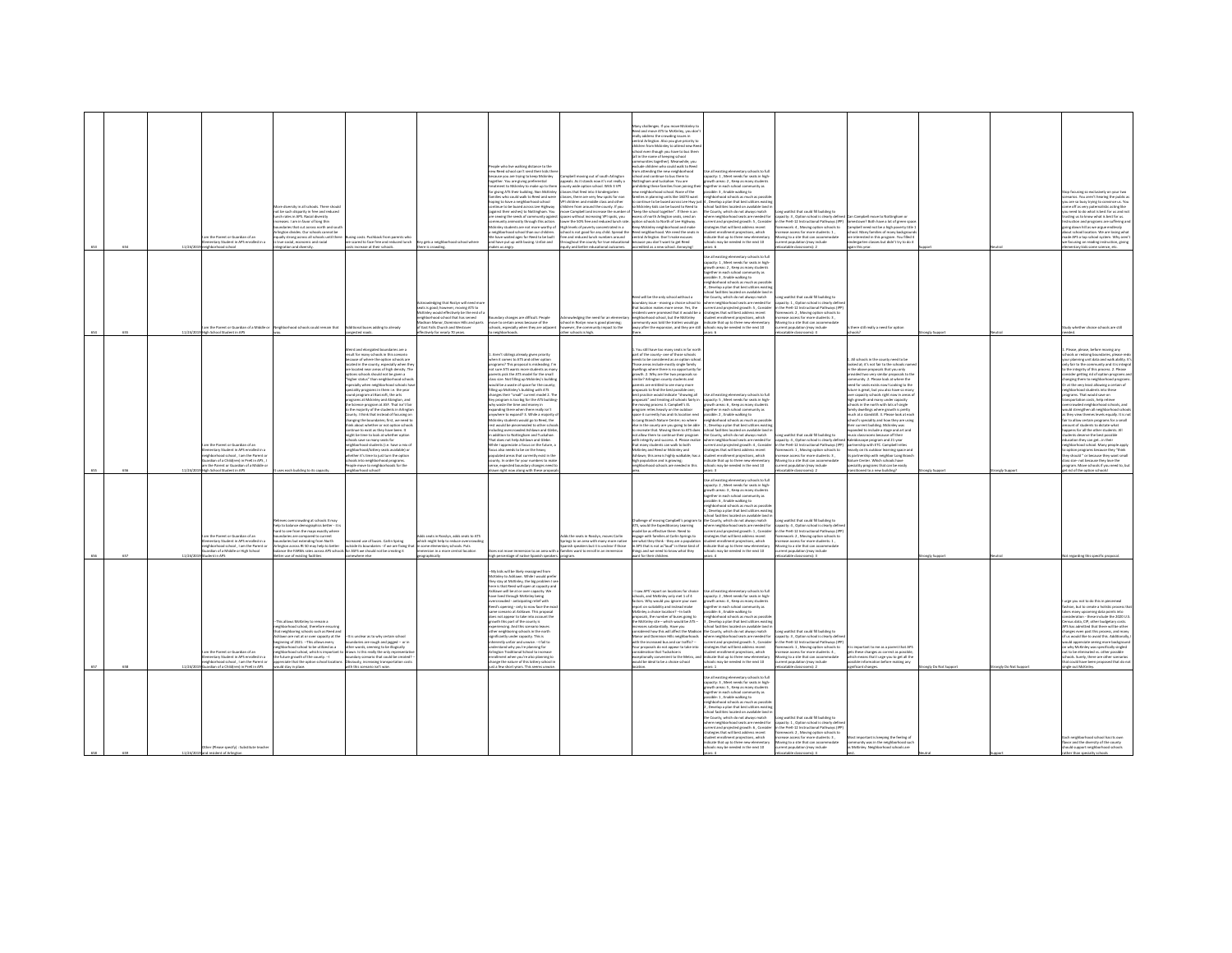| 654 | n the Parent or Guardian of an<br>entary Student in APS enrolled in a<br>11/24/2019 neighborhood school                                                                                           | tra disarcity in all schools. There should<br>ot be such disparity in free and reduced<br>ch rates in APS. Racial diversity<br>uses. I am in favor of long this<br>daries that cut across north and so<br>inston divides. Our schools cannot be<br>sally strong across all schools until then<br>rue social, economic and racial<br>eration and diversity.                           | ing costs. Pushback from parents who<br>scared to face free and reduced lunch<br>ts increase at their schools.                                                                                                                                                                                                                                                                                                                                                                                                                                                                                                                                                                                                                                                                                                                                                                                                                                                                  | by gets a neighborhood school where<br>ere is crowding.                                                                                                                                                                                                             | ople who live walking distance to the<br>ww Reed school can't send their kids the<br>ecause you are trying to keep Mckinley<br>together. You are giving preferential<br>utment to Mckinley to make up to then<br>for abing ATS their hubbles, Non-McKinlay<br>slies who could walk to Reed and were<br>toping to have a neighborhood school<br>tinue to be bused across Lee Highway<br>ainst their wishes) to Nottingham. You<br>are sewing the seeds of community agains<br>imosity through this action.<br>ckinley students are not more worthy of<br>neighborhood school than our children<br>We have waited ages for Reed to be built<br>and have put up with busing. Unfair and<br>kes us angry.                                                                                                                                                                                                                                                                                                       | mobell movine out of south Arlinetor<br>eals. As it stands now it's not really<br>unty wide option school. With 3 VP<br>copy that fourt into 3 kinderworten<br>sses, there are very few spots for no<br>I children and middle class and othe<br>children from around the county. If you<br>we Campbell and increase the number<br>aces without increasing VPI spots, you<br>wer the SOS free and reduced lunch ra<br>High levels of poverty concentrated in a<br>ool is not good for any child. Soread the<br>e and reduced lunch numbers around<br>oughout the county for true education<br>uity and better educational outcomes. | any challenges. If you move Mckinley t<br>leed and move ATS to McKinley, you don<br>ally address the crowding issues in<br>entral Arlington. Also you give priority to<br>ildren from Mckinley to attend new Re-<br>hool even though you have to bus them<br>loofts snigsed to sman sit is list<br>nities together). Meanwhile, you<br>Jude children who could walk to Ree<br>n attending the new neighborhoo.<br>ool and continue to bus them to<br>ingham and tuckahoe. You are<br>biting these families from joining the<br>neighborhood school. None of the<br>lies in planning units like 16070 want<br>intinue to be bused across Lee Hwy ju<br>at hostil at hosts can be rest able to the<br>ep the school together". If there is an<br>ess of north Arlington seats, send an<br>on schools to North of Lee Highway<br>ep Mckinley neighborhood and make<br>ed neighborhood. We need the seats in<br>ntral Arlington. Don't make excuse<br>Icause you don't want to get Reed<br>redited as a new school. Annoving!    | all existing elementary schools to full<br>pacity: 1 . Meet needs for seats in high<br>ath areas: 2, Keep as many student<br>ether in each school community as<br>sible: 3 Frable walking to:<br>phborhood schools as much as po<br>Develop a plan that best utilizes existi<br>nel farilities lerated on available land i<br>County, which do not always match<br>ere neighborhood seats are needed for<br>ent and projected growth: 5, Consider<br>tegies that will best address recent<br>dent enrollment projections, which<br>icate that up to three new element<br>looks may be needed in the next 10<br>are 6       | ong waitlist that could fill building to<br>capacity: 3, Option school is clearly defin<br>in the PreK-12 Instructional Pathways (IPP)<br>ramework: 4, Moving option schools to<br>crease access for more students: 1.<br>wing to a site that can accomm<br>rent population (may include<br>catable classrooms): 2                     | Can Campbell move to Nottingham or<br>town? Both have a lot of green spa<br>spbell need not be a high poverty title<br>chool. Many families of many backgroun<br>interested in this program. You filled 4<br>Sergarten classes but didn't try to do it<br>tain this year.                                                                                                                                                                                                                                                                                                                                                                                                                                                                                                                                                                                                                                                          |                   |                   | top focusing so exclusively on your tw<br>narios. You aren't hearing the public as<br>ou are so busy trying to convince us. You<br>ome off as very paternalistic acting like<br>ou need to do what is best for us and no<br>sting us to know what is best for us.<br>ction and programs are suffering an<br>going down hill as we argue endlessly<br>bout school location. We are losing what<br>ade APS a top school system. Why aren't<br>w focusing on reading instruction, giving<br>tentary kids some science, etc.                                                                                                                                                                                                                                                                                                                                                                                                                                                        |
|-----|---------------------------------------------------------------------------------------------------------------------------------------------------------------------------------------------------|--------------------------------------------------------------------------------------------------------------------------------------------------------------------------------------------------------------------------------------------------------------------------------------------------------------------------------------------------------------------------------------|---------------------------------------------------------------------------------------------------------------------------------------------------------------------------------------------------------------------------------------------------------------------------------------------------------------------------------------------------------------------------------------------------------------------------------------------------------------------------------------------------------------------------------------------------------------------------------------------------------------------------------------------------------------------------------------------------------------------------------------------------------------------------------------------------------------------------------------------------------------------------------------------------------------------------------------------------------------------------------|---------------------------------------------------------------------------------------------------------------------------------------------------------------------------------------------------------------------------------------------------------------------|-------------------------------------------------------------------------------------------------------------------------------------------------------------------------------------------------------------------------------------------------------------------------------------------------------------------------------------------------------------------------------------------------------------------------------------------------------------------------------------------------------------------------------------------------------------------------------------------------------------------------------------------------------------------------------------------------------------------------------------------------------------------------------------------------------------------------------------------------------------------------------------------------------------------------------------------------------------------------------------------------------------|------------------------------------------------------------------------------------------------------------------------------------------------------------------------------------------------------------------------------------------------------------------------------------------------------------------------------------------------------------------------------------------------------------------------------------------------------------------------------------------------------------------------------------------------------------------------------------------------------------------------------------|------------------------------------------------------------------------------------------------------------------------------------------------------------------------------------------------------------------------------------------------------------------------------------------------------------------------------------------------------------------------------------------------------------------------------------------------------------------------------------------------------------------------------------------------------------------------------------------------------------------------------------------------------------------------------------------------------------------------------------------------------------------------------------------------------------------------------------------------------------------------------------------------------------------------------------------------------------------------------------------------------------------------------|----------------------------------------------------------------------------------------------------------------------------------------------------------------------------------------------------------------------------------------------------------------------------------------------------------------------------------------------------------------------------------------------------------------------------------------------------------------------------------------------------------------------------------------------------------------------------------------------------------------------------|----------------------------------------------------------------------------------------------------------------------------------------------------------------------------------------------------------------------------------------------------------------------------------------------------------------------------------------|------------------------------------------------------------------------------------------------------------------------------------------------------------------------------------------------------------------------------------------------------------------------------------------------------------------------------------------------------------------------------------------------------------------------------------------------------------------------------------------------------------------------------------------------------------------------------------------------------------------------------------------------------------------------------------------------------------------------------------------------------------------------------------------------------------------------------------------------------------------------------------------------------------------------------------|-------------------|-------------------|---------------------------------------------------------------------------------------------------------------------------------------------------------------------------------------------------------------------------------------------------------------------------------------------------------------------------------------------------------------------------------------------------------------------------------------------------------------------------------------------------------------------------------------------------------------------------------------------------------------------------------------------------------------------------------------------------------------------------------------------------------------------------------------------------------------------------------------------------------------------------------------------------------------------------------------------------------------------------------|
|     | n the Parent or Guardian of a Middle or<br>th School Student in APS                                                                                                                               | eighborhood schools could remain that                                                                                                                                                                                                                                                                                                                                                | tional buses adding to already<br>ested roads.                                                                                                                                                                                                                                                                                                                                                                                                                                                                                                                                                                                                                                                                                                                                                                                                                                                                                                                                  | wledging that Roslyn will need mo<br>eats is good; however, moving ATS to<br>IcKinley would effectively be the end o<br>eighborhood school that has served<br>dison Manor, Dominion Hills and part<br>East Falls Church and Westover<br>tively for nearly 70 years. | dary changes are difficult. People<br>ove to certain areas because of the<br>:hools, especially when they are adjac<br>neighborhoods.                                                                                                                                                                                                                                                                                                                                                                                                                                                                                                                                                                                                                                                                                                                                                                                                                                                                       | swledging the need for an elem<br>ool in Roslyn now is good planning:<br>wever, the community impact to the<br>er schools is high.                                                                                                                                                                                                                                                                                                                                                                                                                                                                                                 | ed will be the only school without a<br>indary issue - moving a choice school to<br>at location makes more sense. Yes, the<br>ents were promised that it would be<br>ighborhood school, but the McKinley<br>unity was told the trailers would no<br>y after the expansion, and they are st                                                                                                                                                                                                                                                                                                                                                                                                                                                                                                                                                                                                                                                                                                                                   | ie all existing elementary schools to full<br>apacity: 1 . Meet needs for seats in high-<br>ath areas: 2, Keep as many student<br>(ether in each school community as<br>sible: 3 . Enable walking to<br>ighborhood schools as much as possibl<br>Develop a plan that best utilizes existir<br>ool facilities located on available land i<br>County, which do not always match<br>ere neighborhood seats are needed for<br>rrent and projected growth: 5 , Consider<br>rategies that will best address recent<br>dent enrollment projections, which<br>dicate that up to three new elementa<br>may be needed in the next 10 | ing waitlist that could fill building to<br>capacity: 1, Option school is clearly defi<br>in the Dreft, 12 Instructional Dathways (II)<br>work: 2, Moving option schools<br>crease access for more students: 3<br>oving to a site that can accomm<br>nt population (may include<br>atable classrooms): 4                               | tere still really a need for option                                                                                                                                                                                                                                                                                                                                                                                                                                                                                                                                                                                                                                                                                                                                                                                                                                                                                                |                   |                   | dy whether choice schools are stil                                                                                                                                                                                                                                                                                                                                                                                                                                                                                                                                                                                                                                                                                                                                                                                                                                                                                                                                              |
|     | n the Darant or Guardian of an<br>entary Student in APS en<br>reighborhood school . I am the Parent or<br>rdian of a Childfren) in PreK in APS.<br>the Parent or Guardian of a Middle o           |                                                                                                                                                                                                                                                                                                                                                                                      | d and elongated boundaries are a<br>sult for many schools in this scenario<br>use of where the option schools are<br>ted in the county, especially when the<br>re located near areas of high density. Th<br>tions schools should not be given a<br>sigher status" than neighborhood sch<br>cially when neighborhood schools has<br>.<br>eciality programs in them i.e. the year<br>und program at Barcroft, the arts<br>ograms at Mckinkry and Abington, and<br>e Science program at ASF. That isn't fair<br>he majority of the students in Arlingto<br>into: I think that instead of forming a<br>ging the boundaries; first, we need<br>ink about whether or not option school<br>tinue to exist as they have been. It<br>the time to look at whether op<br>ools save so many seats for<br>bhochood students (i.e. have a mix o<br>orhood/lottery seats a<br>ether it's time to just turn the ootion<br>ook into neighborhood programs.<br>ople move to neighborhoods for the |                                                                                                                                                                                                                                                                     | Aren't siblines already eiven priority<br>when it comes to ATS and other option<br>programs? This proposal is misleading. If<br>not sure ATS wants more students as man<br>parents pick the ATS model for the small<br>class size. Not filling up Mckinley's building<br>would be a waste of space for the county<br>filling up McKinley's building with ATS<br>changes their "small" current model 2. Th<br>Key program is too big for the ATS building<br>why waste the time and money in<br>repanding there when there really isn't<br>where a slider # Owens of graduate<br>ents would go to Reed, the<br>rest would be piecemealed to other scho<br>including overcrowded Ashlawn and Glebe<br>in addition to Nottingham and Tuckahoe.<br>That does not help Ashlawn and Glebe.<br>Mhile I appreciate a focus on the future,<br>us also needs to be on the heavy<br>populated areas that currently exist in the<br>sunty. In order for your numbers to make<br>ense, expected boundary changes need to |                                                                                                                                                                                                                                                                                                                                                                                                                                                                                                                                                                                                                                    | fou still have too many seats in far nort<br>art of the county- one of those schools<br>eeds to be considered as an option scho<br>hose areas include mostly single family<br>ellings where there is no opportunity f<br>owth. 2. Why are the two proposals se<br>milar? Arlington county students and<br>rents are entitled to see many more<br>roposals to find the best possible one;<br>rest practice would indicate "showing all<br>posals" and treating all schools fairly in<br>moving process 3. Campbel's EL<br>ogram relies heavily on the outdoor<br>ca it currently has and its location next<br>Long Branch Nature Center; no where<br>se in the county are you going to be able<br>recreate that. Moving them to ATS does<br>it allow them to continue their program<br>th integrity and success. 4. Please realiz<br>many students can walk to both<br>nery assemble can want to both<br>hlawn: this area is highly walkable: has a<br>th population and is growing:<br>ighborhood schools are needed in this | ie all existing elementary schools to full<br>pacity: S. Meet needs for seats in high-<br>ath areas: 6, Keep as many student<br>ether in each school community as<br>sible 2 Frable walking to<br>ood schools as much as news<br>Develop a plan that best utilizes existin<br>nel farilities lerated on available land i<br>County, which do not always match<br>ere neighborhood seats are needed for<br>rent and projected growth: 4, Consider<br>ategies that will best address recent<br>dent enrollment projections, which<br>dicate that up to three new elementary<br>ols may be needed in the next 10              | ong waitlist that could fill building to<br>capacity: 4, Option school is clearly defin<br>n the Dreft, 12 Instructional Dathways (ID)<br>work: 1, Moving option schools to<br>crease access for more students: 3 .<br>oving to a site that can accommodate<br>nt population (may include                                              | All schools in the county need to be<br>ord at; it's not fair to the schools nar<br>in the above proposals that you only<br>.<br>vided two very similar proposals to th<br>smunity. 2. Please look at where the<br>eed for seats exists now! Looking to the<br>dure is great, but you also have so many<br>er capacity schools right now in areas<br>high growth and many under capacity<br>schools in the north with lots of sinele<br>amily dwellings where growth is pretty<br>truck of a standard X. Please look at early<br>ol's speciality and how they are using<br>heir current building. Mckinley was<br>.<br>Danded to include a stage and art and<br>sic classrooms because off their<br>idoscope program and 21 year<br>ership with ETC. Campbell relies<br>vily on its outdoor learning space and<br>ts partnership with neighbor Long Brand<br>ture Center. Which schools have<br>iality programs that can be easily |                   |                   | lease, please, before moving any<br>ools or redoing boundaries, please red-<br>ur planning unit data and walk ability. It'<br>ly fair to the community and it is integra<br>the integrity of this process, 2. Please<br>der getting rid of option programs a<br>anging them to neighborhood program<br>r at the very least allowing a certain of<br>veighborhood students into these<br>programs. That would save on<br>nsportation costs, help relieve<br>wded neighborhood schools, and<br>uld strengthen all neighborhood schoo<br>they view themes levels amolly it is no<br>to allow certain programs for a small<br>nount of students to dictate what<br>ppens for all the other students. All<br>nts deserve the best possible<br>ducation they can get in their<br>thorhood school. Many people apply<br>ption programs because they "think<br>they should " or because they want small<br>ass size- not because they love the<br>ogram. Move schools if you need to, b |
|     | High School Student in APS<br>m the Parent or Guardian of an<br>nentary Student in APS enrolled in a<br>eighborhood school . I am the Parent or<br>rdian of a Middle or High School<br>ent in APS | each building to its cap<br>overcrowding at schools it may<br>Ip to balance demographics better - it i<br>rd to see from the maps exactly where<br>laries are compared to curre<br>daries but extending from North<br>neton across Rt 50 may help to better<br>ce the FARMs rates across APS scho<br>r use of existing facilities                                                    | lloorlood schooll<br>ased use of buses. Carlin Spring<br>tside its boundaries - if we are fixing that<br>ASFS we should not be creating it<br>here else                                                                                                                                                                                                                                                                                                                                                                                                                                                                                                                                                                                                                                                                                                                                                                                                                         | seats in Rosslyn, adds seats to ATS<br>which might help to reduce overcrowdin<br>in some elementary schools. Puts<br>rsion in a more central location<br>aphically                                                                                                  | awn right now along with these propor<br>s not move immersion to an area wit<br>gh percentage of native Spanish speakers                                                                                                                                                                                                                                                                                                                                                                                                                                                                                                                                                                                                                                                                                                                                                                                                                                                                                    | dds the seats in Rosslyn, moves Carlin<br>Springs to an area with many more native<br>nish speakers but it is unclear if those<br>families want to enroll in an immersic                                                                                                                                                                                                                                                                                                                                                                                                                                                           | illenge of moving Campbell's program t<br>ITS, would the Expeditionary Learning<br>odel be as effective there. Need to<br>ge with families at Carlin Springs to<br>e what they think - they are a populatio<br>APS that is not as "loud" in these kind of<br>gs and we need to know what they<br>for their children                                                                                                                                                                                                                                                                                                                                                                                                                                                                                                                                                                                                                                                                                                          | se all existing elementary schools to full<br>apacity: 2 . Meet needs for seats in high-<br>wth areas: 3, Keep as many student<br>gether in each school community as<br>sible: 6 . Enable walking to<br>hherbood schools as much as now<br>.<br>Develop a plan that best utilizes existin<br>ool facilities located on available land i<br>County, which do not always match<br>ere neighborhood seats are needed for<br>rent and projected erowth: 1. Consider<br>egies that will best address recent<br>lent enrollment projections, which<br>dicate that up to three new elementary<br>ols may be needed in the next 10 | catable classrooms): 2<br>ong waitlist that could fill building to<br>capacity: 4, Option school is clearly defin<br>in the PreK-12 Instructional Pathways (IPI<br>nework: 2, Moving option schools to<br>crease access for more students: 1,<br>oving to a site that can accomm<br>t population (may include<br>atable classrooms): 3 | Sanibliud wen a of benot                                                                                                                                                                                                                                                                                                                                                                                                                                                                                                                                                                                                                                                                                                                                                                                                                                                                                                           |                   | nely Suppo        | rid of the gotion schools!<br>t regarding this specific pros                                                                                                                                                                                                                                                                                                                                                                                                                                                                                                                                                                                                                                                                                                                                                                                                                                                                                                                    |
|     | n the Parent or Guardian of an<br>entary Student in APS enrolled in a<br>eighborhood school . I am the Parent or<br>ardian of a Child(ren) in PreK in APS                                         | Nis allows McKielay to ramain a<br>ghbarhood school, therefore ensuring<br>at neighboring schools such as Reed and<br>m are not at or over capacity at the<br>nning of 2021. -- This allows every<br>shood school to be utilized as a<br>ighborhood school, which is important<br>Inture growth of the county. $-1$<br>reciate that the option school location<br>uld stay in place. | is unclear as to why certain school<br>ndaries are rough and jagged -- or in<br>r words, seeming to be illogically<br>wn. Is this really the only representat<br>indiary scenario that could be created<br>viously, increasing transportation costs<br>this scenario isn't wise.                                                                                                                                                                                                                                                                                                                                                                                                                                                                                                                                                                                                                                                                                                |                                                                                                                                                                                                                                                                     | -My kids will be likely reassigned from<br>dcKinley to Ashlawn. While I would prefe<br>they stay at McKinley, the big problem I see<br>here is that Reed will open at capacity and<br>soldaren will ha at ny maar canacity. We<br>have lived through McKinley being<br>rcrowded - anticipating relief with<br>Reed's opening - only to now face the exa<br>ume scenario at Ashlawn. This proposal<br>does not appear to take into account the<br>owth this part of the county is<br>experiencing. And this scenario leaves<br>other neighboring schools in the north<br>nificantly under capacity. This is<br>rently unfair and unwise. -- I fail to<br>inderstand why you're planning for<br><b>United School to increase</b><br>International School to increase<br>Intellment when you're also planning to<br>change the nature of this lottery school is<br>st a few short years. This seems unwis                                                                                                      |                                                                                                                                                                                                                                                                                                                                                                                                                                                                                                                                                                                                                                    | saw APS' remort on incations for choice<br>hools, and McKinley only met 1 of 4<br>actors. Why would you ignore your own<br>not on subability and instead make<br>Kinley a choice location? -- In both<br>oposals, the number of buses going to<br>a McKielay city - which would be ATS.<br>reases substantially. Have you<br>sidered how this will affect the Mad<br>intered Dominion Hills neighborh<br>th the increased bus and car traffic? -<br>our proposals do not appear to take into<br>deration that Tuckahoe is<br>tionally convenient to the Metro, as<br>suld be ideal to be a choice school                                                                                                                                                                                                                                                                                                                                                                                                                     | in all existing elementary schools to full<br>acity: 2, Meet needs for seats in high-<br>wth areas: 4, Keep as many student<br>ether in each school community as<br>ible: 6, Enable walking to<br>ghborhood schools as much as post<br>welco a plan that best utilizes exis<br>ol facilities located on available land<br>e County, which do not always match<br>re neighborhood seats are needed for<br>rent and projected growth: S, Consider<br>tesies that will best address recent<br>dent enrollment projections, which<br>icate that up to three new elementa<br>hools may be needed in the next 10                 | one waitlist that could fill building to<br>apacity: 3, Option school is clearly defin<br>n the PreK-12 Instructional Pathways (IPI<br>amework: 1 . Moving option schools to<br>se access for more students: 4,<br>wing to a site that can accon<br>studies vent notstated men<br>catable classrooms): 2                               | important to me as a parent that APS<br>s these changes as correct as possible<br>ch means that I urge you to get all th<br>sible information before making any<br>ificant changes.                                                                                                                                                                                                                                                                                                                                                                                                                                                                                                                                                                                                                                                                                                                                                | ingly Do Not Supp | ongly Do Not Supp | arge you not to do this in piecemeal<br>.<br>hion, but to create a holistic process the<br>sis many upcoming data points into<br>ideration - these include the 2020 U.S<br>sus data, CIP, other budgetary<br>PS has admitted that there will be other<br>aness even past this process, and many<br>us would like to avoid this. Additional<br>uld appreciate seeing more backgrour<br>why McKinley was specifically singled<br>t to be eliminated vs. other possible<br>tools. Surely, there are other scenarios<br>at could have been proposed that do no<br>ngle out McKinley                                                                                                                                                                                                                                                                                                                                                                                                 |
|     | Other (Please specify) : Substitute teacher                                                                                                                                                       |                                                                                                                                                                                                                                                                                                                                                                                      |                                                                                                                                                                                                                                                                                                                                                                                                                                                                                                                                                                                                                                                                                                                                                                                                                                                                                                                                                                                 |                                                                                                                                                                                                                                                                     |                                                                                                                                                                                                                                                                                                                                                                                                                                                                                                                                                                                                                                                                                                                                                                                                                                                                                                                                                                                                             |                                                                                                                                                                                                                                                                                                                                                                                                                                                                                                                                                                                                                                    |                                                                                                                                                                                                                                                                                                                                                                                                                                                                                                                                                                                                                                                                                                                                                                                                                                                                                                                                                                                                                              | se all existing elementary schools to full<br>pacity: 3, Meet needs for seats in high-<br>rowth areas: S, Keep as many student<br>rether in each school community as<br>sible: 1, Enable walking to<br>ighborhood schools as much as por<br>Desigher a miam that hast utilizes exist<br>al facilities located on available land<br>he County, which do not always match<br>ere neighborhood seats are needed for<br>ent and projected growth: 6, Conside<br>ategies that will best address recent<br>dent enrollment projections, which<br>licate that up to three new elementa<br>ools may be needed in the next 10       | ong waitlist that could fill building to<br>.<br>Lapacity: 1 , Option school is clearly definition<br>in the PreK-12 Instructional Pathways (IP<br>amework: 2, Moving option schools to<br>se access for more students: 3 .<br>wing to a site that can accor<br>shutani wami ngibaluzoa tnens                                          | important is keeping the feeling of<br>unity was in the neighbor<br>McKinley, Neighborhood schools are                                                                                                                                                                                                                                                                                                                                                                                                                                                                                                                                                                                                                                                                                                                                                                                                                             |                   |                   | wishborhood school has its own<br>r and the diversity of the county<br>hould support neighborhood schools                                                                                                                                                                                                                                                                                                                                                                                                                                                                                                                                                                                                                                                                                                                                                                                                                                                                       |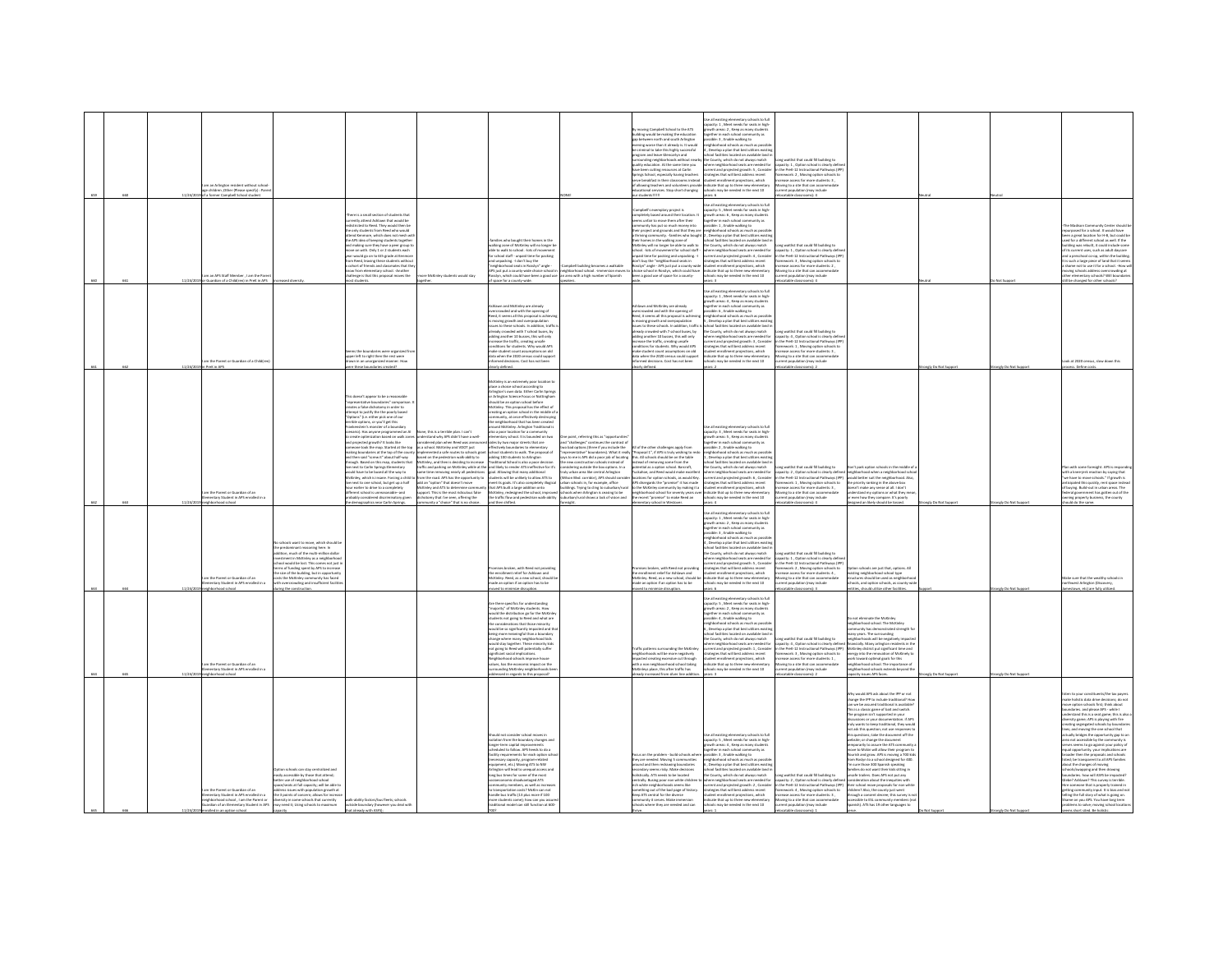| sen. |         | m an Arlineton resident without scho<br>children .Other (Please specify) : Pare<br>mer Cameball School student      |                                                                                                                                                                                                                                                                                                                                                                                                                        |                                                                                                                                                                                                                                                                                                                                                                                                                                                                                                                                                                                                                                                                                                                                                                                                                                                                                        |                                                                                                                                                                                                                                                                                                                                                                                                                                 |                                                                                                                                                                                                                                                                                                                                                                                                                                                                                                                                                                                                                                                                                                                                                                                                                                                                                                                                                                                                                                                                                                                                                                                          |                                                                                                                                                                                                                                                                                                                                                                                                                                                                                              | r moving Campbell School to the ATS<br>uilding would be making the education<br>up between north and south Arlington<br>vening worse than it already is. It would<br>criminal to take this highly successful<br>peram and leave Glencarivn and<br>contains the series of the state of the state of the state of the state of the state of the state of the state of the state of the state of the state of the state of the state of the state of the state of the state of the<br>prings School, especially having teacher<br>rve breakfast in their classrooms instead<br>of allowing teachers and volunteers provi-<br>cational services. Stop short changing | ie all existing elementary schools to full<br>ity: 1, Meet needs for seats in high<br>th areas: 2 , Keep as many stud<br>ther in each school community<br>ther in each school comm.<br>ible: 3 , Enable walking to<br>ighborhood schools as much as possib<br>Develop a plan that best utilizes exist<br>ol facilities located on available land<br>County, which do not always match<br>ere neighborhood seats are needed for<br>rent and projected growth: 5 , Consider<br>tegies that will best address recent<br>dent enrollment projections, which<br><b>Scate that up to three new elementary</b><br>ols may be needed in the next 10                                          | ong waitlist that could fill building to<br>pacity: 1 , Option school is clearly defin<br>the PreK-12 Instructional Pathways (IP)<br>nework: 2, Moving option schools to<br>hase access for more students: 3 .<br>wing to a site that can accommodate<br>ation (may include<br>A-farmership and                                                    |                                                                                                                                                                                                                                                                                                                                                                                                                                                                                                                                                                                                                                                                                                                                                                                                                                                                                                                                                                                                                                                                                                      |                    |                                       |                                                                                                                                                                                                                                                                                                                                                                                                                                                                                                                                                                                                                                                                                                                                                                                                                                                                                                                                                                                                                                                                             |
|------|---------|---------------------------------------------------------------------------------------------------------------------|------------------------------------------------------------------------------------------------------------------------------------------------------------------------------------------------------------------------------------------------------------------------------------------------------------------------------------------------------------------------------------------------------------------------|----------------------------------------------------------------------------------------------------------------------------------------------------------------------------------------------------------------------------------------------------------------------------------------------------------------------------------------------------------------------------------------------------------------------------------------------------------------------------------------------------------------------------------------------------------------------------------------------------------------------------------------------------------------------------------------------------------------------------------------------------------------------------------------------------------------------------------------------------------------------------------------|---------------------------------------------------------------------------------------------------------------------------------------------------------------------------------------------------------------------------------------------------------------------------------------------------------------------------------------------------------------------------------------------------------------------------------|------------------------------------------------------------------------------------------------------------------------------------------------------------------------------------------------------------------------------------------------------------------------------------------------------------------------------------------------------------------------------------------------------------------------------------------------------------------------------------------------------------------------------------------------------------------------------------------------------------------------------------------------------------------------------------------------------------------------------------------------------------------------------------------------------------------------------------------------------------------------------------------------------------------------------------------------------------------------------------------------------------------------------------------------------------------------------------------------------------------------------------------------------------------------------------------|----------------------------------------------------------------------------------------------------------------------------------------------------------------------------------------------------------------------------------------------------------------------------------------------------------------------------------------------------------------------------------------------------------------------------------------------------------------------------------------------|------------------------------------------------------------------------------------------------------------------------------------------------------------------------------------------------------------------------------------------------------------------------------------------------------------------------------------------------------------------------------------------------------------------------------------------------------------------------------------------------------------------------------------------------------------------------------------------------------------------------------------------------------------------|--------------------------------------------------------------------------------------------------------------------------------------------------------------------------------------------------------------------------------------------------------------------------------------------------------------------------------------------------------------------------------------------------------------------------------------------------------------------------------------------------------------------------------------------------------------------------------------------------------------------------------------------------------------------------------------|----------------------------------------------------------------------------------------------------------------------------------------------------------------------------------------------------------------------------------------------------------------------------------------------------------------------------------------------------|------------------------------------------------------------------------------------------------------------------------------------------------------------------------------------------------------------------------------------------------------------------------------------------------------------------------------------------------------------------------------------------------------------------------------------------------------------------------------------------------------------------------------------------------------------------------------------------------------------------------------------------------------------------------------------------------------------------------------------------------------------------------------------------------------------------------------------------------------------------------------------------------------------------------------------------------------------------------------------------------------------------------------------------------------------------------------------------------------|--------------------|---------------------------------------|-----------------------------------------------------------------------------------------------------------------------------------------------------------------------------------------------------------------------------------------------------------------------------------------------------------------------------------------------------------------------------------------------------------------------------------------------------------------------------------------------------------------------------------------------------------------------------------------------------------------------------------------------------------------------------------------------------------------------------------------------------------------------------------------------------------------------------------------------------------------------------------------------------------------------------------------------------------------------------------------------------------------------------------------------------------------------------|
|      |         | m an APS Staff Member . I am the Parent<br>11/24/2019 or Guardian of a Children) in PreK in APS increased diversity |                                                                                                                                                                                                                                                                                                                                                                                                                        | here is a small section of students that<br>ently attend Ashlawn that would be<br>stricted to Reed. They would then b<br>nunced to need. They would then be<br>only students from Reed who would<br>end Kenmore, which does not mesh w<br>the APS idea of keeping students togethe<br>nd making sure they have a peer eroup t<br>ove on with. Only 1 or 2 students each<br>ore on must. Only 2 or 2 moderns each<br>ar would go on to 6th grade at Kenmor<br>of friends and classmates that the<br>offort of friends and classmates that th<br>tow from elementary school. -Another<br>tallenge is that this proposal moves the<br>cit students.                                                                                                                                                                                                                                       | e McKinley students would stay<br>eether.                                                                                                                                                                                                                                                                                                                                                                                       | nilies who bought their homes in the<br>valking zone of McKinley will no longer be<br>able to walk to school. - lots of moy<br>r<br>school staff - unpaid time for packing<br>I unpacking. I don't buy the<br>ood seats in Rosslyn" angle -<br>APS just put a county-wide choice school in meighborhood school. -immersion moves I<br>Itosslyn, which could have been a good use . an area with a high number of Spanish<br>of space for a county-wide.                                                                                                                                                                                                                                                                                                                                                                                                                                                                                                                                                                                                                                                                                                                                  | pbell building becomes a walkable<br>speakers.                                                                                                                                                                                                                                                                                                                                                                                                                                               | ampbell's exemplary project is<br>mpletely based around their location. It<br>rems unfair to move them after their<br>unity has not so much a<br>heir project and grounds and that they are<br>thriving community. -families who bough<br>hriving community. -families who<br>eir homes in the walking zone of<br>McKinley will no longer be able to walk to<br>thool. - lots of movement for school staff<br>paid time for packing and unpacking. -<br>o't hav the "no<br>and sears is<br>llyn" angle - APS just put a county-wid<br>choice school in Rosslyn, which could have<br>been a good use of space for a county-                                       | all existing elementary schools to full<br>acity: S , Meet needs for seats in high-<br>wth areas: 6 . Keep as many student<br>ether in each school community as<br>sible: 1 , Enable walking to<br>lighborhood schools as much as pos<br>Develop a plan that best utilizes ex<br>ool facilities located on available land i<br>he County, which do not always match<br>ere neighborhood seats are needed for<br>rent and projected growth: 4, Consider<br>iteries that will best address recent<br>ent enrollment projections, which<br>ndicate that up to three new elementary<br>chools may be needed in the next 10<br>France                                                     | one waitlist that could fill buildine to<br>city: 1 . Option school is clearly defi<br>the Dreft, 12 Instructional Dathways (ID)<br>punck: 3 Moving ordina schools t<br>ase access for more students: 2<br>wing to a site that can accomm<br>ent population (may include<br>catable classrooms): 4                                                 |                                                                                                                                                                                                                                                                                                                                                                                                                                                                                                                                                                                                                                                                                                                                                                                                                                                                                                                                                                                                                                                                                                      |                    | Not Support                           | he Marlionn Cre<br>nity Center should<br>urposed for a school. It would have<br>n a great location for H-B, but could be<br>n a great location for H-B, but could be<br>ed for a different school as well. If the<br>Idine was rebuilt, it could include some<br>ts current uses, such as adult daycare<br>a preschool co-op, within the building<br>such a large piece of land that it seem<br>me not to use it for a school. - How<br>wing schools address overcrowding at<br>1er elementary schools? Will boundarie<br>Szloork: vertion to hanned fils                                                                                                                                                                                                                                                                                                                                                                                                                                                                                                                   |
|      |         | n the Parent or Guardian of a Child(re<br>reK in APS                                                                |                                                                                                                                                                                                                                                                                                                                                                                                                        | ts the boundaries were organized fr<br>per left to right then the rest were<br>ren in an uncreasized manner. Hou<br>these boundaries created                                                                                                                                                                                                                                                                                                                                                                                                                                                                                                                                                                                                                                                                                                                                           |                                                                                                                                                                                                                                                                                                                                                                                                                                 | lawn and McKinley are already<br>overcrowded and with the opening of<br>Iteed, it seems all this proposal is achievi<br>noving growth and overpopulation<br>issues to these schools. In addition, traffic<br>isleady crowded with 7 school buses, by<br>adding another 10 busses, this will only<br>ncrease the traffic, creating unsafe<br>onditions for students. Why would APS<br>nake student count assumptions on old<br>lata when the 2020 census could supp<br>arly defined                                                                                                                                                                                                                                                                                                                                                                                                                                                                                                                                                                                                                                                                                                       |                                                                                                                                                                                                                                                                                                                                                                                                                                                                                              | awn and McKinley are already<br>overcrowded and with the opening of<br>Reed, it seems all this proposal is achieving<br>moving erowth and overpopulation<br>storing grower and deepdposition<br>storing crowded with 7 school buses, by<br>idding another 10 busses, this will only<br>ncrease the traffic, creating unsafe<br>conditions for students. Why would APS<br>make student count assumptions on old<br>data when the 2020 census could support<br>nformed decisions. Cost has not been<br>ly defined                                                                                                                                                  | the all existing elementary schools to full<br>acty: 1 , Meet needs for seats in high-<br>wth areas: 4 , Keep as many students<br>ether in each school community as<br>sible: 6, Enable walking to<br>phborhood schools as much as possib<br>.<br>Develop a plan that best utilizes existi<br>Levelap is pain time best status example<br>onl facilities located on available land in<br>County, which do not always match<br>nere neighborhood seats are needed for<br>rrent and projected growth: 3 , Consider<br>ategies that will best address recent<br>dent enrollment projections, which<br><b>Scate that up to three new elementa</b><br>hools may be needed in the next 10  | g waitlist that could fill building to<br>city: 4, Option school is clearly def<br>n the PreK-12 Instructional Pathways (IPI<br>sework: 1, Moving option schools to<br>ease access for more students: 3 .<br>ving to a site that can accom<br>atable classrooms):                                                                                  |                                                                                                                                                                                                                                                                                                                                                                                                                                                                                                                                                                                                                                                                                                                                                                                                                                                                                                                                                                                                                                                                                                      | ngly Do Not Su     | Ingly Do Not Sup                      | k at 2020 census, slow down this<br>ess. Define costs                                                                                                                                                                                                                                                                                                                                                                                                                                                                                                                                                                                                                                                                                                                                                                                                                                                                                                                                                                                                                       |
|      | 11/24/2 | n the Parent or Guardian of an<br>entary Student in APS enrolled in                                                 |                                                                                                                                                                                                                                                                                                                                                                                                                        | doesn't appear to be a reas<br>ipresentative boundaries" comparisor<br>iates a false dichotomy in order to<br>ttempt to justify the the poorly based<br>Options" (i.e. either pick one of our<br>ble options, or you'll get this<br>ikenstein's monster of a boundary<br>hario). Has anyone programmed an Al<br>reate optimization based on walk zone<br>projected growth? It looks like<br>one took the map. Started at the too<br>sking boundaries at the ton of the cour<br>sen said "screew it" about half-way<br>ough. Based on this map, students that<br>e next to Carlin Springs Elementary<br>sold have to be bused all the way to<br>McKinley, which is insane. Forcing a child t<br>e next to one school, but get up a half<br>or earlier to drive to a corr<br>ent school is unreasonable-and<br>iably considered discriminatory given<br>lemographics near Carlin Springs | e, this is a terrible plan. I can't<br>rstand why APS didn't have a well-<br>ered plan when Reed was anno<br>a school. McKinley and VDOT just<br>interla cafe routes to schools era<br>ad on the nedestrian walk-ability to<br>rom the road. APS has the opportunity to<br>dd an "option" that doesn't move<br>fcKinley and ATS to determine comm<br>ort. This is the most ridiculous false<br>ony that I've seen, offering the | Kinley is an extremely poor location t<br>place a choice school according to<br>Arlington's own data. Either Carlin Springs<br>Arlington's own data. Either Carlin Springs<br>should be an option school before<br>tcKinley. This proposal has the effect of<br>reating an option school in the middle of .<br>ommunity, at once effectively destroying<br>to naighborhood that has hean roast<br>ound McKinley. Arlington Traditi<br>lo a poor location for a commun<br>lo a poor location for a commun<br>intary school. It is bounded on two<br>des by two major streets that are<br>effectively boundaries to elementary<br>heel students to walk. The necessal of<br>adding 100 students to Arlineto<br>sweet on the persent wark-summy to<br>McKinley, and then is deciding to increase "Traditional School is also a poor decision<br>Iraffic and parking on McKinley while at the and likely to render ATS ineffective for it's<br>iame time<br>students will be unlikely to allow ATS to<br>meet its goals. It's also completely illogical<br>that APS built a large addition onto<br>McKirley, redesigned the school, improved<br>the traffic flow and pedestrian walk-ability | One point, referring this as "opportunities<br>and "challenges" continues the contrast o<br>two bad options (three if you include the<br>new construction schools instead of<br>insidering outside the box options. In a<br>uly urban area like central Arlington<br>riison Blvd. corridor), APS should cons<br>urban schools in, for example, office<br>buildings. Trying to cling to suburban/rura<br>schools when Arlington is ceasing to be<br>suburban/rural shows a lack of vision and | All of the other challenees apply from<br>presentative" boundaries). What it really "Proposal 1", if APS is truly wishing to redo<br>is to me is APS did a poor job of locatine this. All schools should be on the table<br>ms. All schools should be on the table<br>instead of removing some from the<br>loctential as a option school. Barcroft,<br>fuckahoe, and Reed would make excellent<br>cations for option schools, as would Key.<br>.<br>APS disregards the "promise" it has made<br>to the McKinley community by making it a<br>ighborhood school for seventy years<br>e recent "promise" to make Reed an                                            | .<br>Se all existing elementary schools to full<br>apacity: 3 , Meet needs for seats in high-<br>wth areas: S , Keep as many student<br>ether in each school con<br>nunity as<br>sible: 2 . Enable walking to<br>hherbood schools as much as nossi<br>Develop a nian that here utiliz<br>Levesp a pan that best utilizes exist<br>hool facilities located on available land<br>e County, which do not always match<br>tere neighborhood seats are needed for<br>urrent and projected growth: 6, Consider<br>tegies that will best address recent<br>fent enrollment projections, which<br>dicate that up to three new element<br>hools may be needed in the next 10                  | or gwidiad III building to<br>acity: 2, Option school is clearly defined<br>n the PreK-12 Instructional Pathways (IPP) would better suit the neighborhood. Also,<br>nework: 1, Moving option schools to<br>ease access for more students: 3,<br>vase access for more association<br>wing to a site that can accomm<br>rent population (may include | Jon't park option si<br>neighborhood when a neighborhood sch<br>the priority ranking in the above box<br>doesn't make any sense at all. I don't<br>sn't mase any sense as an<br>Jerstand my options or what they m<br>iven how they compare. It's poorly                                                                                                                                                                                                                                                                                                                                                                                                                                                                                                                                                                                                                                                                                                                                                                                                                                             | ingly Do Not Suppo |                                       | with some foresight. APS is rea<br>ith a knee-jerk reaction by saying that<br>we have to move schools." If growth is<br>cloated this quickly, rent space ins<br>buying, Build-out in urban areas. The<br>Seral government has gotten out of the<br>sieral government has gotten out of the<br>ning property business, the county                                                                                                                                                                                                                                                                                                                                                                                                                                                                                                                                                                                                                                                                                                                                            |
| 660  | 117888  | lead school<br>m the Parent or Guardian of an<br>entary Student in APS enrolled in a<br><b>Inners how</b>           | schools want to move, which should be<br>he predominant reasoning here. In<br>tion much of the multi-million dolla<br>ley as a neighb<br>estment in inclusivy as a neignocenoo<br>soil would be lost. This comes not just<br>ms of funding spent by APS to increase<br>e size of the building, but in opportunit<br>sts the McKinley com<br>nunity has faced<br>h overcrowding and insufficient facili<br>ne the const |                                                                                                                                                                                                                                                                                                                                                                                                                                                                                                                                                                                                                                                                                                                                                                                                                                                                                        | inity a "choice" that is no choice                                                                                                                                                                                                                                                                                                                                                                                              | then shifted.<br>ises broken, with Reed not providing<br>enrollment relief for Ashlawn and<br>McKinley, Reed, as a new school, should be<br>tade an option if an option has to be<br>mine discursion                                                                                                                                                                                                                                                                                                                                                                                                                                                                                                                                                                                                                                                                                                                                                                                                                                                                                                                                                                                     | sight.                                                                                                                                                                                                                                                                                                                                                                                                                                                                                       | tary school in Westover.<br>es broken, with Reed not providing<br>he enrolment relief for Ashlawn and<br>McKinley, Reed, as a new school, should be<br>nade an option if an option has to be                                                                                                                                                                                                                                                                                                                                                                                                                                                                     | tse all existing elementary schools to full<br>pacity: 1 . Meet needs for seats in high<br>wth areas: 2 , Keep as many stude<br>sther in each school community a<br>sible: 3 , Enable walking to<br>eighborhood schools as much as possib<br>i , Develop a plan that best utilizes existi<br>hool facilities located on available land i<br>County, which do not always match<br>rent and projected growth: S , Consider<br>stegies that will best address recent<br>sent enrolment projections, which<br>dicate that up to three new elementary<br>ols may be needed in the next 10<br>$\sim$ 6                                                                                     | table clas<br>ooms): 4<br>ng waitlist that could fill building to<br>pacity: 1, Option school is clearly define<br>the PreK-12 Instructional Pathways (IPP<br>imework: 2, Moving option schools to<br>ase access for more students: 4,<br>wing to a site that can accommodate<br>lation (may include<br>F dammassala airlet                        | gned an likely should be tossed.<br>ion schools are just that, options. Al<br>sqyf loorka boorhod figinn gnizis<br>tructures should be used as neighborh<br>chools, and option schools, as county-wic<br>ties should utilize other facilities                                                                                                                                                                                                                                                                                                                                                                                                                                                                                                                                                                                                                                                                                                                                                                                                                                                        |                    | ongly Do Not Suppo<br>the Din Nort St | ald do the same.<br>ike sure that the wealthy schools in<br>west Arlinaton (Dis<br>nen atri ara fullo utilizer                                                                                                                                                                                                                                                                                                                                                                                                                                                                                                                                                                                                                                                                                                                                                                                                                                                                                                                                                              |
|      | 11/24   | n the Parent or Guardian of an<br>vertary Student in APS enrolled in a<br>hood school                               |                                                                                                                                                                                                                                                                                                                                                                                                                        |                                                                                                                                                                                                                                                                                                                                                                                                                                                                                                                                                                                                                                                                                                                                                                                                                                                                                        |                                                                                                                                                                                                                                                                                                                                                                                                                                 | re there specifics for understanding<br>"majority" of McKinley students. How<br>yould the distribution ao for the McKinle<br>dents not going to Reed and what are<br>e remiderations that three minority<br>build be so significantly impacted and th<br>being more meaningful than a boundary<br>change where many neighborhood kids<br>ould stay together. These minority kids<br>not going to Reed will potentially suffer<br>eighborhood schools improve house<br>alues, has the economic impact on the<br>urrounding McKinley neighborhoods be<br>ressed in regards to this proposal?                                                                                                                                                                                                                                                                                                                                                                                                                                                                                                                                                                                               |                                                                                                                                                                                                                                                                                                                                                                                                                                                                                              | raffic patterns surrounding the McKinle<br>eighborhoods will be more negatively<br>reacted creating excessive cut through<br>th a non neighboorhood school taking<br>cKinleys place, this after traffic has<br>ady increased from silver line addit                                                                                                                                                                                                                                                                                                                                                                                                              | se all existing elementary schools to full<br>capacity: S , Meet needs for seats in high-<br>growth areas: 2 . Keep as many student<br>seether in each school community as<br>.<br>sible: 4 , Enable walking to<br>shborhood schools as much as possib<br>.<br>Nevelop a plan that best utilizes<br>ool facilities located on available land<br>County, which do not always match<br>ere neighborhood seats are needed for<br>rent and projected growth: 1, Consider<br>gies that will best address r<br>dent enrollment projections, which<br>licate that up to three new elementary<br>cols may be needed in the next 10                                                           | ng waitlist that could fill building to<br>acity: 4, Option school is clearly defin<br>the PreK-12 Instructional Pathways (IPP)<br>ework: 3 . Moving option schools to<br>ase access for more students: 1,<br>ving to a site that can accommo<br>ent population (may include<br>atable classrooms): 2                                              | n not aliminate the McKinley<br>irhborhood school. The McKinle<br>any years. The surrounding<br>hborhoods will be negatively in<br>ncially. Many arlington residents in the<br>McKinley district put significant time and<br>erray into the reno<br>tion of McKinehr<br>k toward optimal goals for this<br>neighborhood school. The importance of<br>neighborhood schools extends beyond th<br>sacity issues APS faces.                                                                                                                                                                                                                                                                                                                                                                                                                                                                                                                                                                                                                                                                              | ngly Do Not Suppo  | nely Do Not Supp                      |                                                                                                                                                                                                                                                                                                                                                                                                                                                                                                                                                                                                                                                                                                                                                                                                                                                                                                                                                                                                                                                                             |
|      |         | the Parent or Guardian of an<br>.<br>Ied in a<br>entary Student in APS e<br>phborhood school , I am the Parent or   | tion schools can stay centralized and<br>isily accessible by those that attend:<br>tter use of neisthorhood school<br>e/seats at full capacity: will be able to<br>eddress issues with population growth at<br>the 3 points of concern; allows for increase<br>Eversity in some schools that currently<br>erdien of an Elementary Student in APS may need it: Using schools to maximum                                 | valk-ability factors/bus fleets: schools<br>outside boundary (however you deal with<br>that already with ASFSI:                                                                                                                                                                                                                                                                                                                                                                                                                                                                                                                                                                                                                                                                                                                                                                        |                                                                                                                                                                                                                                                                                                                                                                                                                                 | hould not consider school moves in<br>ation from the boundary changes and<br>oneer-term capital improvements<br>adulari to follow. APS heads to do a<br>es for each o<br>cessary capacity, program-relate<br>ipment, etc.) Moving ATS to NW<br>Arlington will lead to unequal access and<br>long bus times for some of the most<br>economic disadvantaged ATS<br>munity members as well as incre<br>»<br>» transportation costs? McKin can no<br>andle bus traffic (13 plus more if 100<br>sore students come); how can you as<br>aditional model can still function at 600-                                                                                                                                                                                                                                                                                                                                                                                                                                                                                                                                                                                                             |                                                                                                                                                                                                                                                                                                                                                                                                                                                                                              | is on the northern - heild schools who<br>Pocus on time processor - some concentration<br>they are needed. Moving 5 communities<br>around and then redrawing boundaries<br>ndary seems risky. Make decisions<br>stically. ATS needs to be located<br>intrally. Busing poor non white childr<br><b>h</b> white naish<br><b>book seams like</b><br>munity it serves. Make immersion<br>chools where they are needed and can                                                                                                                                                                                                                                        | Ise all existing elementary schools to full<br>apacity: 5 , Meet needs for seats in high-<br>owth areas: 4 . Keep as many students<br>ther in each school com<br><b>Hunity</b> as<br>sible: 3 . Enable walking to<br>borhood schools as much as possi-<br>welop a plan that best utilizes exis<br>ol facilities located on available land i<br>County, which do not always match<br>re neighborhood seats are needed for<br>www.waysuncearunder.com/internations/<br>international producted growth: 2, Consider<br>integrist that will best address recent<br>dicate that up to three new elementary<br>dicate that up to three new elementary<br>ools may be needed in the next 10 | na waitlist that could fill building to<br>city: 2 . Option school is clearly defin<br>the Dreft, 12 Instructional Dathways (IDD)<br>ework: 4, Moving option schools to<br>ease access for more students: 3,<br>oving to a site that can accommodate<br>sent population (may include                                                               | .<br>Mhy would APS ask about the IPP or not<br>change the IPP to include traditional? Ho<br>can we be assured traditional is available<br>This is a classic game of bait and switch.<br>The program isn't supported in you<br>discussions or your documentation. if APS<br>truly wants to keep traditional, they would<br>not ask this question; not use respo<br>this questions; take the document off the<br>website; or change the document<br>temporarily to assure the ATS community<br>spectrum to an active their program to<br>see to McGin will allow their program to<br>unish and grow. APS is moving a 700 kids<br>in Roslyn to a school designed for 400.<br>I sure those 300 Spanish speaking<br>ilies do not want their kids sitting in<br>nsafe trailers. Does APS not out any<br>deration about the inequities with<br>eir school move proposals for non white<br>men across more proposes for non-winner<br>hildren? Also, the county just went<br>hrough a consent decree; this survey is n<br>iccessible to ESL community members (no<br>Spanish). ATS has 19 other languages to |                    |                                       | n to your constituents/the tax payers<br>holistic data drive decisions; do not<br>we option schools first; think about<br>daries, and please APS - while I<br>rstand this is a seat eame: this is also<br>ensure one is a seat game, our transfer<br>ating segregated schools by boundaris; and moving the one school that<br>ictually bridges the opportunity gap to an<br>irea not accessible by the community is<br>erves seems to go against your policy of<br>qual opportunity, your implications are<br>roader then the proposals and schools<br>later then the proposals and schools<br>ed; be transparent to all APS families<br>but the changes of moving<br>ols/swapping and then drawing<br>indaries, how will ASFS be impacted?<br>be? Ashlawn? This survey is terrible.<br>a someone that is nonnarly trained in<br>re someone mat is properly trained in<br>itting community input. It is bias and no<br>iling the full story of what is going on.<br>ame on you APS. You have long term<br>roblems to solve: moving school location<br>ms short sited, Be ho |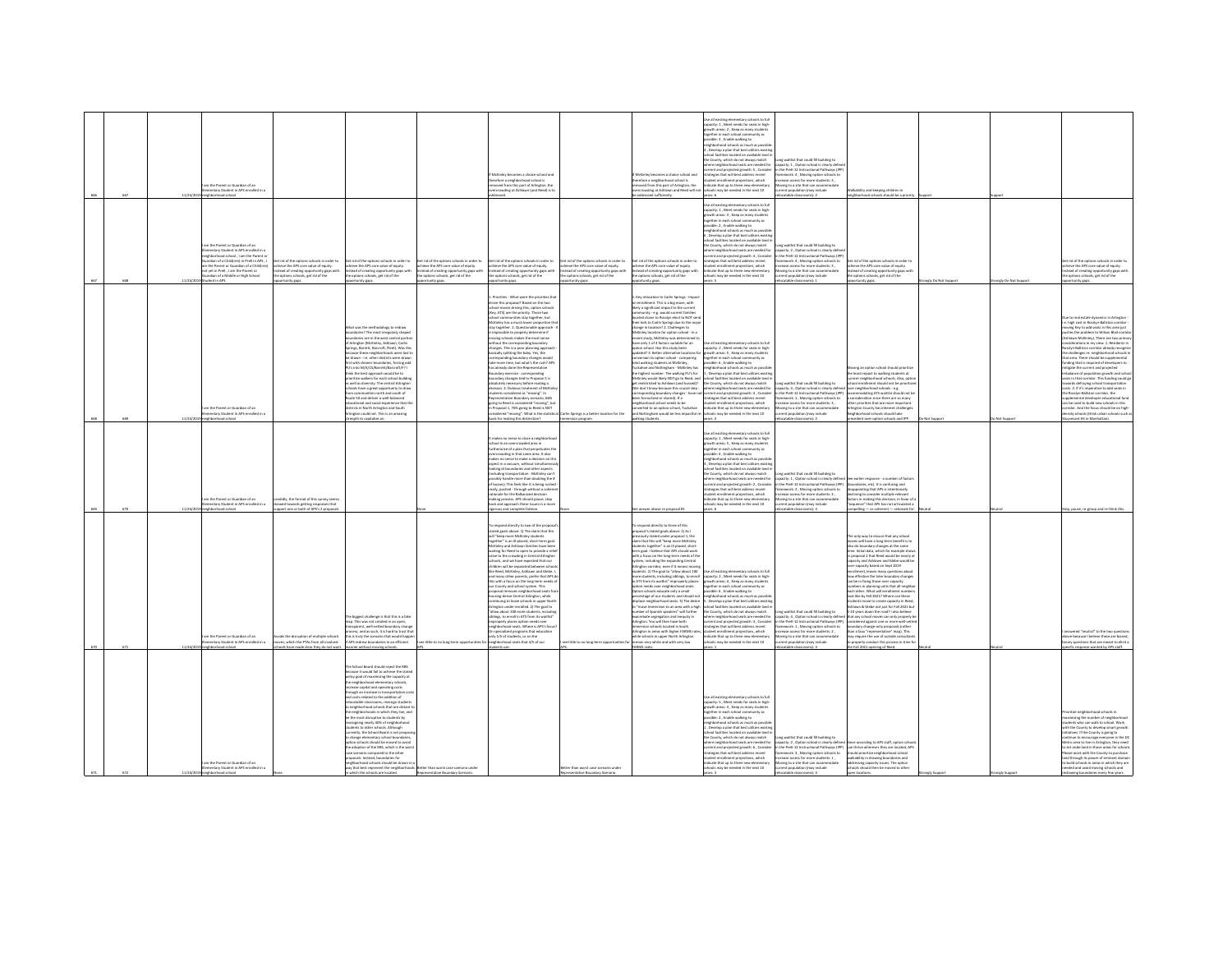|                                                                                                                                                                                                                                                                                                                                                                                                                                                                                                                                                                                                                                                                                                                                                                                                                                                                                                       | <b>ALC:</b>                                                                                                                                                                                                                                                                                                                                                                                                                                                                                                                                                                                                                                                                                                                                                                                                                                                                                                                                                                                                                                                                          | 670                                                                                                                                                                                                                                                                                                                                                                                                                                                                                                                                                                                                                             |                                                                                                                                                                                                                                                                                                                                                                                                                                                                                                                                                                                                                                                                                                                                                                                                                                                                                                                                                                                                                                     | 668                                                                                                                                                                                                                                                                                                                                                                                                                                                                                                                                                                                                                            | 667                                                                                                                                                                                                                                                                                                                                                                                                                                                                                                                                                                                                                                       |
|-------------------------------------------------------------------------------------------------------------------------------------------------------------------------------------------------------------------------------------------------------------------------------------------------------------------------------------------------------------------------------------------------------------------------------------------------------------------------------------------------------------------------------------------------------------------------------------------------------------------------------------------------------------------------------------------------------------------------------------------------------------------------------------------------------------------------------------------------------------------------------------------------------|--------------------------------------------------------------------------------------------------------------------------------------------------------------------------------------------------------------------------------------------------------------------------------------------------------------------------------------------------------------------------------------------------------------------------------------------------------------------------------------------------------------------------------------------------------------------------------------------------------------------------------------------------------------------------------------------------------------------------------------------------------------------------------------------------------------------------------------------------------------------------------------------------------------------------------------------------------------------------------------------------------------------------------------------------------------------------------------|---------------------------------------------------------------------------------------------------------------------------------------------------------------------------------------------------------------------------------------------------------------------------------------------------------------------------------------------------------------------------------------------------------------------------------------------------------------------------------------------------------------------------------------------------------------------------------------------------------------------------------|-------------------------------------------------------------------------------------------------------------------------------------------------------------------------------------------------------------------------------------------------------------------------------------------------------------------------------------------------------------------------------------------------------------------------------------------------------------------------------------------------------------------------------------------------------------------------------------------------------------------------------------------------------------------------------------------------------------------------------------------------------------------------------------------------------------------------------------------------------------------------------------------------------------------------------------------------------------------------------------------------------------------------------------|--------------------------------------------------------------------------------------------------------------------------------------------------------------------------------------------------------------------------------------------------------------------------------------------------------------------------------------------------------------------------------------------------------------------------------------------------------------------------------------------------------------------------------------------------------------------------------------------------------------------------------|-------------------------------------------------------------------------------------------------------------------------------------------------------------------------------------------------------------------------------------------------------------------------------------------------------------------------------------------------------------------------------------------------------------------------------------------------------------------------------------------------------------------------------------------------------------------------------------------------------------------------------------------|
| 11/34/                                                                                                                                                                                                                                                                                                                                                                                                                                                                                                                                                                                                                                                                                                                                                                                                                                                                                                | 11/34/30                                                                                                                                                                                                                                                                                                                                                                                                                                                                                                                                                                                                                                                                                                                                                                                                                                                                                                                                                                                                                                                                             | 11/34/20                                                                                                                                                                                                                                                                                                                                                                                                                                                                                                                                                                                                                        | 11/34/2                                                                                                                                                                                                                                                                                                                                                                                                                                                                                                                                                                                                                                                                                                                                                                                                                                                                                                                                                                                                                             | 11/24/20                                                                                                                                                                                                                                                                                                                                                                                                                                                                                                                                                                                                                       | 11/34/30                                                                                                                                                                                                                                                                                                                                                                                                                                                                                                                                                                                                                                  |
| n the Parent or Guardian of an<br>mentary Student in APS enrolled in a<br>pod school                                                                                                                                                                                                                                                                                                                                                                                                                                                                                                                                                                                                                                                                                                                                                                                                                  | m the Parent or Guardian of an<br>nentary Student in APS enrolled in a<br><b><i><u>Inner of Greenl</u></i></b>                                                                                                                                                                                                                                                                                                                                                                                                                                                                                                                                                                                                                                                                                                                                                                                                                                                                                                                                                                       | n the Parent or Guardian of an<br>ventary Student in APS enrolled in a<br>loorlat boor                                                                                                                                                                                                                                                                                                                                                                                                                                                                                                                                          | n the Parent or Guardian of an<br>nentary Student in APS enrolled in a<br>loorloa boorhodrigie                                                                                                                                                                                                                                                                                                                                                                                                                                                                                                                                                                                                                                                                                                                                                                                                                                                                                                                                      | m the Parent or Guardian of an<br>antary Student in APS enrolled in a<br>pod school, I am the Parent or<br>rdian of a Child(ren) in PreK in APS,<br>the Parent or Guardian of a Childfren<br>t yet in PreK , I am the Parent or<br>lardian of a Middle or High School<br>Student in APS                                                                                                                                                                                                                                                                                                                                        | m the Parent or Guardian of an<br>ventary Student in APS enrolled in<br>Input boompdrin                                                                                                                                                                                                                                                                                                                                                                                                                                                                                                                                                   |
|                                                                                                                                                                                                                                                                                                                                                                                                                                                                                                                                                                                                                                                                                                                                                                                                                                                                                                       | cids the disruption of multiple schools<br>oves, which the PTAs from all involved<br>pols have made clear they do not wa                                                                                                                                                                                                                                                                                                                                                                                                                                                                                                                                                                                                                                                                                                                                                                                                                                                                                                                                                             | didly, the format of this survey seem<br>wed towards getting responses that<br>ort one or both of APS's 2 proposal:                                                                                                                                                                                                                                                                                                                                                                                                                                                                                                             |                                                                                                                                                                                                                                                                                                                                                                                                                                                                                                                                                                                                                                                                                                                                                                                                                                                                                                                                                                                                                                     | t rid of the options schools in order to<br>hieve the APS core value of equity.<br>shead of creating opportunity gaps with<br>the options schools, get rid of the<br>aportunity gaps.                                                                                                                                                                                                                                                                                                                                                                                                                                          |                                                                                                                                                                                                                                                                                                                                                                                                                                                                                                                                                                                                                                           |
| e School Board should reject the RBS<br>cause it would fail to achieve the stat<br>licy goal of maximizing the capacity at<br>.<br>Highborhood elementary school<br>ase capital and operating costs<br>ough an increase in transportation co<br>nd costs related to the addition of<br>ratable rises<br>eighborhood schools that are distant<br>neighborhoods in which they live, and<br>e the most disruptive to students by<br>ssigning nearly 40% of neighborh<br>dents to other schools. Although<br>rrently, the School Board is not propor<br><b>hange elementary school boundari</b><br>ion schools should be moved to ave<br>adoption of the RBS, which is the won<br>scenario compared to the other<br>sals testaad houndarias for<br>ighborhood schools should be drawn in<br>w that best represent the neighborhoods detter than worst case scenario under<br>hich the schools are located | biggest challenge is that this is a fake<br>sap. This was not created in an open,<br>inarant well-vetted houndary chan<br>ss, and as such, it is hard to trust th<br>is is truly the scenario that would happe<br>APS redrew boundaries in an efficient<br>er without moving schools                                                                                                                                                                                                                                                                                                                                                                                                                                                                                                                                                                                                                                                                                                                                                                                                 |                                                                                                                                                                                                                                                                                                                                                                                                                                                                                                                                                                                                                                 | Vhat was the methodology to redraw<br>daries? The most irregularly shape<br>daries are in the west central portio<br>Arlington (McKinley, Ashlawn, Carlin<br>ings, Barrett, Barcroft, Fleet). Was this<br>cause these neighborhoods were last t<br>drawn - i.e. other districts were drawn<br>st with cleaner boundaries, forcine odd<br>S into M/A/CS/Ramet/Ramode/E7<br>nk the best approach would be to<br>rioritize walloers for each school building<br>well as diversity. The central Arlinato<br>ools have a great opportunity to draw<br>om communities north and south of<br>rute 50 and deliver a well-balanced<br>cational and social experience that th<br>tricts in North Arlington and South<br>ington could not. This is an amazing<br>ingth to capitalize on                                                                                                                                                                                                                                                        | rid of the options schools in order to<br>eve the APS core value of equity.<br>seve the measure value of approximately<br>tead of creating opportunity gaps with<br>options schools, get rid of the<br>portunity gaps.                                                                                                                                                                                                                                                                                                                                                                                                         |                                                                                                                                                                                                                                                                                                                                                                                                                                                                                                                                                                                                                                           |
|                                                                                                                                                                                                                                                                                                                                                                                                                                                                                                                                                                                                                                                                                                                                                                                                                                                                                                       | ee little to no lone-term opportunitie                                                                                                                                                                                                                                                                                                                                                                                                                                                                                                                                                                                                                                                                                                                                                                                                                                                                                                                                                                                                                                               |                                                                                                                                                                                                                                                                                                                                                                                                                                                                                                                                                                                                                                 |                                                                                                                                                                                                                                                                                                                                                                                                                                                                                                                                                                                                                                                                                                                                                                                                                                                                                                                                                                                                                                     | rid of the options schools in order to<br>eve the APS core value of equity.<br>ead of creating opportunity gaps with<br>options schools, get rid of the<br>sportunity gaps.                                                                                                                                                                                                                                                                                                                                                                                                                                                    |                                                                                                                                                                                                                                                                                                                                                                                                                                                                                                                                                                                                                                           |
|                                                                                                                                                                                                                                                                                                                                                                                                                                                                                                                                                                                                                                                                                                                                                                                                                                                                                                       | .<br>To respond directly to two of the proposal<br>itated goals above: 1) The claim that this<br>will "keep more McKinley students<br>ether" is an ill-placed, short-term goal<br>cKinley and Ashlawn families have been<br>waiting for Reed to open to provide a relief<br>valve to the crowding in Central Arlington<br>ichools, and we have expected that our<br>sidren will be separated between scho<br>ing Road, McKinlay, Ashlawn and Olaha, I.<br>and many other parents, prefer that APS da<br>his with a focus on the long-term needs of<br>our County and school system. This<br>sposal removes neighborhood seats fro<br>susing-dense Central Arlington, while<br>nuing to leave schools in upper Nort<br>Irlinaton under-enrolled, 2) The spal to<br>allow about 100 more students, includ<br>allow about 100 more students, includ<br>abings, to enroll in ATS from its waitlist<br>mproperly places option needs over<br>ahborhood seats. Where is APS's focu<br>ecialized programs that educa<br>only 1/5 of students, or on the<br>ishborhood seats that 4/5 of our | makes no sense to close a neighborhoo<br>tool in an overcrowded area in<br>urtherance of a plan that perpetuates the<br>ercrowding in that same area. It also<br>kes no sense to make a decision on th<br>spect in a vacuum, without simultane<br>oking at boundaries and other aspects<br>cluding transportation - McKinley can't<br>ssibly handle more than doubling the<br>of busses). This feels like it is being rushed<br>really, pushed - through without a cohen<br>onale for the Balkanized decision<br>uking process. APS should pause, step<br>back and approach these issues in a more<br>rous and complete fashion | <b>Morities - What were the priorities th</b><br>frove this proposal? Based on the two<br>chool moves driving this, option school<br>Key, ATSI are the priority. Those two<br>munities stay together, but<br>McKinley has a much lower proportion th<br>itay together, 2. Questionable approach - I<br>ssible to properly determine if<br>noving schools makes the most sense<br>vithout the corresponding boundary<br>.<br>changes. This is a poor planning approximation of the baby. Yes, the<br>responding boundary changes woul<br>lake more time, but what's the rush? APS<br>has already done the Benresentative<br>ndary exercise - corresponding<br>cundary changes tied to Proposal 1 is<br>bsolutely necessary before making a<br>lecision. 3. Dubious treatment of Mc<br>lents considered as "moving". In<br>presentative Boundary scenario, 66%<br>ing to Reed is considered "moving", b<br>n Proposal 1, 76% going to Reed is NOT<br><b>Snotteiball and analysis</b>                                                  | t rid of the options schools in order to<br>hieve the APS core value of equity.<br>Instead of creating opportunity gaps with<br>the options schools, get rid of the<br>sportunity gaps.                                                                                                                                                                                                                                                                                                                                                                                                                                        | McKinlay harnmas a rhoira school and<br>refore a neighborhood school is<br>refore a neighborhood school is<br>noved from this part of Arlington, the<br>rowding at Ashlawn (and Reed) is to                                                                                                                                                                                                                                                                                                                                                                                                                                               |
| letter than worst case scenario under                                                                                                                                                                                                                                                                                                                                                                                                                                                                                                                                                                                                                                                                                                                                                                                                                                                                 | e little to no long-term opportunities                                                                                                                                                                                                                                                                                                                                                                                                                                                                                                                                                                                                                                                                                                                                                                                                                                                                                                                                                                                                                                               |                                                                                                                                                                                                                                                                                                                                                                                                                                                                                                                                                                                                                                 | lered "moving". What is the statistical Carlin Springs is a better location for the<br>immersion program                                                                                                                                                                                                                                                                                                                                                                                                                                                                                                                                                                                                                                                                                                                                                                                                                                                                                                                            | rid of the options schools in order to<br>ieve the APS core value of equity.<br>tered to the state of the state of the state of creating opportunity gaps we<br>e options schools, get rid of the<br>portunity gaps.                                                                                                                                                                                                                                                                                                                                                                                                           |                                                                                                                                                                                                                                                                                                                                                                                                                                                                                                                                                                                                                                           |
|                                                                                                                                                                                                                                                                                                                                                                                                                                                                                                                                                                                                                                                                                                                                                                                                                                                                                                       | respond directly to three of this<br>oposal's stated goals above: 1) As I<br>viously stated under proposal 1, the<br>laim that this will "keep more McKinley<br>tudents together" is an ill-placed, short-<br>erm goal. I believe that APS should work<br>with a focus on the long-term needs of th<br>ystem, including the expanding Central<br>lington corridor, even if it means movin<br>ents: 2) The enal to "allow about 100<br>navents. 2) The goal to "allow about 200<br>hore students, including siblings, to enroll<br>h ATS from its waitlist" improperly places<br>ption needs over neighborhood seats.<br>lisms s vino stsquare aborto noite<br>centage of our students and should not<br>slace neighborhood seats. 3) The desire<br>"move Immersion to an area with a high<br>mber of Spanish speakers" will furthe<br>acerbate segregation and inequity in<br>lington. You will then have both<br>reinn schneils Incated in South<br>ngton in areas with higher FARMS<br>ile schools in upper North Arlington<br>main very white and with very low                   | answer always re-nonnosal #1                                                                                                                                                                                                                                                                                                                                                                                                                                                                                                                                                                                                    | Gy relocation to Carlin Springs - Imp<br>enrolment. This is a big move, with<br>kely a significant impact to the current<br>sunity - e.g. would current families<br>ted closer to Rosslyn elect to NOT sen<br>eir kids to Carlin Springs due to the majo<br>ance in location? 2. Challenees to<br>Kinley location for option school - in a<br>cent study, McKinley was determined to<br>we only 1 of 4 factors suitable for an<br>tion school Has this study haan<br>ated? 3. Better alternative locations for<br>rsion to option school - comparing<br>tal walking students at McKinley.<br>ckahoe and Nottingham - McKinley has<br>e highest number. The walking PU's for<br>cKinley would likely NOT go to Reed, and<br>t redistricted to Ashlawn (and bussed)?<br>re don't know because this crucial step<br>responding boundary changes - have no<br>en formulized or shared). If a<br>ishborhood school needs to be<br>onverted to an option school, Tuckahoe<br>nd Nottingham would be less impactful re<br>alking students. | t rid of the options schools in order to<br>hieve the APS core value of equity.<br>nave tow one same commonly gaps with<br>itead of creating opportunity gaps with<br>e options schools, get rid of the<br>portunity gaps.                                                                                                                                                                                                                                                                                                                                                                                                     | Mr Kinlay harnmas a rhning srhnol and<br>erefore a neighborhood school is<br>wed from this part of Arlington, the<br>rowding at Ashlawn and Reed will n<br>ddressed sufficiently                                                                                                                                                                                                                                                                                                                                                                                                                                                          |
| se all existing elementary schools to full<br>pacity: 5 . Meet needs for seats in high<br>wth areas: 4, Keep as many students<br>rether in each school community as<br>sible: 2 . Enable walking to<br>ighborhood schools as much as possil<br>. Develop a plan that best utilizes exist<br>hool facilities located on available land i<br>e County, which do not always match<br>rrent and projected growth: 6, Consider<br>ategies that will best address recent<br>nt projections, which<br>dicate that up to three new elementary<br>hools may be needed in the next 10                                                                                                                                                                                                                                                                                                                           | he all evicting pla<br>many schools to fu<br>pacity: 2, Meet needs for seats in high<br>growth areas: 4, Keep as many student<br>ogether in each school community as<br>sible: 6 . Enable walking to<br>ghborhood schools as much as possit<br>Develop a plan that best utilizes exist<br>ool facilities located on available land i<br>e County, which do not always match<br>are neighborhood seats are needed for<br>rent and projected growth: 3, Conside<br>testes that will best address recent<br>projections, which<br>icate that up to three new elementary<br>ols may be needed in the next 10                                                                                                                                                                                                                                                                                                                                                                                                                                                                             | .<br>Jse all existing elementary schools to full<br>Japacity: 1 , Meet needs for seats in high-<br>owth areas: 5, Keep as many stude<br>ogether in each school community as<br>ssible: 4 . Enable walking to<br>hherhend schools as much as need<br>Develop a plan that best utilizes existi<br>ol facilities located on available land<br>e County, which do not always match<br>hood seats are needed fo<br>arrent and projected growth: 2, Consider<br>trategies that will best address recent<br>int projections, which<br>dicate that up to three new eleme<br>ask may be needed in the next 10<br>aare 6.                 | se all existing elementary schools to ful<br>pacity: 2 . Meet needs for seats in high<br>wth areas: S., Keep as many student<br>gether in each school community as<br>ssible: 6 . Enable walking to<br>ighterhood schools as much as now<br>Develop a plan that best utilizes existin<br>hool facilities located on available land i<br>he County, which do not always match<br>re neighborhood seats are needed for<br>rrent and projected growth: 4, Consider<br>rategies that will best address recent<br>udent enrollment projections, which<br>dicate that up to three new elementary<br>ools may be needed in the next 10<br>mars: 3                                                                                                                                                                                                                                                                                                                                                                                          | se all existing elementary schools to full<br>apacity: 1 . Meet needs for seats in high<br>owth areas: 3 , Keep as many student<br>gether in each school community as<br>ssible: 2, Enable walking to<br>abborbood schools as much as nossi<br><br>Develop a plan that best utiliz<br>ool facilities located on available land<br>he County, which do not always match<br>re neighborhood seats are needed for<br>rent and projected growth: 4, Consider<br>ategies that will best address recent<br>ent enrollment projections, which<br>icate that up to three new elements<br>looks may be needed in the next 10<br>ears: 5 | se all existing elementary schools to full<br>acity: 1, Meet needs for seats in high<br>owth areas: 2, Keep as many students<br>gether in each school community as<br>sible: 3 . Enable walking to<br>ighborhood schools as much as possil<br>Develop a plan that best utilizes exist<br>ool facilities located on available land i<br>county, which do not always match<br>are neighborhood seats are needed for<br>rrent and projected growth: S, Consider<br>rategies that will best address recent<br>rtings which<br>dent enrollment projections, which<br>licate that up to three new elementary<br>Is may be needed in the next 10 |
| ing waitlist that could fill building to<br>spacity: 2, Option school is clearly define<br>in the PreK-12 Instructional Pathways (IPP) can thrive wherever they are located, APS<br>ework: 3 . Moving option schools to<br>ase access for more students: 1 .<br>foving to a site that can accommodate<br>stude vient noisisiuogi erant<br>$m\geq 4$                                                                                                                                                                                                                                                                                                                                                                                                                                                                                                                                                   | ng waitlist that could fill building to<br>ecity: 4, Option school is clearly def<br>in the PreK-12 Instructional Pathways (IPP)<br>nework: 1 , Moving option schools to<br>ease access for more students: 2 ,<br>wing to a site that can accommodate<br>ent population (may include<br>nahip riass<br>                                                                                                                                                                                                                                                                                                                                                                                                                                                                                                                                                                                                                                                                                                                                                                              | ng waitlist that could fill building to<br>capacity: 1, Option school is clearly defined See earlier response - a number of fac<br>in the PreK-12 Instructional Pathways (IPP) (boundaries, etc): It is confusing and<br>ramework: 2 . Moving option schools to<br>ease access for more students: 3<br>wing to a site that can accom<br>rent population (may include<br>atable classrooms): 4                                                                                                                                                                                                                                   | cong waitlist that could fill building to<br>apacity: 4, Option school is clearly defined over neighborhood schools - e.g.<br>in the PreK-12 Instructional Pathways (IPP)<br>framework: 1, Moving option schools to<br>F - Jonathurs Annan voltage and<br>loving to a site that can accommodate<br>rent population (may include<br>catable classrooms): 2                                                                                                                                                                                                                                                                                                                                                                                                                                                                                                                                                                                                                                                                           | ong waitlist that could fill building to<br>apacity: 2 , Option school is clearly defin<br>the PreK-12 Instructional Pathways (IP<br>sework: 4, Moving option schools to<br>wase access for more students: 3 .<br>iving to a site that can accomm<br>rent population (may include<br>locatable classrooms): 1                                                                                                                                                                                                                                                                                                                  | ong waitlist that could fill building to<br>apacity: 1 , Option school is clearly def<br>in the PreK-12 Instructional Pathways (IP<br>amework: 4 . Moving option schools to<br>ase arrest for more students: 3<br>wing to a site that can accomm<br>int population (may include<br>atable classrooms): 2                                                                                                                                                                                                                                                                                                                                  |
| ince according to APS staff, option sch<br>hould prioritize neighborhood school<br>ralkability in drawing boundaries and<br>addressing capacity issues. The option<br>chools should then be moved to other                                                                                                                                                                                                                                                                                                                                                                                                                                                                                                                                                                                                                                                                                            | e only way to ensure that any school<br>oves will have a long-term benefit is to<br>Iso do boundary changes at the same<br>time, Initial data, which for example show<br>non-noosel 2 that Reed would be nearly at<br>apacity and Ashlawn and Glebe would be<br>er-capacity based on Sept 2019<br>rollment, leaves many questions abou<br>w effective the later boundary change<br>an be in fixing those over-capacity<br>thers in planning units that all neighb-<br>ach other. What will enrollment num<br>ook like by Fall 2021? Where can these<br>nts move to create capacity in Reed<br>shlawn & Glebe not just for Fall 2021 but<br>-10 years down the road? I also believe<br>hat any school moves can only properly be<br>considered against one or more well-vette<br><b>boundary change-only proposals (rather</b><br>than a faux "representative" map). This<br>y require the use of outside consultar<br>properly conduct this process in time for<br>e fall 2021 opening of Reed.                                                                                      | e earlier response - a number of facto<br>sappointing that APS is intentionally<br>lining to consider multiple relevan<br>rs in making this decision, in favor of<br>quence" that APS has not articulated a<br>elline - or coherent - rationale for.                                                                                                                                                                                                                                                                                                                                                                            | vine an notion school should noiveltie<br>te least impact to walking students at<br>rrent neighborhood schools. Also, ootis<br>thool enrollment should not be prioritiz<br>ommodating ATS waitlist should not be<br>consideration since there are so many<br>ther priorities that are more important<br>rlington County has inherent challenge<br>ishborhood schools should take<br>.<br>cedent over option schools and IPP.                                                                                                                                                                                                                                                                                                                                                                                                                                                                                                                                                                                                        | rid of the options schools in order to<br>chieve the APS core value of equity.<br><b>CRIEVE USE OF A SAFE COUNTRY BASE WITH</b><br>Islead of creating opportunity gaps with<br>the options schools, get rid of the<br>opportunity gaps.                                                                                                                                                                                                                                                                                                                                                                                        | bility and keeping children in<br>ishborhood schools should be a pric                                                                                                                                                                                                                                                                                                                                                                                                                                                                                                                                                                     |
|                                                                                                                                                                                                                                                                                                                                                                                                                                                                                                                                                                                                                                                                                                                                                                                                                                                                                                       |                                                                                                                                                                                                                                                                                                                                                                                                                                                                                                                                                                                                                                                                                                                                                                                                                                                                                                                                                                                                                                                                                      |                                                                                                                                                                                                                                                                                                                                                                                                                                                                                                                                                                                                                                 | Do Not Suppor                                                                                                                                                                                                                                                                                                                                                                                                                                                                                                                                                                                                                                                                                                                                                                                                                                                                                                                                                                                                                       | angly Do Not Suppor                                                                                                                                                                                                                                                                                                                                                                                                                                                                                                                                                                                                            |                                                                                                                                                                                                                                                                                                                                                                                                                                                                                                                                                                                                                                           |
|                                                                                                                                                                                                                                                                                                                                                                                                                                                                                                                                                                                                                                                                                                                                                                                                                                                                                                       |                                                                                                                                                                                                                                                                                                                                                                                                                                                                                                                                                                                                                                                                                                                                                                                                                                                                                                                                                                                                                                                                                      |                                                                                                                                                                                                                                                                                                                                                                                                                                                                                                                                                                                                                                 | to Not Support                                                                                                                                                                                                                                                                                                                                                                                                                                                                                                                                                                                                                                                                                                                                                                                                                                                                                                                                                                                                                      | rongly Do Not Suppor                                                                                                                                                                                                                                                                                                                                                                                                                                                                                                                                                                                                           |                                                                                                                                                                                                                                                                                                                                                                                                                                                                                                                                                                                                                                           |
| ritize neizhborhood schools in<br>simizing the number of neighborhoos<br>sudents who can walk to school. Work<br>ith the County to develop smart growth<br>litiatives. If the County is epine to<br>drue to encourage everyone in the DC<br>tro area to live in Arlington, they need<br>o set aside land in those areas for school<br>lease work with the County to purchase<br>nd through its power of em<br>b build schools in areas in which they are<br>bns zloodaz snivom biovs bns bebee<br>wing boundaries<br>very few yea                                                                                                                                                                                                                                                                                                                                                                     | ered "neutral" to the two ques<br>ove because I believe these are biased<br>ary questions that are meant to elicit a<br>The response wanted by APS staff                                                                                                                                                                                                                                                                                                                                                                                                                                                                                                                                                                                                                                                                                                                                                                                                                                                                                                                             | to, pause, re-eroup and re-think this                                                                                                                                                                                                                                                                                                                                                                                                                                                                                                                                                                                           | e to real estate dynamics in Arlington<br>e. high cost in Rosslyn-Ballston corridor<br>vine Key to add seats in this area just<br>hes the problem to Wilson Blvd corri<br>Hawn-McKinley). There are two primar<br>siderations in my view. 1. Residents in<br>tosslyn-Ballston corridor already recogniz<br>the challenges re: neighborhood schools i<br>that area. There should be supplemental<br>inding that is required of developers to<br>ate the current and projected<br>ance of population growth and scho<br>jeats in that corridor. This funding could go<br>wards defraving school transportation<br>sts. 2. If it's imperative to add seats in<br>the Rosslyn-Ballston corridor, the<br>pplemental developer educational fund<br>he used to build new schools in this<br>ridor. And the focus should be on high-<br>ensity schools (think urban schools such<br>vesant HS in Manhattan).                                                                                                                                | et rid of the options schools in order to<br>chieve the APS core value of equity.<br>stead of creating opportunity gaps with<br>se options schools, get rid of the<br>portunity gaps.                                                                                                                                                                                                                                                                                                                                                                                                                                          |                                                                                                                                                                                                                                                                                                                                                                                                                                                                                                                                                                                                                                           |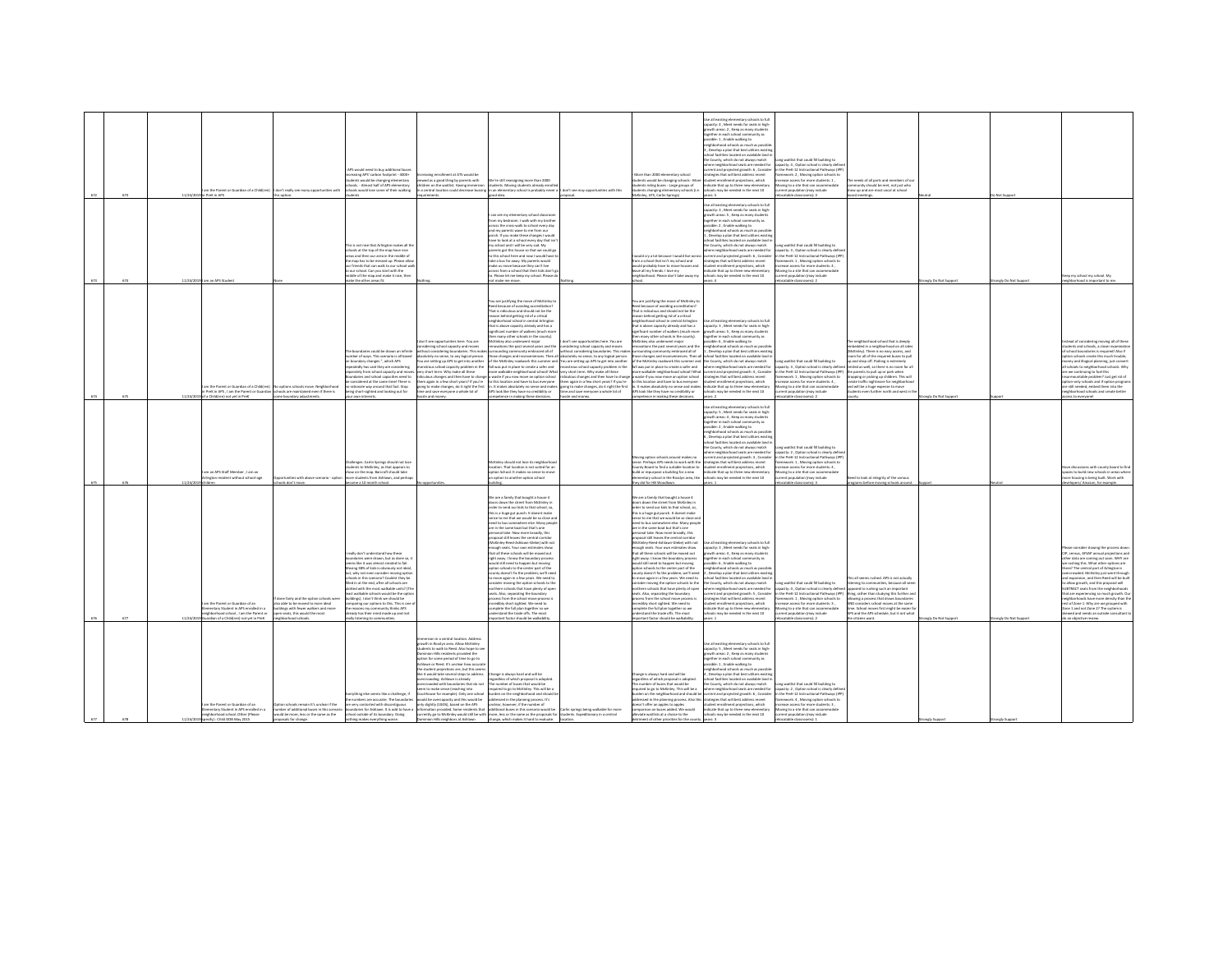|            |            | m the Parent or Guardian of a Childfren)                                                                                                                  | don't really see many opportunities with                                                                                                                                   | APS would need to him additional huses<br>reasing APS' carbon footprint - 4000+<br>dents would be changing elementary<br>ools. - Almost half of APS elementary<br>hools would lose some of their walking                                                                                                                                                                                                                                                                                                                                                              | sing enrollment at ATS would be<br>eltiw zavered thing by the is boos a ze bay<br>iren on the waitlist. Having imme<br>a central location could decrease bussi                                                                                                                                                                                                                                                                                                                                                                                                         | Ve're still reassigning more than 2000<br>dents. Moving students already enrol<br>in an elementary school is probably never                                                                                                                                                                                                                                                                                                                                                                                                                                                                                                                                                                                                                                                                                                                                                                                                                                                                                                                                 | on't see may opportunities with this                                                                                                                                                                                                                                                                                                                                                                                                  | More than 2000 elementary school<br>dents would be changing schools - Mor<br>lents riding buses - Large groups of<br>dents changing elementary schools (i.e.                                                                                                                                                                                                                                                                                                                                                                                                                                                                                                                                                                                                                                                                                                                                                                                                                                                                                          | .<br>Jse all existing elementary schools to full<br>apacity: 4 , Meet needs for seats in high-<br>wth areas: 2, Keep as many students<br>ether in each school community as<br>sible: 1 . Enable walking to<br>ighborhood schools as much as possib<br>Develop a plan that best utilizes existi<br>ool facilities located on available land is<br>County, which do not always match<br>ere neighborhood seats are needed for<br>root and necianted entails 6. Consider<br>tegies that will best address recent<br>tent enrollment projections, which<br>cate that up to three new elementary<br>O2 town off ni bebeen ed vam aloo            | waitlist that could fill building to<br>pacity: 4, Option school is clearly defi<br>the Dref', 12 Instructional Dathways (ID)<br>ework: 2, Moving option schools to<br>hase access for more students: 1.<br>ring to a site that can accommo<br>ent oopulation (may include                                                     | te needs of all parts and members of ou<br>unity should be met, not just who<br>how up and are most vocal at school                                                                                                                                                                                                                                                                                                                                                              |                    |                               |                                                                                                                                                                                                                                                                                                                                                                                                                                                                                                                                                                                                             |
|------------|------------|-----------------------------------------------------------------------------------------------------------------------------------------------------------|----------------------------------------------------------------------------------------------------------------------------------------------------------------------------|-----------------------------------------------------------------------------------------------------------------------------------------------------------------------------------------------------------------------------------------------------------------------------------------------------------------------------------------------------------------------------------------------------------------------------------------------------------------------------------------------------------------------------------------------------------------------|------------------------------------------------------------------------------------------------------------------------------------------------------------------------------------------------------------------------------------------------------------------------------------------------------------------------------------------------------------------------------------------------------------------------------------------------------------------------------------------------------------------------------------------------------------------------|-------------------------------------------------------------------------------------------------------------------------------------------------------------------------------------------------------------------------------------------------------------------------------------------------------------------------------------------------------------------------------------------------------------------------------------------------------------------------------------------------------------------------------------------------------------------------------------------------------------------------------------------------------------------------------------------------------------------------------------------------------------------------------------------------------------------------------------------------------------------------------------------------------------------------------------------------------------------------------------------------------------------------------------------------------------|---------------------------------------------------------------------------------------------------------------------------------------------------------------------------------------------------------------------------------------------------------------------------------------------------------------------------------------------------------------------------------------------------------------------------------------|-------------------------------------------------------------------------------------------------------------------------------------------------------------------------------------------------------------------------------------------------------------------------------------------------------------------------------------------------------------------------------------------------------------------------------------------------------------------------------------------------------------------------------------------------------------------------------------------------------------------------------------------------------------------------------------------------------------------------------------------------------------------------------------------------------------------------------------------------------------------------------------------------------------------------------------------------------------------------------------------------------------------------------------------------------|---------------------------------------------------------------------------------------------------------------------------------------------------------------------------------------------------------------------------------------------------------------------------------------------------------------------------------------------------------------------------------------------------------------------------------------------------------------------------------------------------------------------------------------------------------------------------------------------------------------------------------------------|--------------------------------------------------------------------------------------------------------------------------------------------------------------------------------------------------------------------------------------------------------------------------------------------------------------------------------|----------------------------------------------------------------------------------------------------------------------------------------------------------------------------------------------------------------------------------------------------------------------------------------------------------------------------------------------------------------------------------------------------------------------------------------------------------------------------------|--------------------|-------------------------------|-------------------------------------------------------------------------------------------------------------------------------------------------------------------------------------------------------------------------------------------------------------------------------------------------------------------------------------------------------------------------------------------------------------------------------------------------------------------------------------------------------------------------------------------------------------------------------------------------------------|
| 623<br>674 | 11/24/2019 | 11/24/2019 in PreK in APS<br>am an APS Studen                                                                                                             |                                                                                                                                                                            | is not nice that Arlington makes all th<br>ools at the top of the map have nice<br>es and then our area in the middle of<br>a map has to be messed up. Please allo<br>ur friends that can walk to our school wa<br>our school. Can you start with the<br>niddle of the map and make it nice, then<br>te the other areas fit.                                                                                                                                                                                                                                          |                                                                                                                                                                                                                                                                                                                                                                                                                                                                                                                                                                        | od idea<br>can see my elementary school classroom<br>rom my bedroom. I walk with my brother<br>oss the cross-walk to school every day<br>and my parents waye to me from our<br>rch. If you make these changes I would<br>lave to look at a school every day that isn'<br>y school and I will be very sad. My<br>arents got this house so that we could go<br>to this school here and now I would have t<br>take a bus far away. My parents would<br>sales us moves haracese they ran't live<br>cross from a school that their kids don't g<br>b. Please let me keep my school. Please d<br>make me move.                                                                                                                                                                                                                                                                                                                                                                                                                                                    |                                                                                                                                                                                                                                                                                                                                                                                                                                       | <b>Unley, ATS, Carlin Springs)</b><br>rould cry a lot because I would live acre<br>om a school that isn't my school and<br>mold needsably have to move horries and<br>eave all my friends. I love my<br>eighborhood. Please don't take away my                                                                                                                                                                                                                                                                                                                                                                                                                                                                                                                                                                                                                                                                                                                                                                                                        | e all existing elementary schools to full<br>apacity: 3 . Meet needs for seats in high-<br>wth areas: S., Keep as many students<br>gether in each school community as<br>sible: 2, Enable walking to<br>eighborhood schools as much as possib<br>Develop a plan that best utilizes exist<br>ool facilities located on available land i<br>County, which do not always match<br>ere neighborhood seats are needed for<br>rrent and projected growth: 6, Consider<br>ategies that will best address recent<br>dent enrollment projections, which<br>rdicate that up to three new elementary<br>ools may be needed in the next 10              | table classrooms): 3<br>ng waitlist that could fill building to<br>sacity: 3, Option school is clearly defi<br>the PreK-12 Instructional Pathways (IP)<br>nework: 1, Moving option schools to<br>pasa arress for more students-4<br>wing to a site that can accommodat<br>ent oopulation (may include<br>stable classrooms): 2 | d meetings.                                                                                                                                                                                                                                                                                                                                                                                                                                                                      | ely Do Not Suppo   | Not Supp<br>nely Do Not Suppo | rep my school my school. My<br>chood is important to m                                                                                                                                                                                                                                                                                                                                                                                                                                                                                                                                                      |
|            |            | n the Parent or Guardian of a Child(ren)<br>a Child(ren) not yet in PreK                                                                                  | a options schools move. Neighborhoo<br>PreK in APS . I am the Parent or Guardian schools are maintained even if there is<br>some boundary adjustments.                     | andaries could be drawn an infinit<br>mber of ways. This scenario is all based<br>boundary changes.", which APS<br>eatedly has said they are considering<br>ately from school capacity and m<br>ndaries and school capacities need to<br>considered at the same time! There is<br>ationale way around that fact. Stop<br>ing short-sighted and looking out for<br>ar own interests.                                                                                                                                                                                   | n't see opportunities here. You are<br>dering school capacity and moves<br>tering boundaries. This mal<br>plutely no sense, to any logical person.<br>are setting up APS to get into another<br>rous school capacity problem in the<br>ort term. Why make all these<br>us changes and then have to chan<br>m again in a few short vears? If you're<br>ing to make changes, do it right the firs<br>and save everyone a whole lot of<br>ssle and money.                                                                                                                 | You are justifying the move of McKinley to<br>red because of avoiding accreditation?<br>hat is ridiculous and should not be the<br>eason behind getting rid of a critical<br>ighborhood school in central Arlingto<br>that is above capacity already and has a<br>ificant number of walkers (much m<br>en many other schools in the county).<br><b>Ackinkey also underwent major</b><br>rations the past several years and th<br>he lis boardne ytinummos pribn<br>those changes and inconveniences. Then all absolutely no sense, to any logical person.<br>of the McKinley roadwork this summer and You are setting up APS to get into another<br>fall was put in place to create a safer and<br>wilkable neighborhood school! What<br>raste if you now move an option school<br>to this location and have to bus everyone<br>APS look like they have no credibility or<br>spetence in making these decisions.                                                                                                                                            | on't see opportunities here. You are<br>sidering school capacity and moves<br>nsidering boundaries. This ma<br>nstrous school capacity problem in the<br>v short term. Why make all these<br>iculous changes and then have to chang-<br>them again in a few short years? If you're<br>It makes absolutely no sense and makes going to make changes, do it right the first<br>te and save everyone a whole lot of<br>hassle and money. | You are justifying the move of McKinley to<br>eed because of avoiding accreditation<br>That is ridiculous and should not be the<br>eason behind getting rid of a critical<br>ighborhood school in central Arlington<br>that is above capacity already and has a<br>ificant number of walkers (much mo<br>in many other schools in the county).<br>:Kinkey also underwent major<br>ations the past several years and the<br>nding community embraced all of<br>ose changes and inconveniences. Then a<br>The McKinkey readwerk this summer an<br>Il was put in place to create a safer and<br>walkable neighborhood school! What<br>raste if you now move an option school<br>to this location and have to his everyone<br>t makes absolutely no sense and make<br>APS look like they have no credibility or<br>mpetence in making these decisions.                                                                                                                                                                                                    | all existing elementary schools to full<br>pacity: 3 . Meet needs for seats in high-<br>wth areas: S , Keep as many stude<br>eether in each school community as<br>ible: 6, Enable walking to<br>ghborhood schools as much as post<br>Nevelop a plan that best utilizes exis<br>hool facilities located on available land i<br>e County, which do not always match<br>tere neighborhood seats are needed for<br>rent and projected growth: 4, Consider<br>ategies that will best address recent<br>tudent enrollment projections, which<br>idicate that up to three new elementar<br>ools may be needed in the next 10                      | ot waitlist that could fill huibling to<br>pacity: 3, Option school is clearly defin<br>the PreK-12 Instructional Pathways (IPP)<br>ework: 1, Moving option schools to<br>asia arrass for more students-4<br>ving to a site that can accor<br>nt population (may include<br>catable classrooms): 2                             | neighborhood school that is deeply<br>edded in a neighborhood on all side<br>cKinley). There is no easy access, and<br>com for all of the required buses to pull<br>ip and drop off. Parking is extremely<br>mited as well, so there is no room for a<br>.<br>he parents to pull up or park when<br>Iropping or picking up children. This will<br>.<br>create traffic nightmare for neighborhoo<br>and will be a huge expense to move<br>lents even further north and west in th | angly Do Not Suppo |                               | aad of considering moving all of these<br>dents and schools, a closer examinat<br>chool boundaries is required! Also if<br>ption schools create this much trouble.<br>ney and illogical planning, just convert<br>schools to neighborhood schools. Why<br>we continuing to fuel this<br>nountable problem? Just get rid of<br>.<br>Ition-only schools and if option progra<br>e still needed, embed them into the<br>ishborhood schools and create better<br>less to everyone!                                                                                                                              |
|            |            | n an APS Staff Member . I am an<br>naton resident without school-ae                                                                                       | rities with above scenario - opti<br>cols don't move.                                                                                                                      | vallenges: Carlin Springs should not lose<br>dents to McKinley, as that appears to<br>ow on the map. Barcroft should take<br>re students from Ashlawn, and perha<br>come a 10 month school.                                                                                                                                                                                                                                                                                                                                                                           |                                                                                                                                                                                                                                                                                                                                                                                                                                                                                                                                                                        | Kinley should not lose its neighborhoo<br>cation. That location is not suited for an<br>tion School. It makes no sense to mo<br>option to another option school                                                                                                                                                                                                                                                                                                                                                                                                                                                                                                                                                                                                                                                                                                                                                                                                                                                                                             |                                                                                                                                                                                                                                                                                                                                                                                                                                       | ring option schools around makes no<br>ense. Perhaps APS needs to work with the<br>ounty Board to find a suitable location to<br>suild or repurpose a building for a new<br>entary school in the Rosslyn area, like<br>hey did for HB Woodlawn                                                                                                                                                                                                                                                                                                                                                                                                                                                                                                                                                                                                                                                                                                                                                                                                        | se all existing elementary schools to full<br>pacity: 5 . Meet needs for seats in high-<br>wth areas: 4, Keep as many student<br>parther in each school community as<br>sible: 2, Enable walking to<br>eighborhood schools as much as possib<br>.<br>Nevelop a plan that best utilizes exis<br>ool facilities located on available land<br>County, which do not always match<br>ere neighborhood seats are needed for<br>rent and projected growth: 3, Consider<br>ategies that will best address recent<br>.<br>dent enrollment projections, which<br>dicate that up to three new elementary<br>ools may be needed in the next 10<br>are 1 | waitlist that could fill building to<br>acity: 2. Option school is clearly defi-<br>the PreK-12 Instructional Pathways (II)<br>sework: 1, Moving option schools to<br>rease access for more students: 4 ,<br>wing to a site that can accommoda<br>t population (may include<br>catable classrooms): 3                          | d to look at integrity of the variou<br>rograms before moving schools around                                                                                                                                                                                                                                                                                                                                                                                                     |                    |                               | ons with county board to fin<br>aces to build new schools in areas when<br>e housing is being built. Work with<br>elopers/ Amazon, for example.                                                                                                                                                                                                                                                                                                                                                                                                                                                             |
|            |            | m the Decent or Guardian of an<br>mentary Student in APS enrolled in a<br>rhborhood school . I am the Parent or<br>ardian of a Childfren) not vet in PreK | done fairly and the option schools wer<br>so able to be moved to more ideal<br>buildings with fewer walkers and more<br>oen seats, this would the most<br>shbarhood school | ally don't understand how thes<br>ndaries were drawn, but as done so.<br>ns like it was almost created to fail.<br>zving 38% of kids is obviously not ideal<br>ut, why not even consider moving optio<br>thools in this scenario? Couldnt they be<br>likel in at the end, after all schools are<br>IT) Sztinu sidialáw teom srt ritiw bstto<br>st walkable schools would be the optio<br>ildings). I don't think we should be<br>aring our options to this. This is one<br>reasons my community thinks APS<br>ady has their mind made up and isn!<br>listening to com |                                                                                                                                                                                                                                                                                                                                                                                                                                                                                                                                                                        | We are a family that bought a house 4<br>ors down the street from McKinley in<br>wher to send our kids to that school, so<br>is is a huge gut punch. It doesnt make<br>ense to me that we would be so close and<br>need to bus somewhere else. Many people<br>are in the same boat but that's one<br>rsonal take. Now more broadly, this<br>ppgial still leaves the central corridor<br>Kinley-Reed-Ashlawn-Glebe) with no<br>nough seats. Your own estimates show<br>hat all these schools will be maxed out<br>right away. I know the boundary process<br>ould still need to happen but moving<br>tion schools to the center part of the<br>unty doesn't fix the problem; we'll nee<br>move again in a few years. We need to<br>cider e<br>wine the ordion schools to the<br>ethern schools that have plenty of open<br>seats. Also, separating the boundary<br>process from the school move process is<br>redibly short sighted. We need to<br>mplete the full plan together so we<br>lerstand the trade offs. The most<br>ortant factor should be walka |                                                                                                                                                                                                                                                                                                                                                                                                                                       | We are a family that bought a house 4<br>oors down the street from McKinley in<br>wher to send our kids to that school, so<br>is is a huge gut punch. It doesnt mak<br>inse to me that we would be so close an<br>ed to bus somewhere else. Many peopl<br>are in the same boat but that's one<br>sonal take. Now more broadly, this<br>roposal still leaves the central corridor<br>Ackinley-Reed-Ashlawn-Glebe) with not<br>nough seats. Your own estimates show<br>hat all these schools will be maxed out<br>right away. I know the boundary process<br>uld still need to happen but moving<br>option schools to the center part of the<br>sunty doesn't fix the problem; we'll need<br>move again in a few years. We need to<br>sider moving the option schools to the<br>thern schools that have plenty of open<br>seats. Also, separating the boundary<br>process from the school move process i<br>edibly short sighted. We need to<br>omplete the full plan together so we<br>rstand the trade offs. The most<br>rtant factor should be walka | all existing elementary schools to full<br>pacity: 3 . Meet needs for seats in high-<br>th areas: 4, Keep as many students<br>ether in each school community as<br>ble: 6, Enable walking to<br>phborhood schools as much as possi<br>Develop a plan that best utilizes exist<br>pol facilities located on available land i<br>County, which do not always match.<br>tere neighborhood seats are needed for<br>rent and projected growth: 5 , Consider<br>stegies that will best address recent<br>ent enrollment projections, which<br>icate that up to three new elementary<br>ols may be needed in the next 10                           | ot waitlist that could fill huibling to<br>pacity: 4, Option school is clearly defined opposed to rushing such an important<br>ase access for more students: 3 .<br>wing to a site that can accommodate<br>ent population (may include<br>atable classrooms):                                                                  | This all seems rushed. APS is not actually<br>rring to communities, because all see<br>the PreK-12 Instructional Pathways (IPP) thing, rather than studying this further and<br>amework: 1 , Moving option schools to allowing a process that draws boundaries<br>versident school mouses at the same<br>time. School moves first might be easier fi<br>APS and the APS schedule, but it isnt what<br>izens want.                                                                | mely Do Not Suppo  | rongly Do Not Suppo           | ease consider slowing the process down<br>census, AFSAP annual projections and<br>ther data are coming out soon. WHY are<br>shing this. What other options are<br>ere? The central part of Arlington is<br>crowded. McKinley just went through<br>d expansion, and then Reed will be buil<br>allow arowth, and this proposal will<br>UBTRACT seats from the neighborhoods<br>at are experiencing so much growth. Or<br>ghborhoods have more density than th<br>ist of Zone 1. Why are we grouped with<br>cone 1 and not Zone 2? The system is<br>wed and needs an outside consultant<br>an objective review |
|            |            | m the Parent or Guardian of an<br>a ni hallonna 204 ni trashut2 unatrane<br>sase/9) serbO, loorload school<br>(): Child DOB May 2015                      | on schools remain It's unclear if the<br>umher of additional huses in this scenar<br>rould be more, less or the same as the                                                | ything else seems like a challenge, i<br>umbers are accurate. The boundar<br>wry contorted with discontinuous<br>daries for Achlasen III is notif to have a<br>hool outside of its boundary. Doing                                                                                                                                                                                                                                                                                                                                                                    | ion in a central location. Addres<br>wth in Rosslyn area. Allow McKinley<br>nts to walk to Reed. Also hope to :<br>tion Hills residents provided the<br>on for some period of time to go to<br>lawn or Reed. It's unclear how accur<br>student projections are, but this see<br>ike it would take several steps to address<br>owding. Ashlawn is already<br>rowded with boundaries that do not<br>to make sense (reaching into<br>house for example). Only one schor<br>d be overcapacity and this would be<br>ly slightly (104%), based on the APS<br>bors at Ashlawn | Change is always hard and will be<br>gardless of which proposal is adopted<br>number of buses that would be<br>red to go to McKinley. This will be a<br>len on the neighborhood and should<br>dressed in the planning process. It's<br>nclear, however, if the number of<br>in remainted. Some residents that additional huses in this scenario would he<br>rrently go to McKinley would still be with more, less or the same as the proposals for students. Expeditionary in a central<br>change, which makes it hard to                                                                                                                                                                                                                                                                                                                                                                                                                                                                                                                                   | Carlin serings heine walkable for more                                                                                                                                                                                                                                                                                                                                                                                                | hanne is always hard and will be<br>egardless of which proposal is adopted.<br>The number of buses that would be<br>aired to eo to McKinley. This will be a<br>den on the neighborhood and should b<br>essed in the planning process. Also thi<br>sn't offer an apples to apples<br>history all tables annul on noire<br>riate waitlists at a choice to the                                                                                                                                                                                                                                                                                                                                                                                                                                                                                                                                                                                                                                                                                           | lut de alocities elementary schools to full<br>capacity: S , Meet needs for seats in high-<br>rrowth areas: 2 . Keep as many students<br>ether in each school community as<br>sible: 1 . Enable walking to<br>borhood schools as much as possi<br>Develop a plan that best utilizes existin<br>ol facilities located on available land<br>County, which do not always match<br>neighborhood seats are needed for<br>rent and projected growth: 6, Conside<br>begies that will best address recent<br>dent enrollment projections, which<br>finate that un to three new elementary<br>ools may be needed in the next 10                      | ing waitlist that could fill building to<br>pacity: 2 , Option school is clearly define<br>the PreK-12 Instructional Pathways (IPP<br>sework: 4, Moving option schools to<br>hase access for more students: 3 .<br>vine to a site that can accome<br>ent population (may include                                               |                                                                                                                                                                                                                                                                                                                                                                                                                                                                                  |                    |                               |                                                                                                                                                                                                                                                                                                                                                                                                                                                                                                                                                                                                             |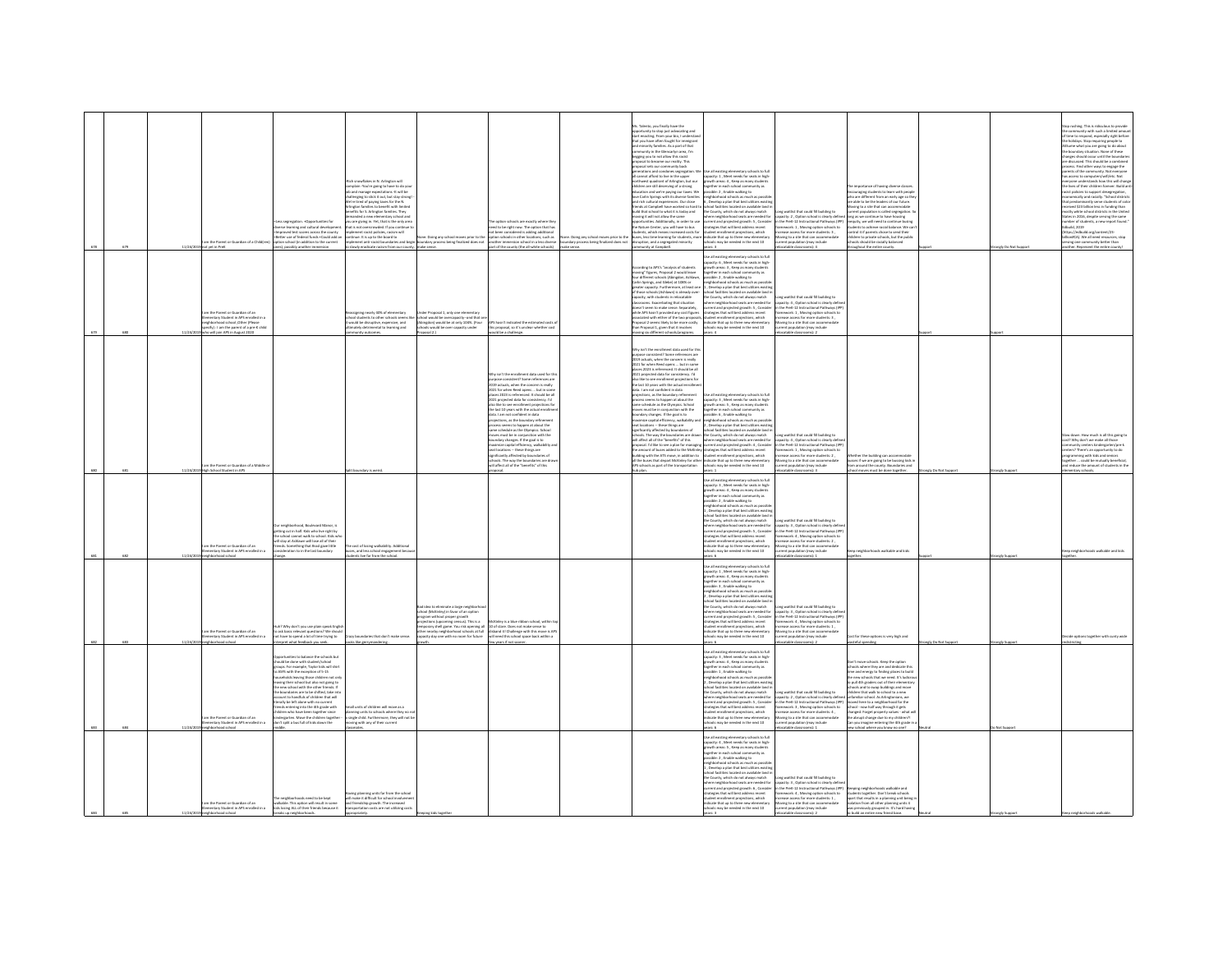|     |          |                                                                            |                                                                                                                                                                                      |                                                                                                                                                                                                                                        |                                                                                                                                                                                                                                |                                                                                    | . Talento, you finally have the                                                                                                                                                                                                               |                                                                                                                                                                                                                                               |                                                                                                                                                                              |                                                                                                                                                                                |                     |                    |                                                                                                                                                                                                  |
|-----|----------|----------------------------------------------------------------------------|--------------------------------------------------------------------------------------------------------------------------------------------------------------------------------------|----------------------------------------------------------------------------------------------------------------------------------------------------------------------------------------------------------------------------------------|--------------------------------------------------------------------------------------------------------------------------------------------------------------------------------------------------------------------------------|------------------------------------------------------------------------------------|-----------------------------------------------------------------------------------------------------------------------------------------------------------------------------------------------------------------------------------------------|-----------------------------------------------------------------------------------------------------------------------------------------------------------------------------------------------------------------------------------------------|------------------------------------------------------------------------------------------------------------------------------------------------------------------------------|--------------------------------------------------------------------------------------------------------------------------------------------------------------------------------|---------------------|--------------------|--------------------------------------------------------------------------------------------------------------------------------------------------------------------------------------------------|
|     |          |                                                                            |                                                                                                                                                                                      |                                                                                                                                                                                                                                        |                                                                                                                                                                                                                                |                                                                                    | rtunity to stop just advocating and                                                                                                                                                                                                           |                                                                                                                                                                                                                                               |                                                                                                                                                                              |                                                                                                                                                                                |                     |                    | top rushing. This is ridiculous to provide<br>te community with such a limited amous                                                                                                             |
|     |          |                                                                            |                                                                                                                                                                                      |                                                                                                                                                                                                                                        |                                                                                                                                                                                                                                |                                                                                    | tart enacting. From your bio, I understa<br>hat you have often fought for immigrant                                                                                                                                                           |                                                                                                                                                                                                                                               |                                                                                                                                                                              |                                                                                                                                                                                |                     |                    | f time to respond, especially right before<br>he holidays. Stop requiring people to                                                                                                              |
|     |          |                                                                            |                                                                                                                                                                                      |                                                                                                                                                                                                                                        |                                                                                                                                                                                                                                |                                                                                    | minority families. As a part of that                                                                                                                                                                                                          |                                                                                                                                                                                                                                               |                                                                                                                                                                              |                                                                                                                                                                                |                     |                    | ume what you are eoing to do about                                                                                                                                                               |
|     |          |                                                                            |                                                                                                                                                                                      |                                                                                                                                                                                                                                        |                                                                                                                                                                                                                                |                                                                                    | onmunity in the Glencarlyn area, I'm<br>egging you to not allow this racist                                                                                                                                                                   |                                                                                                                                                                                                                                               |                                                                                                                                                                              |                                                                                                                                                                                |                     |                    |                                                                                                                                                                                                  |
|     |          |                                                                            |                                                                                                                                                                                      |                                                                                                                                                                                                                                        |                                                                                                                                                                                                                                |                                                                                    | osal to become our reality.                                                                                                                                                                                                                   |                                                                                                                                                                                                                                               |                                                                                                                                                                              |                                                                                                                                                                                |                     |                    | station with vary posted in the boundary situation. None of these<br>harges should occur until the boundarise<br>rediscussed. This should be a combined<br>rocess. Find other ways to engage the |
|     |          |                                                                            |                                                                                                                                                                                      |                                                                                                                                                                                                                                        |                                                                                                                                                                                                                                |                                                                                    | posal sets our community back<br>ations and condones segregation                                                                                                                                                                              | ie all existing elementary schools to full                                                                                                                                                                                                    |                                                                                                                                                                              |                                                                                                                                                                                |                     |                    | arents of the community. Not everyone                                                                                                                                                            |
|     |          |                                                                            |                                                                                                                                                                                      |                                                                                                                                                                                                                                        |                                                                                                                                                                                                                                |                                                                                    | I cannot afford to live in the upper                                                                                                                                                                                                          | spacity: 1, Meet needs for seats in high<br>rowth areas: 4, Keep as many student                                                                                                                                                              |                                                                                                                                                                              |                                                                                                                                                                                |                     |                    | has access to computers/wifi/etc. Not                                                                                                                                                            |
|     |          |                                                                            |                                                                                                                                                                                      | .<br>Rich snowflakes in N. Arlington will<br>job and manage expectations -it will be<br>job and manage expectations -it will be                                                                                                        |                                                                                                                                                                                                                                |                                                                                    | i carmon amore to investme for the paper<br>orthwist quadrant of Arlington, but our<br>hidren are still deserving of a strong<br>ducation and we're paying our taxes. We<br>over Carlin Springs with its diverse families<br>nd rich cultural | rether in each school o                                                                                                                                                                                                                       |                                                                                                                                                                              | importance of having diverse classes                                                                                                                                           |                     |                    | iveryone understands how this will change<br>the lives of their children forever. Build ant                                                                                                      |
|     |          |                                                                            |                                                                                                                                                                                      |                                                                                                                                                                                                                                        |                                                                                                                                                                                                                                |                                                                                    |                                                                                                                                                                                                                                               | ssible: 2, Enable walking to                                                                                                                                                                                                                  |                                                                                                                                                                              | suraging students to learn with peop                                                                                                                                           |                     |                    | is a collision to support desegregation<br>concernically and racially. "School distri                                                                                                            |
|     |          |                                                                            |                                                                                                                                                                                      | ודף שמות של המשפט בישראלי ומשפט בישראלי<br>allenging to stick it out, but stay strong!<br>של של של המשפט בישראלי השל של המשפט בישראלי<br>של של המשפט בישראלי המשפט בישראלי המשפט בישראלי המשפט בישראלי המשפט בישראלי המשפט בישראלי המש |                                                                                                                                                                                                                                |                                                                                    |                                                                                                                                                                                                                                               | shborhood schools as much as poss<br>Develop a plan that best utilizes exi                                                                                                                                                                    |                                                                                                                                                                              | nootinging accessive to really sign so the<br>ho are different from an early age so the<br>re able to be the leaders of our future.                                            |                     |                    | intly serve students of cold                                                                                                                                                                     |
|     |          |                                                                            |                                                                                                                                                                                      | ngton families to benefit with limited<br>efits for S. Arlinaton families. They                                                                                                                                                        |                                                                                                                                                                                                                                |                                                                                    | ends at Campbell have worked so hard t<br>bns vabot at it tarlw of loorlas tart! blu                                                                                                                                                          | tool facilities located on available land<br>he County, which do not always match                                                                                                                                                             | ong waitlist that could fill building to                                                                                                                                     | oving to a site that can accommodate<br>rrent population is called segregation. S                                                                                              |                     |                    | seived \$23 billion less in funding than<br>ostly white school districts in the United                                                                                                           |
|     |          |                                                                            | segregation, +Opportunities for                                                                                                                                                      | nded a new elementary school are<br>are giving in. Yet, that is the only area                                                                                                                                                          | esting orbords are exactly where the                                                                                                                                                                                           |                                                                                    | sving it will not allow the same<br>sities Additionally in noter to us                                                                                                                                                                        | ere neighborhood seats are needed for                                                                                                                                                                                                         | apacity: 2 . Option school is clearly define<br>in the PreK-12 Instructional Pathways (IPF                                                                                   | long as we continue to have ho<br>uity, we will need to continue busin                                                                                                         |                     |                    | lates in 2016, despite serving the same<br>mber of students, a new report found."                                                                                                                |
|     |          |                                                                            |                                                                                                                                                                                      | at is not overcrowded. If you continue<br>plement racist policies, racism will                                                                                                                                                         |                                                                                                                                                                                                                                |                                                                                    |                                                                                                                                                                                                                                               |                                                                                                                                                                                                                                               | ne vrek-12 instructional vatmways (iv)<br>nework: 1 , Moving option schools to<br>ease access for more students: 3 ,                                                         | iquity, we will head to continue busing<br>idents to achieve racial balance. We ca<br>ntrol it if parents chose to send their                                                  |                     |                    |                                                                                                                                                                                                  |
|     |          |                                                                            |                                                                                                                                                                                      | ne. Doing any school moves prior to th                                                                                                                                                                                                 |                                                                                                                                                                                                                                |                                                                                    |                                                                                                                                                                                                                                               |                                                                                                                                                                                                                                               |                                                                                                                                                                              |                                                                                                                                                                                |                     |                    |                                                                                                                                                                                                  |
|     |          | n the Parent or Guardian of a Child(ren                                    | -<br>Course learning and cultural development.<br>Hinproved tist scores across the county<br>-Better use of federal funds +Could add an<br>option school (in addition to the current | tinue. It is up to the board to<br>lement anti-racist boundaries and begin<br>dary process being finalized does not                                                                                                                    | need to be right now. The option that has<br>need to be right now. The option that has<br>not been considered is adding additional<br>option schools in other locations, such as<br>another immersion school in a less diverse | ne. Doing any school moves prior to the<br>undary process being finalized does not | pportunnes. Additionally, in order to bus<br>he Nature Center, you will have to bus<br>tudents, which means increased costs for<br>uses, less time learning for students, more<br>lisruption, and a segregated minority                       | where neighborhood seals are needed for<br>current and projected growth: 5 , Consider<br>strategies that will best address recent<br>student encollment projections, which<br>indicate that up to three new elementary<br>schools may be need | Moving to a site that can accommodate<br>current population (may include                                                                                                     | hildren to private schools, but the public<br>chools should be racially balanced                                                                                               |                     |                    | numeer or suusents, a new report tount.<br>Edbuild, 2019<br>(https://edbuild.org/content/23-<br>billion#CA). We all need resources, stop<br>serving one community better than                    |
| 679 | 11/24/   | ot yet in PreK                                                             | nes), possibly another immersion                                                                                                                                                     | b slowly eradicate racism from our county. make sense.                                                                                                                                                                                 | part of the county (the all-white schools) make sense.                                                                                                                                                                         |                                                                                    | ommunity at Campbell.                                                                                                                                                                                                                         | ears: 3                                                                                                                                                                                                                                       | catable classrooms): 4                                                                                                                                                       | hroughout the entire county.                                                                                                                                                   |                     | ongly Do Not Suppe | other. Represent the entire county!                                                                                                                                                              |
|     |          |                                                                            |                                                                                                                                                                                      |                                                                                                                                                                                                                                        |                                                                                                                                                                                                                                |                                                                                    |                                                                                                                                                                                                                                               | se all existing elementary schools to full                                                                                                                                                                                                    |                                                                                                                                                                              |                                                                                                                                                                                |                     |                    |                                                                                                                                                                                                  |
|     |          |                                                                            |                                                                                                                                                                                      |                                                                                                                                                                                                                                        |                                                                                                                                                                                                                                |                                                                                    | ccording to APS's "analysis of students<br>roving" figures, Proposal 2 would leave                                                                                                                                                            | pacity: 6 , Meet needs for seats in high-<br>owth areas: 3 , Keep as many students<br>gether in each school community as                                                                                                                      |                                                                                                                                                                              |                                                                                                                                                                                |                     |                    |                                                                                                                                                                                                  |
|     |          |                                                                            |                                                                                                                                                                                      |                                                                                                                                                                                                                                        |                                                                                                                                                                                                                                |                                                                                    | four different schools (Abingdon, Ashlawn                                                                                                                                                                                                     | ssible: 2, Enable walking to                                                                                                                                                                                                                  |                                                                                                                                                                              |                                                                                                                                                                                |                     |                    |                                                                                                                                                                                                  |
|     |          |                                                                            |                                                                                                                                                                                      |                                                                                                                                                                                                                                        |                                                                                                                                                                                                                                |                                                                                    | arlin Sorines, and Glebe) at 108% or<br>ater capacity. Furthermore, at least one                                                                                                                                                              | eighborhood schools as much as possil<br>Develop a plan that best utilizes existin                                                                                                                                                            |                                                                                                                                                                              |                                                                                                                                                                                |                     |                    |                                                                                                                                                                                                  |
|     |          |                                                                            |                                                                                                                                                                                      |                                                                                                                                                                                                                                        |                                                                                                                                                                                                                                |                                                                                    | those schools (Ashlawn) is already over-                                                                                                                                                                                                      | ool facilities located on available land                                                                                                                                                                                                      |                                                                                                                                                                              |                                                                                                                                                                                |                     |                    |                                                                                                                                                                                                  |
|     |          |                                                                            |                                                                                                                                                                                      |                                                                                                                                                                                                                                        |                                                                                                                                                                                                                                |                                                                                    | acity, with students in relocatabl                                                                                                                                                                                                            | a County, which do not always match                                                                                                                                                                                                           | a waitlist that could fill huilding to                                                                                                                                       |                                                                                                                                                                                |                     |                    |                                                                                                                                                                                                  |
|     |          |                                                                            |                                                                                                                                                                                      |                                                                                                                                                                                                                                        |                                                                                                                                                                                                                                |                                                                                    | spacity, with students in relocations<br>lassrooms. Exacerbating that situation<br>oesn't seem to make sense. Separately,<br>hile APS hasn't provided any cost figures                                                                        | e County, which as not aways match<br>here neighborhood seats are needed for<br>rrent and projected growth: S , Consider<br>rategies that will best address recent                                                                            | cong www.that could no building to<br>capacity: 4 , Option school is clearly define<br>in the PreK-12 Instructional Pathways (IPF<br>framework: 1 , Moving option schools to |                                                                                                                                                                                |                     |                    |                                                                                                                                                                                                  |
|     |          | n the Parent or Guardian of an<br>mentary Student in APS enrolled in a     |                                                                                                                                                                                      | signing nearly 40% of elementary<br>der Proposal 1, only one eler<br>ool students to other schools seems lil<br>chool would be overcapacity-and that o                                                                                 |                                                                                                                                                                                                                                |                                                                                    | sociated with either of the two proposal                                                                                                                                                                                                      | student enrollment projections, which                                                                                                                                                                                                         | crease access for more students: 3                                                                                                                                           |                                                                                                                                                                                |                     |                    |                                                                                                                                                                                                  |
|     |          | ehborhood school .Other (Please                                            |                                                                                                                                                                                      | ould be disruptive, expensive, and<br>mately detrimental to learning and<br>bingdon) would be at only 104%. (Four<br>hools would be over capacity under                                                                                | APS hasn't indicated the estimated costs of                                                                                                                                                                                    |                                                                                    | posal 2 seems likely to be more costly                                                                                                                                                                                                        | ndicate that up to three new elementary                                                                                                                                                                                                       | loving to a site that can accomm                                                                                                                                             |                                                                                                                                                                                |                     |                    |                                                                                                                                                                                                  |
|     |          | cify) : I am the parent of a pre-K child<br>o will join APS in August 2020 |                                                                                                                                                                                      | osal 2.)                                                                                                                                                                                                                               | this proposal, so it's unclear whether cost<br>ould be a challenge.                                                                                                                                                            |                                                                                    | an Proposal 1, given that it involves<br>ving six different schools/programs                                                                                                                                                                  | hools may be needed in the next 10<br>are 4                                                                                                                                                                                                   | sent population (may include<br>table classrooms): 2                                                                                                                         |                                                                                                                                                                                |                     |                    |                                                                                                                                                                                                  |
|     |          |                                                                            |                                                                                                                                                                                      |                                                                                                                                                                                                                                        |                                                                                                                                                                                                                                |                                                                                    |                                                                                                                                                                                                                                               |                                                                                                                                                                                                                                               |                                                                                                                                                                              |                                                                                                                                                                                |                     |                    |                                                                                                                                                                                                  |
|     |          |                                                                            |                                                                                                                                                                                      |                                                                                                                                                                                                                                        |                                                                                                                                                                                                                                |                                                                                    | orise't the enrollment data used for th                                                                                                                                                                                                       |                                                                                                                                                                                                                                               |                                                                                                                                                                              |                                                                                                                                                                                |                     |                    |                                                                                                                                                                                                  |
|     |          |                                                                            |                                                                                                                                                                                      |                                                                                                                                                                                                                                        |                                                                                                                                                                                                                                |                                                                                    | surpose consistent? Some references are<br>019 actuals, when the concern is really<br>021 for when Reed opens  but in some                                                                                                                    |                                                                                                                                                                                                                                               |                                                                                                                                                                              |                                                                                                                                                                                |                     |                    |                                                                                                                                                                                                  |
|     |          |                                                                            |                                                                                                                                                                                      |                                                                                                                                                                                                                                        |                                                                                                                                                                                                                                |                                                                                    |                                                                                                                                                                                                                                               |                                                                                                                                                                                                                                               |                                                                                                                                                                              |                                                                                                                                                                                |                     |                    |                                                                                                                                                                                                  |
|     |          |                                                                            |                                                                                                                                                                                      |                                                                                                                                                                                                                                        | Why isn't the enrollment data used for thi                                                                                                                                                                                     |                                                                                    | laces 2023 is referenced. It should be all                                                                                                                                                                                                    |                                                                                                                                                                                                                                               |                                                                                                                                                                              |                                                                                                                                                                                |                     |                    |                                                                                                                                                                                                  |
|     |          |                                                                            |                                                                                                                                                                                      |                                                                                                                                                                                                                                        | ose consistent? Some references an                                                                                                                                                                                             |                                                                                    | .<br>021 projected data for consistency. I'd<br>Iso like to see enrollment projections for                                                                                                                                                    |                                                                                                                                                                                                                                               |                                                                                                                                                                              |                                                                                                                                                                                |                     |                    |                                                                                                                                                                                                  |
|     |          |                                                                            |                                                                                                                                                                                      |                                                                                                                                                                                                                                        | 2019 actuals, when the concern is really<br>2021 for when Reed opens  but in some<br>places 2023 is referenced. It should be all                                                                                               |                                                                                    | e last 10 years with the actual enro                                                                                                                                                                                                          |                                                                                                                                                                                                                                               |                                                                                                                                                                              |                                                                                                                                                                                |                     |                    |                                                                                                                                                                                                  |
|     |          |                                                                            |                                                                                                                                                                                      |                                                                                                                                                                                                                                        |                                                                                                                                                                                                                                |                                                                                    | ita. I am not confident in data<br>ojections, as the boundary refin                                                                                                                                                                           |                                                                                                                                                                                                                                               |                                                                                                                                                                              |                                                                                                                                                                                |                     |                    |                                                                                                                                                                                                  |
|     |          |                                                                            |                                                                                                                                                                                      |                                                                                                                                                                                                                                        | 2021 projected data for consistency. I'd<br>also like to see enrollment projections for                                                                                                                                        |                                                                                    | ocess seems to happen at about the<br>me schedule as the Olympics. School                                                                                                                                                                     | pacity: 3, Meet needs for seats in high<br>wth areas: 5, Keep as many student                                                                                                                                                                 |                                                                                                                                                                              |                                                                                                                                                                                |                     |                    |                                                                                                                                                                                                  |
|     |          |                                                                            |                                                                                                                                                                                      |                                                                                                                                                                                                                                        | the last 10 years with the actual enrollin<br>lata. I am not confident in data                                                                                                                                                 |                                                                                    | wis must be in conjunction with the                                                                                                                                                                                                           | rether in each school community as                                                                                                                                                                                                            |                                                                                                                                                                              |                                                                                                                                                                                |                     |                    |                                                                                                                                                                                                  |
|     |          |                                                                            |                                                                                                                                                                                      |                                                                                                                                                                                                                                        | tions as the houndary refir                                                                                                                                                                                                    |                                                                                    | .<br>Indary changes. If the goal is to<br>Imize capital efficiency, walkability                                                                                                                                                               | .<br>ible: 6 , Enable walking to<br>hborhood schools as much as poss                                                                                                                                                                          |                                                                                                                                                                              |                                                                                                                                                                                |                     |                    |                                                                                                                                                                                                  |
|     |          |                                                                            |                                                                                                                                                                                      |                                                                                                                                                                                                                                        | programmers, as the boundary refinement<br>process seems to happen at about the<br>same schedule as the Olympics. School                                                                                                       |                                                                                    | t locations -- these things are                                                                                                                                                                                                               | Nevelop a plan that best utilizes ex                                                                                                                                                                                                          |                                                                                                                                                                              |                                                                                                                                                                                |                     |                    |                                                                                                                                                                                                  |
|     |          |                                                                            |                                                                                                                                                                                      |                                                                                                                                                                                                                                        | oves must be in conjunction with the                                                                                                                                                                                           |                                                                                    | eat iocations -- these trings are<br>ignificantly affected by boundaries of<br>chools. The way the boundaries are drawn                                                                                                                       | school facilities located on available land i<br>the County, which do not always match                                                                                                                                                        | ong waitlist that could fill building to                                                                                                                                     |                                                                                                                                                                                |                     |                    | ow down. How much is all this going to                                                                                                                                                           |
|     |          |                                                                            |                                                                                                                                                                                      |                                                                                                                                                                                                                                        | cundary changes. If the goal is to<br>simize capital efficiency, walkability                                                                                                                                                   |                                                                                    | ell affect all of the "benefits" of this<br>posal. I'd like to see a plan for managing                                                                                                                                                        | where neighborhood seats are needed for                                                                                                                                                                                                       | capacity: 4, Option school is clearly define<br>in the PreK-12 Instructional Pathways (IPF                                                                                   |                                                                                                                                                                                |                     |                    | tost? Why don't we make all those                                                                                                                                                                |
|     |          |                                                                            |                                                                                                                                                                                      |                                                                                                                                                                                                                                        | eat locations - these things are<br>nificantly affected by boundaries of                                                                                                                                                       |                                                                                    | amount of buses added to the McKink                                                                                                                                                                                                           | turrent and projected growth: 4 , Consider<br>trategies that will best address recent                                                                                                                                                         | tework: 1 . Moving option schools to                                                                                                                                         |                                                                                                                                                                                |                     |                    | .<br>http://www.kindergarten/pre-k<br>inters? There's an opportunity to do                                                                                                                       |
|     |          |                                                                            |                                                                                                                                                                                      |                                                                                                                                                                                                                                        | chools. The way the boundaries are dr.<br>will affect all of the "benefits" of this                                                                                                                                            |                                                                                    | is amount of busine abused to the interesting<br>liding with the ATS move, in addition to<br>PS schools as part of the transportation                                                                                                         | tuneyes one will best access receive<br>tudent enrollment projections, which<br>chools may be needed in the next 10                                                                                                                           | rease access for more students: 2<br>ving to a site that can accommodat                                                                                                      | ses if we are going to be bussing kid                                                                                                                                          |                     |                    | erar more aan opportunity to us<br>pramming with kids and seniors<br>ther  could be mutually beneficial,<br>reduce the amount of students in the                                                 |
|     | 11/24/20 | the Parent or Guardian of a Middle<br>gh School Student in APS             |                                                                                                                                                                                      | t boundary is wein                                                                                                                                                                                                                     |                                                                                                                                                                                                                                |                                                                                    |                                                                                                                                                                                                                                               |                                                                                                                                                                                                                                               | ion (may include<br>atable classrooms): 3                                                                                                                                    | around the county. Bour<br>daries and<br>al moves must be done together.                                                                                                       | angly Do Not Suppor | rongly Support     | intary schools.                                                                                                                                                                                  |
|     |          |                                                                            |                                                                                                                                                                                      |                                                                                                                                                                                                                                        |                                                                                                                                                                                                                                |                                                                                    |                                                                                                                                                                                                                                               | te all existing elementary schools to full                                                                                                                                                                                                    |                                                                                                                                                                              |                                                                                                                                                                                |                     |                    |                                                                                                                                                                                                  |
|     |          |                                                                            |                                                                                                                                                                                      |                                                                                                                                                                                                                                        |                                                                                                                                                                                                                                |                                                                                    |                                                                                                                                                                                                                                               | a all existing exercisions ,<br>pacity: 3 , Meet needs for seats in high<br>mean or many students                                                                                                                                             |                                                                                                                                                                              |                                                                                                                                                                                |                     |                    |                                                                                                                                                                                                  |
|     |          |                                                                            |                                                                                                                                                                                      |                                                                                                                                                                                                                                        |                                                                                                                                                                                                                                |                                                                                    |                                                                                                                                                                                                                                               |                                                                                                                                                                                                                                               |                                                                                                                                                                              |                                                                                                                                                                                |                     |                    |                                                                                                                                                                                                  |
|     |          |                                                                            |                                                                                                                                                                                      |                                                                                                                                                                                                                                        |                                                                                                                                                                                                                                |                                                                                    |                                                                                                                                                                                                                                               | apacuy: 3, novem news tor sears<br>powth areas: 4 , Keep as many stude<br>ogether in each school community as<br>eighborhood schools as much as pos<br>eighborhood schools as much as pos                                                     |                                                                                                                                                                              |                                                                                                                                                                                |                     |                    |                                                                                                                                                                                                  |
|     |          |                                                                            |                                                                                                                                                                                      |                                                                                                                                                                                                                                        |                                                                                                                                                                                                                                |                                                                                    |                                                                                                                                                                                                                                               | Develop a plan that best utilizes existi                                                                                                                                                                                                      |                                                                                                                                                                              |                                                                                                                                                                                |                     |                    |                                                                                                                                                                                                  |
|     |          |                                                                            |                                                                                                                                                                                      |                                                                                                                                                                                                                                        |                                                                                                                                                                                                                                |                                                                                    |                                                                                                                                                                                                                                               |                                                                                                                                                                                                                                               |                                                                                                                                                                              |                                                                                                                                                                                |                     |                    |                                                                                                                                                                                                  |
|     |          |                                                                            |                                                                                                                                                                                      |                                                                                                                                                                                                                                        |                                                                                                                                                                                                                                |                                                                                    |                                                                                                                                                                                                                                               | hool facilities located on available land i                                                                                                                                                                                                   |                                                                                                                                                                              |                                                                                                                                                                                |                     |                    |                                                                                                                                                                                                  |
|     |          |                                                                            |                                                                                                                                                                                      |                                                                                                                                                                                                                                        |                                                                                                                                                                                                                                |                                                                                    |                                                                                                                                                                                                                                               | he County, which do not always match                                                                                                                                                                                                          | one waitlist that could fill buildine to                                                                                                                                     |                                                                                                                                                                                |                     |                    |                                                                                                                                                                                                  |
|     |          |                                                                            |                                                                                                                                                                                      |                                                                                                                                                                                                                                        |                                                                                                                                                                                                                                |                                                                                    |                                                                                                                                                                                                                                               |                                                                                                                                                                                                                                               | spacity: 3, Option school is clearly defined a clearly defined in Prefit.<br>In the Prefit-12 Instructional Pathways (IP)                                                    |                                                                                                                                                                                |                     |                    |                                                                                                                                                                                                  |
|     |          |                                                                            | ur neighborhood, Boulevard Manor, is<br>tting cut in half. Kids who live right by<br>e school cannot walk to school. Kids wh<br>ill stay at Ashlawn will lose all of their           |                                                                                                                                                                                                                                        |                                                                                                                                                                                                                                |                                                                                    |                                                                                                                                                                                                                                               | examply, which do not annoys metal<br>ore neighborhood seats are needed for<br>rent and projected growth: 5 , Consider<br>stegies that will best address recent                                                                               | ework: 4, Moving option schools to<br>ease access for more students: 2,                                                                                                      |                                                                                                                                                                                |                     |                    |                                                                                                                                                                                                  |
|     |          | m the Parent or Guardian of an<br>entary Student in APS enrolled in a      | ds. Something that Brad gave little<br>deration to in the last boundary                                                                                                              | cost of losing walkability. Addition<br>es, and less school engagement beca                                                                                                                                                            |                                                                                                                                                                                                                                |                                                                                    |                                                                                                                                                                                                                                               | dent enrollment projections, which<br>icate that up to three new elementary<br>ols may be needed in the next 10                                                                                                                               | oving to a site that can accommodat<br>sent population (may include                                                                                                          | p neighborhoods walkable and kids                                                                                                                                              |                     |                    | o neighborhoods walkable and kids                                                                                                                                                                |
|     |          | sood school                                                                |                                                                                                                                                                                      | nts live far from the s                                                                                                                                                                                                                |                                                                                                                                                                                                                                |                                                                                    |                                                                                                                                                                                                                                               |                                                                                                                                                                                                                                               | atable classrooms): 1                                                                                                                                                        |                                                                                                                                                                                |                     |                    |                                                                                                                                                                                                  |
|     |          |                                                                            |                                                                                                                                                                                      |                                                                                                                                                                                                                                        |                                                                                                                                                                                                                                |                                                                                    |                                                                                                                                                                                                                                               |                                                                                                                                                                                                                                               |                                                                                                                                                                              |                                                                                                                                                                                |                     |                    |                                                                                                                                                                                                  |
|     |          |                                                                            |                                                                                                                                                                                      |                                                                                                                                                                                                                                        |                                                                                                                                                                                                                                |                                                                                    |                                                                                                                                                                                                                                               |                                                                                                                                                                                                                                               |                                                                                                                                                                              |                                                                                                                                                                                |                     |                    |                                                                                                                                                                                                  |
|     |          |                                                                            |                                                                                                                                                                                      |                                                                                                                                                                                                                                        |                                                                                                                                                                                                                                |                                                                                    |                                                                                                                                                                                                                                               | Use all existing elementary schools to full<br>capacity: 1 , Meet needs for seats in high-<br>growth areas: 4 , Keep as many students                                                                                                         |                                                                                                                                                                              |                                                                                                                                                                                |                     |                    |                                                                                                                                                                                                  |
|     |          |                                                                            |                                                                                                                                                                                      |                                                                                                                                                                                                                                        |                                                                                                                                                                                                                                |                                                                                    |                                                                                                                                                                                                                                               | together in each school community as<br>possible: 3 , Enable walking to<br>eighborhood schools as much as possib                                                                                                                              |                                                                                                                                                                              |                                                                                                                                                                                |                     |                    |                                                                                                                                                                                                  |
|     |          |                                                                            |                                                                                                                                                                                      |                                                                                                                                                                                                                                        |                                                                                                                                                                                                                                |                                                                                    |                                                                                                                                                                                                                                               | .<br>Develop a plan that best utilizes e                                                                                                                                                                                                      |                                                                                                                                                                              |                                                                                                                                                                                |                     |                    |                                                                                                                                                                                                  |
|     |          |                                                                            |                                                                                                                                                                                      | idea to eliminate a large neight                                                                                                                                                                                                       |                                                                                                                                                                                                                                |                                                                                    |                                                                                                                                                                                                                                               | County, which do not always match                                                                                                                                                                                                             | ong waitlist that could fill building to                                                                                                                                     |                                                                                                                                                                                |                     |                    |                                                                                                                                                                                                  |
|     |          |                                                                            |                                                                                                                                                                                      | hool (McKinley) in favor of an option<br>ogram without proper growth                                                                                                                                                                   |                                                                                                                                                                                                                                |                                                                                    |                                                                                                                                                                                                                                               | here neighborhood seats are needed for<br>rrent and projected growth: 5 , Consider                                                                                                                                                            | capacity: 3, Option school is clearly define<br>in the PreK-12 Instructional Pathways (IPF                                                                                   |                                                                                                                                                                                |                     |                    |                                                                                                                                                                                                  |
|     |          |                                                                            | h? Why don't you use plain speak Engl                                                                                                                                                | ctions (upcoming census). This is a                                                                                                                                                                                                    | tcKinley is a blue ribbon school, within t                                                                                                                                                                                     |                                                                                    |                                                                                                                                                                                                                                               | rategies that will best address recent                                                                                                                                                                                                        | framework: 4, Moving option schools to<br>ease access for more students: 1                                                                                                   |                                                                                                                                                                                |                     |                    |                                                                                                                                                                                                  |
|     |          | m the Parent or Guardian of an                                             | ask basic relevan<br>anda aW Constitutions                                                                                                                                           | orary shell game. You risk opening all 20 of stare. Does not make sense to<br>reearby neighborhood schools at full disband it! Challenge with this move                                                                                | band it! Challenge with this move is APS                                                                                                                                                                                       |                                                                                    |                                                                                                                                                                                                                                               | udent enrollment projections, which<br>dicate that up to three new elementar                                                                                                                                                                  | wing to a site that can accom                                                                                                                                                |                                                                                                                                                                                |                     |                    |                                                                                                                                                                                                  |
|     |          | stary Student in APS enrolled in a<br>hbarhoad schoa                       | have to spend a lot of time trying to<br>rpret what feedback you seek                                                                                                                | ry boundaries that don't make sense<br>city day one with no room for future<br>ooks like gerrymandering.                                                                                                                               | will need this school space back within a<br>w years if not soone                                                                                                                                                              |                                                                                    |                                                                                                                                                                                                                                               | may be needed in the next 10                                                                                                                                                                                                                  | clude<br>catable classrooms):                                                                                                                                                | for these options is very high and<br>steful spending                                                                                                                          | angly Do Not Supp   |                    | e options together with cunty wid<br>itricting                                                                                                                                                   |
|     |          |                                                                            |                                                                                                                                                                                      |                                                                                                                                                                                                                                        |                                                                                                                                                                                                                                |                                                                                    |                                                                                                                                                                                                                                               |                                                                                                                                                                                                                                               |                                                                                                                                                                              |                                                                                                                                                                                |                     |                    |                                                                                                                                                                                                  |
|     |          |                                                                            | ortunities to balance the schools but                                                                                                                                                |                                                                                                                                                                                                                                        |                                                                                                                                                                                                                                |                                                                                    |                                                                                                                                                                                                                                               | <b>Se all existing elementary schools to full</b><br>apacity: 3 , Meet needs for seats in high-                                                                                                                                               |                                                                                                                                                                              |                                                                                                                                                                                |                     |                    |                                                                                                                                                                                                  |
|     |          |                                                                            | ould be done with student/school                                                                                                                                                     |                                                                                                                                                                                                                                        |                                                                                                                                                                                                                                |                                                                                    |                                                                                                                                                                                                                                               | rowth areas: 4 . Keep as many students<br>sether in each school co.<br>inity as                                                                                                                                                               |                                                                                                                                                                              | in't move schools. Keep the aption                                                                                                                                             |                     |                    |                                                                                                                                                                                                  |
|     |          |                                                                            |                                                                                                                                                                                      |                                                                                                                                                                                                                                        |                                                                                                                                                                                                                                |                                                                                    |                                                                                                                                                                                                                                               |                                                                                                                                                                                                                                               |                                                                                                                                                                              |                                                                                                                                                                                |                     |                    |                                                                                                                                                                                                  |
|     |          |                                                                            | groups. For example, Taylor kids will shirt<br>to ASFS with the exception of 5-15<br>households leaving those children not only                                                      |                                                                                                                                                                                                                                        |                                                                                                                                                                                                                                |                                                                                    |                                                                                                                                                                                                                                               | jether in each school community as<br>ssible: 1 , Enable walking to<br>ighborhood schools as much as possi<br>Develop a plan that best utilizes existi                                                                                        |                                                                                                                                                                              | chools where they are and dedicate this<br>time and energy to finding places to build<br>he new schools that we need. It's ludicro<br>o pull 4th graders out of their elementa |                     |                    |                                                                                                                                                                                                  |
|     |          |                                                                            | raving their school but also not going to<br>he new school with the other friends. If<br>he boundaries are to be shifted, take into                                                  |                                                                                                                                                                                                                                        |                                                                                                                                                                                                                                |                                                                                    |                                                                                                                                                                                                                                               | al facilities located on available land<br>he County, which do not always match                                                                                                                                                               | cong waitlist that could fill building to                                                                                                                                    | ools and to swap buildings and move<br>hildren that walk to school to a new                                                                                                    |                     |                    |                                                                                                                                                                                                  |
|     |          |                                                                            | ount to handfuls of children that will                                                                                                                                               |                                                                                                                                                                                                                                        |                                                                                                                                                                                                                                |                                                                                    |                                                                                                                                                                                                                                               | re neighborhood seats are needed for                                                                                                                                                                                                          |                                                                                                                                                                              |                                                                                                                                                                                |                     |                    |                                                                                                                                                                                                  |
|     |          |                                                                            | erally be left alone with no curren                                                                                                                                                  | contra ed childran will messa as a                                                                                                                                                                                                     |                                                                                                                                                                                                                                |                                                                                    |                                                                                                                                                                                                                                               | rrent and projected erowth: 5 . Conside                                                                                                                                                                                                       | .<br>capacity: 2 , Option school is clearly define<br>in the PreK-12 Instructional Pathways (IPP                                                                             | i<br>familiar school. As Arlingtonians, we<br>oved here to a neighborhood for the<br>thool - now half way through it get                                                       |                     |                    |                                                                                                                                                                                                  |
|     |          |                                                                            | ds entering into the 4th grade with<br>Iren who have been together since                                                                                                             |                                                                                                                                                                                                                                        |                                                                                                                                                                                                                                |                                                                                    |                                                                                                                                                                                                                                               |                                                                                                                                                                                                                                               |                                                                                                                                                                              |                                                                                                                                                                                |                     |                    |                                                                                                                                                                                                  |
|     |          | the Parent or Guardian of an<br>nentary Student in APS enrolled in a       | ren who have been together since<br>ergarten. Move the children togethe<br>don't split a bus full of kids down the                                                                   | numerunts or children will move as a<br>anning units to schools where they no r<br>single child. Furthermore, they will not<br>wing with any of their current                                                                          |                                                                                                                                                                                                                                |                                                                                    |                                                                                                                                                                                                                                               | term and projected growth: 3, community<br>depis that will best address recent<br>icate that up to three new elementar<br>icate that up to three new elementar<br>ools may be needed in the next 10                                           | emework: 3, Moving option schools to<br>crease access for more students: 4,<br>loving to a site that can accommodate<br>arrent population (may include                       | changed. Forget property values - what<br>the abrupt change due to my children?<br>Can you imagine entering the 4th grade in                                                   |                     |                    |                                                                                                                                                                                                  |
|     |          | sood school                                                                |                                                                                                                                                                                      |                                                                                                                                                                                                                                        |                                                                                                                                                                                                                                |                                                                                    |                                                                                                                                                                                                                                               | rs6                                                                                                                                                                                                                                           | atable classrooms): 1                                                                                                                                                        | new school where you know no one                                                                                                                                               |                     |                    |                                                                                                                                                                                                  |
|     |          |                                                                            |                                                                                                                                                                                      |                                                                                                                                                                                                                                        |                                                                                                                                                                                                                                |                                                                                    |                                                                                                                                                                                                                                               | se all'existine elementary schools to full<br>scity: 4 . Meet needs for seats in high                                                                                                                                                         |                                                                                                                                                                              |                                                                                                                                                                                |                     |                    |                                                                                                                                                                                                  |
|     |          |                                                                            |                                                                                                                                                                                      |                                                                                                                                                                                                                                        |                                                                                                                                                                                                                                |                                                                                    |                                                                                                                                                                                                                                               | wth areas: 5, Keep as many student                                                                                                                                                                                                            |                                                                                                                                                                              |                                                                                                                                                                                |                     |                    |                                                                                                                                                                                                  |
|     |          |                                                                            |                                                                                                                                                                                      |                                                                                                                                                                                                                                        |                                                                                                                                                                                                                                |                                                                                    |                                                                                                                                                                                                                                               | gether in each school community as<br>assible: 2 , Enable walking to                                                                                                                                                                          |                                                                                                                                                                              |                                                                                                                                                                                |                     |                    |                                                                                                                                                                                                  |
|     |          |                                                                            |                                                                                                                                                                                      |                                                                                                                                                                                                                                        |                                                                                                                                                                                                                                |                                                                                    |                                                                                                                                                                                                                                               | eighborhood schools as much as possil<br>Develop a plan that best utilizes existi                                                                                                                                                             |                                                                                                                                                                              |                                                                                                                                                                                |                     |                    |                                                                                                                                                                                                  |
|     |          |                                                                            |                                                                                                                                                                                      |                                                                                                                                                                                                                                        |                                                                                                                                                                                                                                |                                                                                    |                                                                                                                                                                                                                                               | ed family<br>located on available land                                                                                                                                                                                                        |                                                                                                                                                                              |                                                                                                                                                                                |                     |                    |                                                                                                                                                                                                  |
|     |          |                                                                            |                                                                                                                                                                                      |                                                                                                                                                                                                                                        |                                                                                                                                                                                                                                |                                                                                    |                                                                                                                                                                                                                                               | County, which do not always match                                                                                                                                                                                                             | waitlist that could fill building to                                                                                                                                         |                                                                                                                                                                                |                     |                    |                                                                                                                                                                                                  |
|     |          |                                                                            |                                                                                                                                                                                      |                                                                                                                                                                                                                                        |                                                                                                                                                                                                                                |                                                                                    |                                                                                                                                                                                                                                               | e County, writer as not aways match<br>here neighborhood seats are needed for<br>rrent and projected growth: 6 , Consider                                                                                                                     | Long www.nct that could hil building to<br>capacity: 3 , Option school is clearly defined<br>in the PreK-12 Instructional Pathways (IPP) Keeping neighbo                     |                                                                                                                                                                                |                     |                    |                                                                                                                                                                                                  |
|     |          |                                                                            | he neighborhoods need to be kept                                                                                                                                                     | ving planning units far from the schoo<br>make it difficult for school invol-                                                                                                                                                          |                                                                                                                                                                                                                                |                                                                                    |                                                                                                                                                                                                                                               | trategies that will best address recent<br>nent projections, which                                                                                                                                                                            | framework: 4, Moving option schools to<br>rease access for more students: 1,                                                                                                 | students together. Don't break schools<br>apart that results in a planning unit being i                                                                                        |                     |                    |                                                                                                                                                                                                  |
|     |          | m the Parent or Guardian of an<br>Intary Student in APS enrolled in a      | valisable. This cotion will result in some<br>kids losing ALL of their friends because it                                                                                            | and friendship erowth. The increased<br>ortation costs are not utilizing costs                                                                                                                                                         |                                                                                                                                                                                                                                |                                                                                    |                                                                                                                                                                                                                                               | dicate that up to three new elementary<br>01 type adt ni hahaan ad vam sin                                                                                                                                                                    | Moving to a site that can accommodate<br>ent population (may include                                                                                                         | isolation from all other planning units it<br>previously grouped in. It's hard havin                                                                                           |                     |                    |                                                                                                                                                                                                  |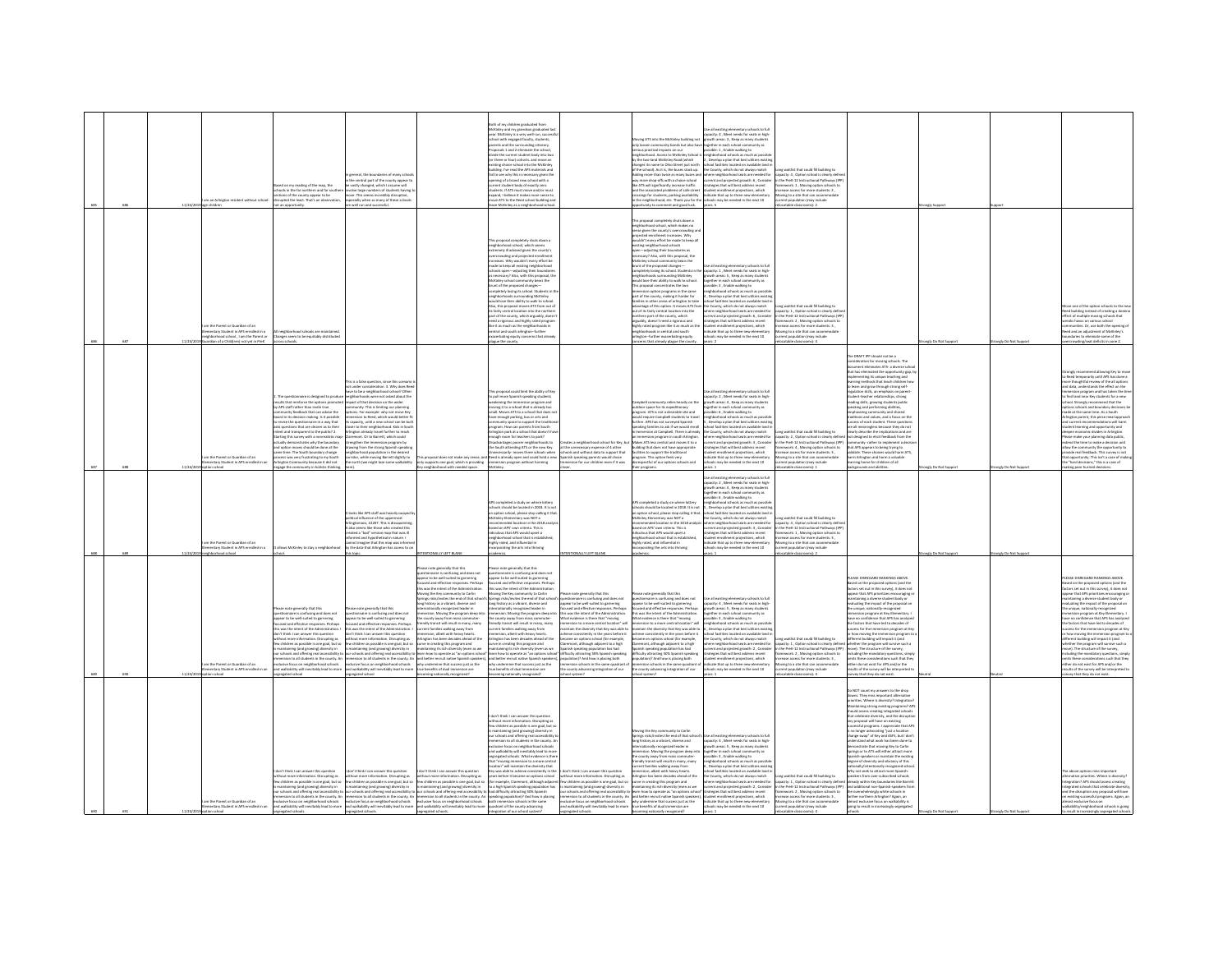|  |         |                                                                                                        |                                                                                                                                                                                                       |                                                                                                                                                                                                                                                       |                                                                                                                                                                                                                                      | toth of my children graduated from                                                                                                                                                                                                                                                                      |                                                                                                                                                                                                                                                                                                 |                                                                                                                                                                                                                                                                           |                                                                                                                                                                                                                   |                                                                                                                                   |                                                                                                                                                                                               |                      |                        |                                                                                                                                                                                                       |
|--|---------|--------------------------------------------------------------------------------------------------------|-------------------------------------------------------------------------------------------------------------------------------------------------------------------------------------------------------|-------------------------------------------------------------------------------------------------------------------------------------------------------------------------------------------------------------------------------------------------------|--------------------------------------------------------------------------------------------------------------------------------------------------------------------------------------------------------------------------------------|---------------------------------------------------------------------------------------------------------------------------------------------------------------------------------------------------------------------------------------------------------------------------------------------------------|-------------------------------------------------------------------------------------------------------------------------------------------------------------------------------------------------------------------------------------------------------------------------------------------------|---------------------------------------------------------------------------------------------------------------------------------------------------------------------------------------------------------------------------------------------------------------------------|-------------------------------------------------------------------------------------------------------------------------------------------------------------------------------------------------------------------|-----------------------------------------------------------------------------------------------------------------------------------|-----------------------------------------------------------------------------------------------------------------------------------------------------------------------------------------------|----------------------|------------------------|-------------------------------------------------------------------------------------------------------------------------------------------------------------------------------------------------------|
|  |         |                                                                                                        |                                                                                                                                                                                                       |                                                                                                                                                                                                                                                       |                                                                                                                                                                                                                                      | McKinley and my grandson graduated last<br>year. McKinley is a very well-run, succe<br>hool with engaged faculty, students,                                                                                                                                                                             |                                                                                                                                                                                                                                                                                                 | vine ATS into the McKinley building not                                                                                                                                                                                                                                   | se all existing elementary schools to ful<br>pacity: 4, Meet needs for seats in high<br>with areas: 3 . Keep as many student                                                                                      |                                                                                                                                   |                                                                                                                                                                                               |                      |                        |                                                                                                                                                                                                       |
|  |         |                                                                                                        |                                                                                                                                                                                                       |                                                                                                                                                                                                                                                       |                                                                                                                                                                                                                                      | nts and the surrounding citizenry<br>osals 1 and 2 eliminate the schoo<br>de the current student body into tw<br>(or three or four) cohorts. and move an                                                                                                                                                |                                                                                                                                                                                                                                                                                                 | loosen community bonds but also ha<br>us practical impacts on our<br>ghborhood. Access to McKinley School<br>the two-land McKinkry Road (which                                                                                                                            | ogether in each school community as<br>ossible: 1 , Enable walking to<br>eighborhood schools as much as possi<br>, Develop a plan that best utilizes existi                                                       |                                                                                                                                   |                                                                                                                                                                                               |                      |                        |                                                                                                                                                                                                       |
|  |         |                                                                                                        |                                                                                                                                                                                                       | saral the houndaries of many sche                                                                                                                                                                                                                     |                                                                                                                                                                                                                                      | eisting choice school into the McKinley<br>building. I've read the APS materials and<br>fail to see why this is necessary given the<br>opening of a brand new school with a                                                                                                                             |                                                                                                                                                                                                                                                                                                 | sanges its name to Ohio Street just north<br>the school). As it is, the buses stack up.<br>dding more than twice as many buses a                                                                                                                                          | ool facilities located on available land i<br>the County, which do not always match<br>.<br>here neighborhood seats are needed for<br>urrent and projected growth: 6 , Consider                                   | ng waitlist that could fill building to<br>vity: 4 Ontion school is clearly def-                                                  |                                                                                                                                                                                               |                      |                        |                                                                                                                                                                                                       |
|  |         |                                                                                                        | ed on my reading of the map, the<br>ools in the far northern and far sou<br>tions of the county appear to be                                                                                          | e central part of the county ap<br>eastly changed, which I assume will<br>eve large numbers of students have                                                                                                                                          |                                                                                                                                                                                                                                      | current student body of exactly zero<br>students. If ATS must move and/or must<br>expand, I believe it makes more sense to<br>move ATS to the Reed school building and                                                                                                                                  |                                                                                                                                                                                                                                                                                                 | nore drop-offs with a choice school<br>ke ATS will significantly increase traffic<br>he ATS will significantly increase traffic<br>ind the associated problems of safe stre                                                                                               | strategies that will best address recent<br>student enrollment projections, which<br>indicate that up to three new elementary                                                                                     | the PreK-12 Instructional Pathways (IP<br>Nework: 1, Moving option schools to<br>ease access for more students: 3                 |                                                                                                                                                                                               |                      |                        |                                                                                                                                                                                                       |
|  | 11/24/2 | m an Arlington resident without school                                                                 | srupted the least. That's an observation<br>ot an opportunity.                                                                                                                                        | ve. This seems incredibly disruptive,<br>pecially when so many of these schools<br>well run and successful.                                                                                                                                           |                                                                                                                                                                                                                                      | eave McKinley as a neighborhood sche                                                                                                                                                                                                                                                                    |                                                                                                                                                                                                                                                                                                 | mo tree associated proceems or server. In sucern terroriment projections, which<br>rossings for students, parking availability — indicate that up to three new elementa<br>in the neighborhood, etc. Thank you for the "schools may<br>ortunity to comment and good luck. | years: 5                                                                                                                                                                                                          | ving to a site that can accom<br>rrent population (may include<br>stable classrooms): 2                                           |                                                                                                                                                                                               | ngly Su              |                        |                                                                                                                                                                                                       |
|  |         |                                                                                                        |                                                                                                                                                                                                       |                                                                                                                                                                                                                                                       |                                                                                                                                                                                                                                      |                                                                                                                                                                                                                                                                                                         |                                                                                                                                                                                                                                                                                                 | nennessal enmelatalu shuts desan a<br>righborhood school, which makes no                                                                                                                                                                                                  |                                                                                                                                                                                                                   |                                                                                                                                   |                                                                                                                                                                                               |                      |                        |                                                                                                                                                                                                       |
|  |         |                                                                                                        |                                                                                                                                                                                                       |                                                                                                                                                                                                                                                       |                                                                                                                                                                                                                                      | his proposal completely shuts down a                                                                                                                                                                                                                                                                    |                                                                                                                                                                                                                                                                                                 | ense given the county's overcrowding an<br>jected enrollment increases. Why<br>ldn't every effort be made to keep all                                                                                                                                                     |                                                                                                                                                                                                                   |                                                                                                                                   |                                                                                                                                                                                               |                      |                        |                                                                                                                                                                                                       |
|  |         |                                                                                                        |                                                                                                                                                                                                       |                                                                                                                                                                                                                                                       |                                                                                                                                                                                                                                      | neighborhood school, which seems<br>nely ill advised given the county's                                                                                                                                                                                                                                 |                                                                                                                                                                                                                                                                                                 | <b>sting neighborhood schools</b><br>sen—adjusting their boundaries as<br>cessary? Also, with this proposal, t<br>Cessary? Also, with this proposal, t<br>Kinley school community bears th                                                                                |                                                                                                                                                                                                                   |                                                                                                                                   |                                                                                                                                                                                               |                      |                        |                                                                                                                                                                                                       |
|  |         |                                                                                                        |                                                                                                                                                                                                       |                                                                                                                                                                                                                                                       |                                                                                                                                                                                                                                      | overcrowding and projected enrollment<br>increases. Why wouldn't every effort be<br>made to keep all existing neighborhood<br>schools open-adjusting their boundarie                                                                                                                                    |                                                                                                                                                                                                                                                                                                 | unt of the proposed changes-<br>ampletely losing its school. Students in the                                                                                                                                                                                              | se all existing elementary schools to ful<br>capacity: 1 , Meet needs for seats in high-<br>growth areas: 5 , Keep as many students                                                                               |                                                                                                                                   |                                                                                                                                                                                               |                      |                        |                                                                                                                                                                                                       |
|  |         |                                                                                                        |                                                                                                                                                                                                       |                                                                                                                                                                                                                                                       |                                                                                                                                                                                                                                      | as necessary? Also, with this proposal, the<br>McKinley school community bears the                                                                                                                                                                                                                      |                                                                                                                                                                                                                                                                                                 | eighborhoods surrounding McKinley<br>build lose their ability to walk to school.                                                                                                                                                                                          | together in each school community as<br>sible: 3 , Enable walking to<br>ihborhood schools as much as possil                                                                                                       |                                                                                                                                   |                                                                                                                                                                                               |                      |                        |                                                                                                                                                                                                       |
|  |         |                                                                                                        |                                                                                                                                                                                                       |                                                                                                                                                                                                                                                       |                                                                                                                                                                                                                                      | incomey action community sears are<br>completely losing its school. Students in the<br>neighborhoods surrounding McKinley<br>is surrounding McKinkry<br>dd lose their ability to walk to school<br>Also, this proposal moves ATS from out of                                                            |                                                                                                                                                                                                                                                                                                 | This proposal concentrates the two<br>mmersion option programs in the same<br>part of the county, making it harder for<br>milies in other areas of arlington to take<br>drantage of this option. It moves ATS fro                                                         | Nevelop a plan that best utilizes ex<br>chool facilities located on available land i<br>he County, which do not always match                                                                                      | ne waitlist that could fill buildine to                                                                                           |                                                                                                                                                                                               |                      |                        | e one of the option schools to the                                                                                                                                                                    |
|  |         |                                                                                                        |                                                                                                                                                                                                       |                                                                                                                                                                                                                                                       |                                                                                                                                                                                                                                      | its fairly central location into the norther<br>part of the county, which arguably, does<br>seed a rigorous and highly rated progra                                                                                                                                                                     |                                                                                                                                                                                                                                                                                                 | ut of its fairly central location into the<br>thern part of the county, which                                                                                                                                                                                             | where neighborhood seats are needed for<br>rrent and projected erowth: 6. Conside<br>atesies that will best address recent                                                                                        | acity: 1 . Option school is clearly defin<br>the PreK-12 Instructional Pathways (IP)<br>ework: 2 . Moving option schools to       |                                                                                                                                                                                               |                      |                        | ed building instead of creating a domin<br>fect of multiple moving schools that<br>aks havor on various school                                                                                        |
|  |         | the Parent or Guardian of a<br>tary Student in APS enrolled in a<br>orhood school , I am the Parent or | All neighborhood schools are maintained.<br>Changes seem to be equitably distributed                                                                                                                  |                                                                                                                                                                                                                                                       |                                                                                                                                                                                                                                      | DEED a ligorous and ingrisposed<br>like it as much as the neighborhol<br>central and south arlington-furth<br>erbating equity concerns that alrea                                                                                                                                                       |                                                                                                                                                                                                                                                                                                 | overnmin part or tre county, writer<br>rigoldy, doesn't need a rigorous and<br>righly rated program like it as much as the<br>reighborhoods in central and south<br>lington-further exacerbating equity                                                                   | tudent enrollment projections, which<br>tudent enrollment projections, which<br>idicate that up to three new elements<br>ools may be needed in the next 10                                                        | <sub>tran</sub> e access for more s<br>ing to a site that can a<br>ent population (may include                                    |                                                                                                                                                                                               |                      |                        | ed and a<br>daries to eliminate some of the                                                                                                                                                           |
|  |         | ardian of a Child(ren) not yet in PreK                                                                 | ross schools.                                                                                                                                                                                         |                                                                                                                                                                                                                                                       |                                                                                                                                                                                                                                      | plague the county.                                                                                                                                                                                                                                                                                      |                                                                                                                                                                                                                                                                                                 | cerns that already plague the county                                                                                                                                                                                                                                      | $m$ es: 2                                                                                                                                                                                                         | ocatable classrooms): 4                                                                                                           |                                                                                                                                                                                               | angly Do Not Support | trongly Do Not Suppo   | rcrowding/seat deficits in zone 2.                                                                                                                                                                    |
|  |         |                                                                                                        |                                                                                                                                                                                                       |                                                                                                                                                                                                                                                       |                                                                                                                                                                                                                                      |                                                                                                                                                                                                                                                                                                         |                                                                                                                                                                                                                                                                                                 |                                                                                                                                                                                                                                                                           |                                                                                                                                                                                                                   |                                                                                                                                   | he DRAFT IPP should not be a<br>ever i ivv snowd not be a<br>deration for moving schools. The<br>ment eliminates ATS- a diverse sch                                                           |                      |                        |                                                                                                                                                                                                       |
|  |         |                                                                                                        |                                                                                                                                                                                                       | is is a false question, since this scenario                                                                                                                                                                                                           |                                                                                                                                                                                                                                      |                                                                                                                                                                                                                                                                                                         |                                                                                                                                                                                                                                                                                                 |                                                                                                                                                                                                                                                                           |                                                                                                                                                                                                                   |                                                                                                                                   | that has eliminated the opportunity gap, b<br>implementing its unique teaching and<br>ming methods that teach children ho                                                                     |                      |                        | nend allowing Key to mo<br>ongly recor<br>Reed temporarily until APS has done a<br>re thoughtful review of the all options                                                                            |
|  |         |                                                                                                        |                                                                                                                                                                                                       | under consideration. 3. Why does Rees<br>e to be a neighborhood school? Other                                                                                                                                                                         |                                                                                                                                                                                                                                      | roposal could limit the ability of Ke                                                                                                                                                                                                                                                                   |                                                                                                                                                                                                                                                                                                 |                                                                                                                                                                                                                                                                           | se all existing elementary schools to full<br>acity: 2 , Meet needs for seats in high<br>wth areas: 4 , Keep as many students                                                                                     |                                                                                                                                   | o learn and erow through strong self-<br>ulation skills, an emphasis on parent-<br>cudent-teacher relationships, strong<br>vading skills, growing students public<br>eaking and confirmation  |                      |                        | d data, understands the effect on the<br>rsion program and has taken the tir                                                                                                                          |
|  |         |                                                                                                        | . The questionnaire is designed to provide<br>visits that reinforce the options promi<br>by APS staff rather than invite true<br>munity feedback that can advise the                                  | had the amagedonicod school come<br>had the decision on the wider<br>munity. This is limiting our planning<br>ptions. For example- why not move Key                                                                                                   |                                                                                                                                                                                                                                      | the pull more Spanish speaking students<br>weakening the immersion program and<br>moving it to a school that is already too<br>small. Moves ATS to a school that does no                                                                                                                                |                                                                                                                                                                                                                                                                                                 | nity relies heavily on the<br>sutdoor space for its expeditionary<br>srogram. ATS is not a desirable site and                                                                                                                                                             | gether in each school community as<br>ssible: 6, Enable walking to                                                                                                                                                |                                                                                                                                   | aking and performing abilities,<br>mphasizing community and shared<br>raditions and values, and a focus on the                                                                                |                      |                        | find land near Key students for a new<br>hool. Strongly recommend that the<br>tions schools and boundary decisions be<br>tions schools and boundary decisions be<br>rade at the same time. As a South |
|  |         |                                                                                                        | oard in its decision making. Is it possible<br>revise the questionnaire in a way that                                                                                                                 | mersion to Reed, which would better f<br>capacity, until a new school can be built                                                                                                                                                                    |                                                                                                                                                                                                                                      | have enough parking, bus or arts and<br>nunity space to support the tradit                                                                                                                                                                                                                              |                                                                                                                                                                                                                                                                                                 | ould require Campbell students to trave<br>rther. APS has not surveyed Spanish<br>sking families to ask if we would enrol<br>mmersion at Campbell. There is alread                                                                                                        | ighborhood schools as much as possib<br>Develop a plan that best utilizes existi<br>hool facilities located on available land<br>hool facilities located on available land<br># County, which do not always match | waitist that could fill huilding to                                                                                               | cess of each student. These question<br>all meaningless because they do not<br>arly describe the implications and are                                                                         |                      |                        | lington parent, this piece meal approac<br>d current recommendations will harm<br><i><b>Jent learning and opportunity and</b></i><br>nen-economic divides in Arlington.                               |
|  |         |                                                                                                        | is two two specifies that are clearer as to their<br>tent and transparent to the public? 2.<br>arting this survey with a nonrealistic ma<br>tually demonstrates why the boundary                      | Copiecity, until a new scribbit can be born<br>fington already travel further to reach<br>aremont. Or to Barrett, which could<br>ingthen the Immersion program by                                                                                     |                                                                                                                                                                                                                                      | community space to support one tradition<br>Arlington park at a school that doesn't his<br>Arlington park at a school that doesn't his<br>enough room for bachers to park?<br>Disadvantaees poorer neighborhoods to<br>Disadvantages poorer neighborhoods to<br>the South attending ATS or the new Key. | is a neighborhood school for Key, b                                                                                                                                                                                                                                                             | immersion program in south Arlington<br>kes ATS less central and moves it to a                                                                                                                                                                                            | ere neighborhood seats are needed for<br>rent and projected growth: 3 , Conside                                                                                                                                   | spacity: 2 , Option school is clearly definition<br>the PreK-12 Instructional Pathways (IP)<br>ework: 4, Moving option schools to | designed to elicit feedback from th<br>that APS appears to being trying to                                                                                                                    |                      |                        | ase make your planning data public,<br>end the time to make a decision and                                                                                                                            |
|  |         | m the Parent or Guardian of an<br>ventary Student in APS enrolled in an                                | nd option moves should be done at the<br>ime time. The South boundary change<br>cess was very frustrating to my South<br>neton Community because it did not                                           | ving from the strong Spanish speakin<br>hborhood population in the desired<br>idor, while moving Barrett slightly to<br>north (we might lose some walkability                                                                                         | proposal does not make any sense<br>only supports one goal, which is providing                                                                                                                                                       | recessarily- moves three schools when<br>eed is already open and could hold a new<br>sersion program without harming                                                                                                                                                                                    | he unnecessary expense of 4 other<br>hools and without data to support that<br>inish speaking parents would chose<br>ersion for our children even if it was                                                                                                                                     | ilding that does not have appropriate<br>ilties to support the traditional<br>roaram. This option feels very<br>pectful of our options schools and                                                                                                                        | ategies that will best address recent<br>tudent enrollment projections, which<br><b>Scate that up to three new elementary</b><br>ols may be needed in the next 10                                                 | hase access for more students: 3 .<br>vine to a site that can accommodate<br>int population (may include                          | validate. These choices would harm ATS<br>harm Arlineton and harm a valuable<br>ming home for children of all                                                                                 |                      |                        | w the community the opportunity to<br>ovide real feedback. This survey is not<br>t opportunity. This isn't a case of makin<br>e "hard decisions," this is a case of                                   |
|  |         | ion school                                                                                             | gage the community in holistic thinki                                                                                                                                                                 |                                                                                                                                                                                                                                                       | y neighborhood with needed space.                                                                                                                                                                                                    |                                                                                                                                                                                                                                                                                                         |                                                                                                                                                                                                                                                                                                 | iir programs.                                                                                                                                                                                                                                                             | Jse all existing elementary schools to full                                                                                                                                                                       | catable classrooms):                                                                                                              | skerounds and abilities                                                                                                                                                                       | angly Do Not Supp    | ongly Do Not Sup       | aking poor hurried decisions.                                                                                                                                                                         |
|  |         |                                                                                                        |                                                                                                                                                                                                       |                                                                                                                                                                                                                                                       |                                                                                                                                                                                                                                      |                                                                                                                                                                                                                                                                                                         |                                                                                                                                                                                                                                                                                                 |                                                                                                                                                                                                                                                                           | capacity: 2, Meet needs for seats in high-<br>growth areas: 4, Keep as many students<br>rether in each school community as<br>sible: 6 . Enable walking to                                                        |                                                                                                                                   |                                                                                                                                                                                               |                      |                        |                                                                                                                                                                                                       |
|  |         |                                                                                                        |                                                                                                                                                                                                       | the APS staff was heavily su                                                                                                                                                                                                                          |                                                                                                                                                                                                                                      | Consolated a study on where lotter<br>chools should be located in 2018. It is<br>an option school, please stop calling it t                                                                                                                                                                             |                                                                                                                                                                                                                                                                                                 | .<br>Commelated a sturb on where lotters<br>-> completed a study on where lottery<br>hools should be located in 2018. It is no<br>n option school, please stop calling it th                                                                                              | hherheed schools as much as need<br>noomood schools as much as possi<br>evelop a plan that best utilizes exist<br>of facilities located on available lan                                                          |                                                                                                                                   |                                                                                                                                                                                               |                      |                        |                                                                                                                                                                                                       |
|  |         |                                                                                                        |                                                                                                                                                                                                       | itical influence of the uppermost<br>instonians, 22207. This is dissappinting<br>also seems like those who created thi                                                                                                                                |                                                                                                                                                                                                                                      | cKinley Elementary was NOT a<br>mmended location in the 2018 an<br>based on APS' own criteria. This is                                                                                                                                                                                                  |                                                                                                                                                                                                                                                                                                 | Griey Elementary was NOT a<br>ommended location in the 2018 anal<br>sed on APS' own criteria. This is                                                                                                                                                                     | e County, which do not always match<br>ere neighborhood seats are needed for<br>urrent and projected erowth: 3 . Conside                                                                                          | ne waitlist that could fill buildine to<br>acity: 4 . Option school is clearly defin<br>the PreK-12 Instructional Pathways (IP)   |                                                                                                                                                                                               |                      |                        |                                                                                                                                                                                                       |
|  |         | n the Parent or Guardian of an                                                                         |                                                                                                                                                                                                       | ted a "bad" version map that was ill<br>formed and hypothetical in nature. I<br>innot imagine that this map was informe<br>it the data that Arlington has access to on                                                                                |                                                                                                                                                                                                                                      | ulous that APS would upset a<br>ighborhood school that is establi<br>ghly rated, and influential in                                                                                                                                                                                                     |                                                                                                                                                                                                                                                                                                 | culous that APS would upset a<br>reighborhood school that is establis<br>righly rated, and influential in<br>ncorporating the arts into thriving                                                                                                                          | testes that will best address recent<br>dent enrollment projections, which<br>icate that up to three new elements                                                                                                 | ework: 1 . Moving option schools to<br>ease access for more students: 3<br>ing to a site that can accommode                       |                                                                                                                                                                                               |                      |                        |                                                                                                                                                                                                       |
|  |         | entary Student in APS enrolled in a<br>ighborhood school                                               | ows McKinley to stay a neighborhoo                                                                                                                                                                    | topic.                                                                                                                                                                                                                                                | NTIONALLY LEFT BLANK                                                                                                                                                                                                                 | porating the arts into thriving                                                                                                                                                                                                                                                                         | WALLY LEFT BLANK                                                                                                                                                                                                                                                                                |                                                                                                                                                                                                                                                                           | tols may be needed in the next 10                                                                                                                                                                                 | ent population (may include<br>catable classrooms): 2                                                                             |                                                                                                                                                                                               | ingly Do Not Support | mely Do Not Supp       |                                                                                                                                                                                                       |
|  |         |                                                                                                        |                                                                                                                                                                                                       |                                                                                                                                                                                                                                                       | ase note generally that this                                                                                                                                                                                                         | ase note generally that this                                                                                                                                                                                                                                                                            |                                                                                                                                                                                                                                                                                                 |                                                                                                                                                                                                                                                                           |                                                                                                                                                                                                                   |                                                                                                                                   |                                                                                                                                                                                               |                      |                        |                                                                                                                                                                                                       |
|  |         |                                                                                                        |                                                                                                                                                                                                       |                                                                                                                                                                                                                                                       | pestionnaire is confusing and does not<br>speear to be well-suited to garnering<br>ocused and effective responses. Perhap<br>his was the intent of the Administration                                                                | estionnaire is confusing and does not<br>pear to be well-suited to garnering<br>used and effective responses. Perhap<br>this was the intent of the Administration                                                                                                                                       |                                                                                                                                                                                                                                                                                                 |                                                                                                                                                                                                                                                                           |                                                                                                                                                                                                                   |                                                                                                                                   | PLEASE DISREGARD RANKINGS ABOVE.<br>Based on the proposed options (and the<br>factors set out in this survey), it does not                                                                    |                      |                        | ASE DISREGARD RANKINGS ABOVE<br>d on the proposed options (and the<br>ors set out in this survey), it does not                                                                                        |
|  |         |                                                                                                        |                                                                                                                                                                                                       |                                                                                                                                                                                                                                                       | Moving the Key community to Carlin<br>nes risks/invites the end of that scho<br>one history as a vibrant, diverse and                                                                                                                | Moving the Key community to Carlin<br>prines risks/invites the end of that scho-<br>long history as a vibrant, diverse and                                                                                                                                                                              | hase note generally that this<br>estionnaire is confusing and does not<br>ppear to be well-suited to garnering                                                                                                                                                                                  | ase note eenerally that this<br>stionnaire is confusine and does not<br>pear to be well-suited to garnering                                                                                                                                                               | Jse all existing elementary schools to full<br>pacity: 4 . Meet needs for seats in his                                                                                                                            |                                                                                                                                   | appear that APS prioritizes encouraging o<br>staining a diverse student body or<br>luating the impact of the proposal or                                                                      |                      |                        | ear that APS prioritizes encouraging o<br>ining a diverse student body or<br>uating the impact of the proposal on                                                                                     |
|  |         |                                                                                                        | Mease note generally that this<br>guestionnaire is confusing and does not<br>speear to be well-suited to garnering<br>ocused and effective responses. Perhaps                                         | ease note generally that this<br>sestionnaire is confusing and does not<br>spear to be well-suited to gamering<br>cused and effective responses. Perhaps                                                                                              | ationally recognized leader in<br>sion. Moving the program deep in<br>inty assisting the program deep inty<br>ie county away from mass commuter-<br>iendly transit will result in many, many                                         | Semationally recognized leader in<br>mersion. Moving the program deep int<br>e county away from mass commuter-<br>endly transit will result in many, many                                                                                                                                               | used and effective responses. Perha<br>was the intent of the Administratic<br>sat evidence is there that "moving<br>mersion to a more central location"                                                                                                                                         | cused and effective responses. Perfective<br>is was the intent of the Administration<br>Vhat evidence is there that "moving"<br>mmersion to a more central location" will                                                                                                 | packy. 4 , were reeds to reads in<br>path areas: 5 , Keep as many stude<br>saible: 3 , Enable walking to<br>ighborhood schools as much as poss                                                                    |                                                                                                                                   | the unique, mationally-recognized<br>immersion program at Key Elementary. I<br>have no confidence that APS has analyzed<br>the factors that have led to decades of<br>merculing program at Ke |                      |                        | e unique, nationally-recognized<br>mersion program at Key Elementary. I<br>we no confidence that APS has analyzed<br>e factors that have led to decades of                                            |
|  |         |                                                                                                        | is was the intent of the Administration.<br>on't think I can answer this question<br>thout more information. Disrupting as                                                                            | his was the intent of the Administration.<br>on't think I can answer this question<br>ithout more information. Disrupting as                                                                                                                          | current families walking away from<br>mmersion, albeit with heavy hearts.<br>Arlington has been decades ahead of the                                                                                                                 | rrent families walking away from<br>ersion, albeit with heavy hearts.<br>Arlinaton has been decades ahead of the                                                                                                                                                                                        | intain the diversity that Key was able to<br>ieve consistently in the years before it<br>came on options school (for example                                                                                                                                                                    | intain the diversity that Key was able to<br>hieve consistently in the years before it<br>came on options school (for example                                                                                                                                             | 5, Develop a plan that best utilizes existi<br>hool facilities located on available land i<br>he County, which do not always match                                                                                | ng waitlist that could fill building to                                                                                           | coass for the immersion program at Ker<br>how moving the immersion program to<br>fferent building will impact it (and                                                                         |                      |                        | ccess for the immersion program at Key<br>how moving the immersion program to<br>fferent building will impact it (and                                                                                 |
|  |         |                                                                                                        | to not interest incomments. Company<br>maintaining (and growing) diversity in<br>ur schools and offering real accessibility t                                                                         | weblideen as possible is one goal, but so<br>maintaining (and growing) diversity in<br>ar schools and offering real accessibility t                                                                                                                   | curve in creating this program and<br>maintaining its rich diversity (even as we<br>learn how to operate as "an options school                                                                                                       | the international and the control of the second terms<br>intaining its rich diversity (even as we<br>in how to operate as "an options scho                                                                                                                                                              | ement, although adjacent to a high<br>sish speaking population has had<br>culty attracting 50% Spanish speaking                                                                                                                                                                                 | erm on opposes achose for exempts,<br>remort, although adjacent to a high<br>ficulty attracting 50% Spanish speaking                                                                                                                                                      | County, which do has analysis stated for<br>rent and projected growth: 2 , Consider<br>ategies that will best address recent<br>ategies that will best address recent                                             | pacity: 1 , Option school is clearly define<br>the PreK-12 Instructional Pathways (IPF<br>mework: 2 , Moving option schools to    | ether the program will survive such a<br>we). The structure of the survey,<br>luding the mandatory questions, simp                                                                            |                      |                        | ether the program will survive such a<br>we). The structure of the survey,<br>luding the mandatory questions, simpl                                                                                   |
|  |         | im the Parent or Guardian of an<br>nentary Student in APS enrolled in an                               | ersion to all students in the county. An<br>sive focus on neighborhood schools<br>ed walkability will inevitably lead to more                                                                         | exclusive focus on neighborhood schools why undermine that success just as the and walkability will inevitably lead to more true benefits of dual immersion are                                                                                       | nersion to all students in the county. An and better recruit native Spanish speakers                                                                                                                                                 | ), and better recruit native Spanish speaker<br>why undermine that success just as the<br>true benefits of dual immersion are                                                                                                                                                                           | dation)? And how is placing both<br>ersion schools in the same quadrant of<br>no ho notsingani grionsvou of con                                                                                                                                                                                 | dted gripalg a wed bnA 5(nottalugo<br>ersion schools in the same quadrant of<br>e county advancing integration of our                                                                                                                                                     | sent enrolment projections, which<br>dicate that up to three new elementary<br>ools may be needed in the next 10                                                                                                  | ase access for more students: 3,<br>oving to a site that can accommodate<br>ent population (may include                           | these considerations such that they<br>ither do not exist for APS and/or the<br>ults of the survey will be interpreted                                                                        |                      |                        | Is these considerations such that they<br>ther do not exist for APS and/or the<br>sults of the survey will be interpreted to                                                                          |
|  |         | ion school                                                                                             | locitate bategar                                                                                                                                                                                      | egated school                                                                                                                                                                                                                                         | Sassingoay ylanoitus gnim                                                                                                                                                                                                            | Sburgoon yllianoise grim                                                                                                                                                                                                                                                                                | Smatizez Io                                                                                                                                                                                                                                                                                     |                                                                                                                                                                                                                                                                           |                                                                                                                                                                                                                   | stable classrooms): 4                                                                                                             | vey that they do not exist.                                                                                                                                                                   |                      |                        | vey that they do not exist.                                                                                                                                                                           |
|  |         |                                                                                                        |                                                                                                                                                                                                       |                                                                                                                                                                                                                                                       |                                                                                                                                                                                                                                      |                                                                                                                                                                                                                                                                                                         |                                                                                                                                                                                                                                                                                                 |                                                                                                                                                                                                                                                                           |                                                                                                                                                                                                                   |                                                                                                                                   | to NOT count my answers to the drop<br>ivens. They miss important alternative<br>lorities. Where is diversity? Integration?<br>aintaining strong existing programs? AP!                       |                      |                        |                                                                                                                                                                                                       |
|  |         |                                                                                                        |                                                                                                                                                                                                       |                                                                                                                                                                                                                                                       |                                                                                                                                                                                                                                      | don't think I can answer this question                                                                                                                                                                                                                                                                  |                                                                                                                                                                                                                                                                                                 |                                                                                                                                                                                                                                                                           |                                                                                                                                                                                                                   |                                                                                                                                   | should assess creating integrated schools<br>that celebrate diversity, and the disruptio                                                                                                      |                      |                        |                                                                                                                                                                                                       |
|  |         |                                                                                                        |                                                                                                                                                                                                       |                                                                                                                                                                                                                                                       |                                                                                                                                                                                                                                      | without more information. Disrupting as<br>w children as possible is one goal, but :                                                                                                                                                                                                                    |                                                                                                                                                                                                                                                                                                 |                                                                                                                                                                                                                                                                           |                                                                                                                                                                                                                   |                                                                                                                                   | proposal will have on existing<br>siful programs. I appreciate that APS                                                                                                                       |                      |                        |                                                                                                                                                                                                       |
|  |         |                                                                                                        |                                                                                                                                                                                                       |                                                                                                                                                                                                                                                       |                                                                                                                                                                                                                                      | is maintaining (and growing) diversity in<br>our schools and offering real accessibilit<br>nersion to all students in the county. Ar<br>Iusive focus on neighborhood schools                                                                                                                            |                                                                                                                                                                                                                                                                                                 | y community to Carlin<br>nvites the end of that sch<br>prings risks/i<br>ong history as a vibrant, diverse and<br>ernationally recognized leader in                                                                                                                       | capacity: 4 , Meet needs for seats in high-<br>growth areas: 5 , Keep as many students                                                                                                                            |                                                                                                                                   | s no longer advocating "just a location<br>change swap" of Key and ASFS, but I don<br>erstand what work has been done to<br>constrate that moving Key to Carlis                               |                      |                        |                                                                                                                                                                                                       |
|  |         |                                                                                                        |                                                                                                                                                                                                       |                                                                                                                                                                                                                                                       |                                                                                                                                                                                                                                      | and walkability will inevitably lead to mor-<br>legregated schools. What evidence is there<br>that "moving immersion to a more central                                                                                                                                                                  |                                                                                                                                                                                                                                                                                                 | rmersion. Moving the program deep into<br>e county away from mass commute<br>indly transit will result in many, many                                                                                                                                                      | ogether in each school community as<br>ssible: 3, Enable walking to<br>ishborhood schools as much as possib                                                                                                       |                                                                                                                                   | Springs or to ATS will either attract more<br>ish-speakers or maintain the existi<br>area of diversity and vibrancy of this                                                                   |                      |                        |                                                                                                                                                                                                       |
|  |         |                                                                                                        | hout more information. Disrupting as                                                                                                                                                                  | n't think I can answer this question<br>out more information. Disrupting as                                                                                                                                                                           | n't think I can answer this questio<br>out more information. Disrupting as                                                                                                                                                           | ition" will maintain the diversity that<br>Key was able to achieve consistently in the<br>years before it became on options school                                                                                                                                                                      | l don't think I can answer this question<br>without more information. Disrupting as                                                                                                                                                                                                             | ency construction make in many, many<br>treet families walking away from<br>fington has been decades ahead of the                                                                                                                                                         | .<br>Nevelop a plan that best utilize:<br>hool facilities located on available land<br>re County, which do not always match                                                                                       | ng waitlist that could fill building to                                                                                           | nationally/intentionally recognized sch<br>Why not seek to attract more Spanish-<br>speakers from over-subscribed schools                                                                     |                      |                        | ibove options miss important<br>native priorities. Where is diversity                                                                                                                                 |
|  |         |                                                                                                        | w children as possible is one goal, but so<br>aintaining (and growing) diversity in<br>ar schools and offering real accessibility to                                                                  | w children as possible is one goal, but so                                                                                                                                                                                                            | -<br>maintaining (and growing) diversity in signalizioning (and growing) diversity in to a high Spanish speaking population<br>Ir schools and offering real accessibility to our schools and offering real accessibility to had diff | few children as possible is one goal, but so (for example, Claremont, although adjacent few children as possible is one goal, but so<br>to a high Spanish speaking population has                                                                                                                       | maintaining (and growing) diversity in<br>r schools and offering real accessibility to                                                                                                                                                                                                          | eve in creating this program and<br>aintaining its rich diversity (eyen as we                                                                                                                                                                                             | tere neighborhood seats are needed for<br>irrent and projected erowth: 2. Consider<br>ategies that will best address recent                                                                                       | pacity: 1, Option school is clearly defin<br>in the PreK-12 Instructional Pathways (IPP)<br>ework: 2 . Moving option schools to   | eady within Key boundaries like Barret<br>and additional non-Spanish-speakers from<br>the overwhelminely white schools in                                                                     |                      |                        | tegration? APS should assess creating<br>rated schools that celebrate diversi<br>d the disruption any proposal will have                                                                              |
|  |         |                                                                                                        |                                                                                                                                                                                                       |                                                                                                                                                                                                                                                       |                                                                                                                                                                                                                                      |                                                                                                                                                                                                                                                                                                         |                                                                                                                                                                                                                                                                                                 | am how to operate as "an options school                                                                                                                                                                                                                                   |                                                                                                                                                                                                                   |                                                                                                                                   |                                                                                                                                                                                               |                      |                        |                                                                                                                                                                                                       |
|  |         | m the Parent or Guardian of an<br>ntary Student in APS enrolled in an<br>loorlat noite                 | ing to all students in the roundy. An<br>enmersion to as students in the county. An<br>exclusive focus on neighborhood schools<br>and walkability will inevitably lead to more<br>segregated schools. | our custom and the figure as a security of the control of the country of the control of the control of the control of the control of the control of the control of the control of the control of the control of the control of<br>segregated schools. | segregated schools.                                                                                                                                                                                                                  | integration of our school system?                                                                                                                                                                                                                                                                       | rsion to all students in the county. An<br>extended to any students in constructions and the construction of the students and the students are collected to the students of the students of the students of the students of the students of the students of the students<br>segregated schools. | d better recruit native Spanish speakers)<br>hy undermine that success just as the<br>becoming nationally recognized?                                                                                                                                                     | sudent enrollment projections, which<br>Idicate that up to three new elementa<br>als may be needed in the next 10<br>wars: 1                                                                                      | asa arress for more students- t<br>vine to a site that can accor<br>nt population (may include<br>catable classrooms): 4          | ther northern Arlington? Again, ar<br>Iost exclusive focus on walkability<br>joing to result in increasingly segregated                                                                       | gly Do Not Support   | trongly Do Not Support | sisting successful programs. Again, an<br>ist exclusive focus on<br>kability/neighborhood schools is going<br>to result in increasingly segregated schools.                                           |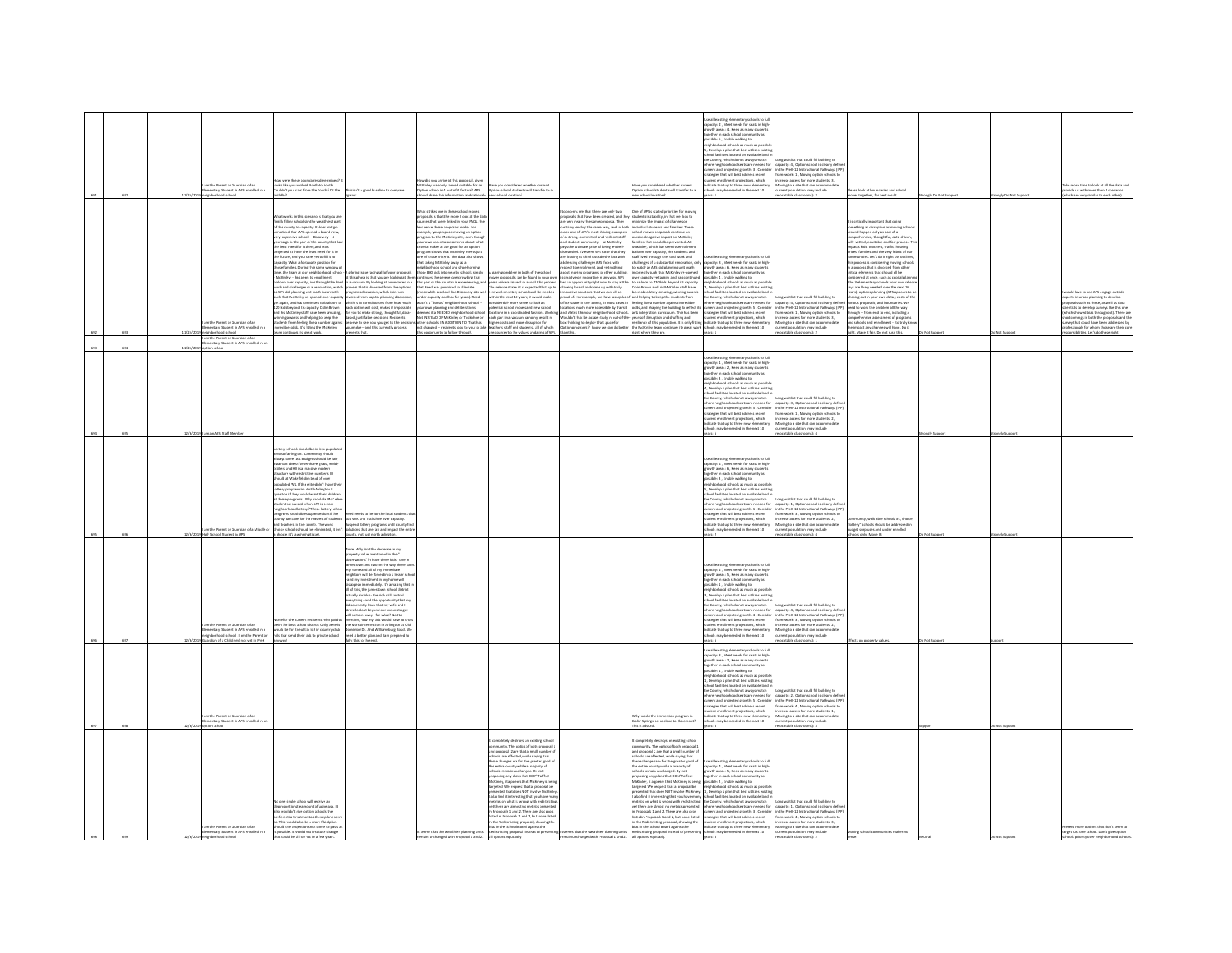|  | m the Parent or Guardian of an<br>ary Student in APS<br><b>Call Corp.</b>                                                                                 | were these boundaries det<br>.<br>Is like you worked North to South.<br>Jidn't you start from the South? Or the                                                                                                                                                                                                                                                                                                                                                                                                                                                                                                                                                                                                                                                                                                                                                                                                                                                                                                                                                                                                | his isn't a good baseline to compare                                                                                                                                                                                                                                                                                                                                                                                                                                                                                                                                                                                                                                                                                                                                                       | .<br>Mow did you arrive at this proposal, given<br>Option school in 1 out of 4 factors? APS                                                                                                                                                                                                                                                                                                                                                                                                                                                                                                                                                                                                                                                                                                                                                                                                                                                                                                                                                 | e you considered whether current<br>ion school students will transfer to a                                                                                                                                                                                                                                                                                                                                                                                                                                                                                                                                                                                                                                                                                                                                                                                                                                                                          |                                                                                                                                                                                                                                                                                                                                                                                                                                                                                                                                                                                                                                                                                                                                                                                                                                                                                                                                                                                        | e you considered whether current<br>ion school students will transfer to a                                                                                                                                                                                                                                                                                                                                                                                                                                                                                                                                                                                                                                                                                                                                                                                                                                                                                                                                                                             | Use all existing elementary schools to full<br>capacity: 2 , Meet needs for seats in high-growth areas: 4 , Keep as many students<br>together in each school community as<br>possible: 6 , Enable walking to<br>eighborhood schools as much as possib<br>, Develop a plan that best utilizes existi<br>hool facilities located on available land<br>the County, which do not always match<br>where neighborhood seats are needed for<br>ategies that will best address recent<br>dent enrollment projections, which<br>.<br>dicate that up to three new elementary<br>hools may be needed in the next 10                                                                                  | Long waitlist that could fill building to<br>capacity: 4 , Ootinn school in this<br>acity: 4, Option school is clearly defin<br>urrent and projected erowth: 3 . Consider in the PreK-12 Instructional Pathways (IPF<br>.<br>Iramework: 1, Moving option schools to<br>increase access for more students: 3.<br>oving to a site that can accom<br>rrent population (may includ                                      | a look at househarias and school<br>together, for bes                                                                                                                                                                                                                                                                                                                                                                                                                                                                                                                                                                                                                                                                                                                                                                                                                                                                                                                                          |             | more time to look at all the data and<br>ide us with more than 2 scenarios                                                                                                                                                                                                                                                                               |
|--|-----------------------------------------------------------------------------------------------------------------------------------------------------------|----------------------------------------------------------------------------------------------------------------------------------------------------------------------------------------------------------------------------------------------------------------------------------------------------------------------------------------------------------------------------------------------------------------------------------------------------------------------------------------------------------------------------------------------------------------------------------------------------------------------------------------------------------------------------------------------------------------------------------------------------------------------------------------------------------------------------------------------------------------------------------------------------------------------------------------------------------------------------------------------------------------------------------------------------------------------------------------------------------------|--------------------------------------------------------------------------------------------------------------------------------------------------------------------------------------------------------------------------------------------------------------------------------------------------------------------------------------------------------------------------------------------------------------------------------------------------------------------------------------------------------------------------------------------------------------------------------------------------------------------------------------------------------------------------------------------------------------------------------------------------------------------------------------------|---------------------------------------------------------------------------------------------------------------------------------------------------------------------------------------------------------------------------------------------------------------------------------------------------------------------------------------------------------------------------------------------------------------------------------------------------------------------------------------------------------------------------------------------------------------------------------------------------------------------------------------------------------------------------------------------------------------------------------------------------------------------------------------------------------------------------------------------------------------------------------------------------------------------------------------------------------------------------------------------------------------------------------------------|-----------------------------------------------------------------------------------------------------------------------------------------------------------------------------------------------------------------------------------------------------------------------------------------------------------------------------------------------------------------------------------------------------------------------------------------------------------------------------------------------------------------------------------------------------------------------------------------------------------------------------------------------------------------------------------------------------------------------------------------------------------------------------------------------------------------------------------------------------------------------------------------------------------------------------------------------------|----------------------------------------------------------------------------------------------------------------------------------------------------------------------------------------------------------------------------------------------------------------------------------------------------------------------------------------------------------------------------------------------------------------------------------------------------------------------------------------------------------------------------------------------------------------------------------------------------------------------------------------------------------------------------------------------------------------------------------------------------------------------------------------------------------------------------------------------------------------------------------------------------------------------------------------------------------------------------------------|--------------------------------------------------------------------------------------------------------------------------------------------------------------------------------------------------------------------------------------------------------------------------------------------------------------------------------------------------------------------------------------------------------------------------------------------------------------------------------------------------------------------------------------------------------------------------------------------------------------------------------------------------------------------------------------------------------------------------------------------------------------------------------------------------------------------------------------------------------------------------------------------------------------------------------------------------------------------------------------------------------------------------------------------------------|-------------------------------------------------------------------------------------------------------------------------------------------------------------------------------------------------------------------------------------------------------------------------------------------------------------------------------------------------------------------------------------------------------------------------------------------------------------------------------------------------------------------------------------------------------------------------------------------------------------------------------------------------------------------------------------------|---------------------------------------------------------------------------------------------------------------------------------------------------------------------------------------------------------------------------------------------------------------------------------------------------------------------------------------------------------------------------------------------------------------------|------------------------------------------------------------------------------------------------------------------------------------------------------------------------------------------------------------------------------------------------------------------------------------------------------------------------------------------------------------------------------------------------------------------------------------------------------------------------------------------------------------------------------------------------------------------------------------------------------------------------------------------------------------------------------------------------------------------------------------------------------------------------------------------------------------------------------------------------------------------------------------------------------------------------------------------------------------------------------------------------|-------------|----------------------------------------------------------------------------------------------------------------------------------------------------------------------------------------------------------------------------------------------------------------------------------------------------------------------------------------------------------|
|  | am the Parent or Guardian of an<br>entary Student in APS enrolled in a<br>11/24/20<br>loorba boorhod risier<br>m the Parent or Guardian of an             | at works in this scenario is that you ar<br>nut works in tris scenario is triat you are<br>tally filling schools in the wealthiest part<br>the county to capacity. It does not go<br>inoticed that APS opened a brand new,<br>y expensive school -- Discovery -- 4<br>rs ago in the part of the county that ha<br>the least need for it then, and was<br>jected to have the least need for it in<br>the future, and you have yet to fill it to<br>pacity. What a fortunate position for<br>ose families. During this same window of<br>ne, the team at our neighborhood school<br>dcKinley -- has seen its enrollment<br>McKinley -- has seen its enrolment<br>alloon over capacity, live through the hard<br>rork and challenges of a renovation, watch<br>rork and challenges of a renovation, watch<br>ach that McKinley re-opened over capacity<br>st again, and h<br>kids beyond its capacity. Colin Brown<br>his McKinley staff have been amazing,<br>ning awards and helping to keep the<br>nts from feeling like a number agains<br>dible odds. It's fitting the McKinley<br>continues its ereat work. | deserve to see how you get to the decision<br>you make -- and this currently process<br>ents that                                                                                                                                                                                                                                                                                                                                                                                                                                                                                                                                                                                                                                                                                          | at strikes me in these school moves<br>soosals is that the more I look at the di<br>ces that were linked in your FAQs, the<br>less sense these proposals make. For<br>texample, you propose moving an option<br>program to the McNinley site, even though<br>program to the McNinley site, even though<br>vour own recent assessments about what<br>criteria makes a site g<br>program shows that McKinley meets just<br>one of those criteria. The data also show<br>that taking McKinky away as a<br>neighborhood school and shoe-horning<br>those 800 kids into nearby schools simply<br>A glueby have factory of of your proposals. Prove BOD lich mon-more under that a monomeration of the phase are behaviour and the control of the monomeration of the person of the state of the control of the control of the<br>is other schools; IN ADDITION TO. That has in ligher costs and more disruption for<br>not changed -- residents look to you to take teachers, staff and students, all of which<br>copertunity to follow through. | A glaring problem in both of the school<br>A glairing problem in both of the school<br>and a pour own moves propositive can be found in your own<br>moves propositive in the process can be found in the Theorem of the relations states it is copercibed that up to<br>$\frac{1}{2}$<br>each part in a vacuum can only result in<br>are counter to the values and aims of APS                                                                                                                                                                                                                                                                                                                                                                                                                                                                                                                                                                      | concerns me that there are only two<br>oposals that have been created, and the<br>e very nearly the same proposal. They<br>etainly end up the same way, and in both<br>ses one of APS's most shining examples<br>a strong, committed and resilient staff<br>id student community — at McKinley —<br>lys the ultimate price of being entirely<br>imantled. I've seen APS state that they<br>re looking to think outside the box with<br>dressing challenges APS faces with<br>spect to enrollment, and yet nothing<br>out moving programs to other building<br>boat moving programs to other buildings<br>creative or innovative in any way. APS<br>as an opportunity right now to stay at the<br>rawing board and come up with truly<br>nowative solutions that we can all be<br>noud of. For example, we h<br>itions much more accessible by transit<br>I Metro than our neighborhood schools<br>thinking to deploy that space for<br>ion programs? I know we can do better<br>n this | e of APS's stated priorities for moving<br>dents is stability, in that we look to<br>tudents is stability, in that we look to<br>rinimize the impact of changes on<br>mixidual students and families. These<br>chool moves proposals continue an<br>utsized negative impact on McKinley<br>emilies that should be prevented. At<br>ckinley, which has seen its enrollmen<br>alloon over capacity, the students and<br>taff lived through the hard work and<br>Foll West Dropp the hard sector and<br>$\sim$ Use at excitence probability of a statistical<br>control on the space $\lambda$ , shown to set of the statistical<br>control of the statistical control on the space of the statistical control<br>incomenty such that showless population is explicited in a shock constraint to the control of the state of the state of the state of the state of the state of the state of the state of the state of the state of the state<br>uldn't that be a case study in out-of-the-years of disruption and shuffling and<br>ight where they are. | Use all existing elementary schools to ful<br>wars: 1                                                                                                                                                                                                                                                                                                                                                                                                                                                                                                                                                                                                                                     | Long waitlist that could fill building to<br>capacity: 4 , Option school is clearly defined<br>in the PreK-12 Instructional Pathways (IPP)<br>framework: 1 , Moving option schools to<br>tcrease access for more students: 3,<br>Moving to a site that can accommodate<br>current population (may include<br>catable classrooms): 2                                                                                 | ritically important that doing<br>nething as disruptive as moving sch<br>und happen only as part of a<br>rprehensive, thoughtful, data-driven<br>y-vetted, equitable and fair process.<br>pacts kids, teachers, traffic, housing<br>rices, families and the very fabric of our<br>munities. Let's do it right. As outlines<br>is process is considering moving school<br>a process that is divorced from other<br>ical elements that should all be<br>idered at once, such as capital plan<br>te 3 elementary schools your own rele<br>vs are likely needed over the next 10<br>a are using measure over the next 20<br>http://eptions.planning (ATS appears to listing out in your own data); costs of the<br>us proposals; and boundaries. We<br>eed to work the problem all the way<br>rough -- from end to end, including a<br>prehensive assessment of programs<br>d schools and enrollment -- to truly kno<br>impact any changes will have. Do it<br>the Make it fair. Do not rush this. | Not Support | d love to see APS engage outside<br>rs in urban planning to develop<br>Isals such as these, as well as data<br>tists to develop surveys like this one<br>h showed bias throughout). There are<br>comings in both the proposals and ti<br>vey that could have been addressed by<br>onals for whom those are their co<br>sibilities. Let's do these right. |
|  | ntary Student in APS enrolled in a<br>11/24/2<br>tion school                                                                                              |                                                                                                                                                                                                                                                                                                                                                                                                                                                                                                                                                                                                                                                                                                                                                                                                                                                                                                                                                                                                                                                                                                                |                                                                                                                                                                                                                                                                                                                                                                                                                                                                                                                                                                                                                                                                                                                                                                                            |                                                                                                                                                                                                                                                                                                                                                                                                                                                                                                                                                                                                                                                                                                                                                                                                                                                                                                                                                                                                                                             |                                                                                                                                                                                                                                                                                                                                                                                                                                                                                                                                                                                                                                                                                                                                                                                                                                                                                                                                                     |                                                                                                                                                                                                                                                                                                                                                                                                                                                                                                                                                                                                                                                                                                                                                                                                                                                                                                                                                                                        |                                                                                                                                                                                                                                                                                                                                                                                                                                                                                                                                                                                                                                                                                                                                                                                                                                                                                                                                                                                                                                                        | ar all existing elementary schools to full<br>Use all existing elementary schoots to tuli<br>capacity: $1$ , Meet needs for seats in high-growth areas: $2$ , Keep as many students<br>together in each school community as<br>possible: $3$ , finable walking to<br>neighborhood schoots<br>eighborhood schools as much as possibli<br>, Develop a plan that best utilizes existir<br>chool facilities located on available land i                                                                                                                                                                                                                                                       |                                                                                                                                                                                                                                                                                                                                                                                                                     |                                                                                                                                                                                                                                                                                                                                                                                                                                                                                                                                                                                                                                                                                                                                                                                                                                                                                                                                                                                                |             |                                                                                                                                                                                                                                                                                                                                                          |
|  | n an APS Staff!                                                                                                                                           | should be in less pop                                                                                                                                                                                                                                                                                                                                                                                                                                                                                                                                                                                                                                                                                                                                                                                                                                                                                                                                                                                                                                                                                          |                                                                                                                                                                                                                                                                                                                                                                                                                                                                                                                                                                                                                                                                                                                                                                                            |                                                                                                                                                                                                                                                                                                                                                                                                                                                                                                                                                                                                                                                                                                                                                                                                                                                                                                                                                                                                                                             |                                                                                                                                                                                                                                                                                                                                                                                                                                                                                                                                                                                                                                                                                                                                                                                                                                                                                                                                                     |                                                                                                                                                                                                                                                                                                                                                                                                                                                                                                                                                                                                                                                                                                                                                                                                                                                                                                                                                                                        |                                                                                                                                                                                                                                                                                                                                                                                                                                                                                                                                                                                                                                                                                                                                                                                                                                                                                                                                                                                                                                                        | udent enrollment projections, which<br>dicate that up to three new elementary<br>may be needed in the next 10                                                                                                                                                                                                                                                                                                                                                                                                                                                                                                                                                                             | the County, which do not always match Long waitlist that could fill building to<br>where neighborhood seats are needed for capacity: 3, Option school is clearly defin<br>current and projected growth: S., Consider in the PreK-12 Instructional Pathways (IPP)<br>strategies that will best address recent framework: 1., Moving option schools to<br>screase access for more students: 2<br><b>Shuthair uses</b> |                                                                                                                                                                                                                                                                                                                                                                                                                                                                                                                                                                                                                                                                                                                                                                                                                                                                                                                                                                                                |             |                                                                                                                                                                                                                                                                                                                                                          |
|  | am the Parent or Guardian of a Middle o<br>High School Student in APS                                                                                     | Lottery schools should be in less populat<br>areas of arlington. Community should<br>always come 1st. Budgets should be fair,<br>son doesn't even have grass, moldy<br>ers and HB is a massive more<br>cture with restrictive numbers. IB<br>ould at Wakefield instead of over<br>ulated WL. If the elite didn't have the<br>ery programs in North Arlington I<br>stion if they would want their children<br>these programs. Why should a McK ele<br>ident be bussed when ATS is a non<br>jhborhood lottery? These lottery sch<br>grams should be suspended until the<br>ounty can care for the masses of students<br>nd teachers in the county. The word<br>hoice schools should be eliminated, it isn'<br>choice, it's a winning ticket.                                                                                                                                                                                                                                                                                                                                                                     | eeds to be for the local stude<br>sut McK and Tuckahoe over capacity.<br>Iuspend lottery programs until county<br>lutions that are fair and impact the ent<br>ounty, not just north arlington.                                                                                                                                                                                                                                                                                                                                                                                                                                                                                                                                                                                             |                                                                                                                                                                                                                                                                                                                                                                                                                                                                                                                                                                                                                                                                                                                                                                                                                                                                                                                                                                                                                                             |                                                                                                                                                                                                                                                                                                                                                                                                                                                                                                                                                                                                                                                                                                                                                                                                                                                                                                                                                     |                                                                                                                                                                                                                                                                                                                                                                                                                                                                                                                                                                                                                                                                                                                                                                                                                                                                                                                                                                                        |                                                                                                                                                                                                                                                                                                                                                                                                                                                                                                                                                                                                                                                                                                                                                                                                                                                                                                                                                                                                                                                        | Jse all existing elementary schools to ful<br>capacity: 4, Meet needs for seats in high<br>suth areas: 6, Keep as many studen<br>together in each school community as<br>ssible: 3, Enable walking to<br>eighborhood schools as much as possil<br>. Develop a plan that best utilizes exist<br>is located on available land<br>ol farilit<br>he County, which do not always match<br>e county, which as not aways match<br>here neighborhood seats are needed for<br>prent and projected growth: 1 , Consider<br>rategies that will best address recent<br>.<br>dent enrollment projections, which<br>cate that up to three new elementary<br>cols may be needed in the next 10<br>ars: 2 | waitlist that could fill huilding to<br>Capacity: 1, Option school is clearly definitionally<br>in the PreK-12 Instructional Pathways (IP)<br>Famework: 3 , Moving option schools to<br>crease access for more students: 2 ,<br>oving to a site that can accommodate<br>surrent population (may include<br>catable classrooms): 4                                                                                   | is #1, choic<br>ttery" schools should be add<br>dget surpluses and under enrolled<br>cols only. Move IB                                                                                                                                                                                                                                                                                                                                                                                                                                                                                                                                                                                                                                                                                                                                                                                                                                                                                        |             |                                                                                                                                                                                                                                                                                                                                                          |
|  | am the Parent or Guardian of an<br>ntary Student in APS enrolled in a<br>irhborhood school . I am the Parent or<br>lian of a Childfron<br>ned use in Oral | ne for the current residents who paid t<br>in the best school district. Only benefit<br>ad be for the ultra rich in country club<br>that send their kids to private school                                                                                                                                                                                                                                                                                                                                                                                                                                                                                                                                                                                                                                                                                                                                                                                                                                                                                                                                     | one. Why isnt the decrease in my<br>coerty value mentioned in the<br>rvations"? I have three kids - one in<br>estown and two on the way there's<br>home and all of my immediate<br>ighbors will be forced into a lesser so<br>ind my investment in my home will<br>and my investment in my nome will<br>lisappear immediately. It's amazing that if<br>if of this, the jamestown school district<br>ictually shrinks - the rich still control<br>rything - and the opportunity that my<br>i currently have that my wife and I<br>ched out beyond our means to get<br>Il be torn away - for what? Not to<br>tion, now my kids would have to cr<br>he worst intersection in Arlinaton at Old<br>ion Dr. And Williamsburg Road. W<br>ed a better plan and I am prepared to<br>this to the end |                                                                                                                                                                                                                                                                                                                                                                                                                                                                                                                                                                                                                                                                                                                                                                                                                                                                                                                                                                                                                                             |                                                                                                                                                                                                                                                                                                                                                                                                                                                                                                                                                                                                                                                                                                                                                                                                                                                                                                                                                     |                                                                                                                                                                                                                                                                                                                                                                                                                                                                                                                                                                                                                                                                                                                                                                                                                                                                                                                                                                                        |                                                                                                                                                                                                                                                                                                                                                                                                                                                                                                                                                                                                                                                                                                                                                                                                                                                                                                                                                                                                                                                        | se all existing elementary schools to full<br>an excelling electronary schools to hard<br>acity: 2 , Meet needs for seats in high<br>wth areas: 5 , Keep as many students<br>ether in each school community as<br>ible: 1, Enable walking to<br>ighborhood schools as much as por<br>Develop a plan that best utilizes er<br>school facilities located on available land<br>the County, which do not always match<br>where neighborhood seats are needed for<br>student enrollment projections, which<br>dicate that up to three new elem                                                                                                                                                 | ong waitlist that could fill building to<br>capacity: 4, Option school is clearly defi<br>current and projected growth: 4, Consider in the PreK-12 Instructional Pathways (IPP)<br>strategies that will best address recent framework: 3, Moving option schools to<br>increase access for more students: 2.<br>.<br>Aoving to a site that can accomm<br>urrent population (may include                              |                                                                                                                                                                                                                                                                                                                                                                                                                                                                                                                                                                                                                                                                                                                                                                                                                                                                                                                                                                                                |             |                                                                                                                                                                                                                                                                                                                                                          |
|  | m the Parent or Guardian of an<br>v Student in APS<br>12/6/20<br>tion school                                                                              |                                                                                                                                                                                                                                                                                                                                                                                                                                                                                                                                                                                                                                                                                                                                                                                                                                                                                                                                                                                                                                                                                                                |                                                                                                                                                                                                                                                                                                                                                                                                                                                                                                                                                                                                                                                                                                                                                                                            |                                                                                                                                                                                                                                                                                                                                                                                                                                                                                                                                                                                                                                                                                                                                                                                                                                                                                                                                                                                                                                             |                                                                                                                                                                                                                                                                                                                                                                                                                                                                                                                                                                                                                                                                                                                                                                                                                                                                                                                                                     |                                                                                                                                                                                                                                                                                                                                                                                                                                                                                                                                                                                                                                                                                                                                                                                                                                                                                                                                                                                        | .<br>Vhy would the immersion program in<br>'arlin Springs be so close to Claremont?<br>is absurd                                                                                                                                                                                                                                                                                                                                                                                                                                                                                                                                                                                                                                                                                                                                                                                                                                                                                                                                                       | se all existing elementary schools to full<br>Use all existing elementary schools to full capacity: 3, Meet needs for seats in high-growth ereas: 2, Keep as many students<br>together in each school community as<br>together in each school community as<br>possible: 4 , Enable wa<br>, Develop a plan that best utilizes existi<br>chool facilities located on available land i<br>the County, which do not always match<br>ent projections, which<br><b>Scate that up to three new elementary</b><br>hooks may be needed in the next 10                                                                                                                                              | Long waitlist that could fill building to<br>where neighborhood seats are needed for capacity: 2. Option school is clearly defin<br>surrent and projected growth: S., Consider in the PreK-12 Instructional Pathways (IPP)<br>Itrategies that will best address recent framework: 4, Moving option schools to<br>coase access for more students: 1<br>ving to a site that can acco<br>atable classrooms):           |                                                                                                                                                                                                                                                                                                                                                                                                                                                                                                                                                                                                                                                                                                                                                                                                                                                                                                                                                                                                |             |                                                                                                                                                                                                                                                                                                                                                          |
|  | am the Parent or Guardian of an<br>entary Student in APS enrolled in a<br>12/6/2<br>eighborhood school                                                    | e single school will receive an<br>is one ange amon we receive an<br>lisproportionate amount of upheaval. It<br>referential treatment as these plans se<br>. This would also be a more fluid plan<br>should the projections not come to pass, a<br>is possible. It would not institute change<br>that could be all for not in a few years                                                                                                                                                                                                                                                                                                                                                                                                                                                                                                                                                                                                                                                                                                                                                                      |                                                                                                                                                                                                                                                                                                                                                                                                                                                                                                                                                                                                                                                                                                                                                                                            | ems that the wealthier planning units<br>remain unchanged with Proposal 1 and 2.                                                                                                                                                                                                                                                                                                                                                                                                                                                                                                                                                                                                                                                                                                                                                                                                                                                                                                                                                            | ripletely destroys an existing school<br>nunity. The optics of both proposal 1<br>and proposal 2 are that a small number of<br>tools are affected, while saying that<br>ese changes are for the greater good o<br>the entire county while a majority of<br>ools remain unchanged. By not<br>posing any plans that DON'T affect<br><b>Criev</b> , it appears that McKinley is bei<br>MCNINWY, it appears that MCNINWY is bet<br>targeted. We request that a proposal be<br>presented that does NOT involve McKinI<br>presented that does not involve nexume<br>ratrics on what is wrong with redistrictin<br>metrics on what is wrong with redistrictin<br>pet there are almost no metrics presentes<br>Proposals 1 and 2. There are also pros<br>ted in Proposals 1 and 2, but none liste<br>the Redistricting proposal, showing the<br>ias in the School Board against the<br>districting proposal instead of presenting<br>all options equitably. | seems that the wealthier planning units<br>remain unchanged with Proposal 1 and 2.                                                                                                                                                                                                                                                                                                                                                                                                                                                                                                                                                                                                                                                                                                                                                                                                                                                                                                     | pletely destroys an existing school<br>unity. The optics of both proposal I<br>and proposal 2 are that a small number o<br>chools are affected, while saying that<br>hese changes are for the greater good of<br>he entire county while a majority of<br>ools remain unchanged. By not<br>posing any plans that DON'T affect<br><b>Solary it annually that McKinkey is hains</b><br>all options equitably.                                                                                                                                                                                                                                                                                                                                                                                                                                                                                                                                                                                                                                             | Use all existing elementary schools to full<br>capacity: $4$ , Meet needs for seats in high-<br>growth areas: $5$ , Keep as many students<br>together in each school community as<br>possible: $2$ , Enable walking to<br>years: 6                                                                                                                                                                                                                                                                                                                                                                                                                                                        | Mothers is approximately the projective control of the state of the state of the state of the state of the state of the state of the state of the state of the state of the state of the state of the state of the state of t<br>catable classrooms): 2                                                                                                                                                             | ing school communities makes no                                                                                                                                                                                                                                                                                                                                                                                                                                                                                                                                                                                                                                                                                                                                                                                                                                                                                                                                                                |             | ent more options that don't seem to<br>rget just one school. Don't give option<br>is priority over neighborhood schools.                                                                                                                                                                                                                                 |